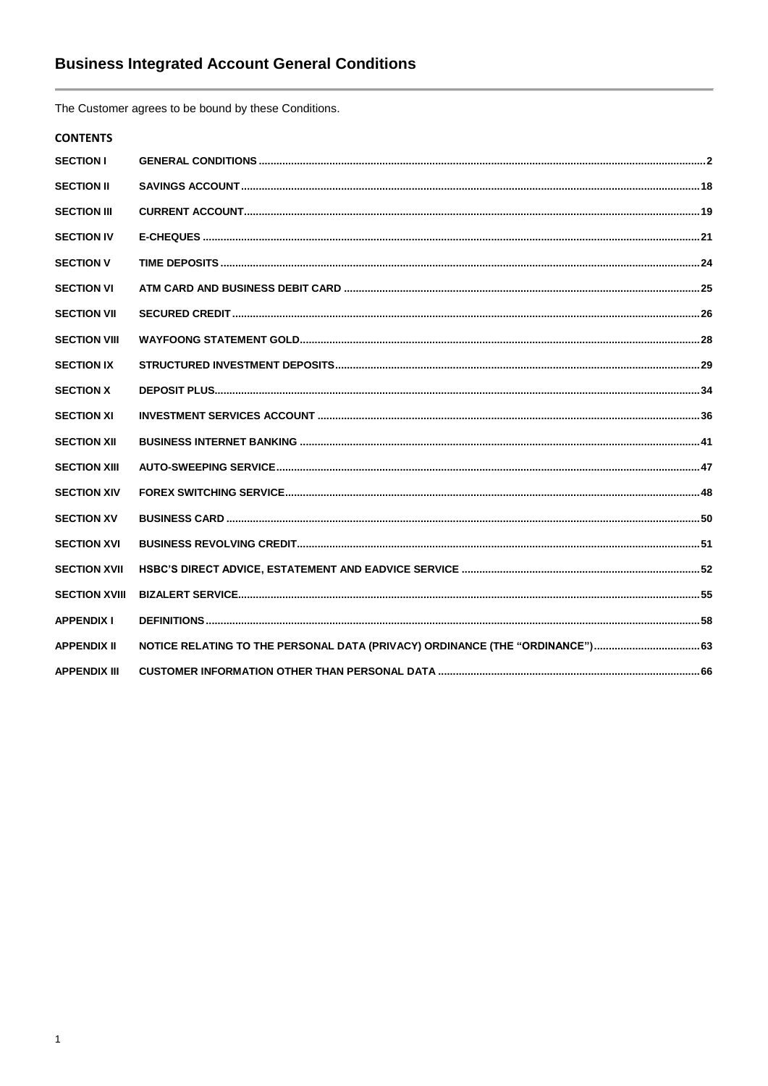The Customer agrees to be bound by these Conditions.

# **CONTENTS**

| <b>SECTION I</b>     |                                                                               |  |
|----------------------|-------------------------------------------------------------------------------|--|
| <b>SECTION II</b>    |                                                                               |  |
| <b>SECTION III</b>   |                                                                               |  |
| <b>SECTION IV</b>    |                                                                               |  |
| <b>SECTION V</b>     |                                                                               |  |
| <b>SECTION VI</b>    |                                                                               |  |
| <b>SECTION VII</b>   |                                                                               |  |
| <b>SECTION VIII</b>  |                                                                               |  |
| <b>SECTION IX</b>    |                                                                               |  |
| <b>SECTION X</b>     |                                                                               |  |
| <b>SECTION XI</b>    |                                                                               |  |
| <b>SECTION XII</b>   |                                                                               |  |
| <b>SECTION XIII</b>  |                                                                               |  |
| <b>SECTION XIV</b>   |                                                                               |  |
| <b>SECTION XV</b>    |                                                                               |  |
| <b>SECTION XVI</b>   |                                                                               |  |
| <b>SECTION XVII</b>  |                                                                               |  |
| <b>SECTION XVIII</b> |                                                                               |  |
| <b>APPENDIX I</b>    |                                                                               |  |
| <b>APPENDIX II</b>   | NOTICE RELATING TO THE PERSONAL DATA (PRIVACY) ORDINANCE (THE "ORDINANCE") 63 |  |
| <b>APPENDIX III</b>  |                                                                               |  |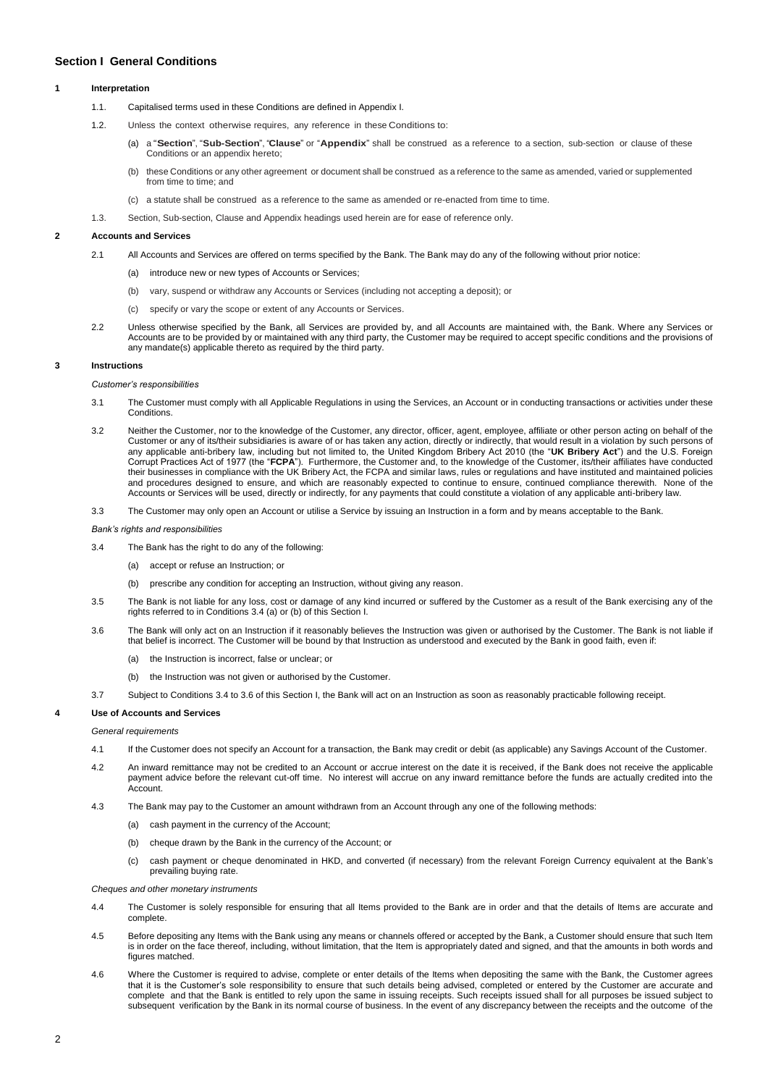# <span id="page-1-0"></span>**Section I General Conditions**

## **1 Interpretation**

- 1.1. Capitalised terms used in these Conditions are defined in Appendix I.
- 1.2. Unless the context otherwise requires, any reference in these Conditions to:
	- (a) a "**Section**", "**Sub-Section**", "**Clause**" or "**Appendix**" shall be construed as a reference to a section, sub-section or clause of these Conditions or an appendix hereto;
	- (b) these Conditions or any other agreement or document shall be construed as a reference to the same as amended, varied or supplemented from time to time; and
	- (c) a statute shall be construed as a reference to the same as amended or re-enacted from time to time.
- 1.3. Section, Sub-section, Clause and Appendix headings used herein are for ease of reference only.

# **2 Accounts and Services**

- 2.1 All Accounts and Services are offered on terms specified by the Bank. The Bank may do any of the following without prior notice:
	- (a) introduce new or new types of Accounts or Services;
	- (b) vary, suspend or withdraw any Accounts or Services (including not accepting a deposit); or
	- (c) specify or vary the scope or extent of any Accounts or Services.
- 2.2 Unless otherwise specified by the Bank, all Services are provided by, and all Accounts are maintained with, the Bank. Where any Services or Accounts are to be provided by or maintained with any third party, the Customer may be required to accept specific conditions and the provisions of any mandate(s) applicable thereto as required by the third party.

### **3 Instructions**

#### *Customer's responsibilities*

- 3.1 The Customer must comply with all Applicable Regulations in using the Services, an Account or in conducting transactions or activities under these Conditions.
- 3.2 Neither the Customer, nor to the knowledge of the Customer, any director, officer, agent, employee, affiliate or other person acting on behalf of the Customer or any of its/their subsidiaries is aware of or has taken any action, directly or indirectly, that would result in a violation by such persons of<br>any applicable anti-bribery law, including but not limited to, the Corrupt Practices Act of 1977 (the "**FCPA**"). Furthermore, the Customer and, to the knowledge of the Customer, its/their affiliates have conducted their businesses in compliance with the UK Bribery Act, the FCPA and similar laws, rules or regulations and have instituted and maintained policies and procedures designed to ensure, and which are reasonably expected to continue to ensure, continued compliance therewith. None of the Accounts or Services will be used, directly or indirectly, for any payments that could constitute a violation of any applicable anti-bribery law.
- 3.3 The Customer may only open an Account or utilise a Service by issuing an Instruction in a form and by means acceptable to the Bank.

### *Bank's rights and responsibilities*

- 3.4 The Bank has the right to do any of the following:
	- (a) accept or refuse an Instruction; or
	- (b) prescribe any condition for accepting an Instruction, without giving any reason.
- 3.5 The Bank is not liable for any loss, cost or damage of any kind incurred or suffered by the Customer as a result of the Bank exercising any of the rights referred to in Conditions 3.4 (a) or (b) of this Section I.
- 3.6 The Bank will only act on an Instruction if it reasonably believes the Instruction was given or authorised by the Customer. The Bank is not liable if that belief is incorrect. The Customer will be bound by that Instruction as understood and executed by the Bank in good faith, even if:
	- (a) the Instruction is incorrect, false or unclear; or
	- (b) the Instruction was not given or authorised by the Customer.
- 3.7 Subject to Conditions 3.4 to 3.6 of this Section I, the Bank will act on an Instruction as soon as reasonably practicable following receipt.

### **4 Use of Accounts and Services**

### *General requirements*

- 4.1 If the Customer does not specify an Account for a transaction, the Bank may credit or debit (as applicable) any Savings Account of the Customer.
- 4.2 An inward remittance may not be credited to an Account or accrue interest on the date it is received, if the Bank does not receive the applicable payment advice before the relevant cut-off time. No interest will accrue on any inward remittance before the funds are actually credited into the Account.
- 4.3 The Bank may pay to the Customer an amount withdrawn from an Account through any one of the following methods:
	- (a) cash payment in the currency of the Account;
	- (b) cheque drawn by the Bank in the currency of the Account; or
	- (c) cash payment or cheque denominated in HKD, and converted (if necessary) from the relevant Foreign Currency equivalent at the Bank's prevailing buying rate.

*Cheques and other monetary instruments*

- 4.4 The Customer is solely responsible for ensuring that all Items provided to the Bank are in order and that the details of Items are accurate and complete.
- 4.5 Before depositing any Items with the Bank using any means or channels offered or accepted by the Bank, a Customer should ensure that such Item is in order on the face thereof, including, without limitation, that the Item is appropriately dated and signed, and that the amounts in both words and figures matched.
- 4.6 Where the Customer is required to advise, complete or enter details of the Items when depositing the same with the Bank, the Customer agrees that it is the Customer's sole responsibility to ensure that such details being advised, completed or entered by the Customer are accurate and complete and that the Bank is entitled to rely upon the same in issuing receipts. Such receipts issued shall for all purposes be issued subject to subsequent verification by the Bank in its normal course of business. In the event of any discrepancy between the receipts and the outcome of the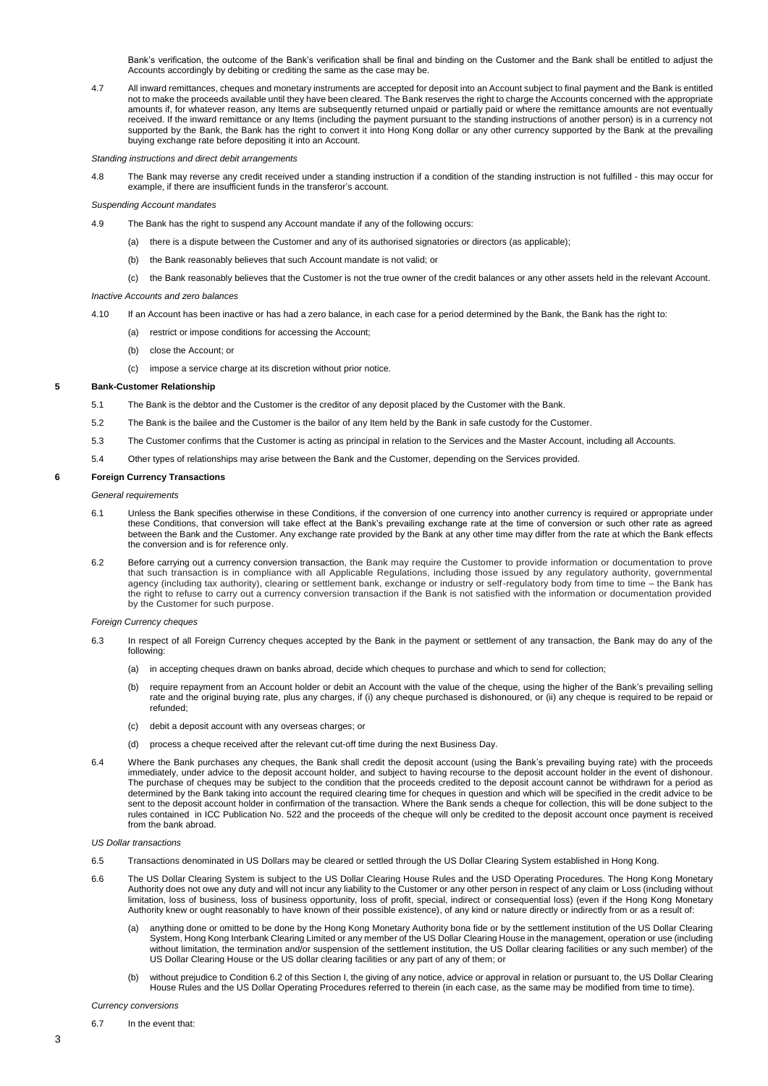Bank's verification, the outcome of the Bank's verification shall be final and binding on the Customer and the Bank shall be entitled to adjust the Accounts accordingly by debiting or crediting the same as the case may be.

4.7 All inward remittances, cheques and monetary instruments are accepted for deposit into an Account subject to final payment and the Bank is entitled not to make the proceeds available until they have been cleared. The Bank reserves the right to charge the Accounts concerned with the appropriate amounts if, for whatever reason, any Items are subsequently returned unpaid or partially paid or where the remittance amounts are not eventually received. If the inward remittance or any Items (including the payment pursuant to the standing instructions of another person) is in a currency not supported by the Bank, the Bank has the right to convert it into Hong Kong dollar or any other currency supported by the Bank at the prevailing buying exchange rate before depositing it into an Account.

*Standing instructions and direct debit arrangements*

4.8 The Bank may reverse any credit received under a standing instruction if a condition of the standing instruction is not fulfilled - this may occur for example, if there are insufficient funds in the transferor's account.

## *Suspending Account mandates*

- 4.9 The Bank has the right to suspend any Account mandate if any of the following occurs:
	- (a) there is a dispute between the Customer and any of its authorised signatories or directors (as applicable);
	- (b) the Bank reasonably believes that such Account mandate is not valid; or
	- (c) the Bank reasonably believes that the Customer is not the true owner of the credit balances or any other assets held in the relevant Account.

## *Inactive Accounts and zero balances*

- 4.10 If an Account has been inactive or has had a zero balance, in each case for a period determined by the Bank, the Bank has the right to:
	- (a) restrict or impose conditions for accessing the Account;
	- (b) close the Account; or
	- (c) impose a service charge at its discretion without prior notice.

# **5 Bank-Customer Relationship**

- 5.1 The Bank is the debtor and the Customer is the creditor of any deposit placed by the Customer with the Bank.
- 5.2 The Bank is the bailee and the Customer is the bailor of any Item held by the Bank in safe custody for the Customer.
- 5.3 The Customer confirms that the Customer is acting as principal in relation to the Services and the Master Account, including all Accounts.
- 5.4 Other types of relationships may arise between the Bank and the Customer, depending on the Services provided.

# **6 Foreign Currency Transactions**

*General requirements*

- 6.1 Unless the Bank specifies otherwise in these Conditions, if the conversion of one currency into another currency is required or appropriate under these Conditions, that conversion will take effect at the Bank's prevailing exchange rate at the time of conversion or such other rate as agreed between the Bank and the Customer. Any exchange rate provided by the Bank at any other time may differ from the rate at which the Bank effects the conversion and is for reference only.
- 6.2 Before carrying out a currency conversion transaction, the Bank may require the Customer to provide information or documentation to prove that such transaction is in compliance with all Applicable Regulations, including those issued by any regulatory authority, governmental agency (including tax authority), clearing or settlement bank, exchange or industry or self-regulatory body from time to time – the Bank has the right to refuse to carry out a currency conversion transaction if the Bank is not satisfied with the information or documentation provided by the Customer for such purpose.

## *Foreign Currency cheques*

- 6.3 In respect of all Foreign Currency cheques accepted by the Bank in the payment or settlement of any transaction, the Bank may do any of the following:
	- (a) in accepting cheques drawn on banks abroad, decide which cheques to purchase and which to send for collection;
	- (b) require repayment from an Account holder or debit an Account with the value of the cheque, using the higher of the Bank's prevailing selling rate and the original buying rate, plus any charges, if (i) any cheque purchased is dishonoured, or (ii) any cheque is required to be repaid or refunded;
	- (c) debit a deposit account with any overseas charges; or
	- (d) process a cheque received after the relevant cut-off time during the next Business Day.
- 6.4 Where the Bank purchases any cheques, the Bank shall credit the deposit account (using the Bank's prevailing buying rate) with the proceeds immediately, under advice to the deposit account holder, and subject to having recourse to the deposit account holder in the event of dishonour. The purchase of cheques may be subject to the condition that the proceeds credited to the deposit account cannot be withdrawn for a period as determined by the Bank taking into account the required clearing time for cheques in question and which will be specified in the credit advice to be sent to the deposit account holder in confirmation of the transaction. Where the Bank sends a cheque for collection, this will be done subject to the rules contained in ICC Publication No. 522 and the proceeds of the cheque will only be credited to the deposit account once payment is received from the bank abroad.

### *US Dollar transactions*

- 6.5 Transactions denominated in US Dollars may be cleared or settled through the US Dollar Clearing System established in Hong Kong.
- 6.6 The US Dollar Clearing System is subject to the US Dollar Clearing House Rules and the USD Operating Procedures. The Hong Kong Monetary Authority does not owe any duty and will not incur any liability to the Customer or any other person in respect of any claim or Loss (including without limitation, loss of business, loss of business opportunity, loss of profit, special, indirect or consequential loss) (even if the Hong Kong Monetary Authority knew or ought reasonably to have known of their possible existence), of any kind or nature directly or indirectly from or as a result of:
	- (a) anything done or omitted to be done by the Hong Kong Monetary Authority bona fide or by the settlement institution of the US Dollar Clearing System, Hong Kong Interbank Clearing Limited or any member of the US Dollar Clearing House in the management, operation or use (including without limitation, the termination and/or suspension of the settlement institution, the US Dollar clearing facilities or any such member) of the US Dollar Clearing House or the US dollar clearing facilities or any part of any of them; or
	- (b) without prejudice to Condition 6.2 of this Section I, the giving of any notice, advice or approval in relation or pursuant to, the US Dollar Clearing House Rules and the US Dollar Operating Procedures referred to therein (in each case, as the same may be modified from time to time).

### *Currency conversions*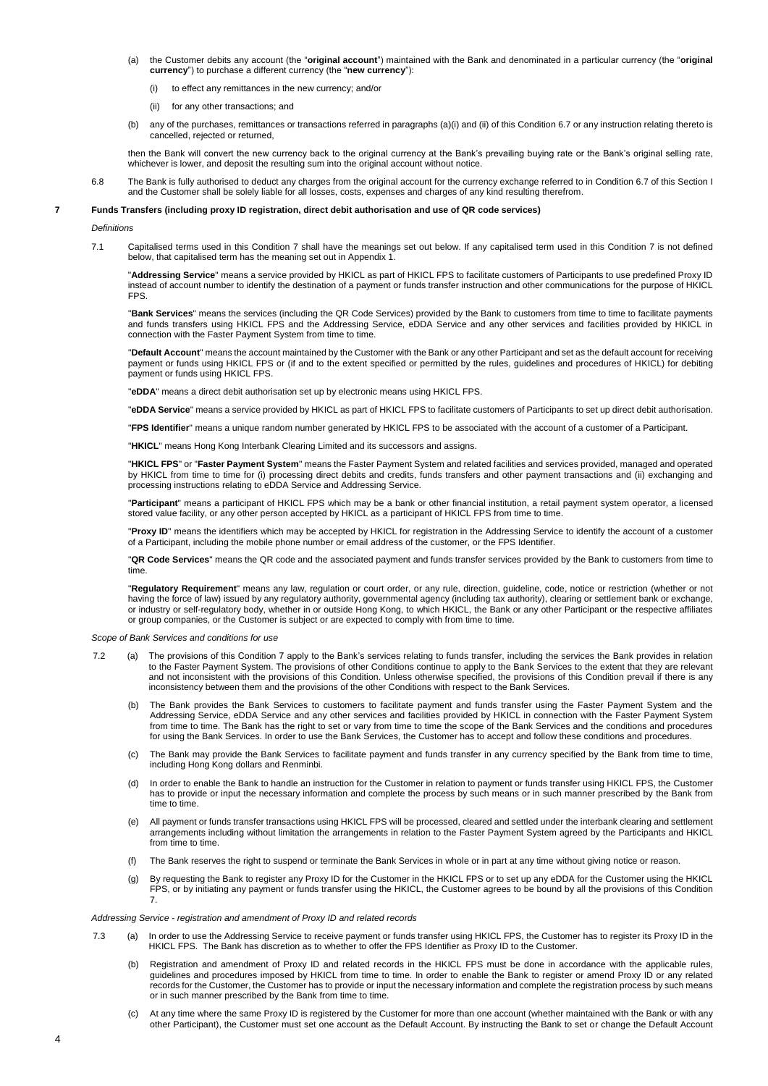- (a) the Customer debits any account (the "**original account**") maintained with the Bank and denominated in a particular currency (the "**original currency**") to purchase a different currency (the "**new currency**"):
	- (i) to effect any remittances in the new currency; and/or
	- (ii) for any other transactions; and
- (b) any of the purchases, remittances or transactions referred in paragraphs (a)(i) and (ii) of this Condition 6.7 or any instruction relating thereto is cancelled, rejected or returned,

then the Bank will convert the new currency back to the original currency at the Bank's prevailing buying rate or the Bank's original selling rate, whichever is lower, and deposit the resulting sum into the original account without notice.

6.8 The Bank is fully authorised to deduct any charges from the original account for the currency exchange referred to in Condition 6.7 of this Section I and the Customer shall be solely liable for all losses, costs, expenses and charges of any kind resulting therefrom.

# **7 Funds Transfers (including proxy ID registration, direct debit authorisation and use of QR code services)**

*Definitions*

7.1 Capitalised terms used in this Condition 7 shall have the meanings set out below. If any capitalised term used in this Condition 7 is not defined below, that capitalised term has the meaning set out in Appendix 1.

"**Addressing Service**" means a service provided by HKICL as part of HKICL FPS to facilitate customers of Participants to use predefined Proxy ID instead of account number to identify the destination of a payment or funds transfer instruction and other communications for the purpose of HKICL FPS.

"**Bank Services**" means the services (including the QR Code Services) provided by the Bank to customers from time to time to facilitate payments and funds transfers using HKICL FPS and the Addressing Service, eDDA Service and any other services and facilities provided by HKICL in connection with the Faster Payment System from time to time.

"**Default Account**" means the account maintained by the Customer with the Bank or any other Participant and set as the default account for receiving payment or funds using HKICL FPS or (if and to the extent specified or permitted by the rules, guidelines and procedures of HKICL) for debiting payment or funds using HKICL FPS.

"**eDDA**" means a direct debit authorisation set up by electronic means using HKICL FPS.

"**eDDA Service**" means a service provided by HKICL as part of HKICL FPS to facilitate customers of Participants to set up direct debit authorisation.

"**FPS Identifier**" means a unique random number generated by HKICL FPS to be associated with the account of a customer of a Participant.

"**HKICL**" means Hong Kong Interbank Clearing Limited and its successors and assigns.

"**HKICL FPS**" or "**Faster Payment System**" means the Faster Payment System and related facilities and services provided, managed and operated by HKICL from time to time for (i) processing direct debits and credits, funds transfers and other payment transactions and (ii) exchanging and processing instructions relating to eDDA Service and Addressing Service.

"**Participant**" means a participant of HKICL FPS which may be a bank or other financial institution, a retail payment system operator, a licensed stored value facility, or any other person accepted by HKICL as a participant of HKICL FPS from time to time.

"Proxy ID" means the identifiers which may be accepted by HKICL for registration in the Addressing Service to identify the account of a customer of a Participant, including the mobile phone number or email address of the customer, or the FPS Identifier.

"**QR Code Services**" means the QR code and the associated payment and funds transfer services provided by the Bank to customers from time to time.

"**Regulatory Requirement**" means any law, regulation or court order, or any rule, direction, guideline, code, notice or restriction (whether or not having the force of law) issued by any regulatory authority, governmental agency (including tax authority), clearing or settlement bank or exchange, or industry or self-regulatory body, whether in or outside Hong Kong, to which HKICL, the Bank or any other Participant or the respective affiliates or group companies, or the Customer is subject or are expected to comply with from time to time.

*Scope of Bank Services and conditions for use*

- 7.2 (a) The provisions of this Condition 7 apply to the Bank's services relating to funds transfer, including the services the Bank provides in relation to the Faster Payment System. The provisions of other Conditions continue to apply to the Bank Services to the extent that they are relevant and not inconsistent with the provisions of this Condition. Unless otherwise specified, the provisions of this Condition prevail if there is any inconsistency between them and the provisions of the other Conditions with respect to the Bank Services.
	- (b) The Bank provides the Bank Services to customers to facilitate payment and funds transfer using the Faster Payment System and the Addressing Service, eDDA Service and any other services and facilities provided by HKICL in connection with the Faster Payment System from time to time. The Bank has the right to set or vary from time to time the scope of the Bank Services and the conditions and procedures for using the Bank Services. In order to use the Bank Services, the Customer has to accept and follow these conditions and procedures.
	- (c) The Bank may provide the Bank Services to facilitate payment and funds transfer in any currency specified by the Bank from time to time, including Hong Kong dollars and Renminbi.
	- (d) In order to enable the Bank to handle an instruction for the Customer in relation to payment or funds transfer using HKICL FPS, the Customer has to provide or input the necessary information and complete the process by such means or in such manner prescribed by the Bank from time to time.
	- (e) All payment or funds transfer transactions using HKICL FPS will be processed, cleared and settled under the interbank clearing and settlement arrangements including without limitation the arrangements in relation to the Faster Payment System agreed by the Participants and HKICL from time to time.
	- (f) The Bank reserves the right to suspend or terminate the Bank Services in whole or in part at any time without giving notice or reason.
	- (g) By requesting the Bank to register any Proxy ID for the Customer in the HKICL FPS or to set up any eDDA for the Customer using the HKICL FPS, or by initiating any payment or funds transfer using the HKICL, the Customer agrees to be bound by all the provisions of this Condition 7.

### *Addressing Service - registration and amendment of Proxy ID and related records*

- 7.3 (a) In order to use the Addressing Service to receive payment or funds transfer using HKICL FPS, the Customer has to register its Proxy ID in the HKICL FPS. The Bank has discretion as to whether to offer the FPS Identifier as Proxy ID to the Customer.
	- (b) Registration and amendment of Proxy ID and related records in the HKICL FPS must be done in accordance with the applicable rules, guidelines and procedures imposed by HKICL from time to time. In order to enable the Bank to register or amend Proxy ID or any related records for the Customer, the Customer has to provide or input the necessary information and complete the registration process by such means or in such manner prescribed by the Bank from time to time.
	- (c) At any time where the same Proxy ID is registered by the Customer for more than one account (whether maintained with the Bank or with any other Participant), the Customer must set one account as the Default Account. By instructing the Bank to set or change the Default Account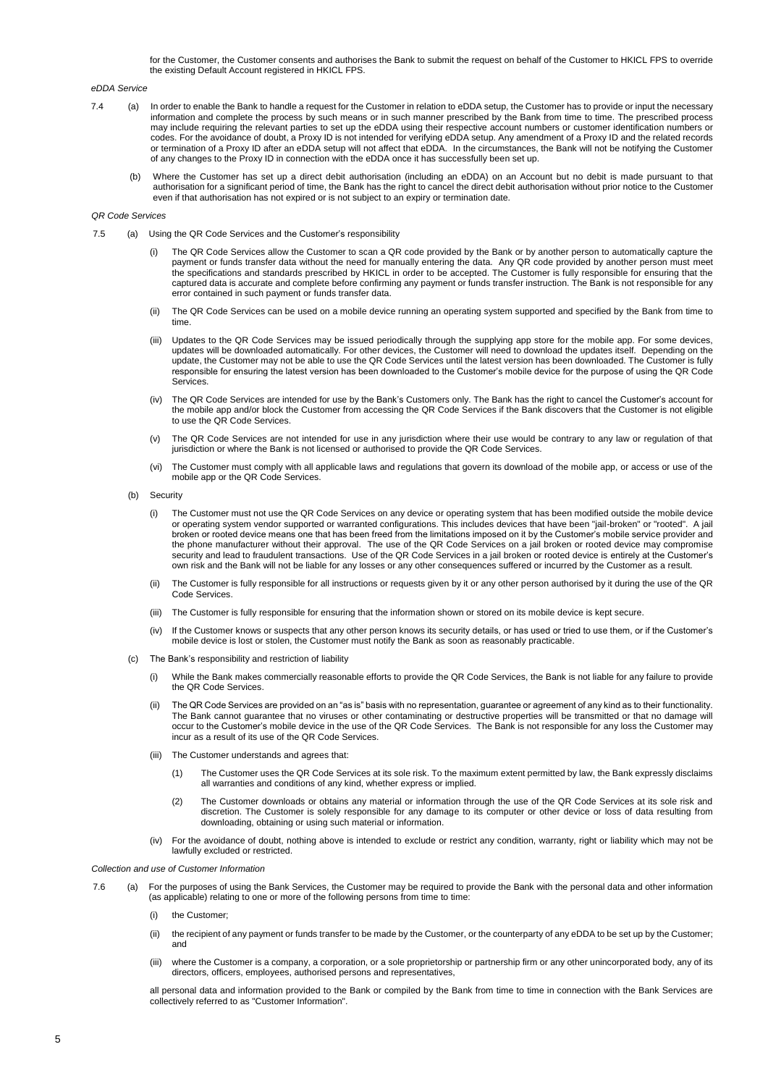for the Customer, the Customer consents and authorises the Bank to submit the request on behalf of the Customer to HKICL FPS to override the existing Default Account registered in HKICL FPS.

### *eDDA Service*

- 7.4 (a) In order to enable the Bank to handle a request for the Customer in relation to eDDA setup, the Customer has to provide or input the necessary information and complete the process by such means or in such manner prescribed by the Bank from time to time. The prescribed process may include requiring the relevant parties to set up the eDDA using their respective account numbers or customer identification numbers or codes. For the avoidance of doubt, a Proxy ID is not intended for verifying eDDA setup. Any amendment of a Proxy ID and the related records or termination of a Proxy ID after an eDDA setup will not affect that eDDA. In the circumstances, the Bank will not be notifying the Customer of any changes to the Proxy ID in connection with the eDDA once it has successfully been set up.
	- (b) Where the Customer has set up a direct debit authorisation (including an eDDA) on an Account but no debit is made pursuant to that authorisation for a significant period of time, the Bank has the right to cancel the direct debit authorisation without prior notice to the Customer even if that authorisation has not expired or is not subject to an expiry or termination date.

#### *QR Code Services*

- 7.5 (a) Using the QR Code Services and the Customer's responsibility
	- The QR Code Services allow the Customer to scan a QR code provided by the Bank or by another person to automatically capture the payment or funds transfer data without the need for manually entering the data. Any QR code provided by another person must meet the specifications and standards prescribed by HKICL in order to be accepted. The Customer is fully responsible for ensuring that the captured data is accurate and complete before confirming any payment or funds transfer instruction. The Bank is not responsible for any error contained in such payment or funds transfer data.
	- (ii) The QR Code Services can be used on a mobile device running an operating system supported and specified by the Bank from time to time.
	- (iii) Updates to the QR Code Services may be issued periodically through the supplying app store for the mobile app. For some devices, updates will be downloaded automatically. For other devices, the Customer will need to download the updates itself. Depending on the update, the Customer may not be able to use the QR Code Services until the latest version has been downloaded. The Customer is fully responsible for ensuring the latest version has been downloaded to the Customer's mobile device for the purpose of using the QR Code **Services**
	- (iv) The QR Code Services are intended for use by the Bank's Customers only. The Bank has the right to cancel the Customer's account for the mobile app and/or block the Customer from accessing the QR Code Services if the Bank discovers that the Customer is not eligible to use the QR Code Services.
	- (v) The QR Code Services are not intended for use in any jurisdiction where their use would be contrary to any law or regulation of that jurisdiction or where the Bank is not licensed or authorised to provide the QR Code Services.
	- (vi) The Customer must comply with all applicable laws and regulations that govern its download of the mobile app, or access or use of the mobile app or the QR Code Services.
	- (b) Security
		- (i) The Customer must not use the QR Code Services on any device or operating system that has been modified outside the mobile device or operating system vendor supported or warranted configurations. This includes devices that have been "jail-broken" or "rooted". A jail broken or rooted device means one that has been freed from the limitations imposed on it by the Customer's mobile service provider and the phone manufacturer without their approval. The use of the QR Code Services on a jail broken or rooted device may compromise security and lead to fraudulent transactions. Use of the QR Code Services in a jail broken or rooted device is entirely at the Customer's own risk and the Bank will not be liable for any losses or any other consequences suffered or incurred by the Customer as a result.
		- (ii) The Customer is fully responsible for all instructions or requests given by it or any other person authorised by it during the use of the QR Code Services.
		- (iii) The Customer is fully responsible for ensuring that the information shown or stored on its mobile device is kept secure.
		- (iv) If the Customer knows or suspects that any other person knows its security details, or has used or tried to use them, or if the Customer's mobile device is lost or stolen, the Customer must notify the Bank as soon as reasonably practicable.
	- (c) The Bank's responsibility and restriction of liability
		- (i) While the Bank makes commercially reasonable efforts to provide the QR Code Services, the Bank is not liable for any failure to provide the QR Code Services.
		- The QR Code Services are provided on an "as is" basis with no representation, guarantee or agreement of any kind as to their functionality. The Bank cannot guarantee that no viruses or other contaminating or destructive properties will be transmitted or that no damage will occur to the Customer's mobile device in the use of the QR Code Services. The Bank is not responsible for any loss the Customer may incur as a result of its use of the QR Code Services.
		- (iii) The Customer understands and agrees that:
			- (1) The Customer uses the QR Code Services at its sole risk. To the maximum extent permitted by law, the Bank expressly disclaims all warranties and conditions of any kind, whether express or implied.
			- (2) The Customer downloads or obtains any material or information through the use of the QR Code Services at its sole risk and discretion. The Customer is solely responsible for any damage to its computer or other device or loss of data resulting from downloading, obtaining or using such material or information.
		- (iv) For the avoidance of doubt, nothing above is intended to exclude or restrict any condition, warranty, right or liability which may not be lawfully excluded or restricted.

# *Collection and use of Customer Information*

- 7.6 (a) For the purposes of using the Bank Services, the Customer may be required to provide the Bank with the personal data and other information (as applicable) relating to one or more of the following persons from time to time:
	- (i) the Customer;
	- (ii) the recipient of any payment or funds transfer to be made by the Customer, or the counterparty of any eDDA to be set up by the Customer; and
	- (iii) where the Customer is a company, a corporation, or a sole proprietorship or partnership firm or any other unincorporated body, any of its directors, officers, employees, authorised persons and representatives,

all personal data and information provided to the Bank or compiled by the Bank from time to time in connection with the Bank Services are collectively referred to as "Customer Information".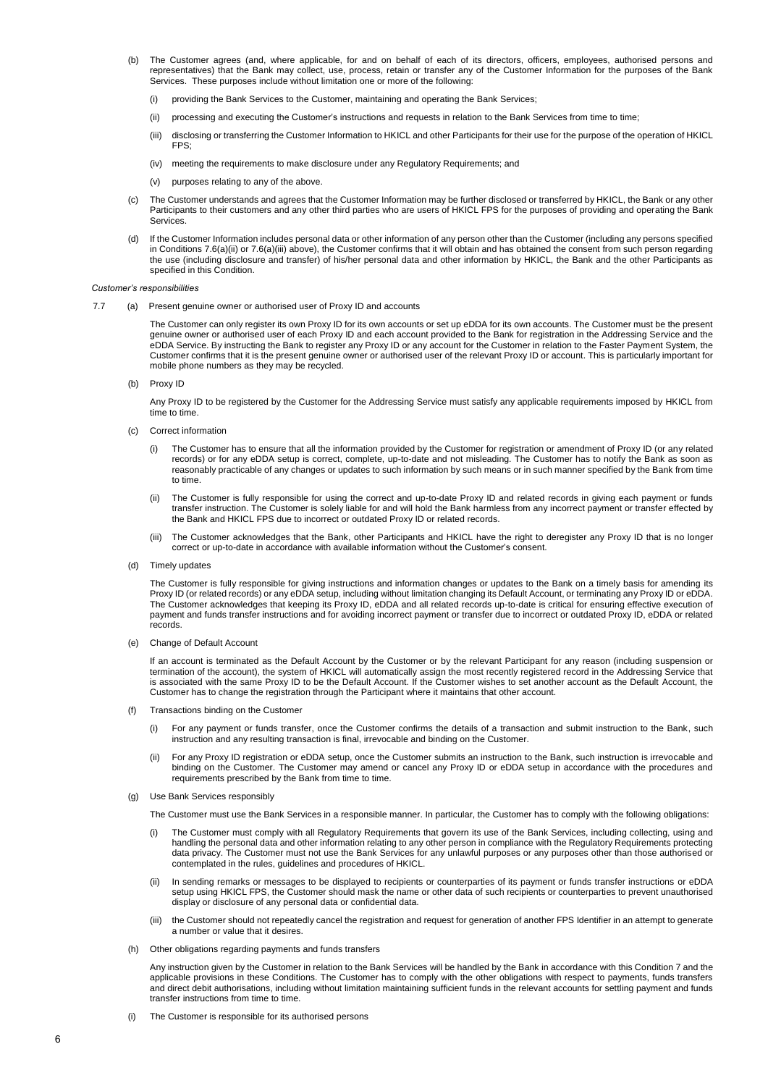- (b) The Customer agrees (and, where applicable, for and on behalf of each of its directors, officers, employees, authorised persons and representatives) that the Bank may collect, use, process, retain or transfer any of the Customer Information for the purposes of the Bank Services. These purposes include without limitation one or more of the following:
	- (i) providing the Bank Services to the Customer, maintaining and operating the Bank Services;
	- (ii) processing and executing the Customer's instructions and requests in relation to the Bank Services from time to time;
	- (iii) disclosing or transferring the Customer Information to HKICL and other Participants for their use for the purpose of the operation of HKICL FPS;
	- (iv) meeting the requirements to make disclosure under any Regulatory Requirements; and
	- (v) purposes relating to any of the above.
- (c) The Customer understands and agrees that the Customer Information may be further disclosed or transferred by HKICL, the Bank or any other Participants to their customers and any other third parties who are users of HKICL FPS for the purposes of providing and operating the Bank Services.
- (d) If the Customer Information includes personal data or other information of any person other than the Customer (including any persons specified in Conditions 7.6(a)(ii) or 7.6(a)(iii) above), the Customer confirms that it will obtain and has obtained the consent from such person regarding the use (including disclosure and transfer) of his/her personal data and other information by HKICL, the Bank and the other Participants as specified in this Condition.

### *Customer's responsibilities*

7.7 (a) Present genuine owner or authorised user of Proxy ID and accounts

The Customer can only register its own Proxy ID for its own accounts or set up eDDA for its own accounts. The Customer must be the present genuine owner or authorised user of each Proxy ID and each account provided to the Bank for registration in the Addressing Service and the eDDA Service. By instructing the Bank to register any Proxy ID or any account for the Customer in relation to the Faster Payment System, the Customer confirms that it is the present genuine owner or authorised user of the relevant Proxy ID or account. This is particularly important for mobile phone numbers as they may be recycled.

(b) Proxy ID

Any Proxy ID to be registered by the Customer for the Addressing Service must satisfy any applicable requirements imposed by HKICL from time to time.

- (c) Correct information
	- (i) The Customer has to ensure that all the information provided by the Customer for registration or amendment of Proxy ID (or any related records) or for any eDDA setup is correct, complete, up-to-date and not misleading. The Customer has to notify the Bank as soon as reasonably practicable of any changes or updates to such information by such means or in such manner specified by the Bank from time to time.
	- (ii) The Customer is fully responsible for using the correct and up-to-date Proxy ID and related records in giving each payment or funds transfer instruction. The Customer is solely liable for and will hold the Bank harmless from any incorrect payment or transfer effected by the Bank and HKICL FPS due to incorrect or outdated Proxy ID or related records.
	- (iii) The Customer acknowledges that the Bank, other Participants and HKICL have the right to deregister any Proxy ID that is no longer correct or up-to-date in accordance with available information without the Customer's consent.
- (d) Timely updates

The Customer is fully responsible for giving instructions and information changes or updates to the Bank on a timely basis for amending its Proxy ID (or related records) or any eDDA setup, including without limitation changing its Default Account, or terminating any Proxy ID or eDDA. The Customer acknowledges that keeping its Proxy ID, eDDA and all related records up-to-date is critical for ensuring effective execution of payment and funds transfer instructions and for avoiding incorrect payment or transfer due to incorrect or outdated Proxy ID, eDDA or related records.

(e) Change of Default Account

If an account is terminated as the Default Account by the Customer or by the relevant Participant for any reason (including suspension or termination of the account), the system of HKICL will automatically assign the most recently registered record in the Addressing Service that is associated with the same Proxy ID to be the Default Account. If the Customer wishes to set another account as the Default Account, the Customer has to change the registration through the Participant where it maintains that other account.

- (f) Transactions binding on the Customer
	- (i) For any payment or funds transfer, once the Customer confirms the details of a transaction and submit instruction to the Bank, such instruction and any resulting transaction is final, irrevocable and binding on the Customer.
	- (ii) For any Proxy ID registration or eDDA setup, once the Customer submits an instruction to the Bank, such instruction is irrevocable and binding on the Customer. The Customer may amend or cancel any Proxy ID or eDDA setup in accordance with the procedures and requirements prescribed by the Bank from time to time.
- (g) Use Bank Services responsibly
	- The Customer must use the Bank Services in a responsible manner. In particular, the Customer has to comply with the following obligations:
	- The Customer must comply with all Regulatory Requirements that govern its use of the Bank Services, including collecting, using and handling the personal data and other information relating to any other person in compliance with the Regulatory Requirements protecting data privacy. The Customer must not use the Bank Services for any unlawful purposes or any purposes other than those authorised or contemplated in the rules, guidelines and procedures of HKICL.
	- (ii) In sending remarks or messages to be displayed to recipients or counterparties of its payment or funds transfer instructions or eDDA setup using HKICL FPS, the Customer should mask the name or other data of such recipients or counterparties to prevent unauthorised display or disclosure of any personal data or confidential data.
	- (iii) the Customer should not repeatedly cancel the registration and request for generation of another FPS Identifier in an attempt to generate a number or value that it desires.
- (h) Other obligations regarding payments and funds transfers

Any instruction given by the Customer in relation to the Bank Services will be handled by the Bank in accordance with this Condition 7 and the applicable provisions in these Conditions. The Customer has to comply with the other obligations with respect to payments, funds transfers and direct debit authorisations, including without limitation maintaining sufficient funds in the relevant accounts for settling payment and funds transfer instructions from time to time.

The Customer is responsible for its authorised persons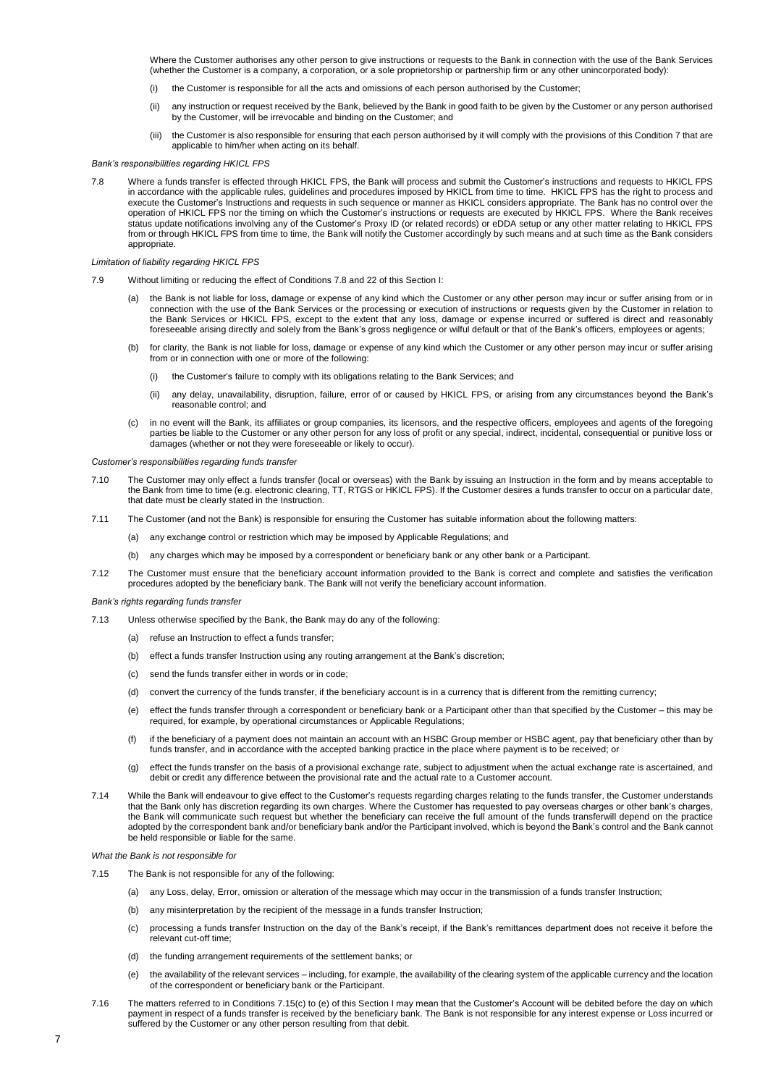Where the Customer authorises any other person to give instructions or requests to the Bank in connection with the use of the Bank Services (whether the Customer is a company, a corporation, or a sole proprietorship or partnership firm or any other unincorporated body):

- (i) the Customer is responsible for all the acts and omissions of each person authorised by the Customer;
- (ii) any instruction or request received by the Bank, believed by the Bank in good faith to be given by the Customer or any person authorised by the Customer, will be irrevocable and binding on the Customer; and
- (iii) the Customer is also responsible for ensuring that each person authorised by it will comply with the provisions of this Condition 7 that are applicable to him/her when acting on its behalf.

## *Bank's responsibilities regarding HKICL FPS*

7.8 Where a funds transfer is effected through HKICL FPS, the Bank will process and submit the Customer's instructions and requests to HKICL FPS in accordance with the applicable rules, guidelines and procedures imposed by HKICL from time to time. HKICL FPS has the right to process and execute the Customer's Instructions and requests in such sequence or manner as HKICL considers appropriate. The Bank has no control over the operation of HKICL FPS nor the timing on which the Customer's instructions or requests are executed by HKICL FPS. Where the Bank receives status update notifications involving any of the Customer's Proxy ID (or related records) or eDDA setup or any other matter relating to HKICL FPS from or through HKICL FPS from time to time, the Bank will notify the Customer accordingly by such means and at such time as the Bank considers appropriate.

#### *Limitation of liability regarding HKICL FPS*

- 7.9 Without limiting or reducing the effect of Conditions 7.8 and 22 of this Section I:
	- (a) the Bank is not liable for loss, damage or expense of any kind which the Customer or any other person may incur or suffer arising from or in connection with the use of the Bank Services or the processing or execution of instructions or requests given by the Customer in relation to the Bank Services or HKICL FPS, except to the extent that any loss, damage or expense incurred or suffered is direct and reasonably foreseeable arising directly and solely from the Bank's gross negligence or wilful default or that of the Bank's officers, employees or agents;
	- (b) for clarity, the Bank is not liable for loss, damage or expense of any kind which the Customer or any other person may incur or suffer arising from or in connection with one or more of the following:
		- (i) the Customer's failure to comply with its obligations relating to the Bank Services; and
		- (ii) any delay, unavailability, disruption, failure, error of or caused by HKICL FPS, or arising from any circumstances beyond the Bank's reasonable control; and
	- (c) in no event will the Bank, its affiliates or group companies, its licensors, and the respective officers, employees and agents of the foregoing parties be liable to the Customer or any other person for any loss of profit or any special, indirect, incidental, consequential or punitive loss or damages (whether or not they were foreseeable or likely to occur).

*Customer's responsibilities regarding funds transfer*

- 7.10 The Customer may only effect a funds transfer (local or overseas) with the Bank by issuing an Instruction in the form and by means acceptable to the Bank from time to time (e.g. electronic clearing, TT, RTGS or HKICL FPS). If the Customer desires a funds transfer to occur on a particular date, that date must be clearly stated in the Instruction.
- 7.11 The Customer (and not the Bank) is responsible for ensuring the Customer has suitable information about the following matters:
	- (a) any exchange control or restriction which may be imposed by Applicable Regulations; and
		- (b) any charges which may be imposed by a correspondent or beneficiary bank or any other bank or a Participant.
- 7.12 The Customer must ensure that the beneficiary account information provided to the Bank is correct and complete and satisfies the verification procedures adopted by the beneficiary bank. The Bank will not verify the beneficiary account information.

#### *Bank's rights regarding funds transfered*

- 7.13 Unless otherwise specified by the Bank, the Bank may do any of the following:
	- (a) refuse an Instruction to effect a funds transfer;
	- (b) effect a funds transfer Instruction using any routing arrangement at the Bank's discretion;
	- (c) send the funds transfer either in words or in code;
	- (d) convert the currency of the funds transfer, if the beneficiary account is in a currency that is different from the remitting currency;
	- (e) effect the funds transfer through a correspondent or beneficiary bank or a Participant other than that specified by the Customer this may be required, for example, by operational circumstances or Applicable Regulations;
	- (f) if the beneficiary of a payment does not maintain an account with an HSBC Group member or HSBC agent, pay that beneficiary other than by funds transfer, and in accordance with the accepted banking practice in the place where payment is to be received; or
	- (g) effect the funds transfer on the basis of a provisional exchange rate, subject to adjustment when the actual exchange rate is ascertained, and debit or credit any difference between the provisional rate and the actual rate to a Customer account.
- 7.14 While the Bank will endeavour to give effect to the Customer's requests regarding charges relating to the funds transfer, the Customer understands that the Bank only has discretion regarding its own charges. Where the Customer has requested to pay overseas charges or other bank's charges, the Bank will communicate such request but whether the beneficiary can receive the full amount of the funds transferwill depend on the practice adopted by the correspondent bank and/or beneficiary bank and/or the Participant involved, which is beyond the Bank's control and the Bank cannot be held responsible or liable for the same.

*What the Bank is not responsible for*

- 7.15 The Bank is not responsible for any of the following:
	- (a) any Loss, delay, Error, omission or alteration of the message which may occur in the transmission of a funds transfer Instruction;
	- (b) any misinterpretation by the recipient of the message in a funds transfer Instruction;
	- (c) processing a funds transfer Instruction on the day of the Bank's receipt, if the Bank's remittances department does not receive it before the relevant cut-off time;
	- (d) the funding arrangement requirements of the settlement banks; or
	- (e) the availability of the relevant services including, for example, the availability of the clearing system of the applicable currency and the location of the correspondent or beneficiary bank or the Participant.
- 7.16 The matters referred to in Conditions 7.15(c) to (e) of this Section I may mean that the Customer's Account will be debited before the day on which payment in respect of a funds transfer is received by the beneficiary bank. The Bank is not responsible for any interest expense or Loss incurred or suffered by the Customer or any other person resulting from that debit.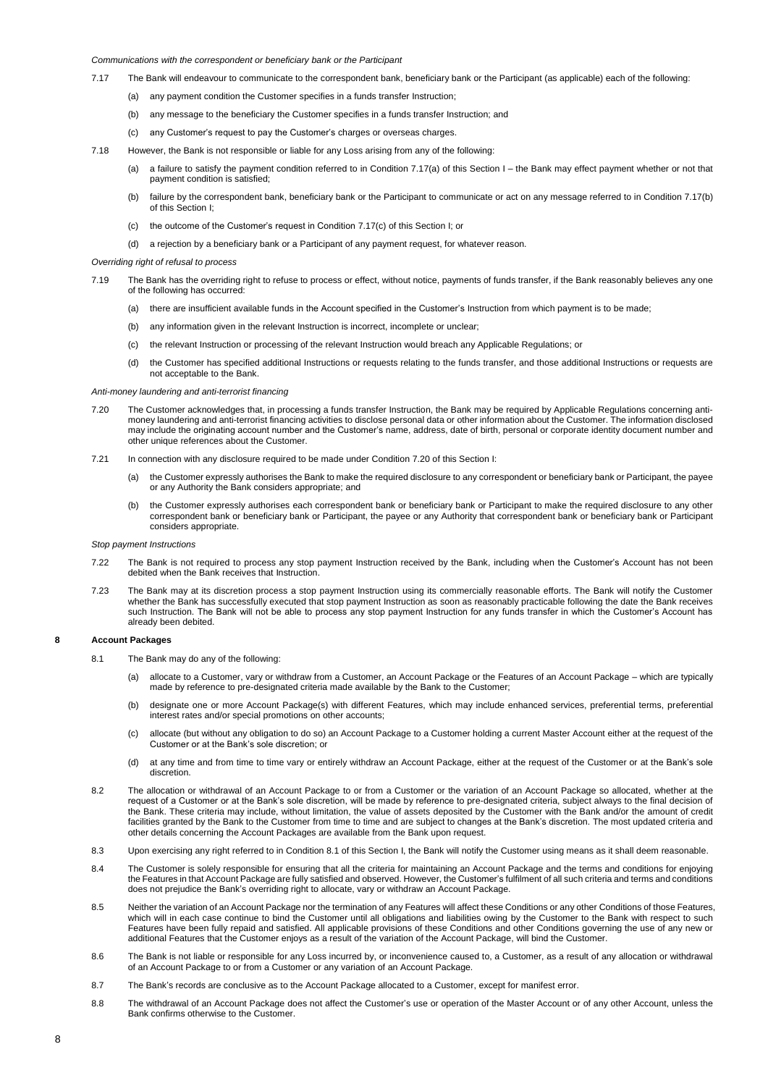## *Communications with the correspondent or beneficiary bank or the Participant*

- 7.17 The Bank will endeavour to communicate to the correspondent bank, beneficiary bank or the Participant (as applicable) each of the following:
	- (a) any payment condition the Customer specifies in a funds transfer Instruction;
	- (b) any message to the beneficiary the Customer specifies in a funds transfer Instruction; and
	- (c) any Customer's request to pay the Customer's charges or overseas charges.
- 7.18 However, the Bank is not responsible or liable for any Loss arising from any of the following:
	- (a) a failure to satisfy the payment condition referred to in Condition 7.17(a) of this Section I the Bank may effect payment whether or not that payment condition is satisfied;
	- (b) failure by the correspondent bank, beneficiary bank or the Participant to communicate or act on any message referred to in Condition 7.17(b) of this Section I;
	- (c) the outcome of the Customer's request in Condition  $7.17(c)$  of this Section I; or
	- (d) a rejection by a beneficiary bank or a Participant of any payment request, for whatever reason.

### *Overriding right of refusal to process*

- 7.19 The Bank has the overriding right to refuse to process or effect, without notice, payments of funds transfer, if the Bank reasonably believes any one of the following has occurred:
	- (a) there are insufficient available funds in the Account specified in the Customer's Instruction from which payment is to be made;
	- (b) any information given in the relevant Instruction is incorrect, incomplete or unclear;
	- (c) the relevant Instruction or processing of the relevant Instruction would breach any Applicable Regulations; or
	- (d) the Customer has specified additional Instructions or requests relating to the funds transfer, and those additional Instructions or requests are not acceptable to the Bank.

### *Anti-money laundering and anti-terrorist financing*

- 7.20 The Customer acknowledges that, in processing a funds transfer Instruction, the Bank may be required by Applicable Regulations concerning antimoney laundering and anti-terrorist financing activities to disclose personal data or other information about the Customer. The information disclosed may include the originating account number and the Customer's name, address, date of birth, personal or corporate identity document number and other unique references about the Customer.
- 7.21 In connection with any disclosure required to be made under Condition 7.20 of this Section I:
	- (a) the Customer expressly authorises the Bank to make the required disclosure to any correspondent or beneficiary bank or Participant, the payee or any Authority the Bank considers appropriate; and
	- (b) the Customer expressly authorises each correspondent bank or beneficiary bank or Participant to make the required disclosure to any other correspondent bank or beneficiary bank or Participant, the payee or any Authority that correspondent bank or beneficiary bank or Participant considers appropriate.

### *Stop payment Instructions*

- 7.22 The Bank is not required to process any stop payment Instruction received by the Bank, including when the Customer's Account has not been debited when the Bank receives that Instruction.
- 7.23 The Bank may at its discretion process a stop payment Instruction using its commercially reasonable efforts. The Bank will notify the Customer whether the Bank has successfully executed that stop payment Instruction as soon as reasonably practicable following the date the Bank receives such Instruction. The Bank will not be able to process any stop payment Instruction for any funds transfer in which the Customer's Account has already been debited.

## **8 Account Packages**

- 8.1 The Bank may do any of the following:
	- (a) allocate to a Customer, vary or withdraw from a Customer, an Account Package or the Features of an Account Package which are typically made by reference to pre-designated criteria made available by the Bank to the Customer;
	- (b) designate one or more Account Package(s) with different Features, which may include enhanced services, preferential terms, preferential interest rates and/or special promotions on other accounts;
	- (c) allocate (but without any obligation to do so) an Account Package to a Customer holding a current Master Account either at the request of the Customer or at the Bank's sole discretion; or
	- (d) at any time and from time to time vary or entirely withdraw an Account Package, either at the request of the Customer or at the Bank's sole discretion.
- 8.2 The allocation or withdrawal of an Account Package to or from a Customer or the variation of an Account Package so allocated, whether at the request of a Customer or at the Bank's sole discretion, will be made by reference to pre-designated criteria, subject always to the final decision of the Bank. These criteria may include, without limitation, the value of assets deposited by the Customer with the Bank and/or the amount of credit facilities granted by the Bank to the Customer from time to time and are subject to changes at the Bank's discretion. The most updated criteria and other details concerning the Account Packages are available from the Bank upon request.
- 8.3 Upon exercising any right referred to in Condition 8.1 of this Section I, the Bank will notify the Customer using means as it shall deem reasonable.
- 8.4 The Customer is solely responsible for ensuring that all the criteria for maintaining an Account Package and the terms and conditions for enjoying the Features in that Account Package are fully satisfied and observed. However, the Customer's fulfilment of all such criteria and terms and conditions does not prejudice the Bank's overriding right to allocate, vary or withdraw an Account Package.
- 8.5 Neither the variation of an Account Package nor the termination of any Features will affect these Conditions or any other Conditions of those Features, which will in each case continue to bind the Customer until all obligations and liabilities owing by the Customer to the Bank with respect to such Features have been fully repaid and satisfied. All applicable provisions of these Conditions and other Conditions governing the use of any new or additional Features that the Customer enjoys as a result of the variation of the Account Package, will bind the Customer.
- 8.6 The Bank is not liable or responsible for any Loss incurred by, or inconvenience caused to, a Customer, as a result of any allocation or withdrawal of an Account Package to or from a Customer or any variation of an Account Package.
- 8.7 The Bank's records are conclusive as to the Account Package allocated to a Customer, except for manifest error.
- 8.8 The withdrawal of an Account Package does not affect the Customer's use or operation of the Master Account or of any other Account, unless the Bank confirms otherwise to the Customer.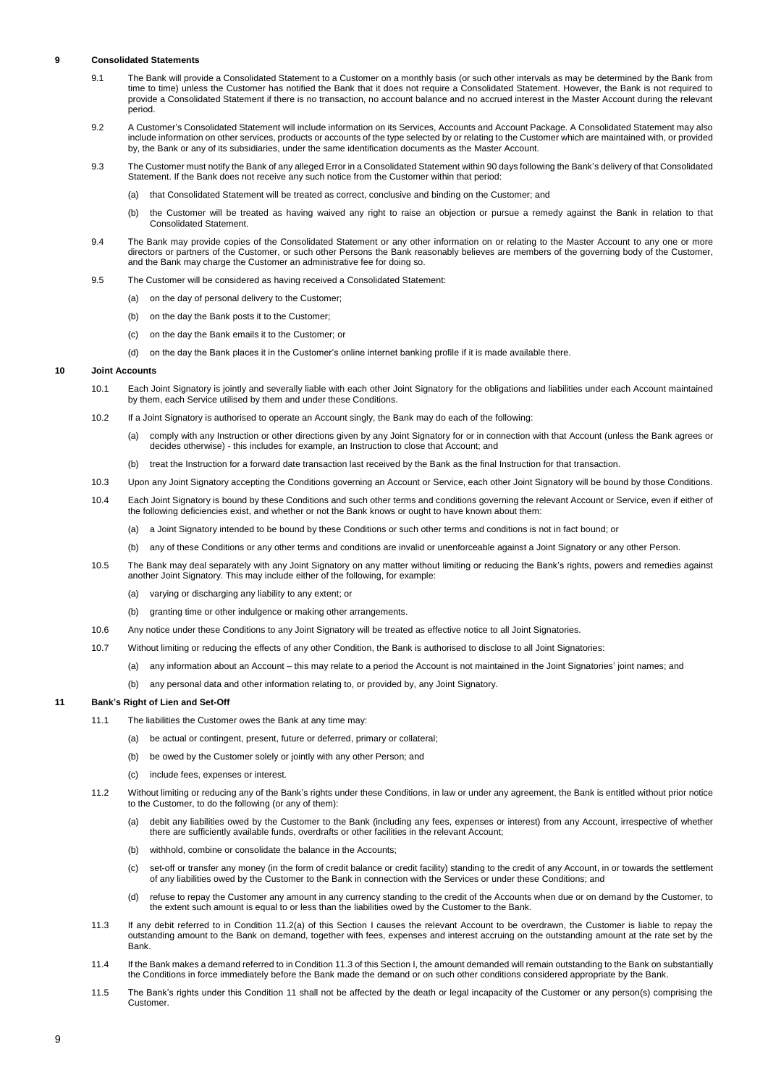### **9 Consolidated Statements**

- 9.1 The Bank will provide a Consolidated Statement to a Customer on a monthly basis (or such other intervals as may be determined by the Bank from time to time) unless the Customer has notified the Bank that it does not require a Consolidated Statement. However, the Bank is not required to provide a Consolidated Statement if there is no transaction, no account balance and no accrued interest in the Master Account during the relevant period.
- 9.2 A Customer's Consolidated Statement will include information on its Services, Accounts and Account Package. A Consolidated Statement may also include information on other services, products or accounts of the type selected by or relating to the Customer which are maintained with, or provided by, the Bank or any of its subsidiaries, under the same identification documents as the Master Account.
- 9.3 The Customer must notify the Bank of any alleged Error in a Consolidated Statement within 90 days following the Bank's delivery of that Consolidated Statement. If the Bank does not receive any such notice from the Customer within that period:
	- (a) that Consolidated Statement will be treated as correct, conclusive and binding on the Customer; and
	- (b) the Customer will be treated as having waived any right to raise an objection or pursue a remedy against the Bank in relation to that Consolidated Statement.
- 9.4 The Bank may provide copies of the Consolidated Statement or any other information on or relating to the Master Account to any one or more directors or partners of the Customer, or such other Persons the Bank reasonably believes are members of the governing body of the Customer, and the Bank may charge the Customer an administrative fee for doing so.
- 9.5 The Customer will be considered as having received a Consolidated Statement:
	- (a) on the day of personal delivery to the Customer;
	- (b) on the day the Bank posts it to the Customer;
	- (c) on the day the Bank emails it to the Customer; or
	- (d) on the day the Bank places it in the Customer's online internet banking profile if it is made available there.

### **10 Joint Accounts**

- 10.1 Each Joint Signatory is jointly and severally liable with each other Joint Signatory for the obligations and liabilities under each Account maintained by them, each Service utilised by them and under these Conditions.
- 10.2 If a Joint Signatory is authorised to operate an Account singly, the Bank may do each of the following:
	- (a) comply with any Instruction or other directions given by any Joint Signatory for or in connection with that Account (unless the Bank agrees or decides otherwise) - this includes for example, an Instruction to close that Account; and
	- (b) treat the Instruction for a forward date transaction last received by the Bank as the final Instruction for that transaction.
- 10.3 Upon any Joint Signatory accepting the Conditions governing an Account or Service, each other Joint Signatory will be bound by those Conditions.
- 10.4 Each Joint Signatory is bound by these Conditions and such other terms and conditions governing the relevant Account or Service, even if either of the following deficiencies exist, and whether or not the Bank knows or ought to have known about them:
	- (a) a Joint Signatory intended to be bound by these Conditions or such other terms and conditions is not in fact bound; or
	- (b) any of these Conditions or any other terms and conditions are invalid or unenforceable against a Joint Signatory or any other Person.
- 10.5 The Bank may deal separately with any Joint Signatory on any matter without limiting or reducing the Bank's rights, powers and remedies against another Joint Signatory. This may include either of the following, for example:
	- (a) varying or discharging any liability to any extent; or
	- (b) granting time or other indulgence or making other arrangements.
- 10.6 Any notice under these Conditions to any Joint Signatory will be treated as effective notice to all Joint Signatories.
- 10.7 Without limiting or reducing the effects of any other Condition, the Bank is authorised to disclose to all Joint Signatories:
	- (a) any information about an Account this may relate to a period the Account is not maintained in the Joint Signatories' joint names; and
	- (b) any personal data and other information relating to, or provided by, any Joint Signatory.

## **11 Bank's Right of Lien and Set-Off**

- 11.1 The liabilities the Customer owes the Bank at any time may:
	- (a) be actual or contingent, present, future or deferred, primary or collateral;
	- (b) be owed by the Customer solely or jointly with any other Person; and
	- (c) include fees, expenses or interest.
- 11.2 Without limiting or reducing any of the Bank's rights under these Conditions, in law or under any agreement, the Bank is entitled without prior notice to the Customer, to do the following (or any of them):
	- (a) debit any liabilities owed by the Customer to the Bank (including any fees, expenses or interest) from any Account, irrespective of whether there are sufficiently available funds, overdrafts or other facilities in the relevant Account;
	- (b) withhold, combine or consolidate the balance in the Accounts;
	- (c) set-off or transfer any money (in the form of credit balance or credit facility) standing to the credit of any Account, in or towards the settlement of any liabilities owed by the Customer to the Bank in connection with the Services or under these Conditions; and
	- (d) refuse to repay the Customer any amount in any currency standing to the credit of the Accounts when due or on demand by the Customer, to the extent such amount is equal to or less than the liabilities owed by the Customer to the Bank.
- 11.3 If any debit referred to in Condition 11.2(a) of this Section I causes the relevant Account to be overdrawn, the Customer is liable to repay the outstanding amount to the Bank on demand, together with fees, expenses and interest accruing on the outstanding amount at the rate set by the Bank.
- 11.4 If the Bank makes a demand referred to in Condition 11.3 of this Section I, the amount demanded will remain outstanding to the Bank on substantially the Conditions in force immediately before the Bank made the demand or on such other conditions considered appropriate by the Bank.
- 11.5 The Bank's rights under this Condition 11 shall not be affected by the death or legal incapacity of the Customer or any person(s) comprising the Customer.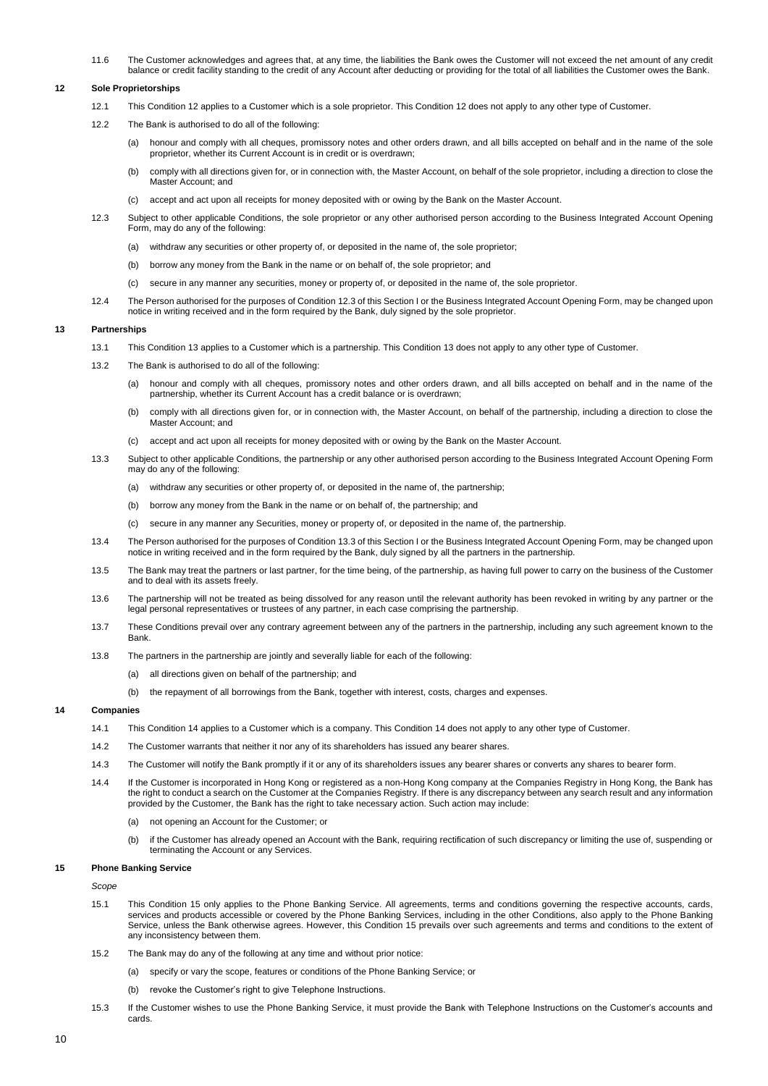11.6 The Customer acknowledges and agrees that, at any time, the liabilities the Bank owes the Customer will not exceed the net amount of any credit balance or credit facility standing to the credit of any Account after deducting or providing for the total of all liabilities the Customer owes the Bank.

### **12 Sole Proprietorships**

- 12.1 This Condition 12 applies to a Customer which is a sole proprietor. This Condition 12 does not apply to any other type of Customer.
- 12.2 The Bank is authorised to do all of the following:
	- (a) honour and comply with all cheques, promissory notes and other orders drawn, and all bills accepted on behalf and in the name of the sole proprietor, whether its Current Account is in credit or is overdrawn;
	- (b) comply with all directions given for, or in connection with, the Master Account, on behalf of the sole proprietor, including a direction to close the Master Account: and
	- (c) accept and act upon all receipts for money deposited with or owing by the Bank on the Master Account.
- 12.3 Subject to other applicable Conditions, the sole proprietor or any other authorised person according to the Business Integrated Account Opening Form, may do any of the following:
	- (a) withdraw any securities or other property of, or deposited in the name of, the sole proprietor;
	- (b) borrow any money from the Bank in the name or on behalf of, the sole proprietor; and
	- (c) secure in any manner any securities, money or property of, or deposited in the name of, the sole proprietor.
- 12.4 The Person authorised for the purposes of Condition 12.3 of this Section I or the Business Integrated Account Opening Form, may be changed upon notice in writing received and in the form required by the Bank, duly signed by the sole proprietor.

## **13 Partnerships**

- 13.1 This Condition 13 applies to a Customer which is a partnership. This Condition 13 does not apply to any other type of Customer.
- 13.2 The Bank is authorised to do all of the following:
	- (a) honour and comply with all cheques, promissory notes and other orders drawn, and all bills accepted on behalf and in the name of the partnership, whether its Current Account has a credit balance or is overdrawn;
	- (b) comply with all directions given for, or in connection with, the Master Account, on behalf of the partnership, including a direction to close the Master Account; and
	- (c) accept and act upon all receipts for money deposited with or owing by the Bank on the Master Account.
- 13.3 Subject to other applicable Conditions, the partnership or any other authorised person according to the Business Integrated Account Opening Form may do any of the following:
	- (a) withdraw any securities or other property of, or deposited in the name of, the partnership;
	- (b) borrow any money from the Bank in the name or on behalf of, the partnership; and
	- (c) secure in any manner any Securities, money or property of, or deposited in the name of, the partnership.
- 13.4 The Person authorised for the purposes of Condition 13.3 of this Section I or the Business Integrated Account Opening Form, may be changed upon notice in writing received and in the form required by the Bank, duly signed by all the partners in the partnership.
- 13.5 The Bank may treat the partners or last partner, for the time being, of the partnership, as having full power to carry on the business of the Customer and to deal with its assets freely.
- 13.6 The partnership will not be treated as being dissolved for any reason until the relevant authority has been revoked in writing by any partner or the legal personal representatives or trustees of any partner, in each case comprising the partnership.
- 13.7 These Conditions prevail over any contrary agreement between any of the partners in the partnership, including any such agreement known to the **Bank**
- 13.8 The partners in the partnership are jointly and severally liable for each of the following:
	- (a) all directions given on behalf of the partnership; and
	- (b) the repayment of all borrowings from the Bank, together with interest, costs, charges and expenses.

# **14 Companies**

- 14.1 This Condition 14 applies to a Customer which is a company. This Condition 14 does not apply to any other type of Customer.
- 14.2 The Customer warrants that neither it nor any of its shareholders has issued any bearer shares.
- 14.3 The Customer will notify the Bank promptly if it or any of its shareholders issues any bearer shares or converts any shares to bearer form.
- 14.4 If the Customer is incorporated in Hong Kong or registered as a non-Hong Kong company at the Companies Registry in Hong Kong, the Bank has the right to conduct a search on the Customer at the Companies Registry. If there is any discrepancy between any search result and any information provided by the Customer, the Bank has the right to take necessary action. Such action may include:
	- (a) not opening an Account for the Customer; or
	- (b) if the Customer has already opened an Account with the Bank, requiring rectification of such discrepancy or limiting the use of, suspending or terminating the Account or any Services.

## **15 Phone Banking Service**

*Scope*

- 15.1 This Condition 15 only applies to the Phone Banking Service. All agreements, terms and conditions governing the respective accounts, cards, services and products accessible or covered by the Phone Banking Services, including in the other Conditions, also apply to the Phone Banking Service, unless the Bank otherwise agrees. However, this Condition 15 prevails over such agreements and terms and conditions to the extent of any inconsistency between them.
- 15.2 The Bank may do any of the following at any time and without prior notice:
	- (a) specify or vary the scope, features or conditions of the Phone Banking Service; or
	- (b) revoke the Customer's right to give Telephone Instructions.
- 15.3 If the Customer wishes to use the Phone Banking Service, it must provide the Bank with Telephone Instructions on the Customer's accounts and cards.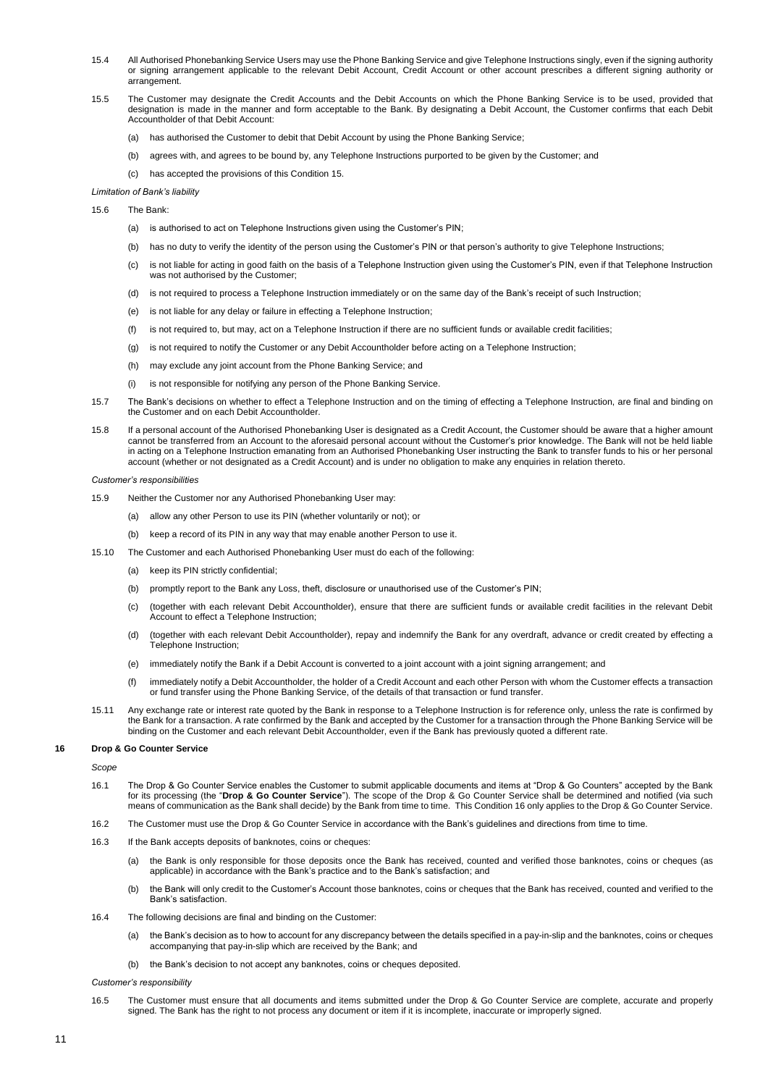- 15.4 All Authorised Phonebanking Service Users may use the Phone Banking Service and give Telephone Instructions singly, even if the signing authority or signing arrangement applicable to the relevant Debit Account, Credit Account or other account prescribes a different signing authority or arrangement.
- 15.5 The Customer may designate the Credit Accounts and the Debit Accounts on which the Phone Banking Service is to be used, provided that designation is made in the manner and form acceptable to the Bank. By designating a Debit Account, the Customer confirms that each Debit Accountholder of that Debit Account:
	- (a) has authorised the Customer to debit that Debit Account by using the Phone Banking Service;
	- (b) agrees with, and agrees to be bound by, any Telephone Instructions purported to be given by the Customer; and
	- (c) has accepted the provisions of this Condition 15.
- *Limitation of Bank's liability*
- 15.6 The Bank:
	- (a) is authorised to act on Telephone Instructions given using the Customer's PIN;
	- (b) has no duty to verify the identity of the person using the Customer's PIN or that person's authority to give Telephone Instructions;
	- (c) is not liable for acting in good faith on the basis of a Telephone Instruction given using the Customer's PIN, even if that Telephone Instruction was not authorised by the Customer;
	- (d) is not required to process a Telephone Instruction immediately or on the same day of the Bank's receipt of such Instruction;
	- (e) is not liable for any delay or failure in effecting a Telephone Instruction;
	- (f) is not required to, but may, act on a Telephone Instruction if there are no sufficient funds or available credit facilities;
	- (g) is not required to notify the Customer or any Debit Accountholder before acting on a Telephone Instruction;
	- (h) may exclude any joint account from the Phone Banking Service; and
	- (i) is not responsible for notifying any person of the Phone Banking Service.
- 15.7 The Bank's decisions on whether to effect a Telephone Instruction and on the timing of effecting a Telephone Instruction, are final and binding on the Customer and on each Debit Accountholder.
- 15.8 If a personal account of the Authorised Phonebanking User is designated as a Credit Account, the Customer should be aware that a higher amount cannot be transferred from an Account to the aforesaid personal account without the Customer's prior knowledge. The Bank will not be held liable in acting on a Telephone Instruction emanating from an Authorised Phonebanking User instructing the Bank to transfer funds to his or her personal account (whether or not designated as a Credit Account) and is under no obligation to make any enquiries in relation thereto.

### *Customer's responsibilities*

- 15.9 Neither the Customer nor any Authorised Phonebanking User may:
	- (a) allow any other Person to use its PIN (whether voluntarily or not); or
		- (b) keep a record of its PIN in any way that may enable another Person to use it.
- 15.10 The Customer and each Authorised Phonebanking User must do each of the following:
	- (a) keep its PIN strictly confidential;
	- (b) promptly report to the Bank any Loss, theft, disclosure or unauthorised use of the Customer's PIN;
	- (c) (together with each relevant Debit Accountholder), ensure that there are sufficient funds or available credit facilities in the relevant Debit Account to effect a Telephone Instruction;
	- (d) (together with each relevant Debit Accountholder), repay and indemnify the Bank for any overdraft, advance or credit created by effecting a Telephone Instruction;
	- (e) immediately notify the Bank if a Debit Account is converted to a joint account with a joint signing arrangement; and
	- (f) immediately notify a Debit Accountholder, the holder of a Credit Account and each other Person with whom the Customer effects a transaction or fund transfer using the Phone Banking Service, of the details of that transaction or fund transfer.
- 15.11 Any exchange rate or interest rate quoted by the Bank in response to a Telephone Instruction is for reference only, unless the rate is confirmed by the Bank for a transaction. A rate confirmed by the Bank and accepted by the Customer for a transaction through the Phone Banking Service will be binding on the Customer and each relevant Debit Accountholder, even if the Bank has previously quoted a different rate.

### **16 Drop & Go Counter Service**

*Scope*

- 16.1 The Drop & Go Counter Service enables the Customer to submit applicable documents and items at "Drop & Go Counters" accepted by the Bank for its processing (the "**Drop & Go Counter Service**"). The scope of the Drop & Go Counter Service shall be determined and notified (via such means of communication as the Bank shall decide) by the Bank from time to time. This Condition 16 only applies to the Drop & Go Counter Service.
- 16.2 The Customer must use the Drop & Go Counter Service in accordance with the Bank's guidelines and directions from time to time.
- 16.3 If the Bank accepts deposits of banknotes, coins or cheques:
	- (a) the Bank is only responsible for those deposits once the Bank has received, counted and verified those banknotes, coins or cheques (as applicable) in accordance with the Bank's practice and to the Bank's satisfaction; and
	- (b) the Bank will only credit to the Customer's Account those banknotes, coins or cheques that the Bank has received, counted and verified to the Bank's satisfaction.
- 16.4 The following decisions are final and binding on the Customer:
	- (a) the Bank's decision as to how to account for any discrepancy between the details specified in a pay-in-slip and the banknotes, coins or cheques accompanying that pay-in-slip which are received by the Bank; and
	- (b) the Bank's decision to not accept any banknotes, coins or cheques deposited.

*Customer's responsibility*

16.5 The Customer must ensure that all documents and items submitted under the Drop & Go Counter Service are complete, accurate and properly signed. The Bank has the right to not process any document or item if it is incomplete, inaccurate or improperly signed.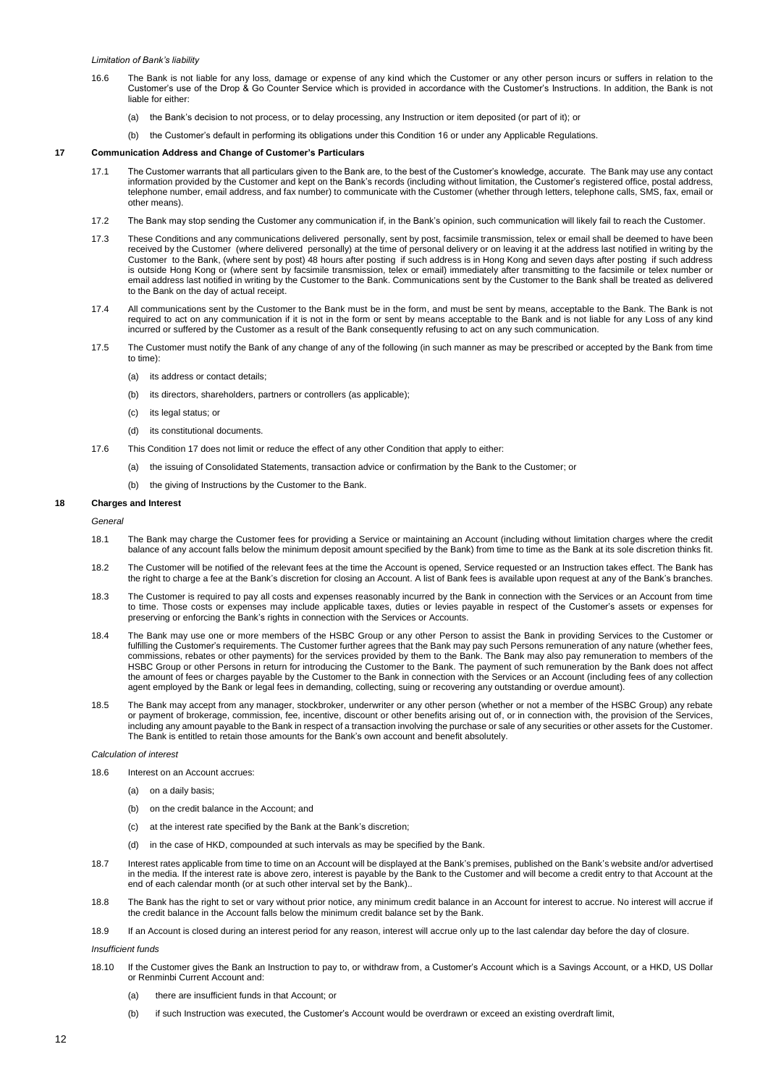- 16.6 The Bank is not liable for any loss, damage or expense of any kind which the Customer or any other person incurs or suffers in relation to the Customer's use of the Drop & Go Counter Service which is provided in accordance with the Customer's Instructions. In addition, the Bank is not liable for either:
	- (a) the Bank's decision to not process, or to delay processing, any Instruction or item deposited (or part of it); or
	- (b) the Customer's default in performing its obligations under this Condition 16 or under any Applicable Regulations.

### **17 Communication Address and Change of Customer's Particulars**

- 17.1 The Customer warrants that all particulars given to the Bank are, to the best of the Customer's knowledge, accurate. The Bank may use any contact information provided by the Customer and kept on the Bank's records (including without limitation, the Customer's registered office, postal address, telephone number, email address, and fax number) to communicate with the Customer (whether through letters, telephone calls, SMS, fax, email or other means).
- 17.2 The Bank may stop sending the Customer any communication if, in the Bank's opinion, such communication will likely fail to reach the Customer.
- 17.3 These Conditions and any communications delivered personally, sent by post, facsimile transmission, telex or email shall be deemed to have been received by the Customer (where delivered personally) at the time of personal delivery or on leaving it at the address last notified in writing by the Customer to the Bank, (where sent by post) 48 hours after posting if such address is in Hong Kong and seven days after posting if such address is outside Hong Kong or (where sent by facsimile transmission, telex or email) immediately after transmitting to the facsimile or telex number or email address last notified in writing by the Customer to the Bank. Communications sent by the Customer to the Bank shall be treated as delivered to the Bank on the day of actual receipt.
- 17.4 All communications sent by the Customer to the Bank must be in the form, and must be sent by means, acceptable to the Bank. The Bank is not required to act on any communication if it is not in the form or sent by means acceptable to the Bank and is not liable for any Loss of any kind incurred or suffered by the Customer as a result of the Bank consequently refusing to act on any such communication.
- 17.5 The Customer must notify the Bank of any change of any of the following (in such manner as may be prescribed or accepted by the Bank from time to time):
	- (a) its address or contact details;
	- (b) its directors, shareholders, partners or controllers (as applicable);
	- (c) its legal status; or
	- (d) its constitutional documents.
- 17.6 This Condition 17 does not limit or reduce the effect of any other Condition that apply to either:
	- (a) the issuing of Consolidated Statements, transaction advice or confirmation by the Bank to the Customer; or
	- (b) the giving of Instructions by the Customer to the Bank.

### **18 Charges and Interest**

*General*

- 18.1 The Bank may charge the Customer fees for providing a Service or maintaining an Account (including without limitation charges where the credit balance of any account falls below the minimum deposit amount specified by the Bank) from time to time as the Bank at its sole discretion thinks fit.
- 18.2 The Customer will be notified of the relevant fees at the time the Account is opened, Service requested or an Instruction takes effect. The Bank has the right to charge a fee at the Bank's discretion for closing an Account. A list of Bank fees is available upon request at any of the Bank's branches.
- 18.3 The Customer is required to pay all costs and expenses reasonably incurred by the Bank in connection with the Services or an Account from time to time. Those costs or expenses may include applicable taxes, duties or levies payable in respect of the Customer's assets or expenses for preserving or enforcing the Bank's rights in connection with the Services or Accounts.
- 18.4 The Bank may use one or more members of the HSBC Group or any other Person to assist the Bank in providing Services to the Customer or fulfilling the Customer's requirements. The Customer further agrees that the Bank may pay such Persons remuneration of any nature (whether fees, commissions, rebates or other payments) for the services provided by them to the Bank. The Bank may also pay remuneration to members of the HSBC Group or other Persons in return for introducing the Customer to the Bank. The payment of such remuneration by the Bank does not affect the amount of fees or charges payable by the Customer to the Bank in connection with the Services or an Account (including fees of any collection agent employed by the Bank or legal fees in demanding, collecting, suing or recovering any outstanding or overdue amount).
- 18.5 The Bank may accept from any manager, stockbroker, underwriter or any other person (whether or not a member of the HSBC Group) any rebate or payment of brokerage, commission, fee, incentive, discount or other benefits arising out of, or in connection with, the provision of the Services, including any amount payable to the Bank in respect of a transaction involving the purchase or sale of any securities or other assets for the Customer. The Bank is entitled to retain those amounts for the Bank's own account and benefit absolutely.

### *Calculation of interest*

- 18.6 Interest on an Account accrues:
	- (a) on a daily basis;
	- (b) on the credit balance in the Account; and
	- (c) at the interest rate specified by the Bank at the Bank's discretion;
	- (d) in the case of HKD, compounded at such intervals as may be specified by the Bank.
- 18.7 Interest rates applicable from time to time on an Account will be displayed at the Bank's premises, published on the Bank's website and/or advertised in the media. If the interest rate is above zero, interest is payable by the Bank to the Customer and will become a credit entry to that Account at the end of each calendar month (or at such other interval set by the Bank)..
- 18.8 The Bank has the right to set or vary without prior notice, any minimum credit balance in an Account for interest to accrue. No interest will accrue if the credit balance in the Account falls below the minimum credit balance set by the Bank.

18.9 If an Account is closed during an interest period for any reason, interest will accrue only up to the last calendar day before the day of closure.

*Insufficient funds*

- 18.10 If the Customer gives the Bank an Instruction to pay to, or withdraw from, a Customer's Account which is a Savings Account, or a HKD, US Dollar or Renminbi Current Account and:
	- (a) there are insufficient funds in that Account; or
	- (b) if such Instruction was executed, the Customer's Account would be overdrawn or exceed an existing overdraft limit,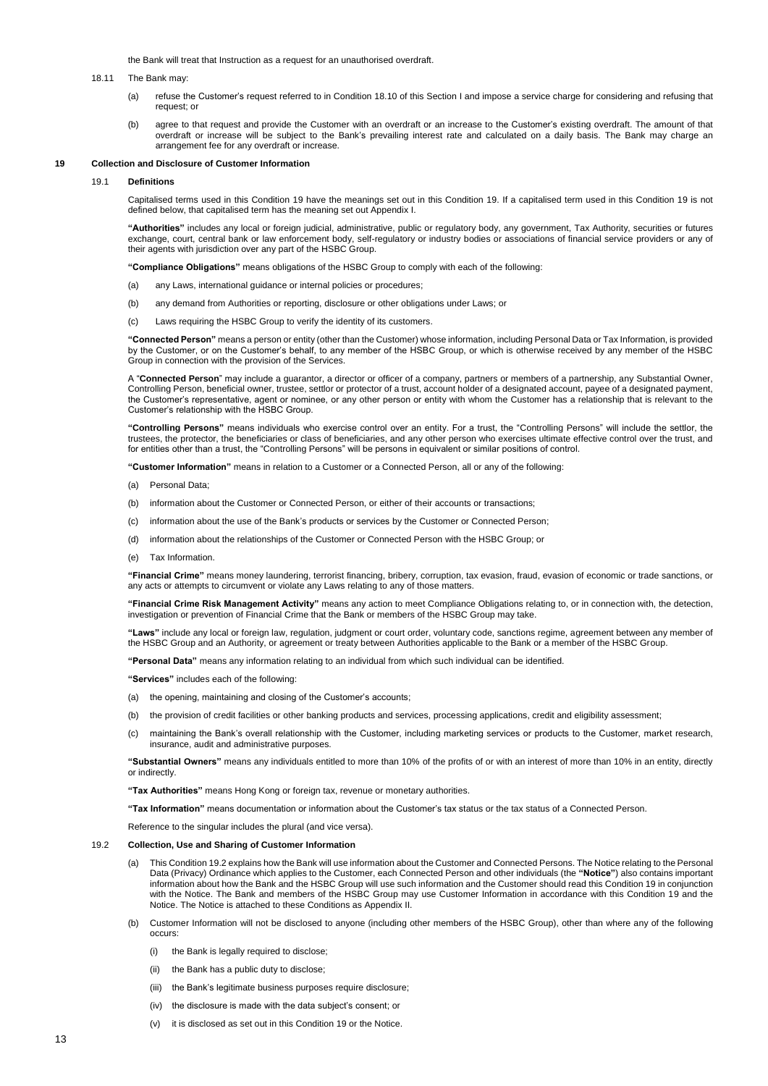the Bank will treat that Instruction as a request for an unauthorised overdraft.

### 18.11 The Bank may:

- (a) refuse the Customer's request referred to in Condition 18.10 of this Section I and impose a service charge for considering and refusing that request; or
- (b) agree to that request and provide the Customer with an overdraft or an increase to the Customer's existing overdraft. The amount of that overdraft or increase will be subject to the Bank's prevailing interest rate and calculated on a daily basis. The Bank may charge an arrangement fee for any overdraft or increase.

# **19 Collection and Disclosure of Customer Information**

### 19.1 **Definitions**

Capitalised terms used in this Condition 19 have the meanings set out in this Condition 19. If a capitalised term used in this Condition 19 is not defined below, that capitalised term has the meaning set out Appendix I.

**"Authorities"** includes any local or foreign judicial, administrative, public or regulatory body, any government, Tax Authority, securities or futures exchange, court, central bank or law enforcement body, self-regulatory or industry bodies or associations of financial service providers or any of their agents with jurisdiction over any part of the HSBC Group.

**"Compliance Obligations"** means obligations of the HSBC Group to comply with each of the following:

- (a) any Laws, international guidance or internal policies or procedures;
- (b) any demand from Authorities or reporting, disclosure or other obligations under Laws; or
- (c) Laws requiring the HSBC Group to verify the identity of its customers.

**"Connected Person"** means a person or entity (other than the Customer) whose information, including Personal Data or Tax Information, is provided by the Customer, or on the Customer's behalf, to any member of the HSBC Group, or which is otherwise received by any member of the HSBC Group in connection with the provision of the Services.

A "**Connected Person**" may include a guarantor, a director or officer of a company, partners or members of a partnership, any Substantial Owner, Controlling Person, beneficial owner, trustee, settlor or protector of a trust, account holder of a designated account, payee of a designated payment, the Customer's representative, agent or nominee, or any other person or entity with whom the Customer has a relationship that is relevant to the Customer's relationship with the HSBC Group.

**"Controlling Persons"** means individuals who exercise control over an entity. For a trust, the "Controlling Persons" will include the settlor, the trustees, the protector, the beneficiaries or class of beneficiaries, and any other person who exercises ultimate effective control over the trust, and for entities other than a trust, the "Controlling Persons" will be persons in equivalent or similar positions of control.

**"Customer Information"** means in relation to a Customer or a Connected Person, all or any of the following:

- (a) Personal Data;
- (b) information about the Customer or Connected Person, or either of their accounts or transactions;
- (c) information about the use of the Bank's products or services by the Customer or Connected Person;
- (d) information about the relationships of the Customer or Connected Person with the HSBC Group; or
- (e) Tax Information.

**"Financial Crime"** means money laundering, terrorist financing, bribery, corruption, tax evasion, fraud, evasion of economic or trade sanctions, or any acts or attempts to circumvent or violate any Laws relating to any of those matters.

**"Financial Crime Risk Management Activity"** means any action to meet Compliance Obligations relating to, or in connection with, the detection, investigation or prevention of Financial Crime that the Bank or members of the HSBC Group may take.

**"Laws"** include any local or foreign law, regulation, judgment or court order, voluntary code, sanctions regime, agreement between any member of the HSBC Group and an Authority, or agreement or treaty between Authorities applicable to the Bank or a member of the HSBC Group.

**"Personal Data"** means any information relating to an individual from which such individual can be identified.

**"Services"** includes each of the following:

- (a) the opening, maintaining and closing of the Customer's accounts;
- (b) the provision of credit facilities or other banking products and services, processing applications, credit and eligibility assessment;
- maintaining the Bank's overall relationship with the Customer, including marketing services or products to the Customer, market research, insurance, audit and administrative purposes.

**"Substantial Owners"** means any individuals entitled to more than 10% of the profits of or with an interest of more than 10% in an entity, directly or indirectly.

**"Tax Authorities"** means Hong Kong or foreign tax, revenue or monetary authorities.

**"Tax Information"** means documentation or information about the Customer's tax status or the tax status of a Connected Person.

Reference to the singular includes the plural (and vice versa).

## 19.2 **Collection, Use and Sharing of Customer Information**

- (a) This Condition 19.2 explains how the Bank will use information about the Customer and Connected Persons. The Notice relating to the Personal Data (Privacy) Ordinance which applies to the Customer, each Connected Person and other individuals (the **"Notice"**) also contains important information about how the Bank and the HSBC Group will use such information and the Customer should read this Condition 19 in conjunction with the Notice. The Bank and members of the HSBC Group may use Customer Information in accordance with this Condition 19 and the Notice. The Notice is attached to these Conditions as Appendix II.
- (b) Customer Information will not be disclosed to anyone (including other members of the HSBC Group), other than where any of the following occurs:
	- (i) the Bank is legally required to disclose;
	- (ii) the Bank has a public duty to disclose;
	- (iii) the Bank's legitimate business purposes require disclosure;
	- (iv) the disclosure is made with the data subject's consent; or
	- it is disclosed as set out in this Condition 19 or the Notice.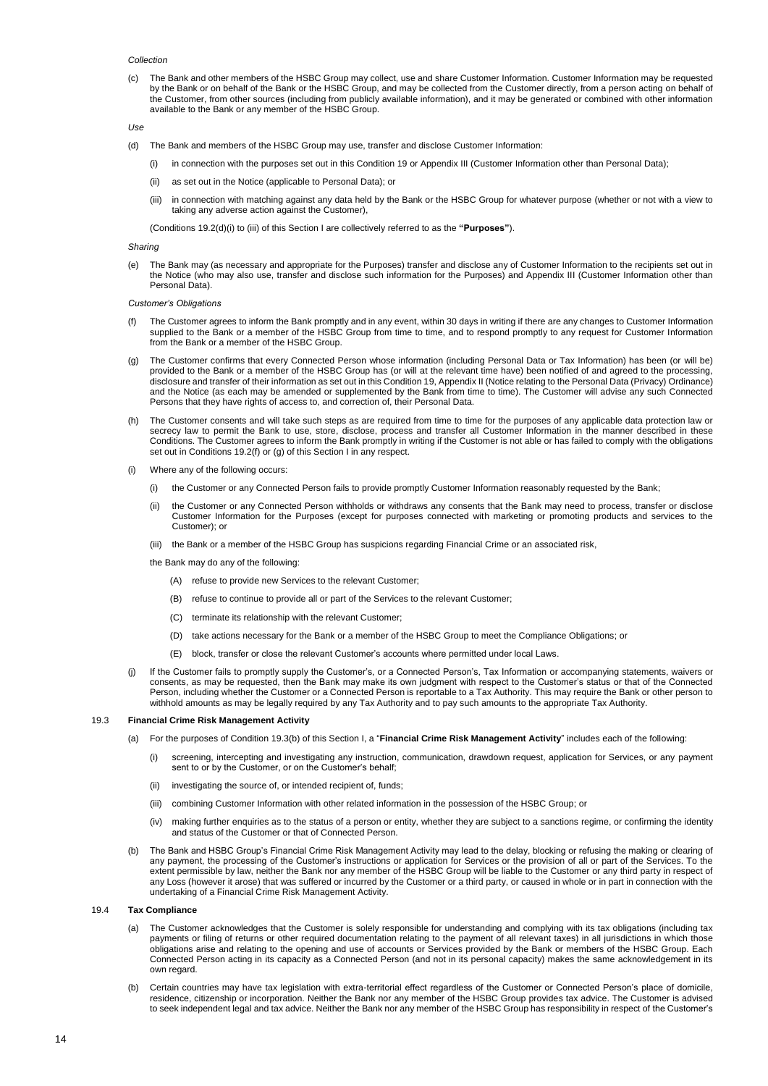#### *Collection*

(c) The Bank and other members of the HSBC Group may collect, use and share Customer Information. Customer Information may be requested by the Bank or on behalf of the Bank or the HSBC Group, and may be collected from the Customer directly, from a person acting on behalf of the Customer, from other sources (including from publicly available information), and it may be generated or combined with other information available to the Bank or any member of the HSBC Group.

*Use*

- (d) The Bank and members of the HSBC Group may use, transfer and disclose Customer Information:
	- (i) in connection with the purposes set out in this Condition 19 or Appendix III (Customer Information other than Personal Data);
	- (ii) as set out in the Notice (applicable to Personal Data); or
	- (iii) in connection with matching against any data held by the Bank or the HSBC Group for whatever purpose (whether or not with a view to taking any adverse action against the Customer),

(Conditions 19.2(d)(i) to (iii) of this Section I are collectively referred to as the **"Purposes"**).

## *Sharing*

(e) The Bank may (as necessary and appropriate for the Purposes) transfer and disclose any of Customer Information to the recipients set out in the Notice (who may also use, transfer and disclose such information for the Purposes) and Appendix III (Customer Information other than Personal Data).

## *Customer's Obligations*

- The Customer agrees to inform the Bank promptly and in any event, within 30 days in writing if there are any changes to Customer Information supplied to the Bank or a member of the HSBC Group from time to time, and to respond promptly to any request for Customer Information from the Bank or a member of the HSBC Group.
- The Customer confirms that every Connected Person whose information (including Personal Data or Tax Information) has been (or will be) provided to the Bank or a member of the HSBC Group has (or will at the relevant time have) been notified of and agreed to the processing, disclosure and transfer of their information as set out in this Condition 19, Appendix II (Notice relating to the Personal Data (Privacy) Ordinance) and the Notice (as each may be amended or supplemented by the Bank from time to time). The Customer will advise any such Connected Persons that they have rights of access to, and correction of, their Personal Data.
- (h) The Customer consents and will take such steps as are required from time to time for the purposes of any applicable data protection law or secrecy law to permit the Bank to use, store, disclose, process and transfer all Customer Information in the manner described in these Conditions. The Customer agrees to inform the Bank promptly in writing if the Customer is not able or has failed to comply with the obligations set out in Conditions 19.2(f) or (g) of this Section I in any respect.
- Where any of the following occurs:
	- (i) the Customer or any Connected Person fails to provide promptly Customer Information reasonably requested by the Bank;
	- (ii) the Customer or any Connected Person withholds or withdraws any consents that the Bank may need to process, transfer or disclose Customer Information for the Purposes (except for purposes connected with marketing or promoting products and services to the Customer); or
	- (iii) the Bank or a member of the HSBC Group has suspicions regarding Financial Crime or an associated risk,
	- the Bank may do any of the following:
		- (A) refuse to provide new Services to the relevant Customer;
		- (B) refuse to continue to provide all or part of the Services to the relevant Customer;
		- (C) terminate its relationship with the relevant Customer;
		- (D) take actions necessary for the Bank or a member of the HSBC Group to meet the Compliance Obligations; or
		- (E) block, transfer or close the relevant Customer's accounts where permitted under local Laws.
- If the Customer fails to promptly supply the Customer's, or a Connected Person's, Tax Information or accompanying statements, waivers or consents, as may be requested, then the Bank may make its own judgment with respect to the Customer's status or that of the Connected Person, including whether the Customer or a Connected Person is reportable to a Tax Authority. This may require the Bank or other person to withhold amounts as may be legally required by any Tax Authority and to pay such amounts to the appropriate Tax Authority.

## 19.3 **Financial Crime Risk Management Activity**

- (a) For the purposes of Condition 19.3(b) of this Section I, a "**Financial Crime Risk Management Activity**" includes each of the following:
	- (i) screening, intercepting and investigating any instruction, communication, drawdown request, application for Services, or any payment sent to or by the Customer, or on the Customer's behalf;
	- (ii) investigating the source of, or intended recipient of, funds;
	- (iii) combining Customer Information with other related information in the possession of the HSBC Group; or
	- (iv) making further enquiries as to the status of a person or entity, whether they are subject to a sanctions regime, or confirming the identity and status of the Customer or that of Connected Person.
- (b) The Bank and HSBC Group's Financial Crime Risk Management Activity may lead to the delay, blocking or refusing the making or clearing of any payment, the processing of the Customer's instructions or application for Services or the provision of all or part of the Services. To the extent permissible by law, neither the Bank nor any member of the HSBC Group will be liable to the Customer or any third party in respect of any Loss (however it arose) that was suffered or incurred by the Customer or a third party, or caused in whole or in part in connection with the undertaking of a Financial Crime Risk Management Activity.

### 19.4 **Tax Compliance**

- (a) The Customer acknowledges that the Customer is solely responsible for understanding and complying with its tax obligations (including tax payments or filing of returns or other required documentation relating to the payment of all relevant taxes) in all jurisdictions in which those obligations arise and relating to the opening and use of accounts or Services provided by the Bank or members of the HSBC Group. Each Connected Person acting in its capacity as a Connected Person (and not in its personal capacity) makes the same acknowledgement in its own regard.
- (b) Certain countries may have tax legislation with extra-territorial effect regardless of the Customer or Connected Person's place of domicile, residence, citizenship or incorporation. Neither the Bank nor any member of the HSBC Group provides tax advice. The Customer is advised to seek independent legal and tax advice. Neither the Bank nor any member of the HSBC Group has responsibility in respect of the Customer's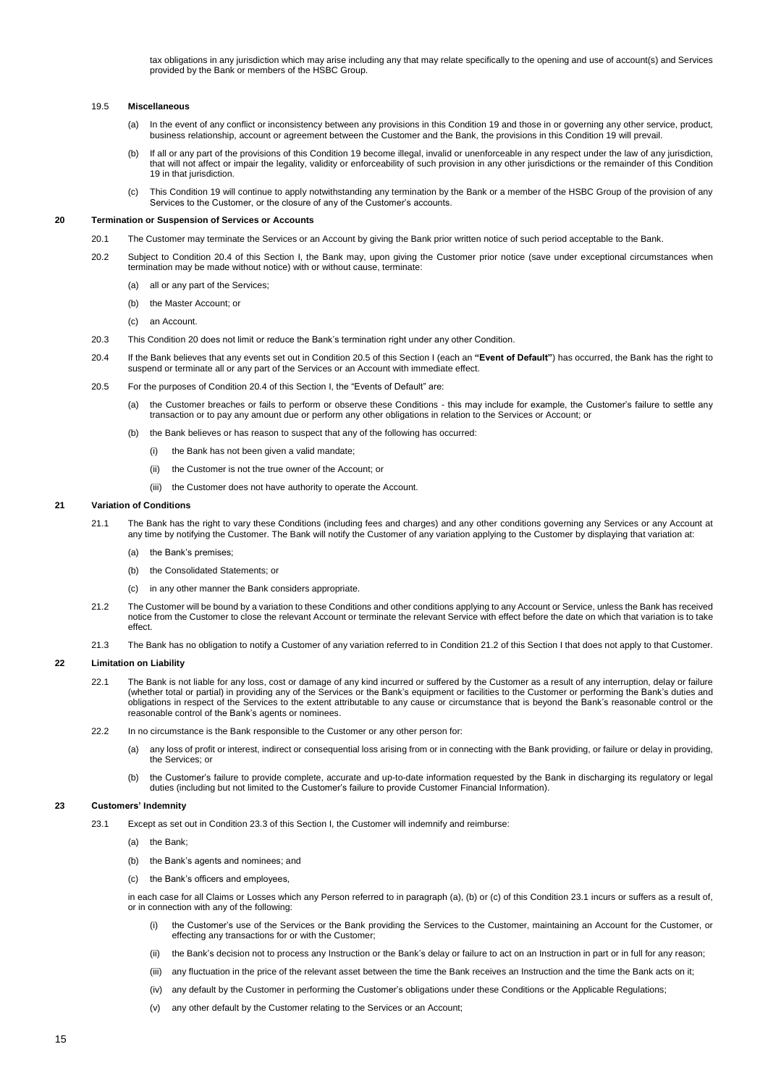tax obligations in any jurisdiction which may arise including any that may relate specifically to the opening and use of account(s) and Services provided by the Bank or members of the HSBC Group.

# 19.5 **Miscellaneous**

- (a) In the event of any conflict or inconsistency between any provisions in this Condition 19 and those in or governing any other service, product, business relationship, account or agreement between the Customer and the Bank, the provisions in this Condition 19 will prevail.
- (b) If all or any part of the provisions of this Condition 19 become illegal, invalid or unenforceable in any respect under the law of any jurisdiction, that will not affect or impair the legality, validity or enforceability of such provision in any other jurisdictions or the remainder of this Condition 19 in that jurisdiction.
- (c) This Condition 19 will continue to apply notwithstanding any termination by the Bank or a member of the HSBC Group of the provision of any Services to the Customer, or the closure of any of the Customer's accounts.

# **20 Termination or Suspension of Services or Accounts**

- 20.1 The Customer may terminate the Services or an Account by giving the Bank prior written notice of such period acceptable to the Bank.
- 20.2 Subject to Condition 20.4 of this Section I, the Bank may, upon giving the Customer prior notice (save under exceptional circumstances when termination may be made without notice) with or without cause, terminate:
	- (a) all or any part of the Services;
	- (b) the Master Account; or
	- (c) an Account.
- 20.3 This Condition 20 does not limit or reduce the Bank's termination right under any other Condition.
- 20.4 If the Bank believes that any events set out in Condition 20.5 of this Section I (each an **"Event of Default"**) has occurred, the Bank has the right to suspend or terminate all or any part of the Services or an Account with immediate effect.
- 20.5 For the purposes of Condition 20.4 of this Section I, the "Events of Default" are:
	- (a) the Customer breaches or fails to perform or observe these Conditions this may include for example, the Customer's failure to settle any transaction or to pay any amount due or perform any other obligations in relation to the Services or Account; or
	- (b) the Bank believes or has reason to suspect that any of the following has occurred:
		- (i) the Bank has not been given a valid mandate;
		- (ii) the Customer is not the true owner of the Account; or
		- (iii) the Customer does not have authority to operate the Account.

#### **21 Variation of Conditions**

- 21.1 The Bank has the right to vary these Conditions (including fees and charges) and any other conditions governing any Services or any Account at any time by notifying the Customer. The Bank will notify the Customer of any variation applying to the Customer by displaying that variation at:
	- (a) the Bank's premises;
	- (b) the Consolidated Statements; or
	- (c) in any other manner the Bank considers appropriate.
- 21.2 The Customer will be bound by a variation to these Conditions and other conditions applying to any Account or Service, unless the Bank has received notice from the Customer to close the relevant Account or terminate the relevant Service with effect before the date on which that variation is to take effect.
- 21.3 The Bank has no obligation to notify a Customer of any variation referred to in Condition 21.2 of this Section I that does not apply to that Customer.

### **22 Limitation on Liability**

- 22.1 The Bank is not liable for any loss, cost or damage of any kind incurred or suffered by the Customer as a result of any interruption, delay or failure (whether total or partial) in providing any of the Services or the Bank's equipment or facilities to the Customer or performing the Bank's duties and obligations in respect of the Services to the extent attributable to any cause or circumstance that is beyond the Bank's reasonable control or the reasonable control of the Bank's agents or nominees.
- 22.2 In no circumstance is the Bank responsible to the Customer or any other person for:
	- (a) any loss of profit or interest, indirect or consequential loss arising from or in connecting with the Bank providing, or failure or delay in providing, the Services; or
	- (b) the Customer's failure to provide complete, accurate and up-to-date information requested by the Bank in discharging its regulatory or legal duties (including but not limited to the Customer's failure to provide Customer Financial Information).

### **23 Customers' Indemnity**

- 23.1 Except as set out in Condition 23.3 of this Section I, the Customer will indemnify and reimburse:
	- (a) the Bank;
	- (b) the Bank's agents and nominees; and
	- (c) the Bank's officers and employees,

in each case for all Claims or Losses which any Person referred to in paragraph (a), (b) or (c) of this Condition 23.1 incurs or suffers as a result of, or in connection with any of the following:

- (i) the Customer's use of the Services or the Bank providing the Services to the Customer, maintaining an Account for the Customer, or effecting any transactions for or with the Customer;
- (ii) the Bank's decision not to process any Instruction or the Bank's delay or failure to act on an Instruction in part or in full for any reason;
- (iii) any fluctuation in the price of the relevant asset between the time the Bank receives an Instruction and the time the Bank acts on it;
- (iv) any default by the Customer in performing the Customer's obligations under these Conditions or the Applicable Regulations;
- (v) any other default by the Customer relating to the Services or an Account;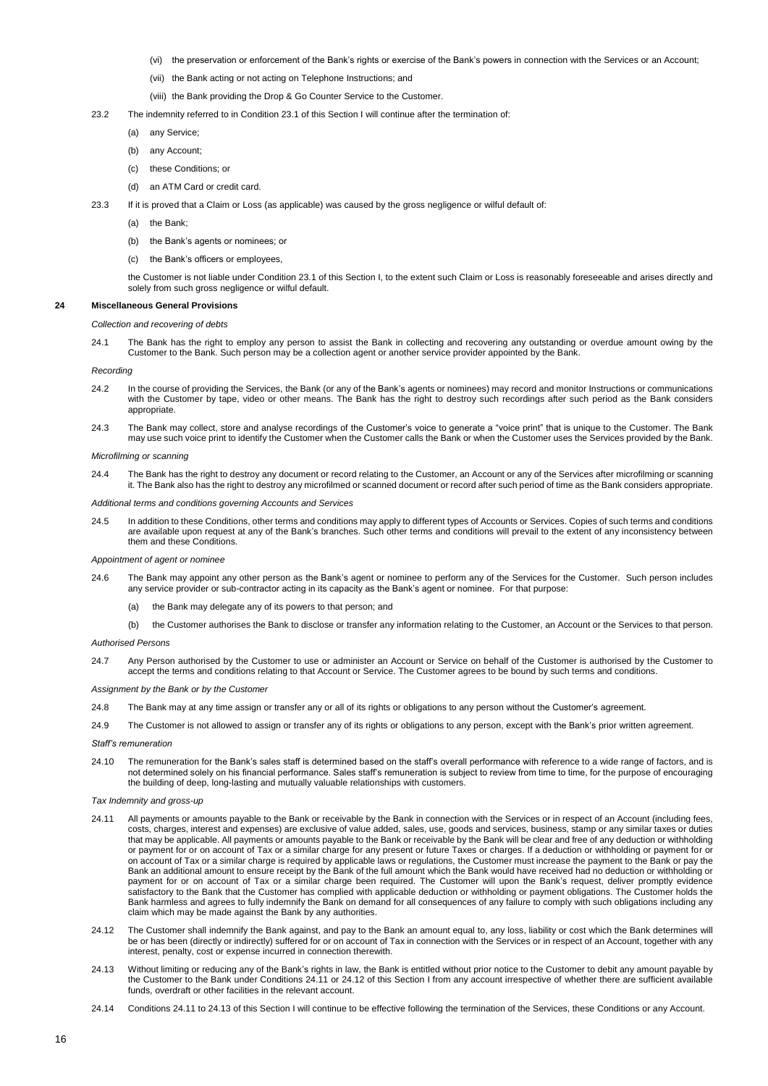- (vi) the preservation or enforcement of the Bank's rights or exercise of the Bank's powers in connection with the Services or an Account;
- (vii) the Bank acting or not acting on Telephone Instructions; and
- (viii) the Bank providing the Drop & Go Counter Service to the Customer.
- 23.2 The indemnity referred to in Condition 23.1 of this Section I will continue after the termination of:
	- (a) any Service;
	- (b) any Account;
	- (c) these Conditions; or
	- (d) an ATM Card or credit card.
- 23.3 If it is proved that a Claim or Loss (as applicable) was caused by the gross negligence or wilful default of:
	- (a) the Bank;
	- (b) the Bank's agents or nominees; or
	- (c) the Bank's officers or employees,

the Customer is not liable under Condition 23.1 of this Section I, to the extent such Claim or Loss is reasonably foreseeable and arises directly and solely from such gross negligence or wilful default.

## **24 Miscellaneous General Provisions**

### *Collection and recovering of debts*

24.1 The Bank has the right to employ any person to assist the Bank in collecting and recovering any outstanding or overdue amount owing by the Customer to the Bank. Such person may be a collection agent or another service provider appointed by the Bank.

### *Recording*

- 24.2 In the course of providing the Services, the Bank (or any of the Bank's agents or nominees) may record and monitor Instructions or communications with the Customer by tape, video or other means. The Bank has the right to destroy such recordings after such period as the Bank considers appropriate.
- 24.3 The Bank may collect, store and analyse recordings of the Customer's voice to generate a "voice print" that is unique to the Customer. The Bank may use such voice print to identify the Customer when the Customer calls the Bank or when the Customer uses the Services provided by the Bank.

### *Microfilming or scanning*

24.4 The Bank has the right to destroy any document or record relating to the Customer, an Account or any of the Services after microfilming or scanning it. The Bank also has the right to destroy any microfilmed or scanned document or record after such period of time as the Bank considers appropriate.

## *Additional terms and conditions governing Accounts and Services*

24.5 In addition to these Conditions, other terms and conditions may apply to different types of Accounts or Services. Copies of such terms and conditions are available upon request at any of the Bank's branches. Such other terms and conditions will prevail to the extent of any inconsistency between them and these Conditions.

### *Appointment of agent or nominee*

- 24.6 The Bank may appoint any other person as the Bank's agent or nominee to perform any of the Services for the Customer. Such person includes any service provider or sub-contractor acting in its capacity as the Bank's agent or nominee. For that purpose:
	- (a) the Bank may delegate any of its powers to that person; and
	- (b) the Customer authorises the Bank to disclose or transfer any information relating to the Customer, an Account or the Services to that person.

#### *Authorised Persons*

24.7 Any Person authorised by the Customer to use or administer an Account or Service on behalf of the Customer is authorised by the Customer to accept the terms and conditions relating to that Account or Service. The Customer agrees to be bound by such terms and conditions.

#### *Assignment by the Bank or by the Customer*

- 24.8 The Bank may at any time assign or transfer any or all of its rights or obligations to any person without the Customer's agreement.
- 24.9 The Customer is not allowed to assign or transfer any of its rights or obligations to any person, except with the Bank's prior written agreement.

## *Staff's remuneration*

24.10 The remuneration for the Bank's sales staff is determined based on the staff's overall performance with reference to a wide range of factors, and is not determined solely on his financial performance. Sales staff's remuneration is subject to review from time to time, for the purpose of encouraging the building of deep, long-lasting and mutually valuable relationships with customers.

### *Tax Indemnity and gross-up*

- 24.11 All payments or amounts payable to the Bank or receivable by the Bank in connection with the Services or in respect of an Account (including fees, costs, charges, interest and expenses) are exclusive of value added, sales, use, goods and services, business, stamp or any similar taxes or duties that may be applicable. All payments or amounts payable to the Bank or receivable by the Bank will be clear and free of any deduction or withholding or payment for or on account of Tax or a similar charge for any present or future Taxes or charges. If a deduction or withholding or payment for or on account of Tax or a similar charge is required by applicable laws or regulations, the Customer must increase the payment to the Bank or pay the Bank an additional amount to ensure receipt by the Bank of the full amount which the Bank would have received had no deduction or withholding or payment for or on account of Tax or a similar charge been required. The Customer will upon the Bank's request, deliver promptly evidence satisfactory to the Bank that the Customer has complied with applicable deduction or withholding or payment obligations. The Customer holds the Bank harmless and agrees to fully indemnify the Bank on demand for all consequences of any failure to comply with such obligations including any claim which may be made against the Bank by any authorities.
- 24.12 The Customer shall indemnify the Bank against, and pay to the Bank an amount equal to, any loss, liability or cost which the Bank determines will be or has been (directly or indirectly) suffered for or on account of Tax in connection with the Services or in respect of an Account, together with any interest, penalty, cost or expense incurred in connection therewith.
- 24.13 Without limiting or reducing any of the Bank's rights in law, the Bank is entitled without prior notice to the Customer to debit any amount payable by the Customer to the Bank under Conditions 24.11 or 24.12 of this Section I from any account irrespective of whether there are sufficient available funds, overdraft or other facilities in the relevant account.
- 24.14 Conditions 24.11 to 24.13 of this Section I will continue to be effective following the termination of the Services, these Conditions or any Account.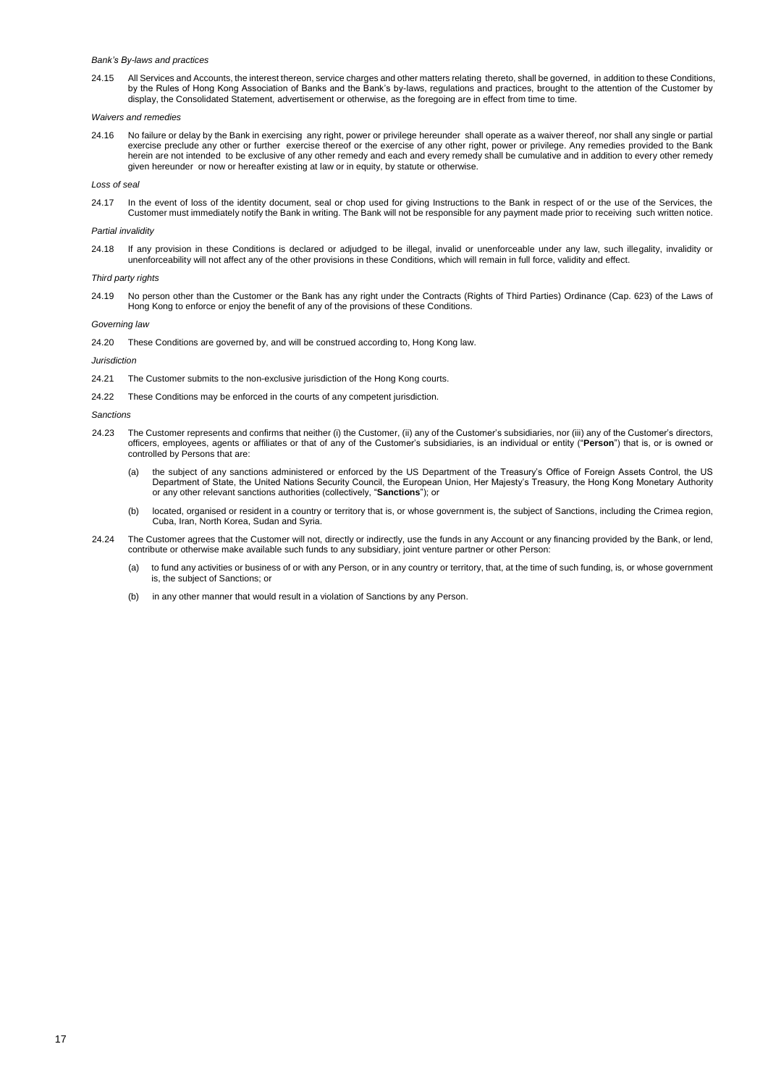## *Bank's By-laws and practices*

24.15 All Services and Accounts, the interest thereon, service charges and other matters relating thereto, shall be governed, in addition to these Conditions, by the Rules of Hong Kong Association of Banks and the Bank's by-laws, regulations and practices, brought to the attention of the Customer by display, the Consolidated Statement, advertisement or otherwise, as the foregoing are in effect from time to time.

### *Waivers and remedies*

24.16 No failure or delay by the Bank in exercising any right, power or privilege hereunder shall operate as a waiver thereof, nor shall any single or partial exercise preclude any other or further exercise thereof or the exercise of any other right, power or privilege. Any remedies provided to the Bank herein are not intended to be exclusive of any other remedy and each and every remedy shall be cumulative and in addition to every other remedy given hereunder or now or hereafter existing at law or in equity, by statute or otherwise.

### *Loss of seal*

24.17 In the event of loss of the identity document, seal or chop used for giving Instructions to the Bank in respect of or the use of the Services, the Customer must immediately notify the Bank in writing. The Bank will not be responsible for any payment made prior to receiving such written notice.

## *Partial invalidity*

24.18 If any provision in these Conditions is declared or adjudged to be illegal, invalid or unenforceable under any law, such illegality, invalidity or unenforceability will not affect any of the other provisions in these Conditions, which will remain in full force, validity and effect.

## *Third party rights*

24.19 No person other than the Customer or the Bank has any right under the Contracts (Rights of Third Parties) Ordinance (Cap. 623) of the Laws of Hong Kong to enforce or enjoy the benefit of any of the provisions of these Conditions.

### *Governing law*

24.20 These Conditions are governed by, and will be construed according to, Hong Kong law.

### *Jurisdiction*

- 24.21 The Customer submits to the non-exclusive jurisdiction of the Hong Kong courts.
- 24.22 These Conditions may be enforced in the courts of any competent jurisdiction.

### *Sanctions*

- 24.23 The Customer represents and confirms that neither (i) the Customer, (ii) any of the Customer's subsidiaries, nor (iii) any of the Customer's directors, officers, employees, agents or affiliates or that of any of the Customer's subsidiaries, is an individual or entity ("**Person**") that is, or is owned or controlled by Persons that are:
	- (a) the subject of any sanctions administered or enforced by the US Department of the Treasury's Office of Foreign Assets Control, the US Department of State, the United Nations Security Council, the European Union, Her Majesty's Treasury, the Hong Kong Monetary Authority or any other relevant sanctions authorities (collectively, "**Sanctions**"); or
	- (b) located, organised or resident in a country or territory that is, or whose government is, the subject of Sanctions, including the Crimea region, Cuba, Iran, North Korea, Sudan and Syria.
- 24.24 The Customer agrees that the Customer will not, directly or indirectly, use the funds in any Account or any financing provided by the Bank, or lend, contribute or otherwise make available such funds to any subsidiary, joint venture partner or other Person:
	- (a) to fund any activities or business of or with any Person, or in any country or territory, that, at the time of such funding, is, or whose government is, the subject of Sanctions; or
	- (b) in any other manner that would result in a violation of Sanctions by any Person.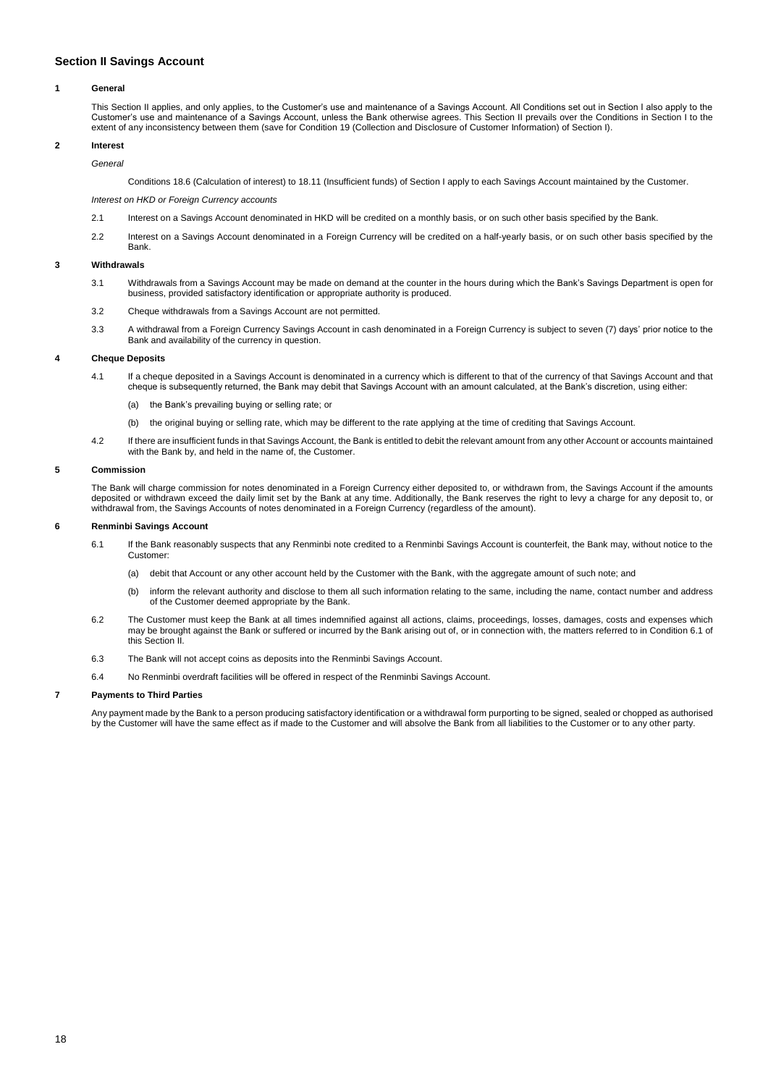# <span id="page-17-0"></span>**Section II Savings Account**

## **1 General**

This Section II applies, and only applies, to the Customer's use and maintenance of a Savings Account. All Conditions set out in Section I also apply to the Customer's use and maintenance of a Savings Account, unless the Bank otherwise agrees. This Section II prevails over the Conditions in Section I to the extent of any inconsistency between them (save for Condition 19 (Collection and Disclosure of Customer Information) of Section I).

# **2 Interest**

*General*

Conditions 18.6 (Calculation of interest) to 18.11 (Insufficient funds) of Section I apply to each Savings Account maintained by the Customer.

*Interest on HKD or Foreign Currency accounts*

- 2.1 Interest on a Savings Account denominated in HKD will be credited on a monthly basis, or on such other basis specified by the Bank.
- 2.2 Interest on a Savings Account denominated in a Foreign Currency will be credited on a half-yearly basis, or on such other basis specified by the Bank.

## **3 Withdrawals**

- 3.1 Withdrawals from a Savings Account may be made on demand at the counter in the hours during which the Bank's Savings Department is open for business, provided satisfactory identification or appropriate authority is produced.
- 3.2 Cheque withdrawals from a Savings Account are not permitted.
- 3.3 A withdrawal from a Foreign Currency Savings Account in cash denominated in a Foreign Currency is subject to seven (7) days' prior notice to the Bank and availability of the currency in question.

## **4 Cheque Deposits**

- 4.1 If a cheque deposited in a Savings Account is denominated in a currency which is different to that of the currency of that Savings Account and that cheque is subsequently returned, the Bank may debit that Savings Account with an amount calculated, at the Bank's discretion, using either:
	- (a) the Bank's prevailing buying or selling rate; or
	- (b) the original buying or selling rate, which may be different to the rate applying at the time of crediting that Savings Account.
- 4.2 If there are insufficient funds in that Savings Account, the Bank is entitled to debit the relevant amount from any other Account or accounts maintained with the Bank by, and held in the name of, the Customer.

### **5 Commission**

The Bank will charge commission for notes denominated in a Foreign Currency either deposited to, or withdrawn from, the Savings Account if the amounts deposited or withdrawn exceed the daily limit set by the Bank at any time. Additionally, the Bank reserves the right to levy a charge for any deposit to, or withdrawal from, the Savings Accounts of notes denominated in a Foreign Currency (regardless of the amount).

### **6 Renminbi Savings Account**

- 6.1 If the Bank reasonably suspects that any Renminbi note credited to a Renminbi Savings Account is counterfeit, the Bank may, without notice to the Customer:
	- (a) debit that Account or any other account held by the Customer with the Bank, with the aggregate amount of such note; and
	- (b) inform the relevant authority and disclose to them all such information relating to the same, including the name, contact number and address of the Customer deemed appropriate by the Bank.
- 6.2 The Customer must keep the Bank at all times indemnified against all actions, claims, proceedings, losses, damages, costs and expenses which may be brought against the Bank or suffered or incurred by the Bank arising out of, or in connection with, the matters referred to in Condition 6.1 of this Section II.
- 6.3 The Bank will not accept coins as deposits into the Renminbi Savings Account.
- 6.4 No Renminbi overdraft facilities will be offered in respect of the Renminbi Savings Account.

# **7 Payments to Third Parties**

Any payment made by the Bank to a person producing satisfactory identification or a withdrawal form purporting to be signed, sealed or chopped as authorised by the Customer will have the same effect as if made to the Customer and will absolve the Bank from all liabilities to the Customer or to any other party.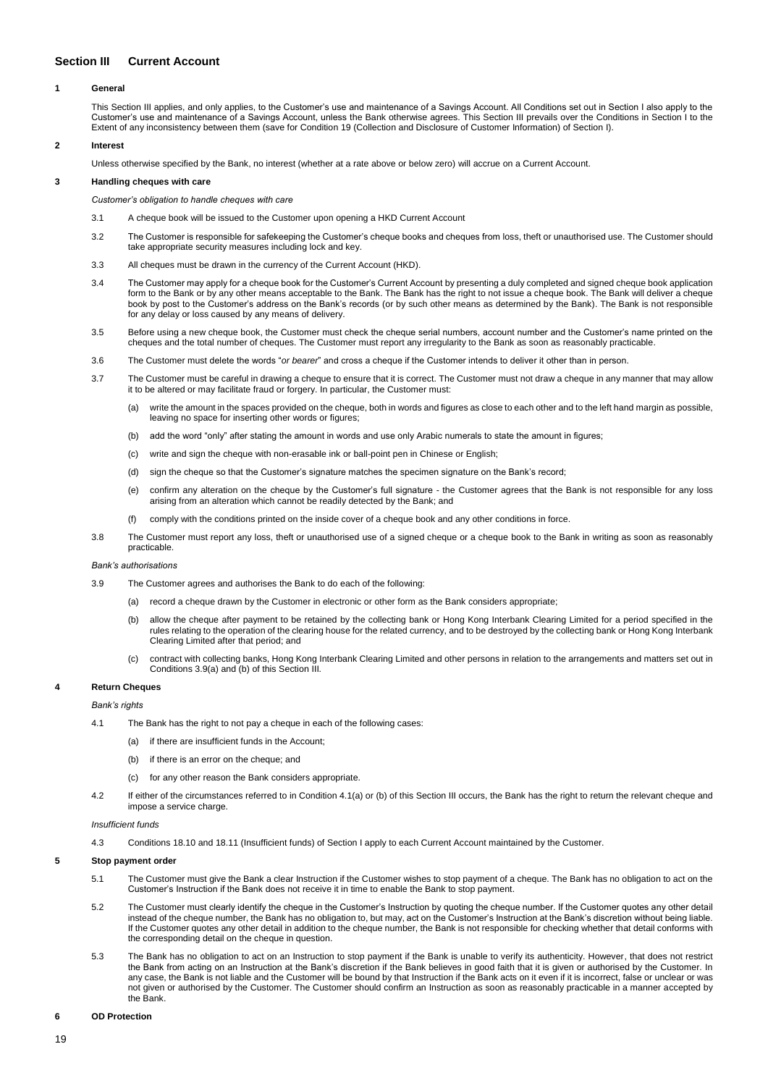# <span id="page-18-0"></span>**Section III Current Account**

## **1 General**

This Section III applies, and only applies, to the Customer's use and maintenance of a Savings Account. All Conditions set out in Section I also apply to the Customer's use and maintenance of a Savings Account, unless the Bank otherwise agrees. This Section III prevails over the Conditions in Section I to the Extent of any inconsistency between them (save for Condition 19 (Collection and Disclosure of Customer Information) of Section I).

## **2 Interest**

Unless otherwise specified by the Bank, no interest (whether at a rate above or below zero) will accrue on a Current Account.

# **3 Handling cheques with care**

*Customer's obligation to handle cheques with care*

- 3.1 A cheque book will be issued to the Customer upon opening a HKD Current Account
- 3.2 The Customer is responsible for safekeeping the Customer's cheque books and cheques from loss, theft or unauthorised use. The Customer should take appropriate security measures including lock and key.
- 3.3 All cheques must be drawn in the currency of the Current Account (HKD).
- 3.4 The Customer may apply for a cheque book for the Customer's Current Account by presenting a duly completed and signed cheque book application form to the Bank or by any other means acceptable to the Bank. The Bank has the right to not issue a cheque book. The Bank will deliver a cheque book by post to the Customer's address on the Bank's records (or by such other means as determined by the Bank). The Bank is not responsible for any delay or loss caused by any means of delivery.
- 3.5 Before using a new cheque book, the Customer must check the cheque serial numbers, account number and the Customer's name printed on the cheques and the total number of cheques. The Customer must report any irregularity to the Bank as soon as reasonably practicable.
- 3.6 The Customer must delete the words "*or bearer*" and cross a cheque if the Customer intends to deliver it other than in person.
- 3.7 The Customer must be careful in drawing a cheque to ensure that it is correct. The Customer must not draw a cheque in any manner that may allow it to be altered or may facilitate fraud or forgery. In particular, the Customer must:
	- (a) write the amount in the spaces provided on the cheque, both in words and figures as close to each other and to the left hand margin as possible, leaving no space for inserting other words or figures;
	- (b) add the word "only" after stating the amount in words and use only Arabic numerals to state the amount in figures;
	- (c) write and sign the cheque with non-erasable ink or ball-point pen in Chinese or English;
	- (d) sign the cheque so that the Customer's signature matches the specimen signature on the Bank's record;
	- (e) confirm any alteration on the cheque by the Customer's full signature the Customer agrees that the Bank is not responsible for any loss arising from an alteration which cannot be readily detected by the Bank; and
	- (f) comply with the conditions printed on the inside cover of a cheque book and any other conditions in force.
- 3.8 The Customer must report any loss, theft or unauthorised use of a signed cheque or a cheque book to the Bank in writing as soon as reasonably practicable.

### *Bank's authorisations*

- 3.9 The Customer agrees and authorises the Bank to do each of the following:
	- (a) record a cheque drawn by the Customer in electronic or other form as the Bank considers appropriate;
	- (b) allow the cheque after payment to be retained by the collecting bank or Hong Kong Interbank Clearing Limited for a period specified in the rules relating to the operation of the clearing house for the related currency, and to be destroyed by the collecting bank or Hong Kong Interbank Clearing Limited after that period; and
	- (c) contract with collecting banks, Hong Kong Interbank Clearing Limited and other persons in relation to the arrangements and matters set out in Conditions 3.9(a) and (b) of this Section III.

# **4 Return Cheques**

### *Bank's rights*

- 4.1 The Bank has the right to not pay a cheque in each of the following cases:
	- (a) if there are insufficient funds in the Account;
	- (b) if there is an error on the cheque; and
	- (c) for any other reason the Bank considers appropriate.
- 4.2 If either of the circumstances referred to in Condition 4.1(a) or (b) of this Section III occurs, the Bank has the right to return the relevant cheque and impose a service charge.

### *Insufficient funds*

4.3 Conditions 18.10 and 18.11 (Insufficient funds) of Section I apply to each Current Account maintained by the Customer.

### **5 Stop payment order**

- 5.1 The Customer must give the Bank a clear Instruction if the Customer wishes to stop payment of a cheque. The Bank has no obligation to act on the Customer's Instruction if the Bank does not receive it in time to enable the Bank to stop payment.
- 5.2 The Customer must clearly identify the cheque in the Customer's Instruction by quoting the cheque number. If the Customer quotes any other detail instead of the cheque number, the Bank has no obligation to, but may, act on the Customer's Instruction at the Bank's discretion without being liable. If the Customer quotes any other detail in addition to the cheque number, the Bank is not responsible for checking whether that detail conforms with the corresponding detail on the cheque in question.
- 5.3 The Bank has no obligation to act on an Instruction to stop payment if the Bank is unable to verify its authenticity. However, that does not restrict the Bank from acting on an Instruction at the Bank's discretion if the Bank believes in good faith that it is given or authorised by the Customer. In any case, the Bank is not liable and the Customer will be bound by that Instruction if the Bank acts on it even if it is incorrect, false or unclear or was not given or authorised by the Customer. The Customer should confirm an Instruction as soon as reasonably practicable in a manner accepted by the Bank.

## **6 OD Protection**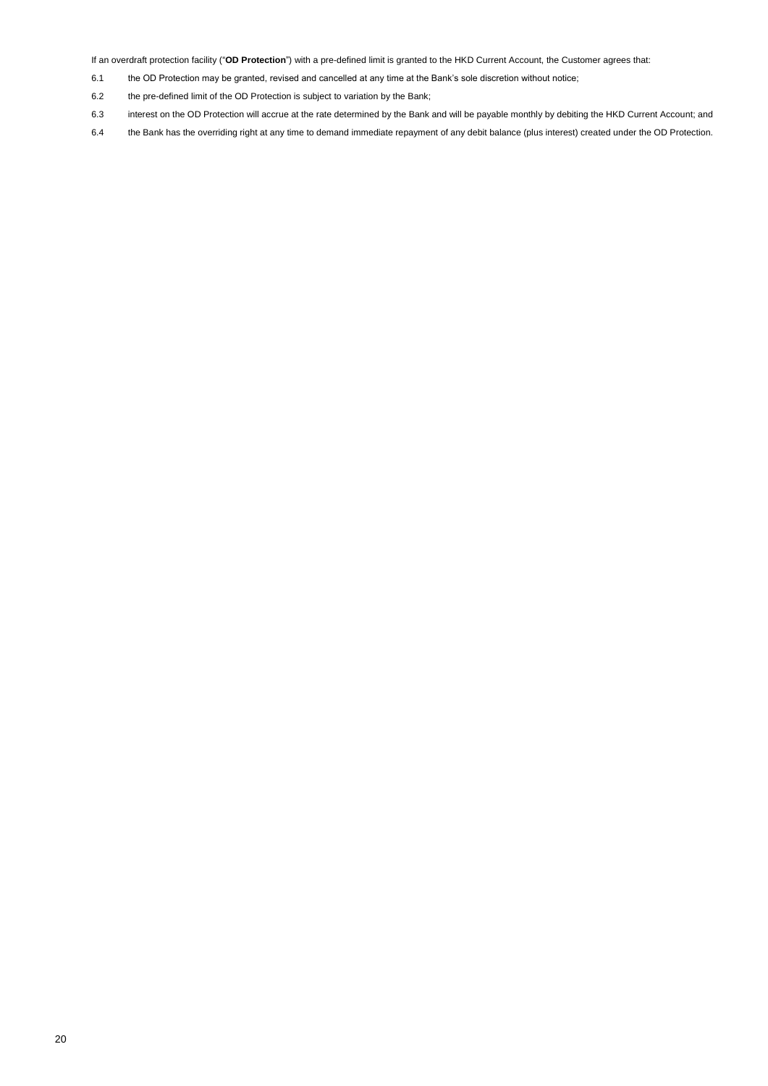If an overdraft protection facility ("**OD Protection**") with a pre-defined limit is granted to the HKD Current Account, the Customer agrees that:

- 6.1 the OD Protection may be granted, revised and cancelled at any time at the Bank's sole discretion without notice;
- 6.2 the pre-defined limit of the OD Protection is subject to variation by the Bank;
- 6.3 interest on the OD Protection will accrue at the rate determined by the Bank and will be payable monthly by debiting the HKD Current Account; and
- 6.4 the Bank has the overriding right at any time to demand immediate repayment of any debit balance (plus interest) created under the OD Protection.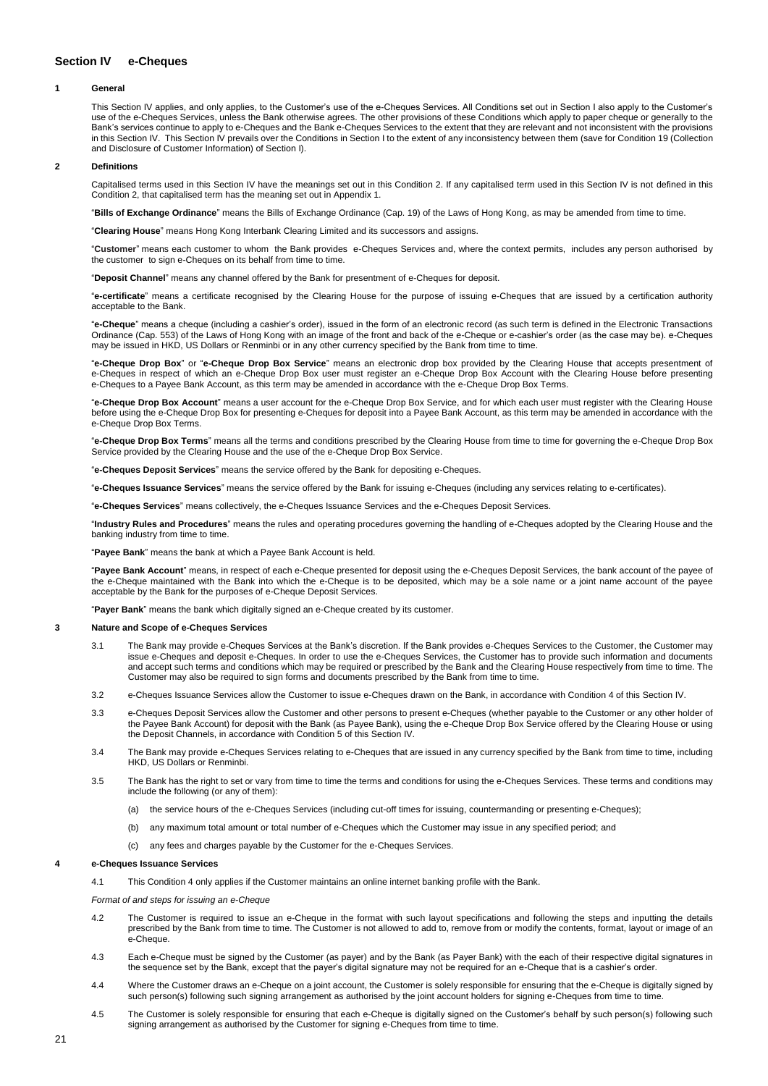# <span id="page-20-0"></span>**Section IV e-Cheques**

## **1 General**

This Section IV applies, and only applies, to the Customer's use of the e-Cheques Services. All Conditions set out in Section I also apply to the Customer's use of the e-Cheques Services, unless the Bank otherwise agrees. The other provisions of these Conditions which apply to paper cheque or generally to the Bank's services continue to apply to e-Cheques and the Bank e-Cheques Services to the extent that they are relevant and not inconsistent with the provisions in this Section IV. This Section IV prevails over the Conditions in Section I to the extent of any inconsistency between them (save for Condition 19 (Collection and Disclosure of Customer Information) of Section I).

### **2 Definitions**

Capitalised terms used in this Section IV have the meanings set out in this Condition 2. If any capitalised term used in this Section IV is not defined in this Condition 2, that capitalised term has the meaning set out in Appendix 1.

"**Bills of Exchange Ordinance**" means the Bills of Exchange Ordinance (Cap. 19) of the Laws of Hong Kong, as may be amended from time to time.

"**Clearing House**" means Hong Kong Interbank Clearing Limited and its successors and assigns.

"**Customer**" means each customer to whom the Bank provides e-Cheques Services and, where the context permits, includes any person authorised by the customer to sign e-Cheques on its behalf from time to time.

"**Deposit Channel**" means any channel offered by the Bank for presentment of e-Cheques for deposit.

"**e-certificate**" means a certificate recognised by the Clearing House for the purpose of issuing e-Cheques that are issued by a certification authority acceptable to the Bank.

"**e-Cheque**" means a cheque (including a cashier's order), issued in the form of an electronic record (as such term is defined in the Electronic Transactions Ordinance (Cap. 553) of the Laws of Hong Kong with an image of the front and back of the e-Cheque or e-cashier's order (as the case may be). e-Cheques may be issued in HKD, US Dollars or Renminbi or in any other currency specified by the Bank from time to time.

"**e-Cheque Drop Box**" or "**e-Cheque Drop Box Service**" means an electronic drop box provided by the Clearing House that accepts presentment of e-Cheques in respect of which an e-Cheque Drop Box user must register an e-Cheque Drop Box Account with the Clearing House before presenting e-Cheques to a Payee Bank Account, as this term may be amended in accordance with the e-Cheque Drop Box Terms.

"**e-Cheque Drop Box Account**" means a user account for the e-Cheque Drop Box Service, and for which each user must register with the Clearing House before using the e-Cheque Drop Box for presenting e-Cheques for deposit into a Payee Bank Account, as this term may be amended in accordance with the e-Cheque Drop Box Terms.

"**e-Cheque Drop Box Terms**" means all the terms and conditions prescribed by the Clearing House from time to time for governing the e-Cheque Drop Box Service provided by the Clearing House and the use of the e-Cheque Drop Box Service.

ques Deposit Services" means the service offered by the Bank for depositing e-Cheques.

"**e-Cheques Issuance Services**" means the service offered by the Bank for issuing e-Cheques (including any services relating to e-certificates).

Cheques Services" means collectively, the e-Cheques Issuance Services and the e-Cheques Deposit Services.

"**Industry Rules and Procedures**" means the rules and operating procedures governing the handling of e-Cheques adopted by the Clearing House and the banking industry from time to time.

"**Payee Bank**" means the bank at which a Payee Bank Account is held.

"**Payee Bank Account**" means, in respect of each e-Cheque presented for deposit using the e-Cheques Deposit Services, the bank account of the payee of the e-Cheque maintained with the Bank into which the e-Cheque is to be deposited, which may be a sole name or a joint name account of the payee acceptable by the Bank for the purposes of e-Cheque Deposit Services.

"**Payer Bank**" means the bank which digitally signed an e-Cheque created by its customer.

### **3 Nature and Scope of e-Cheques Services**

- 3.1 The Bank may provide e-Cheques Services at the Bank's discretion. If the Bank provides e-Cheques Services to the Customer, the Customer may issue e-Cheques and deposit e-Cheques. In order to use the e-Cheques Services, the Customer has to provide such information and documents and accept such terms and conditions which may be required or prescribed by the Bank and the Clearing House respectively from time to time. The Customer may also be required to sign forms and documents prescribed by the Bank from time to time.
- 3.2 e-Cheques Issuance Services allow the Customer to issue e-Cheques drawn on the Bank, in accordance with Condition 4 of this Section IV.
- 3.3 e-Cheques Deposit Services allow the Customer and other persons to present e-Cheques (whether payable to the Customer or any other holder of the Payee Bank Account) for deposit with the Bank (as Payee Bank), using the e-Cheque Drop Box Service offered by the Clearing House or using the Deposit Channels, in accordance with Condition 5 of this Section IV.
- 3.4 The Bank may provide e-Cheques Services relating to e-Cheques that are issued in any currency specified by the Bank from time to time, including HKD, US Dollars or Renminbi.
- 3.5 The Bank has the right to set or vary from time to time the terms and conditions for using the e-Cheques Services. These terms and conditions may include the following (or any of them):
	- (a) the service hours of the e-Cheques Services (including cut-off times for issuing, countermanding or presenting e-Cheques);
	- (b) any maximum total amount or total number of e-Cheques which the Customer may issue in any specified period; and
	- (c) any fees and charges payable by the Customer for the e-Cheques Services.

#### **4 e-Cheques Issuance Services**

4.1 This Condition 4 only applies if the Customer maintains an online internet banking profile with the Bank.

*Format of and steps for issuing an e-Cheque*

- 4.2 The Customer is required to issue an e-Cheque in the format with such layout specifications and following the steps and inputting the details prescribed by the Bank from time to time. The Customer is not allowed to add to, remove from or modify the contents, format, layout or image of an e-Cheque.
- 4.3 Each e-Cheque must be signed by the Customer (as payer) and by the Bank (as Payer Bank) with the each of their respective digital signatures in the sequence set by the Bank, except that the payer's digital signature may not be required for an e-Cheque that is a cashier's order.
- 4.4 Where the Customer draws an e-Cheque on a joint account, the Customer is solely responsible for ensuring that the e-Cheque is digitally signed by such person(s) following such signing arrangement as authorised by the joint account holders for signing e-Cheques from time to time.
- 4.5 The Customer is solely responsible for ensuring that each e-Cheque is digitally signed on the Customer's behalf by such person(s) following such signing arrangement as authorised by the Customer for signing e-Cheques from time to time.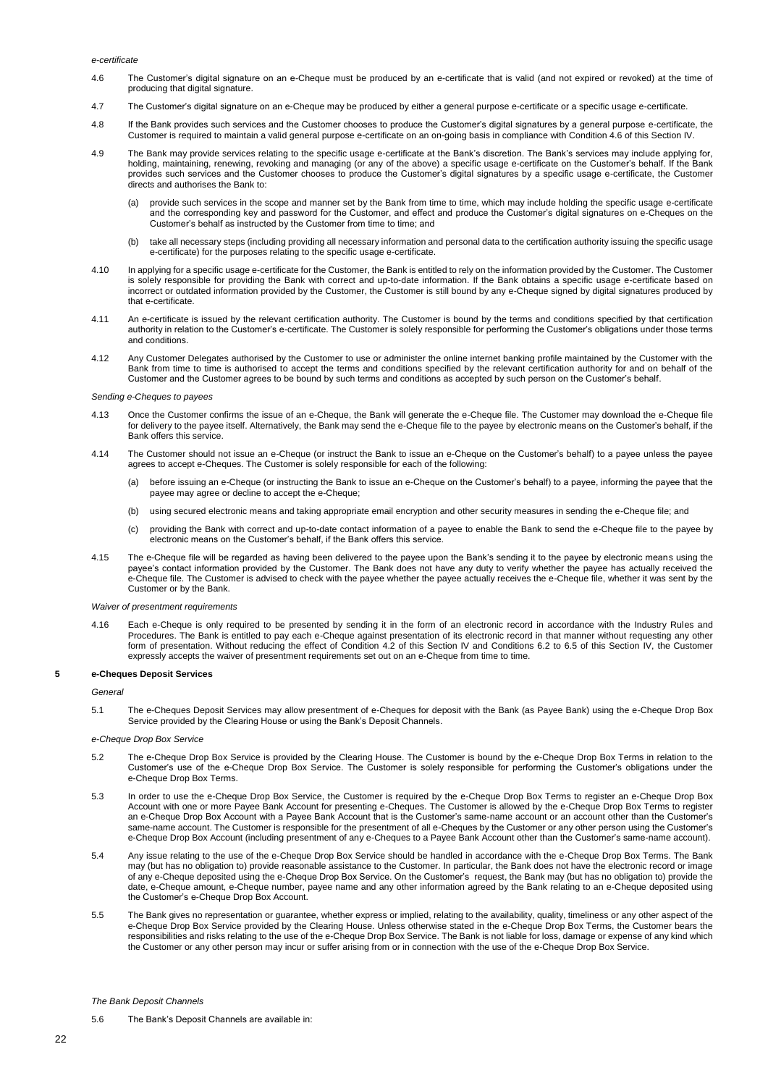#### *e-certificate*

- 4.6 The Customer's digital signature on an e-Cheque must be produced by an e-certificate that is valid (and not expired or revoked) at the time of producing that digital signature.
- 4.7 The Customer's digital signature on an e-Cheque may be produced by either a general purpose e-certificate or a specific usage e-certificate.
- 4.8 If the Bank provides such services and the Customer chooses to produce the Customer's digital signatures by a general purpose e-certificate, the Customer is required to maintain a valid general purpose e-certificate on an on-going basis in compliance with Condition 4.6 of this Section IV.
- 4.9 The Bank may provide services relating to the specific usage e-certificate at the Bank's discretion. The Bank's services may include applying for, holding, maintaining, renewing, revoking and managing (or any of the above) a specific usage e-certificate on the Customer's behalf. If the Bank provides such services and the Customer chooses to produce the Customer's digital signatures by a specific usage e-certificate, the Customer directs and authorises the Bank to:
	- (a) provide such services in the scope and manner set by the Bank from time to time, which may include holding the specific usage e-certificate and the corresponding key and password for the Customer, and effect and produce the Customer's digital signatures on e-Cheques on the Customer's behalf as instructed by the Customer from time to time; and
	- (b) take all necessary steps (including providing all necessary information and personal data to the certification authority issuing the specific usage e-certificate) for the purposes relating to the specific usage e-certificate.
- 4.10 In applying for a specific usage e-certificate for the Customer, the Bank is entitled to rely on the information provided by the Customer. The Customer is solely responsible for providing the Bank with correct and up-to-date information. If the Bank obtains a specific usage e-certificate based on incorrect or outdated information provided by the Customer, the Customer is still bound by any e-Cheque signed by digital signatures produced by that e-certificate.
- 4.11 An e-certificate is issued by the relevant certification authority. The Customer is bound by the terms and conditions specified by that certification authority in relation to the Customer's e-certificate. The Customer is solely responsible for performing the Customer's obligations under those terms and conditions.
- 4.12 Any Customer Delegates authorised by the Customer to use or administer the online internet banking profile maintained by the Customer with the Bank from time to time is authorised to accept the terms and conditions specified by the relevant certification authority for and on behalf of the Customer and the Customer agrees to be bound by such terms and conditions as accepted by such person on the Customer's behalf.

#### *Sending e-Cheques to payees*

- 4.13 Once the Customer confirms the issue of an e-Cheque, the Bank will generate the e-Cheque file. The Customer may download the e-Cheque file for delivery to the payee itself. Alternatively, the Bank may send the e-Cheque file to the payee by electronic means on the Customer's behalf, if the Bank offers this service.
- 4.14 The Customer should not issue an e-Cheque (or instruct the Bank to issue an e-Cheque on the Customer's behalf) to a payee unless the payee agrees to accept e-Cheques. The Customer is solely responsible for each of the following:
	- (a) before issuing an e-Cheque (or instructing the Bank to issue an e-Cheque on the Customer's behalf) to a payee, informing the payee that the payee may agree or decline to accept the e-Cheque;
	- (b) using secured electronic means and taking appropriate email encryption and other security measures in sending the e-Cheque file; and
	- (c) providing the Bank with correct and up-to-date contact information of a payee to enable the Bank to send the e-Cheque file to the payee by electronic means on the Customer's behalf, if the Bank offers this service.
- 4.15 The e-Cheque file will be regarded as having been delivered to the payee upon the Bank's sending it to the payee by electronic means using the payee's contact information provided by the Customer. The Bank does not have any duty to verify whether the payee has actually received the e-Cheque file. The Customer is advised to check with the payee whether the payee actually receives the e-Cheque file, whether it was sent by the Customer or by the Bank.

### *Waiver of presentment requirements*

4.16 Each e-Cheque is only required to be presented by sending it in the form of an electronic record in accordance with the Industry Rules and Procedures. The Bank is entitled to pay each e-Cheque against presentation of its electronic record in that manner without requesting any other form of presentation. Without reducing the effect of Condition 4.2 of this Section IV and Conditions 6.2 to 6.5 of this Section IV, the Customer expressly accepts the waiver of presentment requirements set out on an e-Cheque from time to time.

# **5 e-Cheques Deposit Services**

### *General*

5.1 The e-Cheques Deposit Services may allow presentment of e-Cheques for deposit with the Bank (as Payee Bank) using the e-Cheque Drop Box Service provided by the Clearing House or using the Bank's Deposit Channels.

### *e-Cheque Drop Box Service*

- 5.2 The e-Cheque Drop Box Service is provided by the Clearing House. The Customer is bound by the e-Cheque Drop Box Terms in relation to the Customer's use of the e-Cheque Drop Box Service. The Customer is solely responsible for performing the Customer's obligations under the e-Cheque Drop Box Terms.
- 5.3 In order to use the e-Cheque Drop Box Service, the Customer is required by the e-Cheque Drop Box Terms to register an e-Cheque Drop Box Account with one or more Payee Bank Account for presenting e-Cheques. The Customer is allowed by the e-Cheque Drop Box Terms to register an e-Cheque Drop Box Account with a Payee Bank Account that is the Customer's same-name account or an account other than the Customer's same-name account. The Customer is responsible for the presentment of all e-Cheques by the Customer or any other person using the Customer's e-Cheque Drop Box Account (including presentment of any e-Cheques to a Payee Bank Account other than the Customer's same-name account).
- 5.4 Any issue relating to the use of the e-Cheque Drop Box Service should be handled in accordance with the e-Cheque Drop Box Terms. The Bank may (but has no obligation to) provide reasonable assistance to the Customer. In particular, the Bank does not have the electronic record or image of any e-Cheque deposited using the e-Cheque Drop Box Service. On the Customer's request, the Bank may (but has no obligation to) provide the date, e-Cheque amount, e-Cheque number, payee name and any other information agreed by the Bank relating to an e-Cheque deposited using the Customer's e-Cheque Drop Box Account.
- 5.5 The Bank gives no representation or guarantee, whether express or implied, relating to the availability, quality, timeliness or any other aspect of the e-Cheque Drop Box Service provided by the Clearing House. Unless otherwise stated in the e-Cheque Drop Box Terms, the Customer bears the responsibilities and risks relating to the use of the e-Cheque Drop Box Service. The Bank is not liable for loss, damage or expense of any kind which the Customer or any other person may incur or suffer arising from or in connection with the use of the e-Cheque Drop Box Service.

### *The Bank Deposit Channels*

5.6 The Bank's Deposit Channels are available in: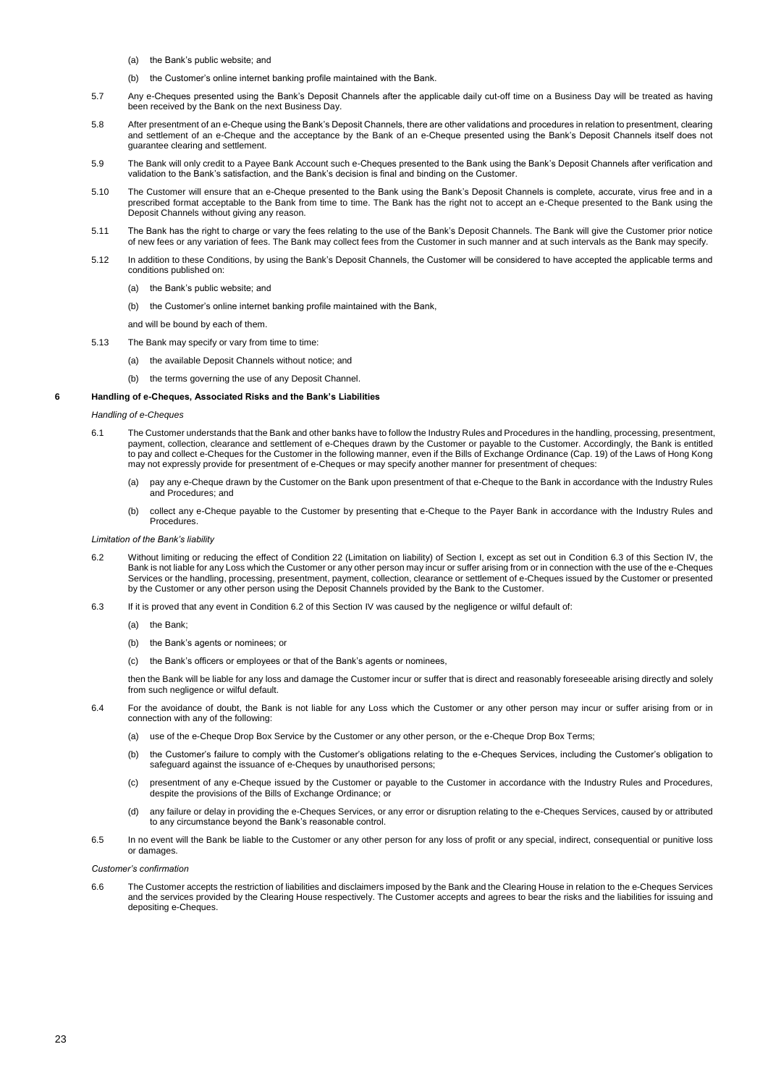- (a) the Bank's public website; and
- (b) the Customer's online internet banking profile maintained with the Bank.
- 5.7 Any e-Cheques presented using the Bank's Deposit Channels after the applicable daily cut-off time on a Business Day will be treated as having been received by the Bank on the next Business Day.
- 5.8 After presentment of an e-Cheque using the Bank's Deposit Channels, there are other validations and procedures in relation to presentment, clearing and settlement of an e-Cheque and the acceptance by the Bank of an e-Cheque presented using the Bank's Deposit Channels itself does not guarantee clearing and settlement.
- 5.9 The Bank will only credit to a Payee Bank Account such e-Cheques presented to the Bank using the Bank's Deposit Channels after verification and validation to the Bank's satisfaction, and the Bank's decision is final and binding on the Customer.
- 5.10 The Customer will ensure that an e-Cheque presented to the Bank using the Bank's Deposit Channels is complete, accurate, virus free and in a prescribed format acceptable to the Bank from time to time. The Bank has the right not to accept an e-Cheque presented to the Bank using the Deposit Channels without giving any reason.
- 5.11 The Bank has the right to charge or vary the fees relating to the use of the Bank's Deposit Channels. The Bank will give the Customer prior notice of new fees or any variation of fees. The Bank may collect fees from the Customer in such manner and at such intervals as the Bank may specify.
- 5.12 In addition to these Conditions, by using the Bank's Deposit Channels, the Customer will be considered to have accepted the applicable terms and conditions published on:
	- (a) the Bank's public website; and
	- (b) the Customer's online internet banking profile maintained with the Bank,

and will be bound by each of them.

- 5.13 The Bank may specify or vary from time to time:
	- (a) the available Deposit Channels without notice; and
	- (b) the terms governing the use of any Deposit Channel.

### **6 Handling of e-Cheques, Associated Risks and the Bank's Liabilities**

## *Handling of e-Cheques*

- 6.1 The Customer understands that the Bank and other banks have to follow the Industry Rules and Procedures in the handling, processing, presentment, payment, collection, clearance and settlement of e-Cheques drawn by the Customer or payable to the Customer. Accordingly, the Bank is entitled to pay and collect e-Cheques for the Customer in the following manner, even if the Bills of Exchange Ordinance (Cap. 19) of the Laws of Hong Kong may not expressly provide for presentment of e-Cheques or may specify another manner for presentment of cheques:<br>may not expressly provide for presentment of e-Cheques or may specify another manner for presentment of chequ
	- (a) pay any e-Cheque drawn by the Customer on the Bank upon presentment of that e-Cheque to the Bank in accordance with the Industry Rules and Procedures; and
	- (b) collect any e-Cheque payable to the Customer by presenting that e-Cheque to the Payer Bank in accordance with the Industry Rules and Procedures.

### *Limitation of the Bank's liability*

- 6.2 Without limiting or reducing the effect of Condition 22 (Limitation on liability) of Section I, except as set out in Condition 6.3 of this Section IV, the Bank is not liable for any Loss which the Customer or any other person may incur or suffer arising from or in connection with the use of the e-Cheques Services or the handling, processing, presentment, payment, collection, clearance or settlement of e-Cheques issued by the Customer or presented by the Customer or any other person using the Deposit Channels provided by the Bank to the Customer.
- 6.3 If it is proved that any event in Condition 6.2 of this Section IV was caused by the negligence or wilful default of:
	- (a) the Bank;
	- (b) the Bank's agents or nominees; or
	- (c) the Bank's officers or employees or that of the Bank's agents or nominees,

then the Bank will be liable for any loss and damage the Customer incur or suffer that is direct and reasonably foreseeable arising directly and solely from such negligence or wilful default.

- 6.4 For the avoidance of doubt, the Bank is not liable for any Loss which the Customer or any other person may incur or suffer arising from or in connection with any of the following:
	- (a) use of the e-Cheque Drop Box Service by the Customer or any other person, or the e-Cheque Drop Box Terms;
	- (b) the Customer's failure to comply with the Customer's obligations relating to the e-Cheques Services, including the Customer's obligation to safeguard against the issuance of e-Cheques by unauthorised persons;
	- (c) presentment of any e-Cheque issued by the Customer or payable to the Customer in accordance with the Industry Rules and Procedures, despite the provisions of the Bills of Exchange Ordinance; or
	- (d) any failure or delay in providing the e-Cheques Services, or any error or disruption relating to the e-Cheques Services, caused by or attributed to any circumstance beyond the Bank's reasonable control.
- 6.5 In no event will the Bank be liable to the Customer or any other person for any loss of profit or any special, indirect, consequential or punitive loss or damages.

*Customer's confirmation*

6.6 The Customer accepts the restriction of liabilities and disclaimers imposed by the Bank and the Clearing House in relation to the e-Cheques Services and the services provided by the Clearing House respectively. The Customer accepts and agrees to bear the risks and the liabilities for issuing and depositing e-Cheques.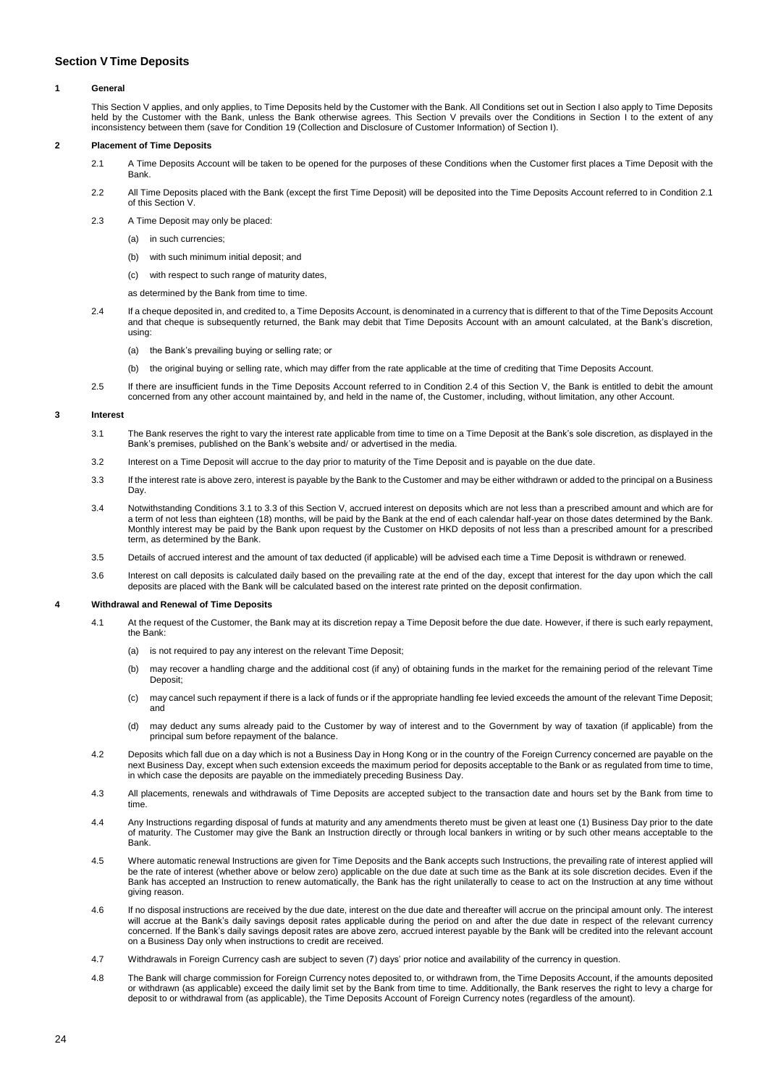# <span id="page-23-0"></span>**Section VTime Deposits**

## **1 General**

This Section V applies, and only applies, to Time Deposits held by the Customer with the Bank. All Conditions set out in Section I also apply to Time Deposits held by the Customer with the Bank, unless the Bank otherwise agrees. This Section V prevails over the Conditions in Section I to the extent of any inconsistency between them (save for Condition 19 (Collection and Disclosure of Customer Information) of Section I).

## **2 Placement of Time Deposits**

- 2.1 A Time Deposits Account will be taken to be opened for the purposes of these Conditions when the Customer first places a Time Deposit with the **Bank**
- 2.2 All Time Deposits placed with the Bank (except the first Time Deposit) will be deposited into the Time Deposits Account referred to in Condition 2.1 of this Section V.
- 2.3 A Time Deposit may only be placed:
	- (a) in such currencies;
	- (b) with such minimum initial deposit; and
	- (c) with respect to such range of maturity dates,
	- as determined by the Bank from time to time.
- 2.4 If a cheque deposited in, and credited to, a Time Deposits Account, is denominated in a currency that is different to that of the Time Deposits Account and that cheque is subsequently returned, the Bank may debit that Time Deposits Account with an amount calculated, at the Bank's discretion, using:
	- (a) the Bank's prevailing buying or selling rate; or
	- (b) the original buying or selling rate, which may differ from the rate applicable at the time of crediting that Time Deposits Account.
- 2.5 If there are insufficient funds in the Time Deposits Account referred to in Condition 2.4 of this Section V, the Bank is entitled to debit the amount concerned from any other account maintained by, and held in the name of, the Customer, including, without limitation, any other Account.

## **3 Interest**

- 3.1 The Bank reserves the right to vary the interest rate applicable from time to time on a Time Deposit at the Bank's sole discretion, as displayed in the Bank's premises, published on the Bank's website and/ or advertised in the media.
- 3.2 Interest on a Time Deposit will accrue to the day prior to maturity of the Time Deposit and is payable on the due date.
- 3.3 If the interest rate is above zero, interest is payable by the Bank to the Customer and may be either withdrawn or added to the principal on a Business Day
- 3.4 Notwithstanding Conditions 3.1 to 3.3 of this Section V, accrued interest on deposits which are not less than a prescribed amount and which are for a term of not less than eighteen (18) months, will be paid by the Bank at the end of each calendar half-year on those dates determined by the Bank. Monthly interest may be paid by the Bank upon request by the Customer on HKD deposits of not less than a prescribed amount for a prescribed term, as determined by the Bank.
- 3.5 Details of accrued interest and the amount of tax deducted (if applicable) will be advised each time a Time Deposit is withdrawn or renewed.
- 3.6 Interest on call deposits is calculated daily based on the prevailing rate at the end of the day, except that interest for the day upon which the call deposits are placed with the Bank will be calculated based on the interest rate printed on the deposit confirmation.

### **4 Withdrawal and Renewal of Time Deposits**

- 4.1 At the request of the Customer, the Bank may at its discretion repay a Time Deposit before the due date. However, if there is such early repayment, the Bank:
	- (a) is not required to pay any interest on the relevant Time Deposit;
	- (b) may recover a handling charge and the additional cost (if any) of obtaining funds in the market for the remaining period of the relevant Time Deposit;
	- (c) may cancel such repayment if there is a lack of funds or if the appropriate handling fee levied exceeds the amount of the relevant Time Deposit; and
	- (d) may deduct any sums already paid to the Customer by way of interest and to the Government by way of taxation (if applicable) from the principal sum before repayment of the balance.
- 4.2 Deposits which fall due on a day which is not a Business Day in Hong Kong or in the country of the Foreign Currency concerned are payable on the next Business Day, except when such extension exceeds the maximum period for deposits acceptable to the Bank or as regulated from time to time, in which case the deposits are payable on the immediately preceding Business Day.
- 4.3 All placements, renewals and withdrawals of Time Deposits are accepted subject to the transaction date and hours set by the Bank from time to time.
- 4.4 Any Instructions regarding disposal of funds at maturity and any amendments thereto must be given at least one (1) Business Day prior to the date of maturity. The Customer may give the Bank an Instruction directly or through local bankers in writing or by such other means acceptable to the Bank.
- 4.5 Where automatic renewal Instructions are given for Time Deposits and the Bank accepts such Instructions, the prevailing rate of interest applied will be the rate of interest (whether above or below zero) applicable on the due date at such time as the Bank at its sole discretion decides. Even if the Bank has accepted an Instruction to renew automatically, the Bank has the right unilaterally to cease to act on the Instruction at any time without giving reason.
- 4.6 If no disposal instructions are received by the due date, interest on the due date and thereafter will accrue on the principal amount only. The interest will accrue at the Bank's daily savings deposit rates applicable during the period on and after the due date in respect of the relevant currency concerned. If the Bank's daily savings deposit rates are above zero, accrued interest payable by the Bank will be credited into the relevant account on a Business Day only when instructions to credit are received.
- 4.7 Withdrawals in Foreign Currency cash are subject to seven (7) days' prior notice and availability of the currency in question.
- 4.8 The Bank will charge commission for Foreign Currency notes deposited to, or withdrawn from, the Time Deposits Account, if the amounts deposited or withdrawn (as applicable) exceed the daily limit set by the Bank from time to time. Additionally, the Bank reserves the right to levy a charge for deposit to or withdrawal from (as applicable), the Time Deposits Account of Foreign Currency notes (regardless of the amount).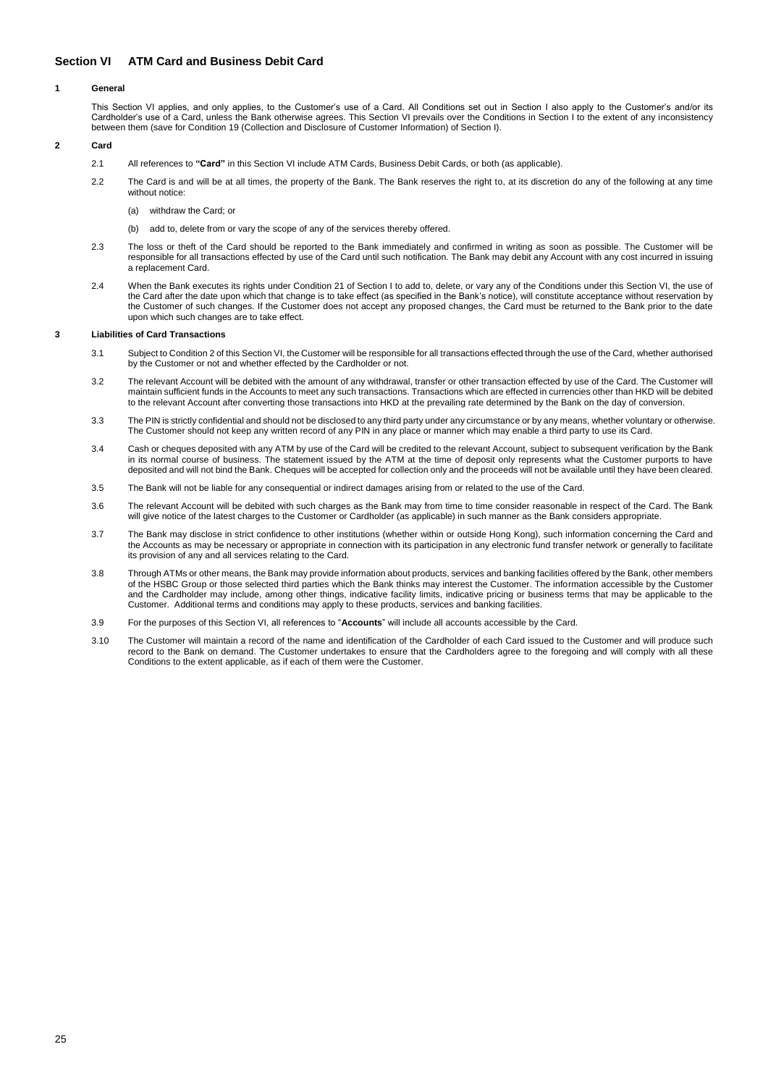# <span id="page-24-0"></span>**Section VI ATM Card and Business Debit Card**

## **1 General**

This Section VI applies, and only applies, to the Customer's use of a Card. All Conditions set out in Section I also apply to the Customer's and/or its Cardholder's use of a Card, unless the Bank otherwise agrees. This Section VI prevails over the Conditions in Section I to the extent of any inconsistency between them (save for Condition 19 (Collection and Disclosure of Customer Information) of Section I).

# **2 Card**

- 2.1 All references to **"Card"** in this Section VI include ATM Cards, Business Debit Cards, or both (as applicable).
- 2.2 The Card is and will be at all times, the property of the Bank. The Bank reserves the right to, at its discretion do any of the following at any time without notice:
	- (a) withdraw the Card; or
	- (b) add to, delete from or vary the scope of any of the services thereby offered.
- 2.3 The loss or theft of the Card should be reported to the Bank immediately and confirmed in writing as soon as possible. The Customer will be responsible for all transactions effected by use of the Card until such notification. The Bank may debit any Account with any cost incurred in issuing a replacement Card.
- 2.4 When the Bank executes its rights under Condition 21 of Section I to add to, delete, or vary any of the Conditions under this Section VI, the use of the Card after the date upon which that change is to take effect (as specified in the Bank's notice), will constitute acceptance without reservation by the Customer of such changes. If the Customer does not accept any proposed changes, the Card must be returned to the Bank prior to the date upon which such changes are to take effect.

### **3 Liabilities of Card Transactions**

- 3.1 Subject to Condition 2 of this Section VI, the Customer will be responsible for all transactions effected through the use of the Card, whether authorised by the Customer or not and whether effected by the Cardholder or not.
- 3.2 The relevant Account will be debited with the amount of any withdrawal, transfer or other transaction effected by use of the Card. The Customer will maintain sufficient funds in the Accounts to meet any such transactions. Transactions which are effected in currencies other than HKD will be debited to the relevant Account after converting those transactions into HKD at the prevailing rate determined by the Bank on the day of conversion.
- 3.3 The PIN is strictly confidential and should not be disclosed to any third party under any circumstance or by any means, whether voluntary or otherwise. The Customer should not keep any written record of any PIN in any place or manner which may enable a third party to use its Card.
- 3.4 Cash or cheques deposited with any ATM by use of the Card will be credited to the relevant Account, subject to subsequent verification by the Bank in its normal course of business. The statement issued by the ATM at the time of deposit only represents what the Customer purports to have deposited and will not bind the Bank. Cheques will be accepted for collection only and the proceeds will not be available until they have been cleared.
- 3.5 The Bank will not be liable for any consequential or indirect damages arising from or related to the use of the Card.
- 3.6 The relevant Account will be debited with such charges as the Bank may from time to time consider reasonable in respect of the Card. The Bank will give notice of the latest charges to the Customer or Cardholder (as applicable) in such manner as the Bank considers appropriate.
- 3.7 The Bank may disclose in strict confidence to other institutions (whether within or outside Hong Kong), such information concerning the Card and the Accounts as may be necessary or appropriate in connection with its participation in any electronic fund transfer network or generally to facilitate its provision of any and all services relating to the Card.
- 3.8 Through ATMs or other means, the Bank may provide information about products, services and banking facilities offered by the Bank, other members of the HSBC Group or those selected third parties which the Bank thinks may interest the Customer. The information accessible by the Customer and the Cardholder may include, among other things, indicative facility limits, indicative pricing or business terms that may be applicable to the Customer. Additional terms and conditions may apply to these products, services and banking facilities.
- 3.9 For the purposes of this Section VI, all references to "**Accounts**" will include all accounts accessible by the Card.
- 3.10 The Customer will maintain a record of the name and identification of the Cardholder of each Card issued to the Customer and will produce such record to the Bank on demand. The Customer undertakes to ensure that the Cardholders agree to the foregoing and will comply with all these Conditions to the extent applicable, as if each of them were the Customer.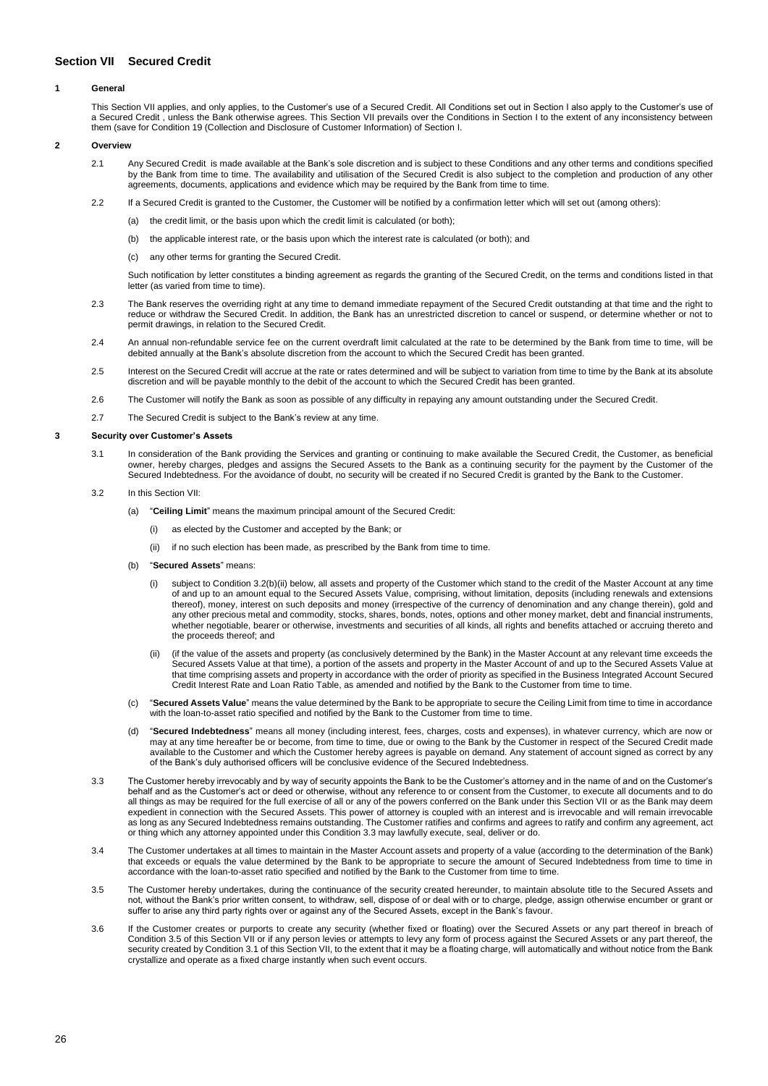# <span id="page-25-0"></span>**Section VII Secured Credit**

## **1 General**

This Section VII applies, and only applies, to the Customer's use of a Secured Credit. All Conditions set out in Section I also apply to the Customer's use of a Secured Credit , unless the Bank otherwise agrees. This Section VII prevails over the Conditions in Section I to the extent of any inconsistency between them (save for Condition 19 (Collection and Disclosure of Customer Information) of Section I.

# **2 Overview**

- 2.1 Any Secured Credit is made available at the Bank's sole discretion and is subject to these Conditions and any other terms and conditions specified by the Bank from time to time. The availability and utilisation of the Secured Credit is also subject to the completion and production of any other agreements, documents, applications and evidence which may be required by the Bank from time to time.
- 2.2 If a Secured Credit is granted to the Customer, the Customer will be notified by a confirmation letter which will set out (among others):
	- (a) the credit limit, or the basis upon which the credit limit is calculated (or both);
	- (b) the applicable interest rate, or the basis upon which the interest rate is calculated (or both); and
	- (c) any other terms for granting the Secured Credit.

Such notification by letter constitutes a binding agreement as regards the granting of the Secured Credit, on the terms and conditions listed in that letter (as varied from time to time).

- 2.3 The Bank reserves the overriding right at any time to demand immediate repayment of the Secured Credit outstanding at that time and the right to reduce or withdraw the Secured Credit. In addition, the Bank has an unrestricted discretion to cancel or suspend, or determine whether or not to permit drawings, in relation to the Secured Credit.
- 2.4 An annual non-refundable service fee on the current overdraft limit calculated at the rate to be determined by the Bank from time to time, will be debited annually at the Bank's absolute discretion from the account to which the Secured Credit has been granted.
- 2.5 Interest on the Secured Credit will accrue at the rate or rates determined and will be subject to variation from time to time by the Bank at its absolute discretion and will be payable monthly to the debit of the account to which the Secured Credit has been granted.
- 2.6 The Customer will notify the Bank as soon as possible of any difficulty in repaying any amount outstanding under the Secured Credit.
- 2.7 The Secured Credit is subject to the Bank's review at any time.

### **3 Security over Customer's Assets**

- 3.1 In consideration of the Bank providing the Services and granting or continuing to make available the Secured Credit, the Customer, as beneficial owner, hereby charges, pledges and assigns the Secured Assets to the Bank as a continuing security for the payment by the Customer of the Secured Indebtedness. For the avoidance of doubt, no security will be created if no Secured Credit is granted by the Bank to the Customer.
- 3.2 In this Section VII:
	- (a) "**Ceiling Limit**" means the maximum principal amount of the Secured Credit:
		- (i) as elected by the Customer and accepted by the Bank; or
		- (ii) if no such election has been made, as prescribed by the Bank from time to time.
	- (b) "**Secured Assets**" means:
		- (i) subject to Condition 3.2(b)(ii) below, all assets and property of the Customer which stand to the credit of the Master Account at any time of and up to an amount equal to the Secured Assets Value, comprising, without limitation, deposits (including renewals and extensions thereof), money, interest on such deposits and money (irrespective of the currency of denomination and any change therein), gold and any other precious metal and commodity, stocks, shares, bonds, notes, options and other money market, debt and financial instruments, whether negotiable, bearer or otherwise, investments and securities of all kinds, all rights and benefits attached or accruing thereto and the proceeds thereof; and
		- (ii) (if the value of the assets and property (as conclusively determined by the Bank) in the Master Account at any relevant time exceeds the Secured Assets Value at that time), a portion of the assets and property in the Master Account of and up to the Secured Assets Value at that time comprising assets and property in accordance with the order of priority as specified in the Business Integrated Account Secured Credit Interest Rate and Loan Ratio Table, as amended and notified by the Bank to the Customer from time to time.
	- (c) "**Secured Assets Value**" means the value determined by the Bank to be appropriate to secure the Ceiling Limit from time to time in accordance with the loan-to-asset ratio specified and notified by the Bank to the Customer from time to time.
	- (d) "**Secured Indebtedness**" means all money (including interest, fees, charges, costs and expenses), in whatever currency, which are now or may at any time hereafter be or become, from time to time, due or owing to the Bank by the Customer in respect of the Secured Credit made available to the Customer and which the Customer hereby agrees is payable on demand. Any statement of account signed as correct by any of the Bank's duly authorised officers will be conclusive evidence of the Secured Indebtedness.
- 3.3 The Customer hereby irrevocably and by way of security appoints the Bank to be the Customer's attorney and in the name of and on the Customer's behalf and as the Customer's act or deed or otherwise, without any reference to or consent from the Customer, to execute all documents and to do all things as may be required for the full exercise of all or any of the powers conferred on the Bank under this Section VII or as the Bank may deem expedient in connection with the Secured Assets. This power of attorney is coupled with an interest and is irrevocable and will remain irrevocable as long as any Secured Indebtedness remains outstanding. The Customer ratifies and confirms and agrees to ratify and confirm any agreement, act or thing which any attorney appointed under this Condition 3.3 may lawfully execute, seal, deliver or do.
- 3.4 The Customer undertakes at all times to maintain in the Master Account assets and property of a value (according to the determination of the Bank) that exceeds or equals the value determined by the Bank to be appropriate to secure the amount of Secured Indebtedness from time to time in accordance with the loan-to-asset ratio specified and notified by the Bank to the Customer from time to time.
- 3.5 The Customer hereby undertakes, during the continuance of the security created hereunder, to maintain absolute title to the Secured Assets and not, without the Bank's prior written consent, to withdraw, sell, dispose of or deal with or to charge, pledge, assign otherwise encumber or grant or suffer to arise any third party rights over or against any of the Secured Assets, except in the Bank's favour.
- 3.6 If the Customer creates or purports to create any security (whether fixed or floating) over the Secured Assets or any part thereof in breach of Condition 3.5 of this Section VII or if any person levies or attempts to levy any form of process against the Secured Assets or any part thereof, the security created by Condition 3.1 of this Section VII, to the extent that it may be a floating charge, will automatically and without notice from the Bank crystallize and operate as a fixed charge instantly when such event occurs.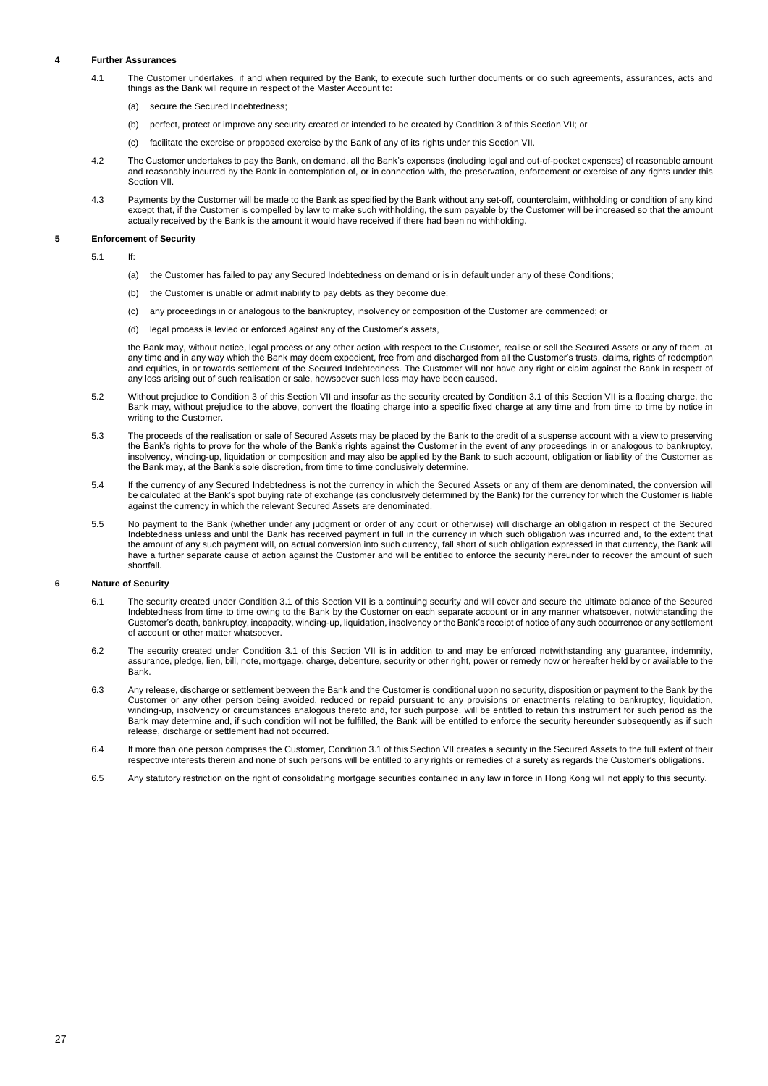## **4 Further Assurances**

- 4.1 The Customer undertakes, if and when required by the Bank, to execute such further documents or do such agreements, assurances, acts and things as the Bank will require in respect of the Master Account to:
	- (a) secure the Secured Indebtedness;
	- (b) perfect, protect or improve any security created or intended to be created by Condition 3 of this Section VII; or
	- (c) facilitate the exercise or proposed exercise by the Bank of any of its rights under this Section VII.
- 4.2 The Customer undertakes to pay the Bank, on demand, all the Bank's expenses (including legal and out-of-pocket expenses) of reasonable amount and reasonably incurred by the Bank in contemplation of, or in connection with, the preservation, enforcement or exercise of any rights under this Section VII.
- 4.3 Payments by the Customer will be made to the Bank as specified by the Bank without any set-off, counterclaim, withholding or condition of any kind except that, if the Customer is compelled by law to make such withholding, the sum payable by the Customer will be increased so that the amount actually received by the Bank is the amount it would have received if there had been no withholding.

## **5 Enforcement of Security**

- 5.1 If:
	- (a) the Customer has failed to pay any Secured Indebtedness on demand or is in default under any of these Conditions;
	- (b) the Customer is unable or admit inability to pay debts as they become due;
	- (c) any proceedings in or analogous to the bankruptcy, insolvency or composition of the Customer are commenced; or
	- (d) legal process is levied or enforced against any of the Customer's assets,

the Bank may, without notice, legal process or any other action with respect to the Customer, realise or sell the Secured Assets or any of them, at any time and in any way which the Bank may deem expedient, free from and discharged from all the Customer's trusts, claims, rights of redemption and equities, in or towards settlement of the Secured Indebtedness. The Customer will not have any right or claim against the Bank in respect of any loss arising out of such realisation or sale, howsoever such loss may have been caused.

- 5.2 Without prejudice to Condition 3 of this Section VII and insofar as the security created by Condition 3.1 of this Section VII is a floating charge, the Bank may, without prejudice to the above, convert the floating charge into a specific fixed charge at any time and from time to time by notice in writing to the Customer.
- 5.3 The proceeds of the realisation or sale of Secured Assets may be placed by the Bank to the credit of a suspense account with a view to preserving the Bank's rights to prove for the whole of the Bank's rights against the Customer in the event of any proceedings in or analogous to bankruptcy, insolvency, winding-up, liquidation or composition and may also be applied by the Bank to such account, obligation or liability of the Customer as the Bank may, at the Bank's sole discretion, from time to time conclusively determine.
- 5.4 If the currency of any Secured Indebtedness is not the currency in which the Secured Assets or any of them are denominated, the conversion will be calculated at the Bank's spot buying rate of exchange (as conclusively determined by the Bank) for the currency for which the Customer is liable against the currency in which the relevant Secured Assets are denominated.
- 5.5 No payment to the Bank (whether under any judgment or order of any court or otherwise) will discharge an obligation in respect of the Secured Indebtedness unless and until the Bank has received payment in full in the currency in which such obligation was incurred and, to the extent that the amount of any such payment will, on actual conversion into such currency, fall short of such obligation expressed in that currency, the Bank will have a further separate cause of action against the Customer and will be entitled to enforce the security hereunder to recover the amount of such shortfall.

## **6 Nature of Security**

- 6.1 The security created under Condition 3.1 of this Section VII is a continuing security and will cover and secure the ultimate balance of the Secured Indebtedness from time to time owing to the Bank by the Customer on each separate account or in any manner whatsoever, notwithstanding the Customer's death, bankruptcy, incapacity, winding-up, liquidation, insolvency or the Bank's receipt of notice of any such occurrence or any settlement of account or other matter whatsoever.
- 6.2 The security created under Condition 3.1 of this Section VII is in addition to and may be enforced notwithstanding any guarantee, indemnity, assurance, pledge, lien, bill, note, mortgage, charge, debenture, security or other right, power or remedy now or hereafter held by or available to the Bank.
- 6.3 Any release, discharge or settlement between the Bank and the Customer is conditional upon no security, disposition or payment to the Bank by the Customer or any other person being avoided, reduced or repaid pursuant to any provisions or enactments relating to bankruptcy, liquidation, winding-up, insolvency or circumstances analogous thereto and, for such purpose, will be entitled to retain this instrument for such period as the Bank may determine and, if such condition will not be fulfilled, the Bank will be entitled to enforce the security hereunder subsequently as if such release, discharge or settlement had not occurred.
- 6.4 If more than one person comprises the Customer, Condition 3.1 of this Section VII creates a security in the Secured Assets to the full extent of their respective interests therein and none of such persons will be entitled to any rights or remedies of a surety as regards the Customer's obligations.
- 6.5 Any statutory restriction on the right of consolidating mortgage securities contained in any law in force in Hong Kong will not apply to this security.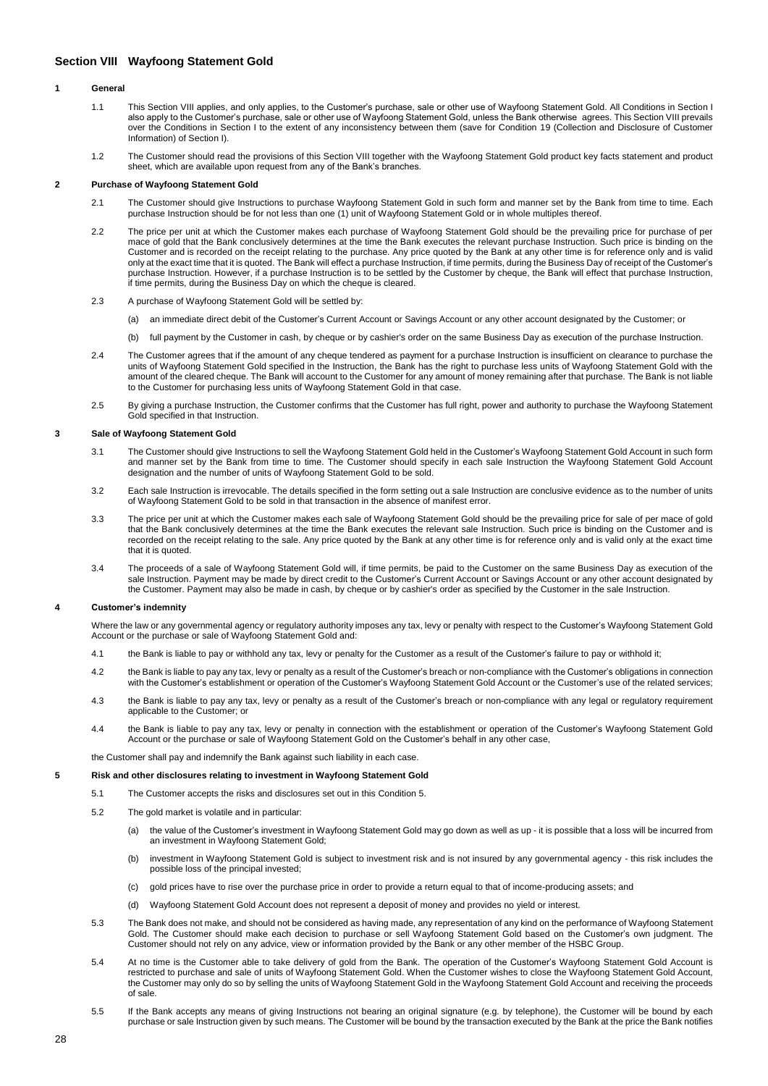# <span id="page-27-0"></span>**Section VIII Wayfoong Statement Gold**

## **1 General**

- 1.1 This Section VIII applies, and only applies, to the Customer's purchase, sale or other use of Wayfoong Statement Gold. All Conditions in Section I also apply to the Customer's purchase, sale or other use of Wayfoong Statement Gold, unless the Bank otherwise agrees. This Section VIII prevails over the Conditions in Section I to the extent of any inconsistency between them (save for Condition 19 (Collection and Disclosure of Customer Information) of Section I).
- 1.2 The Customer should read the provisions of this Section VIII together with the Wayfoong Statement Gold product key facts statement and product sheet, which are available upon request from any of the Bank's branches.

### **2 Purchase of Wayfoong Statement Gold**

- 2.1 The Customer should give Instructions to purchase Wayfoong Statement Gold in such form and manner set by the Bank from time to time. Each purchase Instruction should be for not less than one (1) unit of Wayfoong Statement Gold or in whole multiples thereof.
- 2.2 The price per unit at which the Customer makes each purchase of Wayfoong Statement Gold should be the prevailing price for purchase of per mace of gold that the Bank conclusively determines at the time the Bank executes the relevant purchase Instruction. Such price is binding on the Customer and is recorded on the receipt relating to the purchase. Any price quoted by the Bank at any other time is for reference only and is valid only at the exact time that it is quoted. The Bank will effect a purchase Instruction, if time permits, during the Business Day of receipt of the Customer's purchase Instruction. However, if a purchase Instruction is to be settled by the Customer by cheque, the Bank will effect that purchase Instruction, if time permits, during the Business Day on which the cheque is cleared.
- 2.3 A purchase of Wayfoong Statement Gold will be settled by:
	- (a) an immediate direct debit of the Customer's Current Account or Savings Account or any other account designated by the Customer; or
	- (b) full payment by the Customer in cash, by cheque or by cashier's order on the same Business Day as execution of the purchase Instruction.
- 2.4 The Customer agrees that if the amount of any cheque tendered as payment for a purchase Instruction is insufficient on clearance to purchase the units of Wayfoong Statement Gold specified in the Instruction, the Bank has the right to purchase less units of Wayfoong Statement Gold with the amount of the cleared cheque. The Bank will account to the Customer for any amount of money remaining after that purchase. The Bank is not liable to the Customer for purchasing less units of Wayfoong Statement Gold in that case.
- 2.5 By giving a purchase Instruction, the Customer confirms that the Customer has full right, power and authority to purchase the Wayfoong Statement Gold specified in that Instruction.

### **3 Sale of Wayfoong Statement Gold**

- 3.1 The Customer should give Instructions to sell the Wayfoong Statement Gold held in the Customer's Wayfoong Statement Gold Account in such form and manner set by the Bank from time to time. The Customer should specify in each sale Instruction the Wayfoong Statement Gold Account designation and the number of units of Wayfoong Statement Gold to be sold.
- 3.2 Each sale Instruction is irrevocable. The details specified in the form setting out a sale Instruction are conclusive evidence as to the number of units of Wayfoong Statement Gold to be sold in that transaction in the absence of manifest error.
- 3.3 The price per unit at which the Customer makes each sale of Wayfoong Statement Gold should be the prevailing price for sale of per mace of gold that the Bank conclusively determines at the time the Bank executes the relevant sale Instruction. Such price is binding on the Customer and is recorded on the receipt relating to the sale. Any price quoted by the Bank at any other time is for reference only and is valid only at the exact time that it is quoted
- 3.4 The proceeds of a sale of Wayfoong Statement Gold will, if time permits, be paid to the Customer on the same Business Day as execution of the sale Instruction. Payment may be made by direct credit to the Customer's Current Account or Savings Account or any other account designated by the Customer. Payment may also be made in cash, by cheque or by cashier's order as specified by the Customer in the sale Instruction.

### **4 Customer's indemnity**

Where the law or any governmental agency or regulatory authority imposes any tax, levy or penalty with respect to the Customer's Wayfoong Statement Gold Account or the purchase or sale of Wayfoong Statement Gold and:

- 4.1 the Bank is liable to pay or withhold any tax, levy or penalty for the Customer as a result of the Customer's failure to pay or withhold it;
- 4.2 the Bank is liable to pay any tax, levy or penalty as a result of the Customer's breach or non-compliance with the Customer's obligations in connection with the Customer's establishment or operation of the Customer's Wayfoong Statement Gold Account or the Customer's use of the related services;
- 4.3 the Bank is liable to pay any tax, levy or penalty as a result of the Customer's breach or non-compliance with any legal or regulatory requirement applicable to the Customer; or
- 4.4 the Bank is liable to pay any tax, levy or penalty in connection with the establishment or operation of the Customer's Wayfoong Statement Gold Account or the purchase or sale of Wayfoong Statement Gold on the Customer's behalf in any other case,

the Customer shall pay and indemnify the Bank against such liability in each case.

## **5 Risk and other disclosures relating to investment in Wayfoong Statement Gold**

- 5.1 The Customer accepts the risks and disclosures set out in this Condition 5.
- 5.2 The gold market is volatile and in particular:
	- (a) the value of the Customer's investment in Wayfoong Statement Gold may go down as well as up it is possible that a loss will be incurred from an investment in Wayfoong Statement Gold;
	- (b) investment in Wayfoong Statement Gold is subject to investment risk and is not insured by any governmental agency this risk includes the possible loss of the principal invested;
	- (c) gold prices have to rise over the purchase price in order to provide a return equal to that of income-producing assets; and
	- (d) Wayfoong Statement Gold Account does not represent a deposit of money and provides no yield or interest.
- 5.3 The Bank does not make, and should not be considered as having made, any representation of any kind on the performance of Wayfoong Statement Gold. The Customer should make each decision to purchase or sell Wayfoong Statement Gold based on the Customer's own judgment. The Customer should not rely on any advice, view or information provided by the Bank or any other member of the HSBC Group.
- 5.4 At no time is the Customer able to take delivery of gold from the Bank. The operation of the Customer's Wayfoong Statement Gold Account is restricted to purchase and sale of units of Wayfoong Statement Gold. When the Customer wishes to close the Wayfoong Statement Gold Account, the Customer may only do so by selling the units of Wayfoong Statement Gold in the Wayfoong Statement Gold Account and receiving the proceeds of sale.
- 5.5 If the Bank accepts any means of giving Instructions not bearing an original signature (e.g. by telephone), the Customer will be bound by each purchase or sale Instruction given by such means. The Customer will be bound by the transaction executed by the Bank at the price the Bank notifies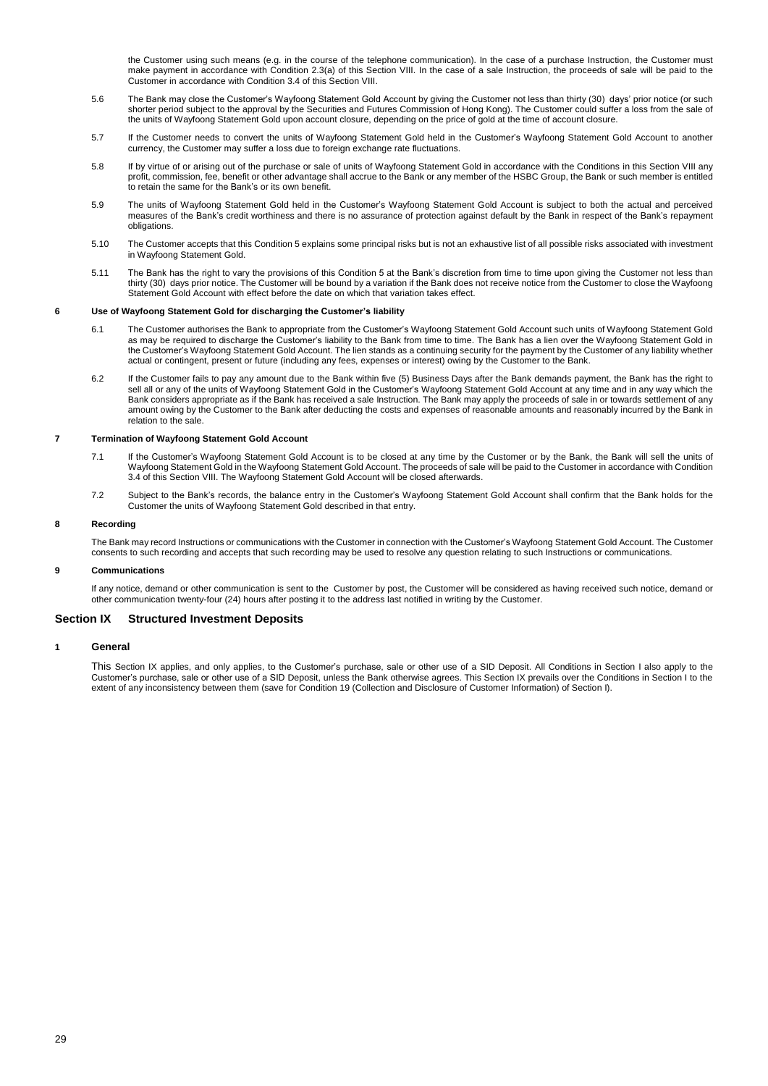the Customer using such means (e.g. in the course of the telephone communication). In the case of a purchase Instruction, the Customer must make payment in accordance with Condition 2.3(a) of this Section VIII. In the case of a sale Instruction, the proceeds of sale will be paid to the Customer in accordance with Condition 3.4 of this Section VIII.

- 5.6 The Bank may close the Customer's Wayfoong Statement Gold Account by giving the Customer not less than thirty (30) days' prior notice (or such shorter period subject to the approval by the Securities and Futures Commission of Hong Kong). The Customer could suffer a loss from the sale of the units of Wayfoong Statement Gold upon account closure, depending on the price of gold at the time of account closure.
- 5.7 If the Customer needs to convert the units of Wayfoong Statement Gold held in the Customer's Wayfoong Statement Gold Account to another currency, the Customer may suffer a loss due to foreign exchange rate fluctuations.
- 5.8 If by virtue of or arising out of the purchase or sale of units of Wayfoong Statement Gold in accordance with the Conditions in this Section VIII any profit, commission, fee, benefit or other advantage shall accrue to the Bank or any member of the HSBC Group, the Bank or such member is entitled to retain the same for the Bank's or its own benefit.
- 5.9 The units of Wayfoong Statement Gold held in the Customer's Wayfoong Statement Gold Account is subject to both the actual and perceived measures of the Bank's credit worthiness and there is no assurance of protection against default by the Bank in respect of the Bank's repayment obligations.
- 5.10 The Customer accepts that this Condition 5 explains some principal risks but is not an exhaustive list of all possible risks associated with investment in Wayfoong Statement Gold.
- 5.11 The Bank has the right to vary the provisions of this Condition 5 at the Bank's discretion from time to time upon giving the Customer not less than thirty (30) days prior notice. The Customer will be bound by a variation if the Bank does not receive notice from the Customer to close the Wayfoong Statement Gold Account with effect before the date on which that variation takes effect.

## **6 Use of Wayfoong Statement Gold for discharging the Customer's liability**

- 6.1 The Customer authorises the Bank to appropriate from the Customer's Wayfoong Statement Gold Account such units of Wayfoong Statement Gold as may be required to discharge the Customer's liability to the Bank from time to time. The Bank has a lien over the Wayfoong Statement Gold in the Customer's Wayfoong Statement Gold Account. The lien stands as a continuing security for the payment by the Customer of any liability whether actual or contingent, present or future (including any fees, expenses or interest) owing by the Customer to the Bank.
- 6.2 If the Customer fails to pay any amount due to the Bank within five (5) Business Days after the Bank demands payment, the Bank has the right to sell all or any of the units of Wayfoong Statement Gold in the Customer's Wayfoong Statement Gold Account at any time and in any way which the Bank considers appropriate as if the Bank has received a sale Instruction. The Bank may apply the proceeds of sale in or towards settlement of any amount owing by the Customer to the Bank after deducting the costs and expenses of reasonable amounts and reasonably incurred by the Bank in relation to the sale.

## **7 Termination of Wayfoong Statement Gold Account**

- 7.1 If the Customer's Wayfoong Statement Gold Account is to be closed at any time by the Customer or by the Bank, the Bank will sell the units of Wayfoong Statement Gold in the Wayfoong Statement Gold Account. The proceeds of sale will be paid to the Customer in accordance with Condition 3.4 of this Section VIII. The Wayfoong Statement Gold Account will be closed afterwards.
- 7.2 Subject to the Bank's records, the balance entry in the Customer's Wayfoong Statement Gold Account shall confirm that the Bank holds for the Customer the units of Wayfoong Statement Gold described in that entry.

### **8 Recording**

The Bank may record Instructions or communications with the Customer in connection with the Customer's Wayfoong Statement Gold Account. The Customer consents to such recording and accepts that such recording may be used to resolve any question relating to such Instructions or communications.

### **9 Communications**

If any notice, demand or other communication is sent to the Customer by post, the Customer will be considered as having received such notice, demand or other communication twenty-four (24) hours after posting it to the address last notified in writing by the Customer.

# <span id="page-28-0"></span>**Section IX Structured Investment Deposits**

## **1 General**

This Section IX applies, and only applies, to the Customer's purchase, sale or other use of a SID Deposit. All Conditions in Section I also apply to the Customer's purchase, sale or other use of a SID Deposit, unless the Bank otherwise agrees. This Section IX prevails over the Conditions in Section I to the extent of any inconsistency between them (save for Condition 19 (Collection and Disclosure of Customer Information) of Section I).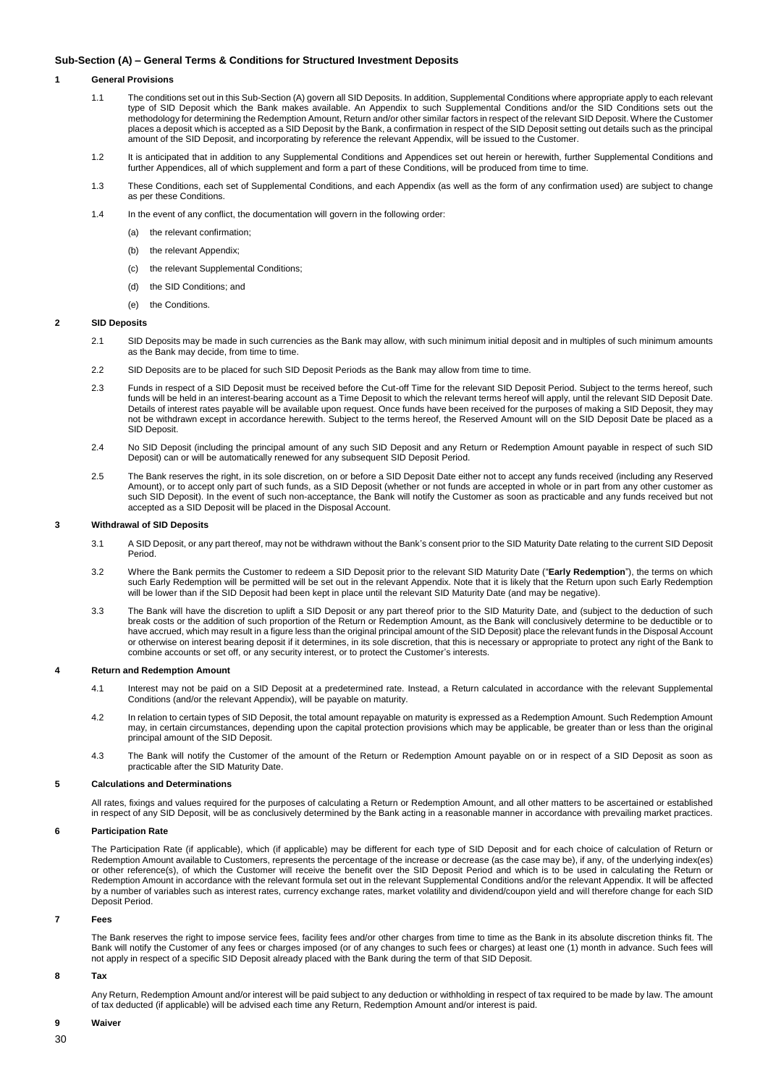## **Sub-Section (A) – General Terms & Conditions for Structured Investment Deposits**

# **1 General Provisions**

- 1.1 The conditions set out in this Sub-Section (A) govern all SID Deposits. In addition, Supplemental Conditions where appropriate apply to each relevant type of SID Deposit which the Bank makes available. An Appendix to such Supplemental Conditions and/or the SID Conditions sets out the methodology for determining the Redemption Amount, Return and/or other similar factors in respect of the relevant SID Deposit. Where the Customer places a deposit which is accepted as a SID Deposit by the Bank, a confirmation in respect of the SID Deposit setting out details such as the principal amount of the SID Deposit, and incorporating by reference the relevant Appendix, will be issued to the Customer.
- 1.2 It is anticipated that in addition to any Supplemental Conditions and Appendices set out herein or herewith, further Supplemental Conditions and further Appendices, all of which supplement and form a part of these Conditions, will be produced from time to time.
- 1.3 These Conditions, each set of Supplemental Conditions, and each Appendix (as well as the form of any confirmation used) are subject to change as per these Conditions.
- 1.4 In the event of any conflict, the documentation will govern in the following order:
	- (a) the relevant confirmation;
	- (b) the relevant Appendix;
	- (c) the relevant Supplemental Conditions;
	- (d) the SID Conditions; and
	- (e) the Conditions.

### **2 SID Deposits**

- 2.1 SID Deposits may be made in such currencies as the Bank may allow, with such minimum initial deposit and in multiples of such minimum amounts as the Bank may decide, from time to time.
- 2.2 SID Deposits are to be placed for such SID Deposit Periods as the Bank may allow from time to time.
- 2.3 Funds in respect of a SID Deposit must be received before the Cut-off Time for the relevant SID Deposit Period. Subject to the terms hereof, such funds will be held in an interest-bearing account as a Time Deposit to which the relevant terms hereof will apply, until the relevant SID Deposit Date. Details of interest rates payable will be available upon request. Once funds have been received for the purposes of making a SID Deposit, they may not be withdrawn except in accordance herewith. Subject to the terms hereof, the Reserved Amount will on the SID Deposit Date be placed as a SID Deposit.
- 2.4 No SID Deposit (including the principal amount of any such SID Deposit and any Return or Redemption Amount payable in respect of such SID Deposit) can or will be automatically renewed for any subsequent SID Deposit Period.
- 2.5 The Bank reserves the right, in its sole discretion, on or before a SID Deposit Date either not to accept any funds received (including any Reserved Amount), or to accept only part of such funds, as a SID Deposit (whether or not funds are accepted in whole or in part from any other customer as such SID Deposit). In the event of such non-acceptance, the Bank will notify the Customer as soon as practicable and any funds received but not accepted as a SID Deposit will be placed in the Disposal Account.

### **3 Withdrawal of SID Deposits**

- 3.1 A SID Deposit, or any part thereof, may not be withdrawn without the Bank's consent prior to the SID Maturity Date relating to the current SID Deposit Period.
- 3.2 Where the Bank permits the Customer to redeem a SID Deposit prior to the relevant SID Maturity Date ("**Early Redemption**"), the terms on which such Early Redemption will be permitted will be set out in the relevant Appendix. Note that it is likely that the Return upon such Early Redemption will be lower than if the SID Deposit had been kept in place until the relevant SID Maturity Date (and may be negative).
- 3.3 The Bank will have the discretion to uplift a SID Deposit or any part thereof prior to the SID Maturity Date, and (subject to the deduction of such break costs or the addition of such proportion of the Return or Redemption Amount, as the Bank will conclusively determine to be deductible or to have accrued, which may result in a figure less than the original principal amount of the SID Deposit) place the relevant funds in the Disposal Account or otherwise on interest bearing deposit if it determines, in its sole discretion, that this is necessary or appropriate to protect any right of the Bank to combine accounts or set off, or any security interest, or to protect the Customer's interests.

### **4 Return and Redemption Amount**

- 4.1 Interest may not be paid on a SID Deposit at a predetermined rate. Instead, a Return calculated in accordance with the relevant Supplemental Conditions (and/or the relevant Appendix), will be payable on maturity.
- 4.2 In relation to certain types of SID Deposit, the total amount repayable on maturity is expressed as a Redemption Amount. Such Redemption Amount may, in certain circumstances, depending upon the capital protection provisions which may be applicable, be greater than or less than the original principal amount of the SID Deposit.
- 4.3 The Bank will notify the Customer of the amount of the Return or Redemption Amount payable on or in respect of a SID Deposit as soon as practicable after the SID Maturity Date.

## **5 Calculations and Determinations**

All rates, fixings and values required for the purposes of calculating a Return or Redemption Amount, and all other matters to be ascertained or established in respect of any SID Deposit, will be as conclusively determined by the Bank acting in a reasonable manner in accordance with prevailing market practices.

### **6 Participation Rate**

The Participation Rate (if applicable), which (if applicable) may be different for each type of SID Deposit and for each choice of calculation of Return or Redemption Amount available to Customers, represents the percentage of the increase or decrease (as the case may be), if any, of the underlying index(es) or other reference(s), of which the Customer will receive the benefit over the SID Deposit Period and which is to be used in calculating the Return or Redemption Amount in accordance with the relevant formula set out in the relevant Supplemental Conditions and/or the relevant Appendix. It will be affected by a number of variables such as interest rates, currency exchange rates, market volatility and dividend/coupon yield and will therefore change for each SID Deposit Period.

#### **7 Fees**

The Bank reserves the right to impose service fees, facility fees and/or other charges from time to time as the Bank in its absolute discretion thinks fit. The Bank will notify the Customer of any fees or charges imposed (or of any changes to such fees or charges) at least one (1) month in advance. Such fees will not apply in respect of a specific SID Deposit already placed with the Bank during the term of that SID Deposit.

### **8 Tax**

Any Return, Redemption Amount and/or interest will be paid subject to any deduction or withholding in respect of tax required to be made by law. The amount of tax deducted (if applicable) will be advised each time any Return, Redemption Amount and/or interest is paid.

#### **9 Waiver**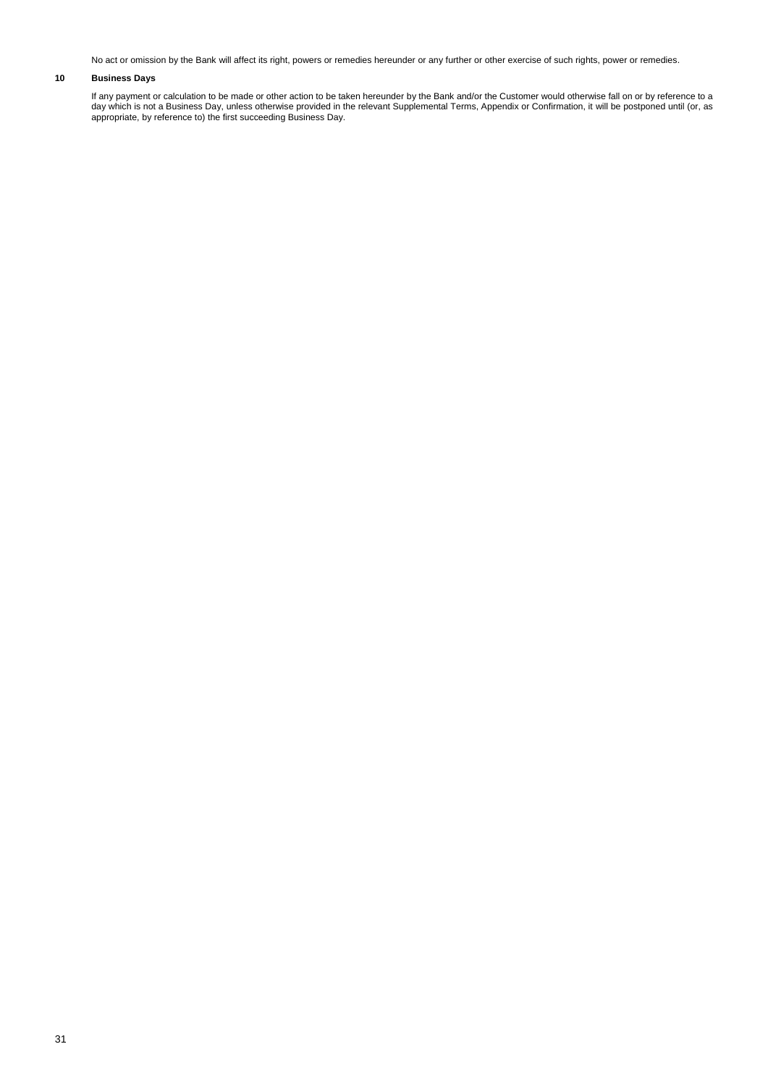No act or omission by the Bank will affect its right, powers or remedies hereunder or any further or other exercise of such rights, power or remedies.

# **10 Business Days**

If any payment or calculation to be made or other action to be taken hereunder by the Bank and/or the Customer would otherwise fall on or by reference to a day which is not a Business Day, unless otherwise provided in the relevant Supplemental Terms, Appendix or Confirmation, it will be postponed until (or, as appropriate, by reference to) the first succeeding Business Day.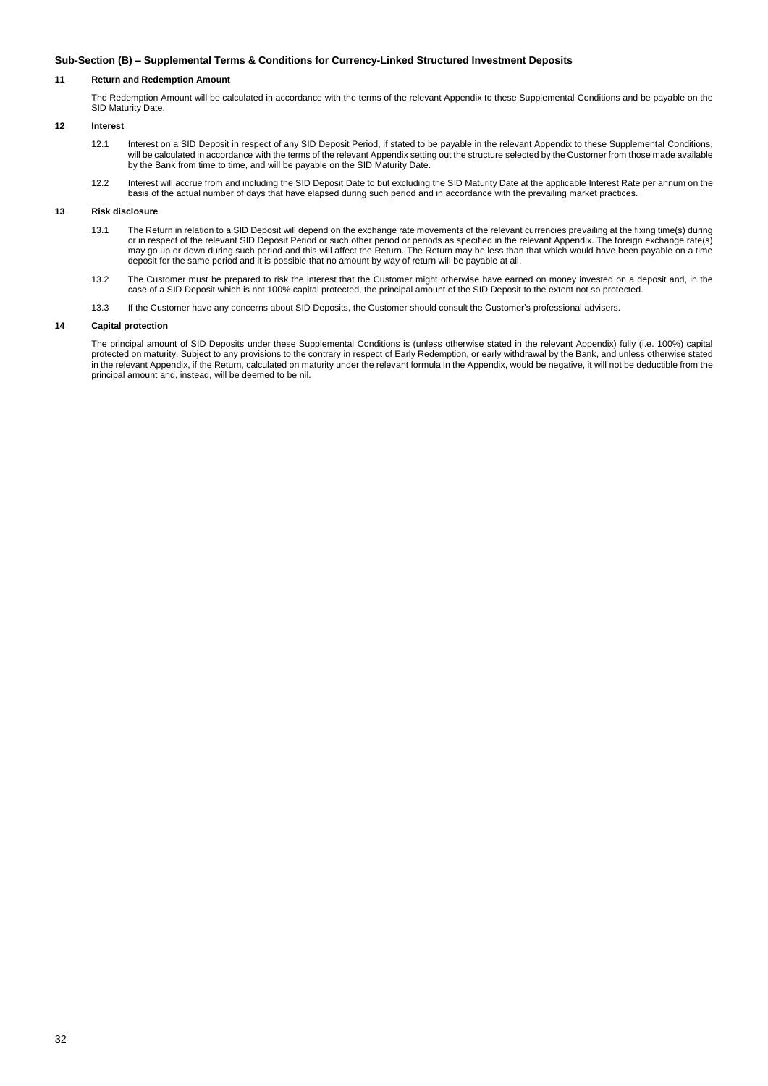## **Sub-Section (B) – Supplemental Terms & Conditions for Currency-Linked Structured Investment Deposits**

# **11 Return and Redemption Amount**

The Redemption Amount will be calculated in accordance with the terms of the relevant Appendix to these Supplemental Conditions and be payable on the SID Maturity Date.

# **12 Interest**

- 12.1 Interest on a SID Deposit in respect of any SID Deposit Period, if stated to be payable in the relevant Appendix to these Supplemental Conditions, will be calculated in accordance with the terms of the relevant Appendix setting out the structure selected by the Customer from those made available by the Bank from time to time, and will be payable on the SID Maturity Date.
- 12.2 Interest will accrue from and including the SID Deposit Date to but excluding the SID Maturity Date at the applicable Interest Rate per annum on the basis of the actual number of days that have elapsed during such period and in accordance with the prevailing market practices.

### **13 Risk disclosure**

- 13.1 The Return in relation to a SID Deposit will depend on the exchange rate movements of the relevant currencies prevailing at the fixing time(s) during or in respect of the relevant SID Deposit Period or such other period or periods as specified in the relevant Appendix. The foreign exchange rate(s) may go up or down during such period and this will affect the Return. The Return may be less than that which would have been payable on a time deposit for the same period and it is possible that no amount by way of return will be payable at all.
- 13.2 The Customer must be prepared to risk the interest that the Customer might otherwise have earned on money invested on a deposit and, in the case of a SID Deposit which is not 100% capital protected, the principal amount of the SID Deposit to the extent not so protected.
- 13.3 If the Customer have any concerns about SID Deposits, the Customer should consult the Customer's professional advisers.

## **14 Capital protection**

The principal amount of SID Deposits under these Supplemental Conditions is (unless otherwise stated in the relevant Appendix) fully (i.e. 100%) capital protected on maturity. Subject to any provisions to the contrary in respect of Early Redemption, or early withdrawal by the Bank, and unless otherwise stated in the relevant Appendix, if the Return, calculated on maturity under the relevant formula in the Appendix, would be negative, it will not be deductible from the principal amount and, instead, will be deemed to be nil.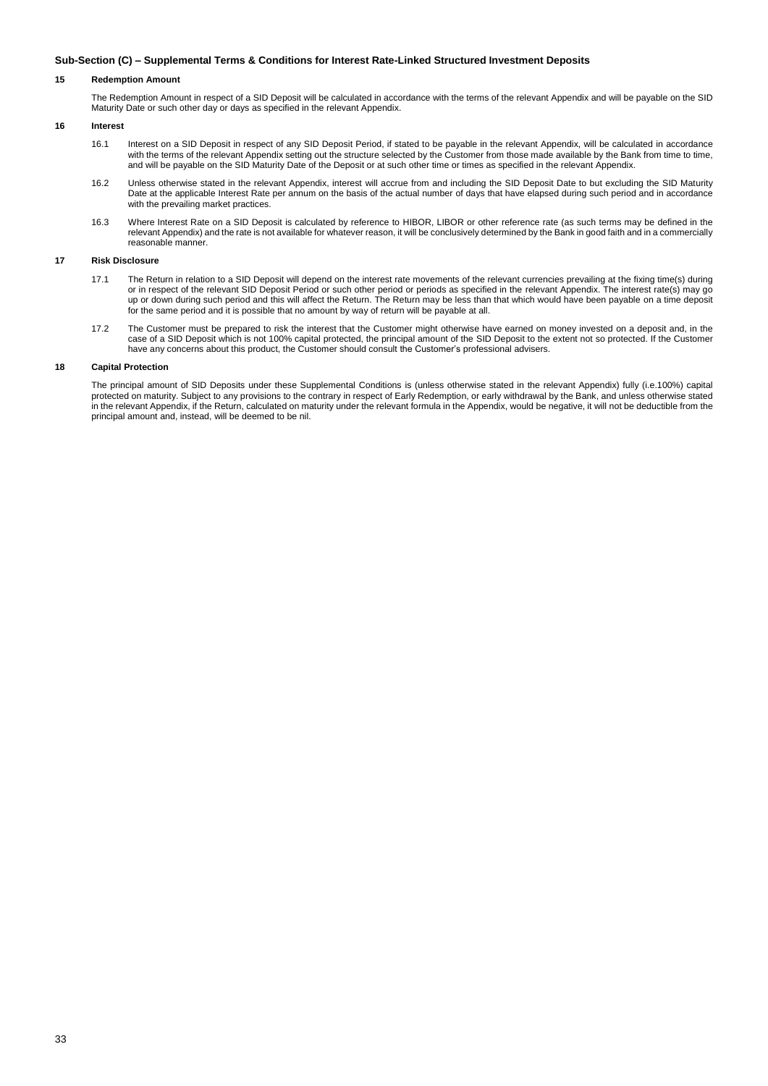## **Sub-Section (C) – Supplemental Terms & Conditions for Interest Rate-Linked Structured Investment Deposits**

## **15 Redemption Amount**

The Redemption Amount in respect of a SID Deposit will be calculated in accordance with the terms of the relevant Appendix and will be payable on the SID Maturity Date or such other day or days as specified in the relevant Appendix.

# **16 Interest**

- 16.1 Interest on a SID Deposit in respect of any SID Deposit Period, if stated to be payable in the relevant Appendix, will be calculated in accordance with the terms of the relevant Appendix setting out the structure selected by the Customer from those made available by the Bank from time to time, and will be payable on the SID Maturity Date of the Deposit or at such other time or times as specified in the relevant Appendix.
- 16.2 Unless otherwise stated in the relevant Appendix, interest will accrue from and including the SID Deposit Date to but excluding the SID Maturity Date at the applicable Interest Rate per annum on the basis of the actual number of days that have elapsed during such period and in accordance with the prevailing market practices.
- 16.3 Where Interest Rate on a SID Deposit is calculated by reference to HIBOR, LIBOR or other reference rate (as such terms may be defined in the relevant Appendix) and the rate is not available for whatever reason, it will be conclusively determined by the Bank in good faith and in a commercially reasonable manner.

# **17 Risk Disclosure**

- 17.1 The Return in relation to a SID Deposit will depend on the interest rate movements of the relevant currencies prevailing at the fixing time(s) during or in respect of the relevant SID Deposit Period or such other period or periods as specified in the relevant Appendix. The interest rate(s) may go up or down during such period and this will affect the Return. The Return may be less than that which would have been payable on a time deposit for the same period and it is possible that no amount by way of return will be payable at all.
- 17.2 The Customer must be prepared to risk the interest that the Customer might otherwise have earned on money invested on a deposit and, in the case of a SID Deposit which is not 100% capital protected, the principal amount of the SID Deposit to the extent not so protected. If the Customer have any concerns about this product, the Customer should consult the Customer's professional advisers.

## **18 Capital Protection**

The principal amount of SID Deposits under these Supplemental Conditions is (unless otherwise stated in the relevant Appendix) fully (i.e.100%) capital protected on maturity. Subject to any provisions to the contrary in respect of Early Redemption, or early withdrawal by the Bank, and unless otherwise stated in the relevant Appendix, if the Return, calculated on maturity under the relevant formula in the Appendix, would be negative, it will not be deductible from the principal amount and, instead, will be deemed to be nil.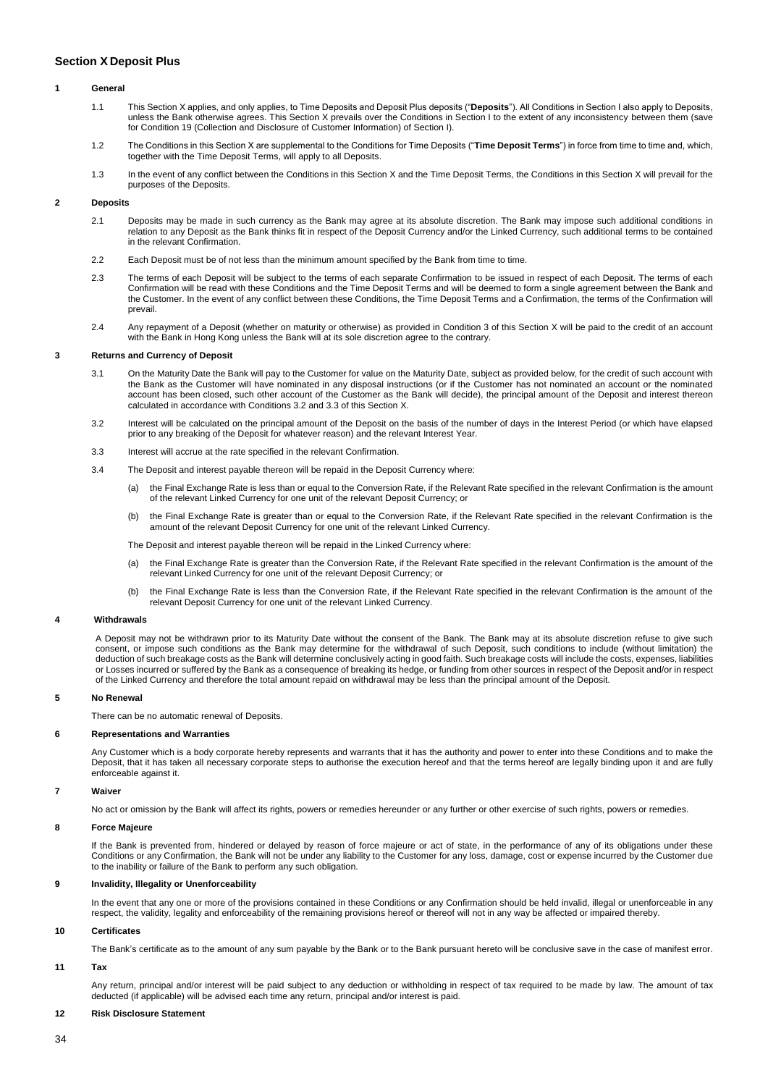# <span id="page-33-0"></span>**Section X Deposit Plus**

### **1 General**

- 1.1 This Section X applies, and only applies, to Time Deposits and Deposit Plus deposits ("**Deposits**"). All Conditions in Section I also apply to Deposits, unless the Bank otherwise agrees. This Section X prevails over the Conditions in Section I to the extent of any inconsistency between them (save for Condition 19 (Collection and Disclosure of Customer Information) of Section I).
- 1.2 The Conditions in this Section X are supplemental to the Conditions for Time Deposits ("**Time Deposit Terms**") in force from time to time and, which, together with the Time Deposit Terms, will apply to all Deposits.
- 1.3 In the event of any conflict between the Conditions in this Section X and the Time Deposit Terms, the Conditions in this Section X will prevail for the purposes of the Deposits.

# **2 Deposits**

- 2.1 Deposits may be made in such currency as the Bank may agree at its absolute discretion. The Bank may impose such additional conditions in relation to any Deposit as the Bank thinks fit in respect of the Deposit Currency and/or the Linked Currency, such additional terms to be contained in the relevant Confirmation.
- 2.2 Each Deposit must be of not less than the minimum amount specified by the Bank from time to time.
- 2.3 The terms of each Deposit will be subject to the terms of each separate Confirmation to be issued in respect of each Deposit. The terms of each Confirmation will be read with these Conditions and the Time Deposit Terms and will be deemed to form a single agreement between the Bank and the Customer. In the event of any conflict between these Conditions, the Time Deposit Terms and a Confirmation, the terms of the Confirmation will prevail.
- 2.4 Any repayment of a Deposit (whether on maturity or otherwise) as provided in Condition 3 of this Section X will be paid to the credit of an account with the Bank in Hong Kong unless the Bank will at its sole discretion agree to the contrary.

# **3 Returns and Currency of Deposit**

- 3.1 On the Maturity Date the Bank will pay to the Customer for value on the Maturity Date, subject as provided below, for the credit of such account with the Bank as the Customer will have nominated in any disposal instructions (or if the Customer has not nominated an account or the nominated account has been closed, such other account of the Customer as the Bank will decide), the principal amount of the Deposit and interest thereon calculated in accordance with Conditions 3.2 and 3.3 of this Section X.
- 3.2 Interest will be calculated on the principal amount of the Deposit on the basis of the number of days in the Interest Period (or which have elapsed prior to any breaking of the Deposit for whatever reason) and the relevant Interest Year.
- 3.3 Interest will accrue at the rate specified in the relevant Confirmation.
- 3.4 The Deposit and interest payable thereon will be repaid in the Deposit Currency where:
	- (a) the Final Exchange Rate is less than or equal to the Conversion Rate, if the Relevant Rate specified in the relevant Confirmation is the amount of the relevant Linked Currency for one unit of the relevant Deposit Currency; or
	- (b) the Final Exchange Rate is greater than or equal to the Conversion Rate, if the Relevant Rate specified in the relevant Confirmation is the amount of the relevant Deposit Currency for one unit of the relevant Linked Currency.
	- The Deposit and interest payable thereon will be repaid in the Linked Currency where:
	- (a) the Final Exchange Rate is greater than the Conversion Rate, if the Relevant Rate specified in the relevant Confirmation is the amount of the relevant Linked Currency for one unit of the relevant Deposit Currency; or
	- (b) the Final Exchange Rate is less than the Conversion Rate, if the Relevant Rate specified in the relevant Confirmation is the amount of the relevant Deposit Currency for one unit of the relevant Linked Currency.

### **4 Withdrawals**

A Deposit may not be withdrawn prior to its Maturity Date without the consent of the Bank. The Bank may at its absolute discretion refuse to give such consent, or impose such conditions as the Bank may determine for the withdrawal of such Deposit, such conditions to include (without limitation) the deduction of such breakage costs as the Bank will determine conclusively acting in good faith. Such breakage costs will include the costs, expenses, liabilities or Losses incurred or suffered by the Bank as a consequence of breaking its hedge, or funding from other sources in respect of the Deposit and/or in respect of the Linked Currency and therefore the total amount repaid on withdrawal may be less than the principal amount of the Deposit.

# **5 No Renewal**

There can be no automatic renewal of Deposits.

### **6 Representations and Warranties**

Any Customer which is a body corporate hereby represents and warrants that it has the authority and power to enter into these Conditions and to make the Deposit, that it has taken all necessary corporate steps to authorise the execution hereof and that the terms hereof are legally binding upon it and are fully enforceable against it.

#### **7 Waiver**

No act or omission by the Bank will affect its rights, powers or remedies hereunder or any further or other exercise of such rights, powers or remedies.

### **8 Force Majeure**

If the Bank is prevented from, hindered or delayed by reason of force majeure or act of state, in the performance of any of its obligations under these Conditions or any Confirmation, the Bank will not be under any liability to the Customer for any loss, damage, cost or expense incurred by the Customer due to the inability or failure of the Bank to perform any such obligation.

# **9 Invalidity, Illegality or Unenforceability**

In the event that any one or more of the provisions contained in these Conditions or any Confirmation should be held invalid, illegal or unenforceable in any respect, the validity, legality and enforceability of the remaining provisions hereof or thereof will not in any way be affected or impaired thereby.

## **10 Certificates**

The Bank's certificate as to the amount of any sum payable by the Bank or to the Bank pursuant hereto will be conclusive save in the case of manifest error.

# **11 Tax**

Any return, principal and/or interest will be paid subject to any deduction or withholding in respect of tax required to be made by law. The amount of tax deducted (if applicable) will be advised each time any return, principal and/or interest is paid.

# **12 Risk Disclosure Statement**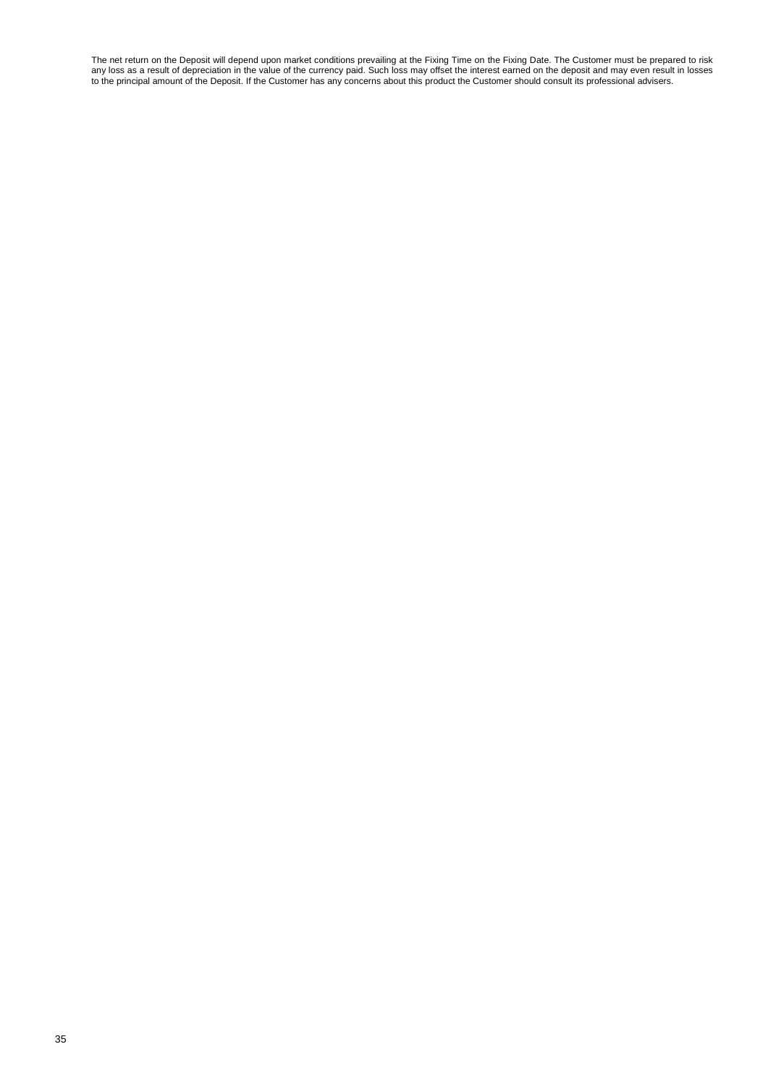The net return on the Deposit will depend upon market conditions prevailing at the Fixing Time on the Fixing Date. The Customer must be prepared to risk any loss as a result of depreciation in the value of the currency paid. Such loss may offset the interest earned on the deposit and may even result in losses to the principal amount of the Deposit. If the Customer has any concerns about this product the Customer should consult its professional advisers.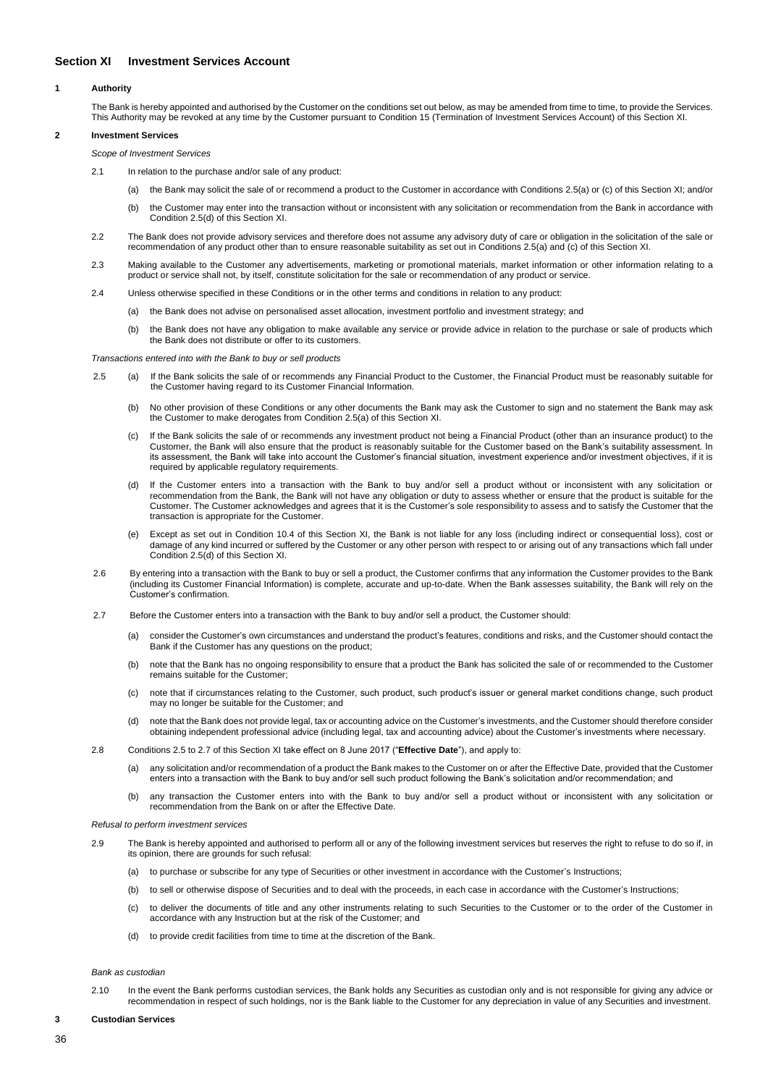# <span id="page-35-0"></span>**Section XI Investment Services Account**

### **1 Authority**

The Bank is hereby appointed and authorised by the Customer on the conditions set out below, as may be amended from time to time, to provide the Services. This Authority may be revoked at any time by the Customer pursuant to Condition 15 (Termination of Investment Services Account) of this Section XI.

# **2 Investment Services**

- *Scope of Investment Services*
- 2.1 In relation to the purchase and/or sale of any product:
	- (a) the Bank may solicit the sale of or recommend a product to the Customer in accordance with Conditions 2.5(a) or (c) of this Section XI; and/or
	- (b) the Customer may enter into the transaction without or inconsistent with any solicitation or recommendation from the Bank in accordance with Condition 2.5(d) of this Section XI.
- 2.2 The Bank does not provide advisory services and therefore does not assume any advisory duty of care or obligation in the solicitation of the sale or recommendation of any product other than to ensure reasonable suitability as set out in Conditions 2.5(a) and (c) of this Section XI.
- 2.3 Making available to the Customer any advertisements, marketing or promotional materials, market information or other information relating to a product or service shall not, by itself, constitute solicitation for the sale or recommendation of any product or service.
- 2.4 Unless otherwise specified in these Conditions or in the other terms and conditions in relation to any product:
	- (a) the Bank does not advise on personalised asset allocation, investment portfolio and investment strategy; and
	- (b) the Bank does not have any obligation to make available any service or provide advice in relation to the purchase or sale of products which the Bank does not distribute or offer to its customers.

*Transactions entered into with the Bank to buy or sell products*

- 2.5 (a) If the Bank solicits the sale of or recommends any Financial Product to the Customer, the Financial Product must be reasonably suitable for the Customer having regard to its Customer Financial Information.
	- (b) No other provision of these Conditions or any other documents the Bank may ask the Customer to sign and no statement the Bank may ask the Customer to make derogates from Condition 2.5(a) of this Section XI.
	- (c) If the Bank solicits the sale of or recommends any investment product not being a Financial Product (other than an insurance product) to the Customer, the Bank will also ensure that the product is reasonably suitable for the Customer based on the Bank's suitability assessment. In its assessment, the Bank will take into account the Customer's financial situation, investment experience and/or investment objectives, if it is required by applicable regulatory requirements.
	- (d) If the Customer enters into a transaction with the Bank to buy and/or sell a product without or inconsistent with any solicitation or recommendation from the Bank, the Bank will not have any obligation or duty to assess whether or ensure that the product is suitable for the Customer. The Customer acknowledges and agrees that it is the Customer's sole responsibility to assess and to satisfy the Customer that the transaction is appropriate for the Customer.
	- Except as set out in Condition 10.4 of this Section XI, the Bank is not liable for any loss (including indirect or consequential loss), cost or damage of any kind incurred or suffered by the Customer or any other person with respect to or arising out of any transactions which fall under Condition 2.5(d) of this Section XI.
- 2.6 By entering into a transaction with the Bank to buy or sell a product, the Customer confirms that any information the Customer provides to the Bank (including its Customer Financial Information) is complete, accurate and up-to-date. When the Bank assesses suitability, the Bank will rely on the Customer's confirmation.
- 2.7 Before the Customer enters into a transaction with the Bank to buy and/or sell a product, the Customer should:
	- (a) consider the Customer's own circumstances and understand the product's features, conditions and risks, and the Customer should contact the Bank if the Customer has any questions on the product;
	- (b) note that the Bank has no ongoing responsibility to ensure that a product the Bank has solicited the sale of or recommended to the Customer remains suitable for the Customer;
	- (c) note that if circumstances relating to the Customer, such product, such product's issuer or general market conditions change, such product may no longer be suitable for the Customer; and
	- (d) note that the Bank does not provide legal, tax or accounting advice on the Customer's investments, and the Customer should therefore consider obtaining independent professional advice (including legal, tax and accounting advice) about the Customer's investments where necessary.
- 2.8 Conditions 2.5 to 2.7 of this Section XI take effect on 8 June 2017 ("**Effective Date**"), and apply to:
	- (a) any solicitation and/or recommendation of a product the Bank makes to the Customer on or after the Effective Date, provided that the Customer enters into a transaction with the Bank to buy and/or sell such product following the Bank's solicitation and/or recommendation; and
	- (b) any transaction the Customer enters into with the Bank to buy and/or sell a product without or inconsistent with any solicitation or recommendation from the Bank on or after the Effective Date.

*Refusal to perform investment services*

- 2.9 The Bank is hereby appointed and authorised to perform all or any of the following investment services but reserves the right to refuse to do so if, in its opinion, there are grounds for such refusal:
	- (a) to purchase or subscribe for any type of Securities or other investment in accordance with the Customer's Instructions;
	- (b) to sell or otherwise dispose of Securities and to deal with the proceeds, in each case in accordance with the Customer's Instructions;
	- (c) to deliver the documents of title and any other instruments relating to such Securities to the Customer or to the order of the Customer in accordance with any Instruction but at the risk of the Customer; and
	- (d) to provide credit facilities from time to time at the discretion of the Bank.

*Bank as custodian*

2.10 In the event the Bank performs custodian services, the Bank holds any Securities as custodian only and is not responsible for giving any advice or recommendation in respect of such holdings, nor is the Bank liable to the Customer for any depreciation in value of any Securities and investment.

**3 Custodian Services**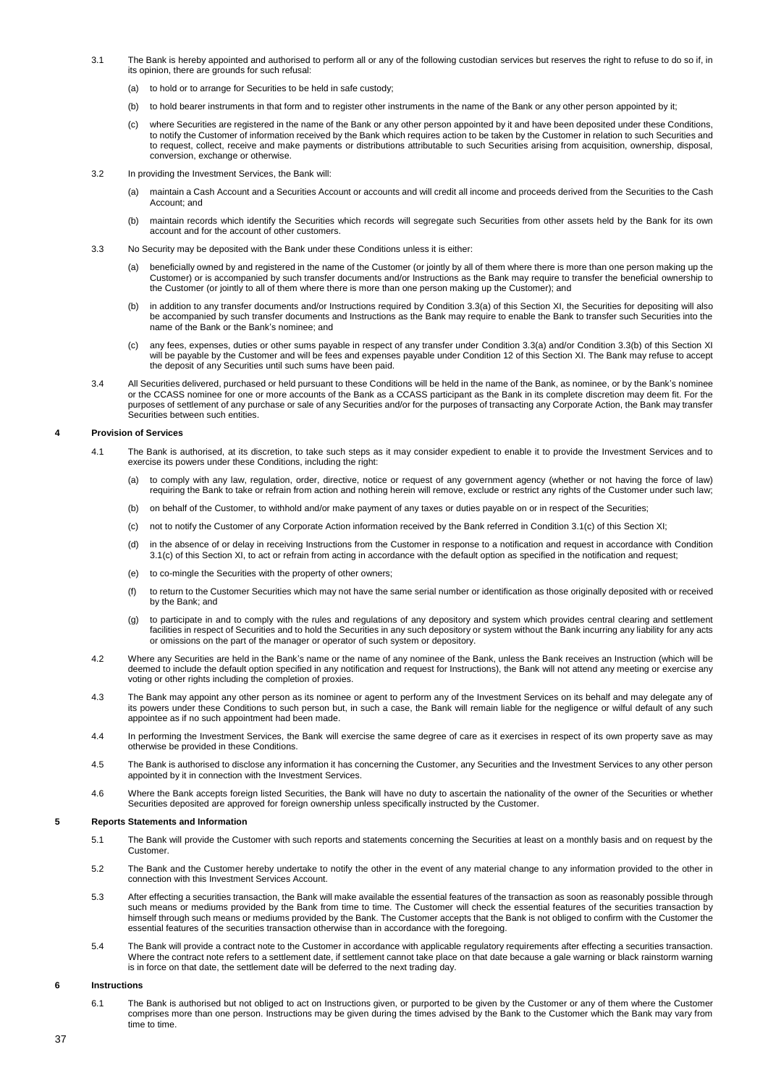- 3.1 The Bank is hereby appointed and authorised to perform all or any of the following custodian services but reserves the right to refuse to do so if, in its opinion, there are grounds for such refusal:
	- (a) to hold or to arrange for Securities to be held in safe custody;
	- (b) to hold bearer instruments in that form and to register other instruments in the name of the Bank or any other person appointed by it;
	- (c) where Securities are registered in the name of the Bank or any other person appointed by it and have been deposited under these Conditions, to notify the Customer of information received by the Bank which requires action to be taken by the Customer in relation to such Securities and to request, collect, receive and make payments or distributions attributable to such Securities arising from acquisition, ownership, disposal, conversion, exchange or otherwise.
- 3.2 In providing the Investment Services, the Bank will:
	- (a) maintain a Cash Account and a Securities Account or accounts and will credit all income and proceeds derived from the Securities to the Cash Account; and
	- (b) maintain records which identify the Securities which records will segregate such Securities from other assets held by the Bank for its own account and for the account of other customers.
- 3.3 No Security may be deposited with the Bank under these Conditions unless it is either:
	- (a) beneficially owned by and registered in the name of the Customer (or jointly by all of them where there is more than one person making up the Customer) or is accompanied by such transfer documents and/or Instructions as the Bank may require to transfer the beneficial ownership to the Customer (or jointly to all of them where there is more than one person making up the Customer); and
	- (b) in addition to any transfer documents and/or Instructions required by Condition 3.3(a) of this Section XI, the Securities for depositing will also be accompanied by such transfer documents and Instructions as the Bank may require to enable the Bank to transfer such Securities into the name of the Bank or the Bank's nominee; and
	- (c) any fees, expenses, duties or other sums payable in respect of any transfer under Condition 3.3(a) and/or Condition 3.3(b) of this Section XI will be payable by the Customer and will be fees and expenses payable under Condition 12 of this Section XI. The Bank may refuse to accept the deposit of any Securities until such sums have been paid.
- 3.4 All Securities delivered, purchased or held pursuant to these Conditions will be held in the name of the Bank, as nominee, or by the Bank's nominee or the CCASS nominee for one or more accounts of the Bank as a CCASS participant as the Bank in its complete discretion may deem fit. For the purposes of settlement of any purchase or sale of any Securities and/or for the purposes of transacting any Corporate Action, the Bank may transfer Securities between such entities.

### **4 Provision of Services**

- 4.1 The Bank is authorised, at its discretion, to take such steps as it may consider expedient to enable it to provide the Investment Services and to exercise its powers under these Conditions, including the right:
	- (a) to comply with any law, regulation, order, directive, notice or request of any government agency (whether or not having the force of law) requiring the Bank to take or refrain from action and nothing herein will remove, exclude or restrict any rights of the Customer under such law;
	- (b) on behalf of the Customer, to withhold and/or make payment of any taxes or duties payable on or in respect of the Securities;
	- (c) not to notify the Customer of any Corporate Action information received by the Bank referred in Condition 3.1(c) of this Section XI;
	- (d) in the absence of or delay in receiving Instructions from the Customer in response to a notification and request in accordance with Condition 3.1(c) of this Section XI, to act or refrain from acting in accordance with the default option as specified in the notification and request;
	- (e) to co-mingle the Securities with the property of other owners;
	- (f) to return to the Customer Securities which may not have the same serial number or identification as those originally deposited with or received by the Bank; and
	- (g) to participate in and to comply with the rules and regulations of any depository and system which provides central clearing and settlement facilities in respect of Securities and to hold the Securities in any such depository or system without the Bank incurring any liability for any acts or omissions on the part of the manager or operator of such system or depository.
- 4.2 Where any Securities are held in the Bank's name or the name of any nominee of the Bank, unless the Bank receives an Instruction (which will be deemed to include the default option specified in any notification and request for Instructions), the Bank will not attend any meeting or exercise any voting or other rights including the completion of proxies.
- 4.3 The Bank may appoint any other person as its nominee or agent to perform any of the Investment Services on its behalf and may delegate any of its powers under these Conditions to such person but, in such a case, the Bank will remain liable for the negligence or wilful default of any such appointee as if no such appointment had been made.
- 4.4 In performing the Investment Services, the Bank will exercise the same degree of care as it exercises in respect of its own property save as may otherwise be provided in these Conditions.
- 4.5 The Bank is authorised to disclose any information it has concerning the Customer, any Securities and the Investment Services to any other person appointed by it in connection with the Investment Services.
- 4.6 Where the Bank accepts foreign listed Securities, the Bank will have no duty to ascertain the nationality of the owner of the Securities or whether Securities deposited are approved for foreign ownership unless specifically instructed by the Customer.

### **5 Reports Statements and Information**

- 5.1 The Bank will provide the Customer with such reports and statements concerning the Securities at least on a monthly basis and on request by the Customer.
- 5.2 The Bank and the Customer hereby undertake to notify the other in the event of any material change to any information provided to the other in connection with this Investment Services Account.
- 5.3 After effecting a securities transaction, the Bank will make available the essential features of the transaction as soon as reasonably possible through such means or mediums provided by the Bank from time to time. The Customer will check the essential features of the securities transaction by himself through such means or mediums provided by the Bank. The Customer accepts that the Bank is not obliged to confirm with the Customer the essential features of the securities transaction otherwise than in accordance with the foregoing.
- 5.4 The Bank will provide a contract note to the Customer in accordance with applicable regulatory requirements after effecting a securities transaction. Where the contract note refers to a settlement date, if settlement cannot take place on that date because a gale warning or black rainstorm warning is in force on that date, the settlement date will be deferred to the next trading day.

## **6 Instructions**

6.1 The Bank is authorised but not obliged to act on Instructions given, or purported to be given by the Customer or any of them where the Customer comprises more than one person. Instructions may be given during the times advised by the Bank to the Customer which the Bank may vary from time to time.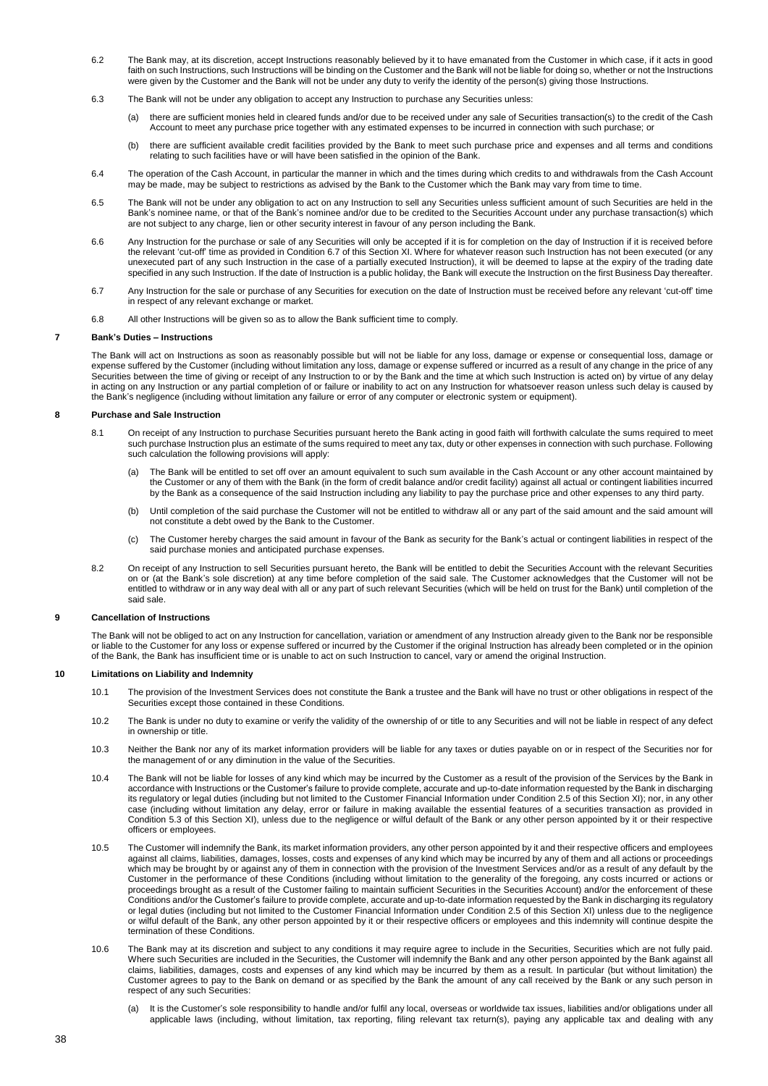- 6.2 The Bank may, at its discretion, accept Instructions reasonably believed by it to have emanated from the Customer in which case, if it acts in good faith on such Instructions, such Instructions will be binding on the Customer and the Bank will not be liable for doing so, whether or not the Instructions were given by the Customer and the Bank will not be under any duty to verify the identity of the person(s) giving those Instructions.
- 6.3 The Bank will not be under any obligation to accept any Instruction to purchase any Securities unless:
	- (a) there are sufficient monies held in cleared funds and/or due to be received under any sale of Securities transaction(s) to the credit of the Cash Account to meet any purchase price together with any estimated expenses to be incurred in connection with such purchase; or
	- (b) there are sufficient available credit facilities provided by the Bank to meet such purchase price and expenses and all terms and conditions relating to such facilities have or will have been satisfied in the opinion of the Bank.
- 6.4 The operation of the Cash Account, in particular the manner in which and the times during which credits to and withdrawals from the Cash Account may be made, may be subject to restrictions as advised by the Bank to the Customer which the Bank may vary from time to time.
- 6.5 The Bank will not be under any obligation to act on any Instruction to sell any Securities unless sufficient amount of such Securities are held in the Bank's nominee name, or that of the Bank's nominee and/or due to be credited to the Securities Account under any purchase transaction(s) which are not subject to any charge, lien or other security interest in favour of any person including the Bank.
- 6.6 Any Instruction for the purchase or sale of any Securities will only be accepted if it is for completion on the day of Instruction if it is received before the relevant 'cut-off' time as provided in Condition 6.7 of this Section XI. Where for whatever reason such Instruction has not been executed (or any unexecuted part of any such Instruction in the case of a partially executed Instruction), it will be deemed to lapse at the expiry of the trading date specified in any such Instruction. If the date of Instruction is a public holiday, the Bank will execute the Instruction on the first Business Day thereafter.
- 6.7 Any Instruction for the sale or purchase of any Securities for execution on the date of Instruction must be received before any relevant 'cut-off' time in respect of any relevant exchange or market.
- 6.8 All other Instructions will be given so as to allow the Bank sufficient time to comply.

## **7 Bank's Duties – Instructions**

The Bank will act on Instructions as soon as reasonably possible but will not be liable for any loss, damage or expense or consequential loss, damage or expense suffered by the Customer (including without limitation any loss, damage or expense suffered or incurred as a result of any change in the price of any Securities between the time of giving or receipt of any Instruction to or by the Bank and the time at which such Instruction is acted on) by virtue of any delay in acting on any Instruction or any partial completion of or failure or inability to act on any Instruction for whatsoever reason unless such delay is caused by the Bank's negligence (including without limitation any failure or error of any computer or electronic system or equipment).

## **8 Purchase and Sale Instruction**

- 8.1 On receipt of any Instruction to purchase Securities pursuant hereto the Bank acting in good faith will forthwith calculate the sums required to meet such purchase Instruction plus an estimate of the sums required to meet any tax, duty or other expenses in connection with such purchase. Following such calculation the following provisions will apply:
	- (a) The Bank will be entitled to set off over an amount equivalent to such sum available in the Cash Account or any other account maintained by the Customer or any of them with the Bank (in the form of credit balance and/or credit facility) against all actual or contingent liabilities incurred by the Bank as a consequence of the said Instruction including any liability to pay the purchase price and other expenses to any third party.
	- (b) Until completion of the said purchase the Customer will not be entitled to withdraw all or any part of the said amount and the said amount will not constitute a debt owed by the Bank to the Customer.
	- (c) The Customer hereby charges the said amount in favour of the Bank as security for the Bank's actual or contingent liabilities in respect of the said purchase monies and anticipated purchase expenses.
- 8.2 On receipt of any Instruction to sell Securities pursuant hereto, the Bank will be entitled to debit the Securities Account with the relevant Securities on or (at the Bank's sole discretion) at any time before completion of the said sale. The Customer acknowledges that the Customer will not be entitled to withdraw or in any way deal with all or any part of such relevant Securities (which will be held on trust for the Bank) until completion of the said sale.

### **9 Cancellation of Instructions**

The Bank will not be obliged to act on any Instruction for cancellation, variation or amendment of any Instruction already given to the Bank nor be responsible or liable to the Customer for any loss or expense suffered or incurred by the Customer if the original Instruction has already been completed or in the opinion of the Bank, the Bank has insufficient time or is unable to act on such Instruction to cancel, vary or amend the original Instruction.

## **10 Limitations on Liability and Indemnity**

- 10.1 The provision of the Investment Services does not constitute the Bank a trustee and the Bank will have no trust or other obligations in respect of the Securities except those contained in these Conditions.
- 10.2 The Bank is under no duty to examine or verify the validity of the ownership of or title to any Securities and will not be liable in respect of any defect in ownership or title.
- 10.3 Neither the Bank nor any of its market information providers will be liable for any taxes or duties payable on or in respect of the Securities nor for the management of or any diminution in the value of the Securities.
- 10.4 The Bank will not be liable for losses of any kind which may be incurred by the Customer as a result of the provision of the Services by the Bank in accordance with Instructions or the Customer's failure to provide complete, accurate and up-to-date information requested by the Bank in discharging its regulatory or legal duties (including but not limited to the Customer Financial Information under Condition 2.5 of this Section XI); nor, in any other case (including without limitation any delay, error or failure in making available the essential features of a securities transaction as provided in Condition 5.3 of this Section XI), unless due to the negligence or wilful default of the Bank or any other person appointed by it or their respective officers or employees.
- 10.5 The Customer will indemnify the Bank, its market information providers, any other person appointed by it and their respective officers and employees against all claims, liabilities, damages, losses, costs and expenses of any kind which may be incurred by any of them and all actions or proceedings which may be brought by or against any of them in connection with the provision of the Investment Services and/or as a result of any default by the Customer in the performance of these Conditions (including without limitation to the generality of the foregoing, any costs incurred or actions or proceedings brought as a result of the Customer failing to maintain sufficient Securities in the Securities Account) and/or the enforcement of these Conditions and/or the Customer's failure to provide complete, accurate and up-to-date information requested by the Bank in discharging its regulatory or legal duties (including but not limited to the Customer Financial Information under Condition 2.5 of this Section XI) unless due to the negligence or wilful default of the Bank, any other person appointed by it or their respective officers or employees and this indemnity will continue despite the termination of these Conditions.
- 10.6 The Bank may at its discretion and subject to any conditions it may require agree to include in the Securities, Securities which are not fully paid. Where such Securities are included in the Securities, the Customer will indemnify the Bank and any other person appointed by the Bank against all claims, liabilities, damages, costs and expenses of any kind which may be incurred by them as a result. In particular (but without limitation) the Customer agrees to pay to the Bank on demand or as specified by the Bank the amount of any call received by the Bank or any such person in respect of any such Securities:
	- It is the Customer's sole responsibility to handle and/or fulfil any local, overseas or worldwide tax issues, liabilities and/or obligations under all applicable laws (including, without limitation, tax reporting, filing relevant tax return(s), paying any applicable tax and dealing with any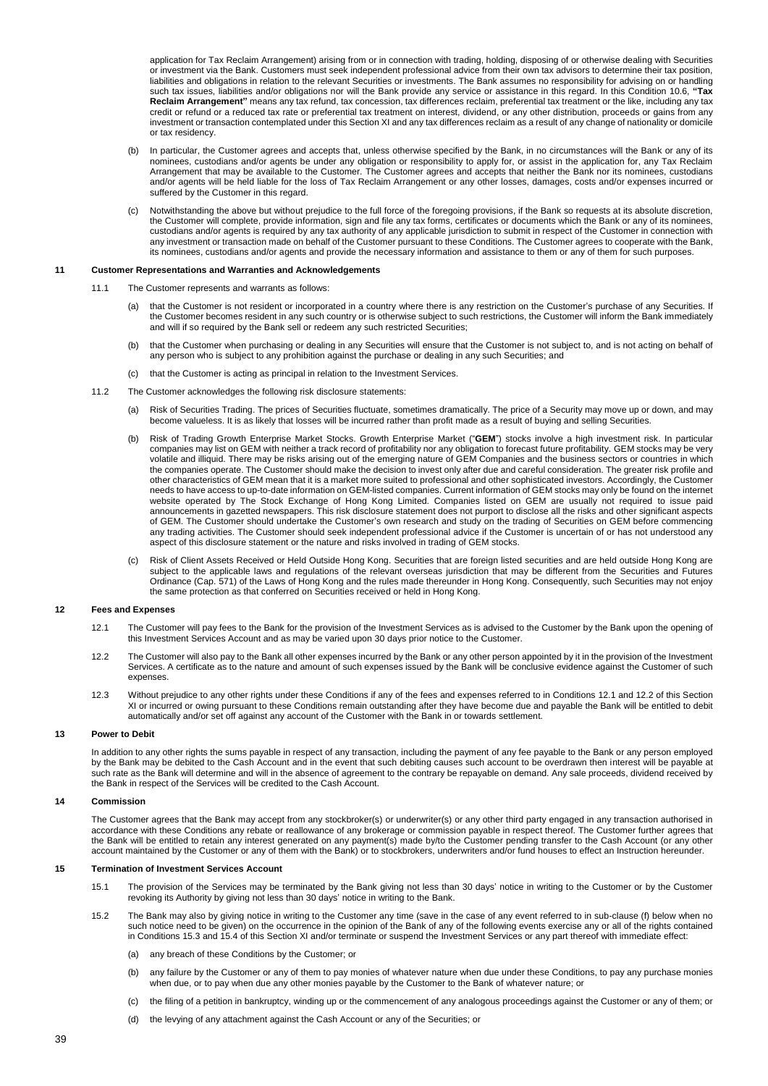application for Tax Reclaim Arrangement) arising from or in connection with trading, holding, disposing of or otherwise dealing with Securities or investment via the Bank. Customers must seek independent professional advice from their own tax advisors to determine their tax position, liabilities and obligations in relation to the relevant Securities or investments. The Bank assumes no responsibility for advising on or handling such tax issues, liabilities and/or obligations nor will the Bank provide any service or assistance in this regard. In this Condition 10.6, **"Tax**  Reclaim Arrangement" means any tax refund, tax concession, tax differences reclaim, preferential tax treatment or the like, including any tax credit or refund or a reduced tax rate or preferential tax treatment on interest, dividend, or any other distribution, proceeds or gains from any investment or transaction contemplated under this Section XI and any tax differences reclaim as a result of any change of nationality or domicile or tax residency.

- (b) In particular, the Customer agrees and accepts that, unless otherwise specified by the Bank, in no circumstances will the Bank or any of its nominees, custodians and/or agents be under any obligation or responsibility to apply for, or assist in the application for, any Tax Reclaim Arrangement that may be available to the Customer. The Customer agrees and accepts that neither the Bank nor its nominees, custodians and/or agents will be held liable for the loss of Tax Reclaim Arrangement or any other losses, damages, costs and/or expenses incurred or suffered by the Customer in this regard.
- (c) Notwithstanding the above but without prejudice to the full force of the foregoing provisions, if the Bank so requests at its absolute discretion, the Customer will complete, provide information, sign and file any tax forms, certificates or documents which the Bank or any of its nominees, custodians and/or agents is required by any tax authority of any applicable jurisdiction to submit in respect of the Customer in connection with any investment or transaction made on behalf of the Customer pursuant to these Conditions. The Customer agrees to cooperate with the Bank, its nominees, custodians and/or agents and provide the necessary information and assistance to them or any of them for such purposes.

### **11 Customer Representations and Warranties and Acknowledgements**

- 11.1 The Customer represents and warrants as follows:
	- (a) that the Customer is not resident or incorporated in a country where there is any restriction on the Customer's purchase of any Securities. If the Customer becomes resident in any such country or is otherwise subject to such restrictions, the Customer will inform the Bank immediately and will if so required by the Bank sell or redeem any such restricted Securities;
	- (b) that the Customer when purchasing or dealing in any Securities will ensure that the Customer is not subject to, and is not acting on behalf of any person who is subject to any prohibition against the purchase or dealing in any such Securities; and
	- (c) that the Customer is acting as principal in relation to the Investment Services.
- 11.2 The Customer acknowledges the following risk disclosure statements:
	- (a) Risk of Securities Trading. The prices of Securities fluctuate, sometimes dramatically. The price of a Security may move up or down, and may become valueless. It is as likely that losses will be incurred rather than profit made as a result of buying and selling Securities.
	- (b) Risk of Trading Growth Enterprise Market Stocks. Growth Enterprise Market ("**GEM**") stocks involve a high investment risk. In particular companies may list on GEM with neither a track record of profitability nor any obligation to forecast future profitability. GEM stocks may be very volatile and illiquid. There may be risks arising out of the emerging nature of GEM Companies and the business sectors or countries in which the companies operate. The Customer should make the decision to invest only after due and careful consideration. The greater risk profile and other characteristics of GEM mean that it is a market more suited to professional and other sophisticated investors. Accordingly, the Customer needs to have access to up-to-date information on GEM-listed companies. Current information of GEM stocks may only be found on the internet website operated by The Stock Exchange of Hong Kong Limited. Companies listed on GEM are usually not required to issue paid announcements in gazetted newspapers. This risk disclosure statement does not purport to disclose all the risks and other significant aspects of GEM. The Customer should undertake the Customer's own research and study on the trading of Securities on GEM before commencing any trading activities. The Customer should seek independent professional advice if the Customer is uncertain of or has not understood any aspect of this disclosure statement or the nature and risks involved in trading of GEM stocks.
	- Risk of Client Assets Received or Held Outside Hong Kong. Securities that are foreign listed securities and are held outside Hong Kong are subject to the applicable laws and regulations of the relevant overseas jurisdiction that may be different from the Securities and Futures Ordinance (Cap. 571) of the Laws of Hong Kong and the rules made thereunder in Hong Kong. Consequently, such Securities may not enjoy the same protection as that conferred on Securities received or held in Hong Kong.

### **12 Fees and Expenses**

- 12.1 The Customer will pay fees to the Bank for the provision of the Investment Services as is advised to the Customer by the Bank upon the opening of this Investment Services Account and as may be varied upon 30 days prior notice to the Customer.
- 12.2 The Customer will also pay to the Bank all other expenses incurred by the Bank or any other person appointed by it in the provision of the Investment Services. A certificate as to the nature and amount of such expenses issued by the Bank will be conclusive evidence against the Customer of such expenses.
- 12.3 Without prejudice to any other rights under these Conditions if any of the fees and expenses referred to in Conditions 12.1 and 12.2 of this Section XI or incurred or owing pursuant to these Conditions remain outstanding after they have become due and payable the Bank will be entitled to debit automatically and/or set off against any account of the Customer with the Bank in or towards settlement.

### **13 Power to Debit**

In addition to any other rights the sums payable in respect of any transaction, including the payment of any fee payable to the Bank or any person employed by the Bank may be debited to the Cash Account and in the event that such debiting causes such account to be overdrawn then interest will be payable at such rate as the Bank will determine and will in the absence of agreement to the contrary be repayable on demand. Any sale proceeds, dividend received by the Bank in respect of the Services will be credited to the Cash Account.

## **14 Commission**

The Customer agrees that the Bank may accept from any stockbroker(s) or underwriter(s) or any other third party engaged in any transaction authorised in accordance with these Conditions any rebate or reallowance of any brokerage or commission payable in respect thereof. The Customer further agrees that the Bank will be entitled to retain any interest generated on any payment(s) made by/to the Customer pending transfer to the Cash Account (or any other account maintained by the Customer or any of them with the Bank) or to stockbrokers, underwriters and/or fund houses to effect an Instruction hereunder.

## **15 Termination of Investment Services Account**

- 15.1 The provision of the Services may be terminated by the Bank giving not less than 30 days' notice in writing to the Customer or by the Customer revoking its Authority by giving not less than 30 days' notice in writing to the Bank.
- 15.2 The Bank may also by giving notice in writing to the Customer any time (save in the case of any event referred to in sub-clause (f) below when no such notice need to be given) on the occurrence in the opinion of the Bank of any of the following events exercise any or all of the rights contained in Conditions 15.3 and 15.4 of this Section XI and/or terminate or suspend the Investment Services or any part thereof with immediate effect:
	- (a) any breach of these Conditions by the Customer; or
	- (b) any failure by the Customer or any of them to pay monies of whatever nature when due under these Conditions, to pay any purchase monies when due, or to pay when due any other monies payable by the Customer to the Bank of whatever nature; or
	- (c) the filing of a petition in bankruptcy, winding up or the commencement of any analogous proceedings against the Customer or any of them; or
	- (d) the levying of any attachment against the Cash Account or any of the Securities; or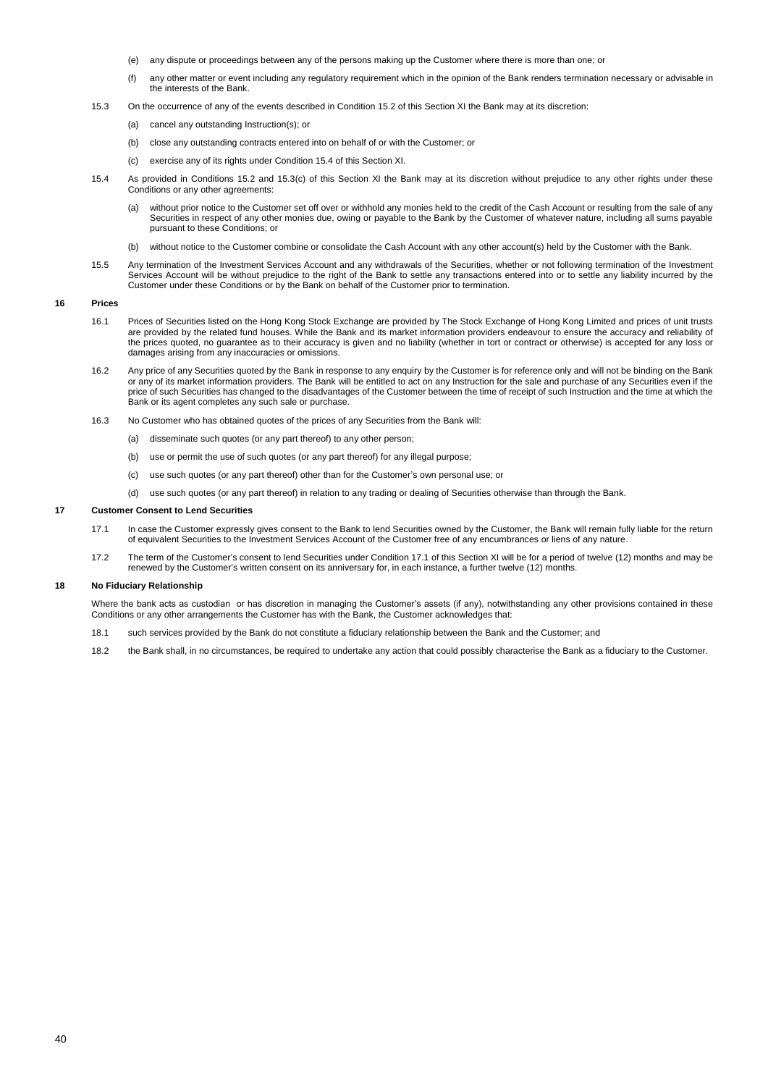- (e) any dispute or proceedings between any of the persons making up the Customer where there is more than one; or
- (f) any other matter or event including any regulatory requirement which in the opinion of the Bank renders termination necessary or advisable in the interests of the Bank.
- 15.3 On the occurrence of any of the events described in Condition 15.2 of this Section XI the Bank may at its discretion:
	- (a) cancel any outstanding Instruction(s); or
	- (b) close any outstanding contracts entered into on behalf of or with the Customer; or
	- (c) exercise any of its rights under Condition 15.4 of this Section XI.
- 15.4 As provided in Conditions 15.2 and 15.3(c) of this Section XI the Bank may at its discretion without prejudice to any other rights under these Conditions or any other agreements:
	- (a) without prior notice to the Customer set off over or withhold any monies held to the credit of the Cash Account or resulting from the sale of any Securities in respect of any other monies due, owing or payable to the Bank by the Customer of whatever nature, including all sums payable pursuant to these Conditions; or
	- (b) without notice to the Customer combine or consolidate the Cash Account with any other account(s) held by the Customer with the Bank.
- 15.5 Any termination of the Investment Services Account and any withdrawals of the Securities, whether or not following termination of the Investment Services Account will be without prejudice to the right of the Bank to settle any transactions entered into or to settle any liability incurred by the Customer under these Conditions or by the Bank on behalf of the Customer prior to termination.

# **16 Prices**

- 16.1 Prices of Securities listed on the Hong Kong Stock Exchange are provided by The Stock Exchange of Hong Kong Limited and prices of unit trusts are provided by the related fund houses. While the Bank and its market information providers endeavour to ensure the accuracy and reliability of the prices quoted, no guarantee as to their accuracy is given and no liability (whether in tort or contract or otherwise) is accepted for any loss or damages arising from any inaccuracies or omissions.
- 16.2 Any price of any Securities quoted by the Bank in response to any enquiry by the Customer is for reference only and will not be binding on the Bank or any of its market information providers. The Bank will be entitled to act on any Instruction for the sale and purchase of any Securities even if the price of such Securities has changed to the disadvantages of the Customer between the time of receipt of such Instruction and the time at which the Bank or its agent completes any such sale or purchase.
- 16.3 No Customer who has obtained quotes of the prices of any Securities from the Bank will:
	- (a) disseminate such quotes (or any part thereof) to any other person;
	- (b) use or permit the use of such quotes (or any part thereof) for any illegal purpose;
	- (c) use such quotes (or any part thereof) other than for the Customer's own personal use; or
	- (d) use such quotes (or any part thereof) in relation to any trading or dealing of Securities otherwise than through the Bank.

### **17 Customer Consent to Lend Securities**

- 17.1 In case the Customer expressly gives consent to the Bank to lend Securities owned by the Customer, the Bank will remain fully liable for the return of equivalent Securities to the Investment Services Account of the Customer free of any encumbrances or liens of any nature.
- 17.2 The term of the Customer's consent to lend Securities under Condition 17.1 of this Section XI will be for a period of twelve (12) months and may be renewed by the Customer's written consent on its anniversary for, in each instance, a further twelve (12) months.

## **18 No Fiduciary Relationship**

Where the bank acts as custodian or has discretion in managing the Customer's assets (if any), notwithstanding any other provisions contained in these Conditions or any other arrangements the Customer has with the Bank, the Customer acknowledges that:

- 18.1 such services provided by the Bank do not constitute a fiduciary relationship between the Bank and the Customer; and
- 18.2 the Bank shall, in no circumstances, be required to undertake any action that could possibly characterise the Bank as a fiduciary to the Customer.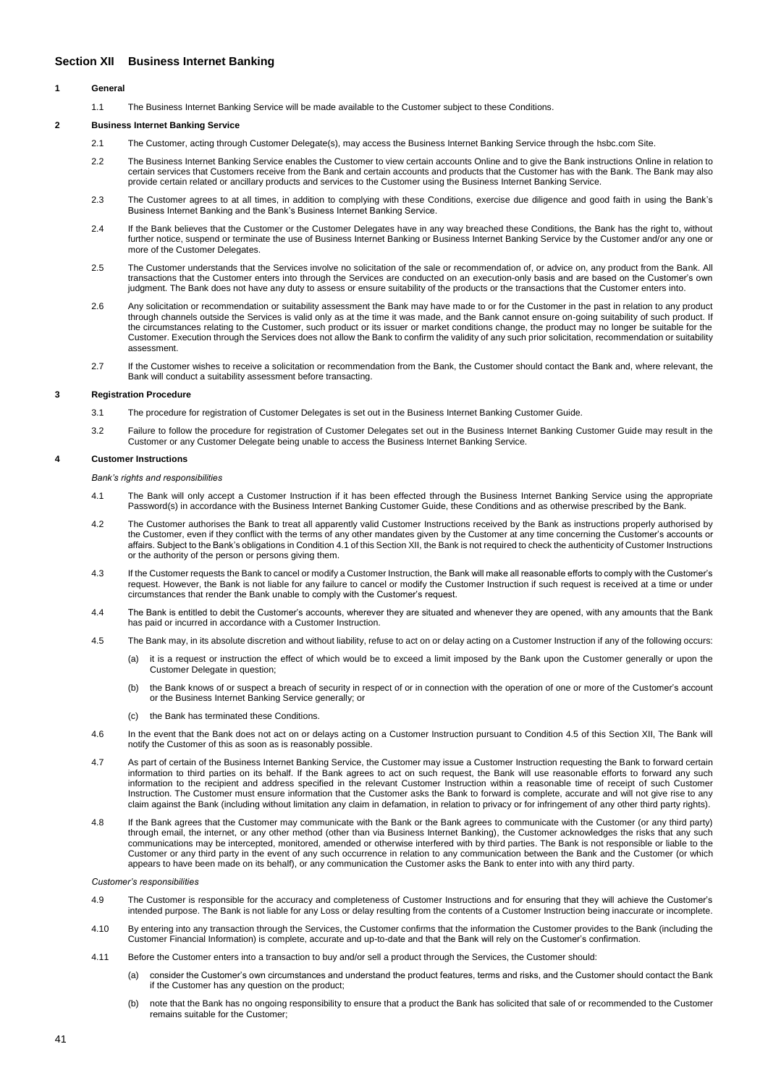# <span id="page-40-0"></span>**Section XII Business Internet Banking**

## **1 General**

1.1 The Business Internet Banking Service will be made available to the Customer subject to these Conditions.

## **2 Business Internet Banking Service**

- 2.1 The Customer, acting through Customer Delegate(s), may access the Business Internet Banking Service through the hsbc.com Site.
- 2.2 The Business Internet Banking Service enables the Customer to view certain accounts Online and to give the Bank instructions Online in relation to certain services that Customers receive from the Bank and certain accounts and products that the Customer has with the Bank. The Bank may also provide certain related or ancillary products and services to the Customer using the Business Internet Banking Service.
- 2.3 The Customer agrees to at all times, in addition to complying with these Conditions, exercise due diligence and good faith in using the Bank's Business Internet Banking and the Bank's Business Internet Banking Service.
- 2.4 If the Bank believes that the Customer or the Customer Delegates have in any way breached these Conditions, the Bank has the right to, without further notice, suspend or terminate the use of Business Internet Banking or Business Internet Banking Service by the Customer and/or any one or more of the Customer Delegates.
- 2.5 The Customer understands that the Services involve no solicitation of the sale or recommendation of, or advice on, any product from the Bank. All transactions that the Customer enters into through the Services are conducted on an execution-only basis and are based on the Customer's own judgment. The Bank does not have any duty to assess or ensure suitability of the products or the transactions that the Customer enters into.
- 2.6 Any solicitation or recommendation or suitability assessment the Bank may have made to or for the Customer in the past in relation to any product through channels outside the Services is valid only as at the time it was made, and the Bank cannot ensure on-going suitability of such product. If the circumstances relating to the Customer, such product or its issuer or market conditions change, the product may no longer be suitable for the Customer. Execution through the Services does not allow the Bank to confirm the validity of any such prior solicitation, recommendation or suitability assessment.
- 2.7 If the Customer wishes to receive a solicitation or recommendation from the Bank, the Customer should contact the Bank and, where relevant, the Bank will conduct a suitability assessment before transacting.

### **3 Registration Procedure**

- 3.1 The procedure for registration of Customer Delegates is set out in the Business Internet Banking Customer Guide.
- 3.2 Failure to follow the procedure for registration of Customer Delegates set out in the Business Internet Banking Customer Guide may result in the Customer or any Customer Delegate being unable to access the Business Internet Banking Service.

## **4 Customer Instructions**

### *Bank's rights and responsibilities*

- 4.1 The Bank will only accept a Customer Instruction if it has been effected through the Business Internet Banking Service using the appropriate Password(s) in accordance with the Business Internet Banking Customer Guide, these Conditions and as otherwise prescribed by the Bank
- 4.2 The Customer authorises the Bank to treat all apparently valid Customer Instructions received by the Bank as instructions properly authorised by the Customer, even if they conflict with the terms of any other mandates given by the Customer at any time concerning the Customer's accounts or affairs. Subject to the Bank's obligations in Condition 4.1 of this Section XII, the Bank is not required to check the authenticity of Customer Instructions or the authority of the person or persons giving them.
- 4.3 If the Customer requests the Bank to cancel or modify a Customer Instruction, the Bank will make all reasonable efforts to comply with the Customer's request. However, the Bank is not liable for any failure to cancel or modify the Customer Instruction if such request is received at a time or under circumstances that render the Bank unable to comply with the Customer's request.
- 4.4 The Bank is entitled to debit the Customer's accounts, wherever they are situated and whenever they are opened, with any amounts that the Bank has paid or incurred in accordance with a Customer Instruction.
- 4.5 The Bank may, in its absolute discretion and without liability, refuse to act on or delay acting on a Customer Instruction if any of the following occurs:
	- (a) it is a request or instruction the effect of which would be to exceed a limit imposed by the Bank upon the Customer generally or upon the Customer Delegate in question;
	- (b) the Bank knows of or suspect a breach of security in respect of or in connection with the operation of one or more of the Customer's account or the Business Internet Banking Service generally; or
	- (c) the Bank has terminated these Condit
- 4.6 In the event that the Bank does not act on or delays acting on a Customer Instruction pursuant to Condition 4.5 of this Section XII, The Bank will notify the Customer of this as soon as is reasonably possible.
- 4.7 As part of certain of the Business Internet Banking Service, the Customer may issue a Customer Instruction requesting the Bank to forward certain information to third parties on its behalf. If the Bank agrees to act on such request, the Bank will use reasonable efforts to forward any such information to the recipient and address specified in the relevant Customer Instruction within a reasonable time of receipt of such Customer Instruction. The Customer must ensure information that the Customer asks the Bank to forward is complete, accurate and will not give rise to any claim against the Bank (including without limitation any claim in defamation, in relation to privacy or for infringement of any other third party rights).
- 4.8 If the Bank agrees that the Customer may communicate with the Bank or the Bank agrees to communicate with the Customer (or any third party) through email, the internet, or any other method (other than via Business Internet Banking), the Customer acknowledges the risks that any such communications may be intercepted, monitored, amended or otherwise interfered with by third parties. The Bank is not responsible or liable to the Customer or any third party in the event of any such occurrence in relation to any communication between the Bank and the Customer (or which appears to have been made on its behalf), or any communication the Customer asks the Bank to enter into with any third party.

*Customer's responsibilities*

- 4.9 The Customer is responsible for the accuracy and completeness of Customer Instructions and for ensuring that they will achieve the Customer's intended purpose. The Bank is not liable for any Loss or delay resulting from the contents of a Customer Instruction being inaccurate or incomplete.
- 4.10 By entering into any transaction through the Services, the Customer confirms that the information the Customer provides to the Bank (including the Customer Financial Information) is complete, accurate and up-to-date and that the Bank will rely on the Customer's confirmation.
- 4.11 Before the Customer enters into a transaction to buy and/or sell a product through the Services, the Customer should:
	- (a) consider the Customer's own circumstances and understand the product features, terms and risks, and the Customer should contact the Bank if the Customer has any question on the product;
	- (b) note that the Bank has no ongoing responsibility to ensure that a product the Bank has solicited that sale of or recommended to the Customer remains suitable for the Customer;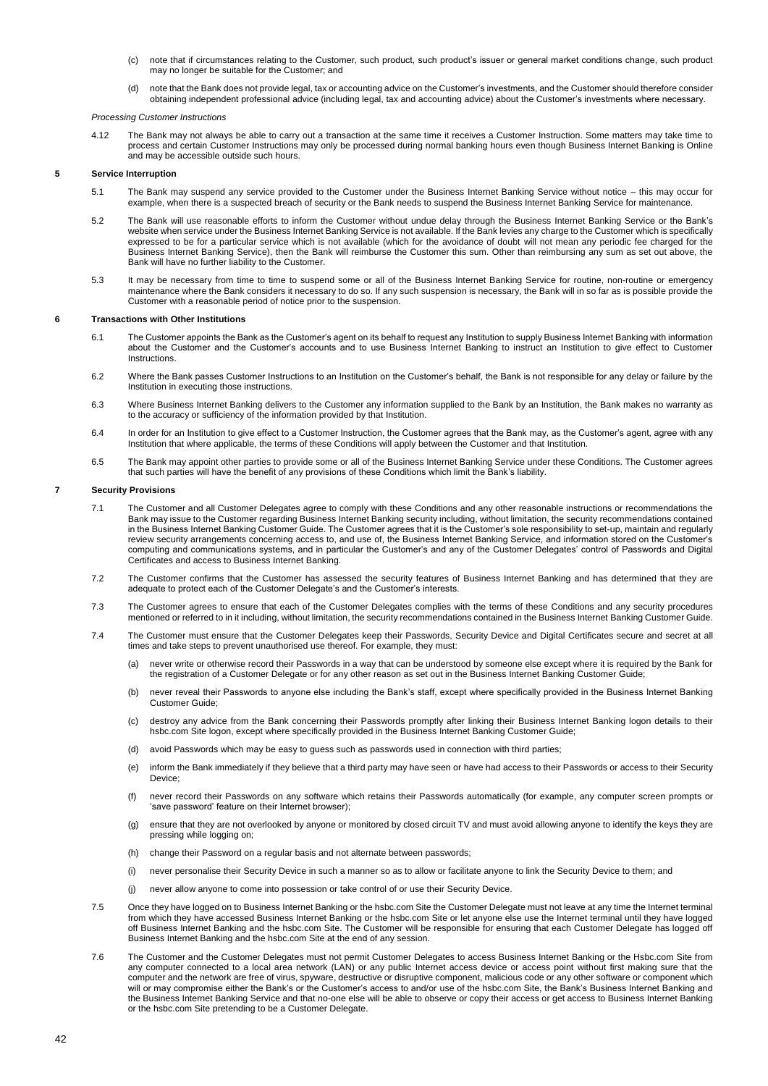- (c) note that if circumstances relating to the Customer, such product, such product's issuer or general market conditions change, such product may no longer be suitable for the Customer; and
- (d) note that the Bank does not provide legal, tax or accounting advice on the Customer's investments, and the Customer should therefore consider obtaining independent professional advice (including legal, tax and accounting advice) about the Customer's investments where necessary.

### *Processing Customer Instructions*

4.12 The Bank may not always be able to carry out a transaction at the same time it receives a Customer Instruction. Some matters may take time to process and certain Customer Instructions may only be processed during normal banking hours even though Business Internet Banking is Online and may be accessible outside such hours.

## **5 Service Interruption**

- 5.1 The Bank may suspend any service provided to the Customer under the Business Internet Banking Service without notice this may occur for example, when there is a suspected breach of security or the Bank needs to suspend the Business Internet Banking Service for maintenance.
- 5.2 The Bank will use reasonable efforts to inform the Customer without undue delay through the Business Internet Banking Service or the Bank's website when service under the Business Internet Banking Service is not available. If the Bank levies any charge to the Customer which is specifically expressed to be for a particular service which is not available (which for the avoidance of doubt will not mean any periodic fee charged for the Business Internet Banking Service), then the Bank will reimburse the Customer this sum. Other than reimbursing any sum as set out above, the Bank will have no further liability to the Customer.
- 5.3 It may be necessary from time to time to suspend some or all of the Business Internet Banking Service for routine, non-routine or emergency maintenance where the Bank considers it necessary to do so. If any such suspension is necessary, the Bank will in so far as is possible provide the Customer with a reasonable period of notice prior to the suspension.

## **6 Transactions with Other Institutions**

- 6.1 The Customer appoints the Bank as the Customer's agent on its behalf to request any Institution to supply Business Internet Banking with information about the Customer and the Customer's accounts and to use Business Internet Banking to instruct an Institution to give effect to Customer Instructions.
- 6.2 Where the Bank passes Customer Instructions to an Institution on the Customer's behalf, the Bank is not responsible for any delay or failure by the Institution in executing those instructions.
- 6.3 Where Business Internet Banking delivers to the Customer any information supplied to the Bank by an Institution, the Bank makes no warranty as to the accuracy or sufficiency of the information provided by that Institution.
- 6.4 In order for an Institution to give effect to a Customer Instruction, the Customer agrees that the Bank may, as the Customer's agent, agree with any Institution that where applicable, the terms of these Conditions will apply between the Customer and that Institution.
- 6.5 The Bank may appoint other parties to provide some or all of the Business Internet Banking Service under these Conditions. The Customer agrees that such parties will have the benefit of any provisions of these Conditions which limit the Bank's liability.

### **7 Security Provisions**

- 7.1 The Customer and all Customer Delegates agree to comply with these Conditions and any other reasonable instructions or recommendations the Bank may issue to the Customer regarding Business Internet Banking security including, without limitation, the security recommendations contained in the Business Internet Banking Customer Guide. The Customer agrees that it is the Customer's sole responsibility to set-up, maintain and regularly review security arrangements concerning access to, and use of, the Business Internet Banking Service, and information stored on the Customer's computing and communications systems, and in particular the Customer's and any of the Customer Delegates' control of Passwords and Digital Certificates and access to Business Internet Banking.
- 7.2 The Customer confirms that the Customer has assessed the security features of Business Internet Banking and has determined that they are adequate to protect each of the Customer Delegate's and the Customer's interests.
- 7.3 The Customer agrees to ensure that each of the Customer Delegates complies with the terms of these Conditions and any security procedures mentioned or referred to in it including, without limitation, the security recommendations contained in the Business Internet Banking Customer Guide.
- 7.4 The Customer must ensure that the Customer Delegates keep their Passwords, Security Device and Digital Certificates secure and secret at all times and take steps to prevent unauthorised use thereof. For example, they must:
	- (a) never write or otherwise record their Passwords in a way that can be understood by someone else except where it is required by the Bank for the registration of a Customer Delegate or for any other reason as set out in the Business Internet Banking Customer Guide;
	- (b) never reveal their Passwords to anyone else including the Bank's staff, except where specifically provided in the Business Internet Banking Customer Guide;
	- (c) destroy any advice from the Bank concerning their Passwords promptly after linking their Business Internet Banking logon details to their hsbc.com Site logon, except where specifically provided in the Business Internet Banking Customer Guide;
	- (d) avoid Passwords which may be easy to guess such as passwords used in connection with third parties;
	- (e) inform the Bank immediately if they believe that a third party may have seen or have had access to their Passwords or access to their Security Device;
	- (f) never record their Passwords on any software which retains their Passwords automatically (for example, any computer screen prompts or 'save password' feature on their Internet browser);
	- (g) ensure that they are not overlooked by anyone or monitored by closed circuit TV and must avoid allowing anyone to identify the keys they are pressing while logging on;
	- (h) change their Password on a regular basis and not alternate between passwords;
	- (i) never personalise their Security Device in such a manner so as to allow or facilitate anyone to link the Security Device to them; and
	- (j) never allow anyone to come into possession or take control of or use their Security Device.
- 7.5 Once they have logged on to Business Internet Banking or the hsbc.com Site the Customer Delegate must not leave at any time the Internet terminal from which they have accessed Business Internet Banking or the hsbc.com Site or let anyone else use the Internet terminal until they have logged off Business Internet Banking and the hsbc.com Site. The Customer will be responsible for ensuring that each Customer Delegate has logged off Business Internet Banking and the hsbc.com Site at the end of any session.
- 7.6 The Customer and the Customer Delegates must not permit Customer Delegates to access Business Internet Banking or the Hsbc.com Site from any computer connected to a local area network (LAN) or any public Internet access device or access point without first making sure that the computer and the network are free of virus, spyware, destructive or disruptive component, malicious code or any other software or component which will or may compromise either the Bank's or the Customer's access to and/or use of the hsbc.com Site, the Bank's Business Internet Banking and the Business Internet Banking Service and that no-one else will be able to observe or copy their access or get access to Business Internet Banking or the hsbc.com Site pretending to be a Customer Delegate.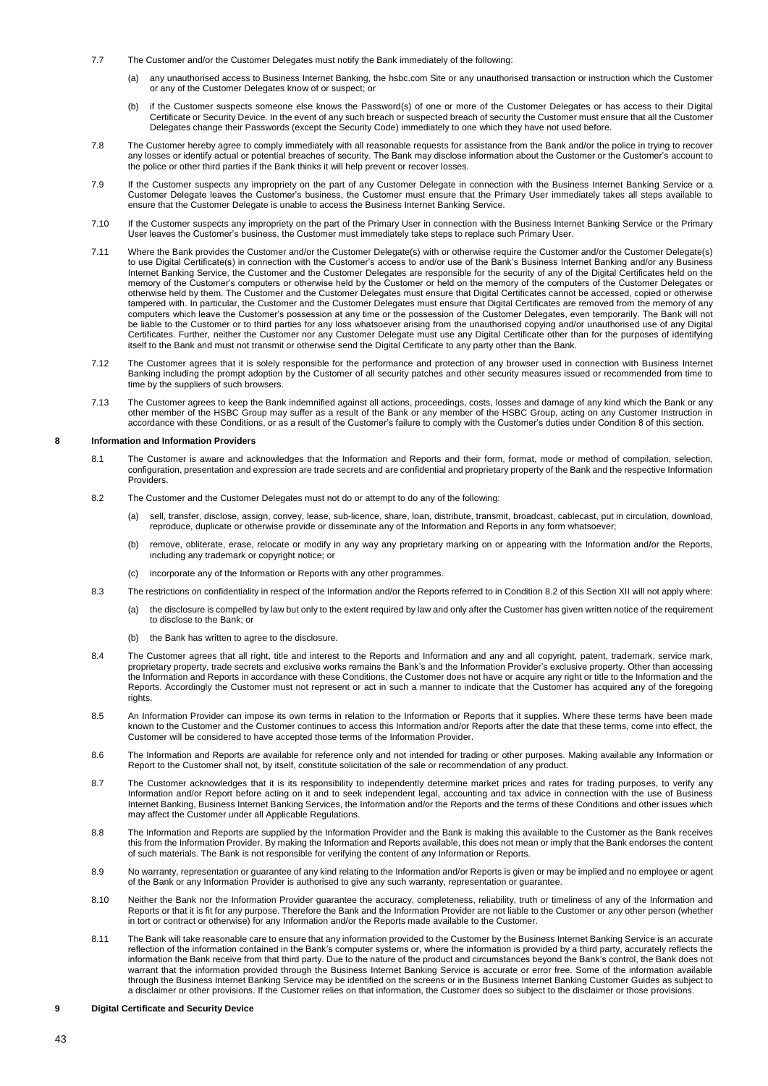- 7.7 The Customer and/or the Customer Delegates must notify the Bank immediately of the following:
	- (a) any unauthorised access to Business Internet Banking, the hsbc.com Site or any unauthorised transaction or instruction which the Customer or any of the Customer Delegates know of or suspect; or
	- (b) if the Customer suspects someone else knows the Password(s) of one or more of the Customer Delegates or has access to their Digital Certificate or Security Device. In the event of any such breach or suspected breach of security the Customer must ensure that all the Customer Delegates change their Passwords (except the Security Code) immediately to one which they have not used before.
- 7.8 The Customer hereby agree to comply immediately with all reasonable requests for assistance from the Bank and/or the police in trying to recover any losses or identify actual or potential breaches of security. The Bank may disclose information about the Customer or the Customer's account to the police or other third parties if the Bank thinks it will help prevent or recover losses.
- 7.9 If the Customer suspects any impropriety on the part of any Customer Delegate in connection with the Business Internet Banking Service or a Customer Delegate leaves the Customer's business, the Customer must ensure that the Primary User immediately takes all steps available to ensure that the Customer Delegate is unable to access the Business Internet Banking Service.
- 7.10 If the Customer suspects any impropriety on the part of the Primary User in connection with the Business Internet Banking Service or the Primary User leaves the Customer's business, the Customer must immediately take steps to replace such Primary User.
- 7.11 Where the Bank provides the Customer and/or the Customer Delegate(s) with or otherwise require the Customer and/or the Customer Delegate(s) to use Digital Certificate(s) in connection with the Customer's access to and/or use of the Bank's Business Internet Banking and/or any Business Internet Banking Service, the Customer and the Customer Delegates are responsible for the security of any of the Digital Certificates held on the memory of the Customer's computers or otherwise held by the Customer or held on the memory of the computers of the Customer Delegates or otherwise held by them. The Customer and the Customer Delegates must ensure that Digital Certificates cannot be accessed, copied or otherwise tampered with. In particular, the Customer and the Customer Delegates must ensure that Digital Certificates are removed from the memory of any computers which leave the Customer's possession at any time or the possession of the Customer Delegates, even temporarily. The Bank will not be liable to the Customer or to third parties for any loss whatsoever arising from the unauthorised copying and/or unauthorised use of any Digital Certificates. Further, neither the Customer nor any Customer Delegate must use any Digital Certificate other than for the purposes of identifying itself to the Bank and must not transmit or otherwise send the Digital Certificate to any party other than the Bank.
- 7.12 The Customer agrees that it is solely responsible for the performance and protection of any browser used in connection with Business Internet Banking including the prompt adoption by the Customer of all security patches and other security measures issued or recommended from time to time by the suppliers of such browsers.
- 7.13 The Customer agrees to keep the Bank indemnified against all actions, proceedings, costs, losses and damage of any kind which the Bank or any other member of the HSBC Group may suffer as a result of the Bank or any member of the HSBC Group, acting on any Customer Instruction in accordance with these Conditions, or as a result of the Customer's failure to comply with the Customer's duties under Condition 8 of this section.

### **8 Information and Information Providers**

- 8.1 The Customer is aware and acknowledges that the Information and Reports and their form, format, mode or method of compilation, selection, configuration, presentation and expression are trade secrets and are confidential and proprietary property of the Bank and the respective Information Providers.
- 8.2 The Customer and the Customer Delegates must not do or attempt to do any of the following:
	- (a) sell, transfer, disclose, assign, convey, lease, sub-licence, share, loan, distribute, transmit, broadcast, cablecast, put in circulation, download, reproduce, duplicate or otherwise provide or disseminate any of the Information and Reports in any form whatsoever;
	- (b) remove, obliterate, erase, relocate or modify in any way any proprietary marking on or appearing with the Information and/or the Reports, including any trademark or copyright notice; or
	- (c) incorporate any of the Information or Reports with any other programmes.
- 8.3 The restrictions on confidentiality in respect of the Information and/or the Reports referred to in Condition 8.2 of this Section XII will not apply where:
	- (a) the disclosure is compelled by law but only to the extent required by law and only after the Customer has given written notice of the requirement to disclose to the Bank; or
	- (b) the Bank has written to agree to the disclosure.
- 8.4 The Customer agrees that all right, title and interest to the Reports and Information and any and all copyright, patent, trademark, service mark, proprietary property, trade secrets and exclusive works remains the Bank's and the Information Provider's exclusive property. Other than accessing the Information and Reports in accordance with these Conditions, the Customer does not have or acquire any right or title to the Information and the Reports. Accordingly the Customer must not represent or act in such a manner to indicate that the Customer has acquired any of the foregoing rights.
- 8.5 An Information Provider can impose its own terms in relation to the Information or Reports that it supplies. Where these terms have been made known to the Customer and the Customer continues to access this Information and/or Reports after the date that these terms, come into effect, the Customer will be considered to have accepted those terms of the Information Provider.
- 8.6 The Information and Reports are available for reference only and not intended for trading or other purposes. Making available any Information or Report to the Customer shall not, by itself, constitute solicitation of the sale or recommendation of any product.
- 8.7 The Customer acknowledges that it is its responsibility to independently determine market prices and rates for trading purposes, to verify any Information and/or Report before acting on it and to seek independent legal, accounting and tax advice in connection with the use of Business Internet Banking, Business Internet Banking Services, the Information and/or the Reports and the terms of these Conditions and other issues which may affect the Customer under all Applicable Regulations.
- 8.8 The Information and Reports are supplied by the Information Provider and the Bank is making this available to the Customer as the Bank receives this from the Information Provider. By making the Information and Reports available, this does not mean or imply that the Bank endorses the content of such materials. The Bank is not responsible for verifying the content of any Information or Reports.
- 8.9 No warranty, representation or guarantee of any kind relating to the Information and/or Reports is given or may be implied and no employee or agent of the Bank or any Information Provider is authorised to give any such warranty, representation or guarantee.
- 8.10 Neither the Bank nor the Information Provider guarantee the accuracy, completeness, reliability, truth or timeliness of any of the Information and Reports or that it is fit for any purpose. Therefore the Bank and the Information Provider are not liable to the Customer or any other person (whether in tort or contract or otherwise) for any Information and/or the Reports made available to the Customer.
- 8.11 The Bank will take reasonable care to ensure that any information provided to the Customer by the Business Internet Banking Service is an accurate reflection of the information contained in the Bank's computer systems or, where the information is provided by a third party, accurately reflects the information the Bank receive from that third party. Due to the nature of the product and circumstances beyond the Bank's control, the Bank does not warrant that the information provided through the Business Internet Banking Service is accurate or error free. Some of the information available through the Business Internet Banking Service may be identified on the screens or in the Business Internet Banking Customer Guides as subject to a disclaimer or other provisions. If the Customer relies on that information, the Customer does so subject to the disclaimer or those provisions.

# **9 Digital Certificate and Security Device**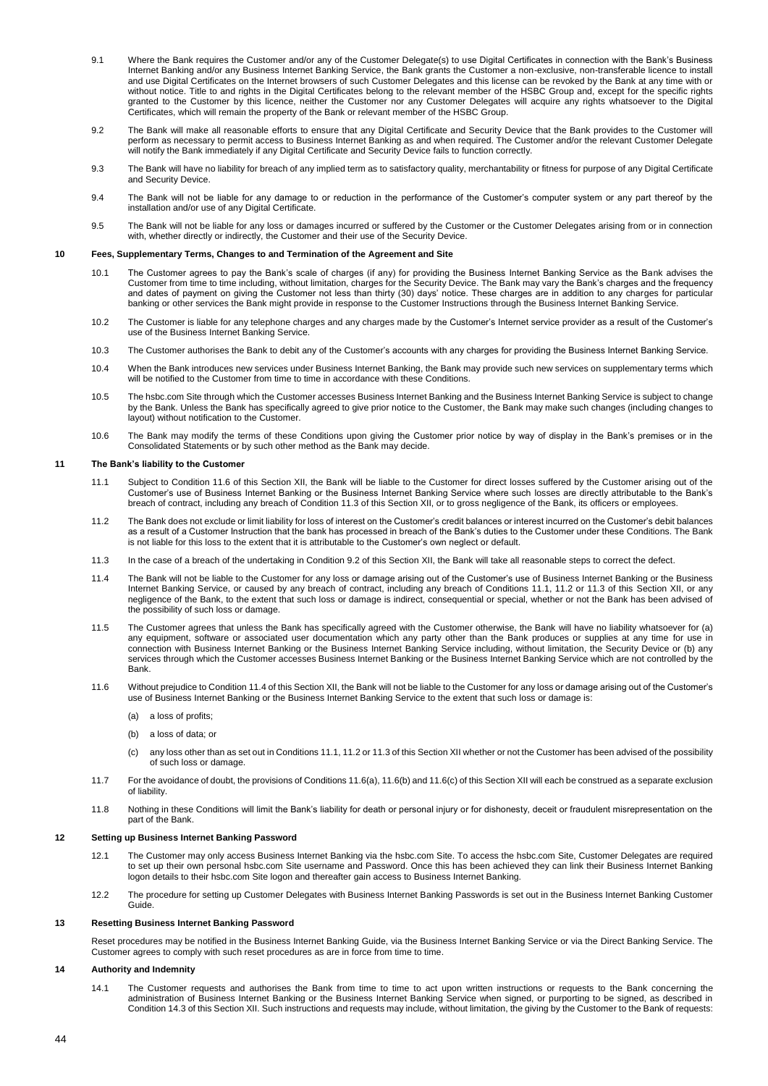- 9.1 Where the Bank requires the Customer and/or any of the Customer Delegate(s) to use Digital Certificates in connection with the Bank's Business Internet Banking and/or any Business Internet Banking Service, the Bank grants the Customer a non-exclusive, non-transferable licence to install and use Digital Certificates on the Internet browsers of such Customer Delegates and this license can be revoked by the Bank at any time with or without notice. Title to and rights in the Digital Certificates belong to the relevant member of the HSBC Group and, except for the specific rights granted to the Customer by this licence, neither the Customer nor any Customer Delegates will acquire any rights whatsoever to the Digital Certificates, which will remain the property of the Bank or relevant member of the HSBC Group.
- 9.2 The Bank will make all reasonable efforts to ensure that any Digital Certificate and Security Device that the Bank provides to the Customer will perform as necessary to permit access to Business Internet Banking as and when required. The Customer and/or the relevant Customer Delegate will notify the Bank immediately if any Digital Certificate and Security Device fails to function correctly.
- 9.3 The Bank will have no liability for breach of any implied term as to satisfactory quality, merchantability or fitness for purpose of any Digital Certificate and Security Device.
- 9.4 The Bank will not be liable for any damage to or reduction in the performance of the Customer's computer system or any part thereof by the installation and/or use of any Digital Certificate.
- 9.5 The Bank will not be liable for any loss or damages incurred or suffered by the Customer or the Customer Delegates arising from or in connection with, whether directly or indirectly, the Customer and their use of the Security Device.

## **10 Fees, Supplementary Terms, Changes to and Termination of the Agreement and Site**

- 10.1 The Customer agrees to pay the Bank's scale of charges (if any) for providing the Business Internet Banking Service as the Bank advises the Customer from time to time including, without limitation, charges for the Security Device. The Bank may vary the Bank's charges and the frequency and dates of payment on giving the Customer not less than thirty (30) days' notice. These charges are in addition to any charges for particular banking or other services the Bank might provide in response to the Customer Instructions through the Business Internet Banking Service.
- 10.2 The Customer is liable for any telephone charges and any charges made by the Customer's Internet service provider as a result of the Customer's use of the Business Internet Banking Service.
- 10.3 The Customer authorises the Bank to debit any of the Customer's accounts with any charges for providing the Business Internet Banking Service.
- 10.4 When the Bank introduces new services under Business Internet Banking, the Bank may provide such new services on supplementary terms which will be notified to the Customer from time to time in accordance with these Conditions.
- 10.5 The hsbc.com Site through which the Customer accesses Business Internet Banking and the Business Internet Banking Service is subject to change by the Bank. Unless the Bank has specifically agreed to give prior notice to the Customer, the Bank may make such changes (including changes to layout) without notification to the Customer.
- 10.6 The Bank may modify the terms of these Conditions upon giving the Customer prior notice by way of display in the Bank's premises or in the Consolidated Statements or by such other method as the Bank may decide.

## **11 The Bank's liability to the Customer**

- 11.1 Subject to Condition 11.6 of this Section XII, the Bank will be liable to the Customer for direct losses suffered by the Customer arising out of the Customer's use of Business Internet Banking or the Business Internet Banking Service where such losses are directly attributable to the Bank's breach of contract, including any breach of Condition 11.3 of this Section XII, or to gross negligence of the Bank, its officers or employees.
- 11.2 The Bank does not exclude or limit liability for loss of interest on the Customer's credit balances or interest incurred on the Customer's debit balances as a result of a Customer Instruction that the bank has processed in breach of the Bank's duties to the Customer under these Conditions. The Bank is not liable for this loss to the extent that it is attributable to the Customer's own neglect or default.
- 11.3 In the case of a breach of the undertaking in Condition 9.2 of this Section XII, the Bank will take all reasonable steps to correct the defect.
- 11.4 The Bank will not be liable to the Customer for any loss or damage arising out of the Customer's use of Business Internet Banking or the Business Internet Banking Service, or caused by any breach of contract, including any breach of Conditions 11.1, 11.2 or 11.3 of this Section XII, or any negligence of the Bank, to the extent that such loss or damage is indirect, consequential or special, whether or not the Bank has been advised of the possibility of such loss or damage.
- 11.5 The Customer agrees that unless the Bank has specifically agreed with the Customer otherwise, the Bank will have no liability whatsoever for (a) any equipment, software or associated user documentation which any party other than the Bank produces or supplies at any time for use in connection with Business Internet Banking or the Business Internet Banking Service including, without limitation, the Security Device or (b) any services through which the Customer accesses Business Internet Banking or the Business Internet Banking Service which are not controlled by the Bank.
- 11.6 Without prejudice to Condition 11.4 of this Section XII, the Bank will not be liable to the Customer for any loss or damage arising out of the Customer's use of Business Internet Banking or the Business Internet Banking Service to the extent that such loss or damage is:
	- (a) a loss of profits;
	- (b) a loss of data; or
	- (c) any loss other than as set out in Conditions 11.1, 11.2 or 11.3 of this Section XII whether or not the Customer has been advised of the possibility of such loss or damage.
- 11.7 For the avoidance of doubt, the provisions of Conditions 11.6(a), 11.6(b) and 11.6(c) of this Section XII will each be construed as a separate exclusion of liability.
- 11.8 Nothing in these Conditions will limit the Bank's liability for death or personal injury or for dishonesty, deceit or fraudulent misrepresentation on the part of the Bank.

## **12 Setting up Business Internet Banking Password**

- 12.1 The Customer may only access Business Internet Banking via the hsbc.com Site. To access the hsbc.com Site, Customer Delegates are required to set up their own personal hsbc.com Site username and Password. Once this has been achieved they can link their Business Internet Banking logon details to their hsbc.com Site logon and thereafter gain access to Business Internet Banking.
- 12.2 The procedure for setting up Customer Delegates with Business Internet Banking Passwords is set out in the Business Internet Banking Customer Guide.

## **13 Resetting Business Internet Banking Password**

Reset procedures may be notified in the Business Internet Banking Guide, via the Business Internet Banking Service or via the Direct Banking Service. The Customer agrees to comply with such reset procedures as are in force from time to time.

## **14 Authority and Indemnity**

14.1 The Customer requests and authorises the Bank from time to time to act upon written instructions or requests to the Bank concerning the administration of Business Internet Banking or the Business Internet Banking Service when signed, or purporting to be signed, as described in Condition 14.3 of this Section XII. Such instructions and requests may include, without limitation, the giving by the Customer to the Bank of requests: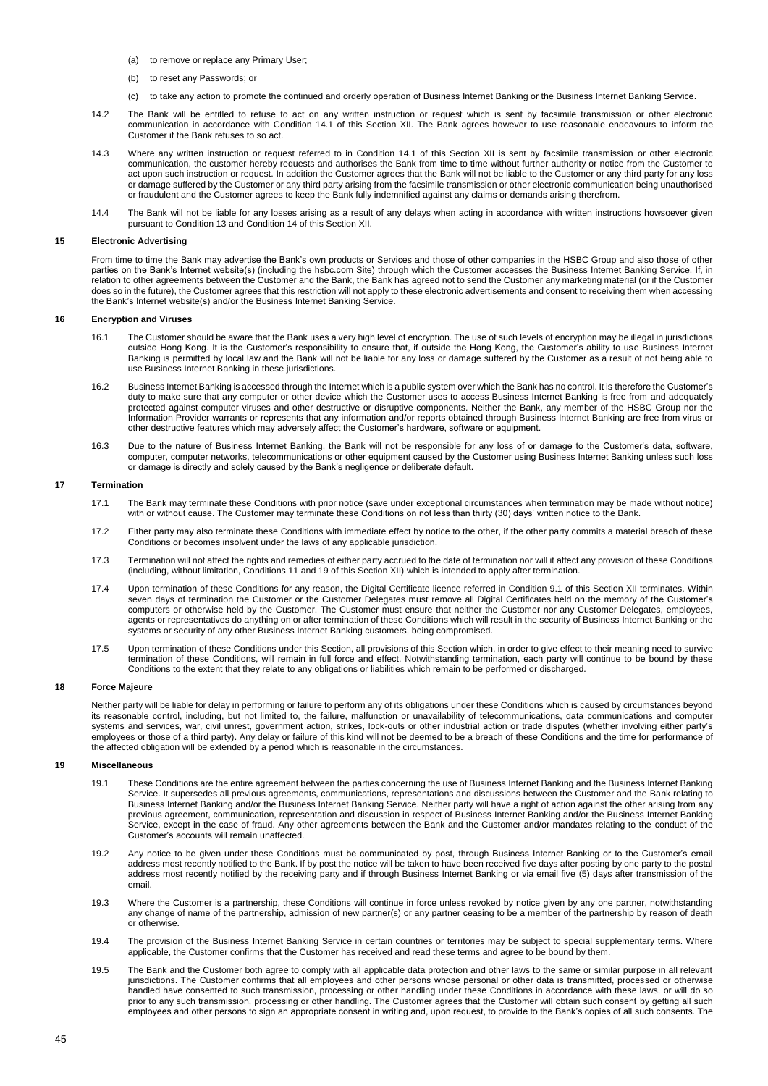- (a) to remove or replace any Primary User;
- (b) to reset any Passwords; or
- (c) to take any action to promote the continued and orderly operation of Business Internet Banking or the Business Internet Banking Service.
- 14.2 The Bank will be entitled to refuse to act on any written instruction or request which is sent by facsimile transmission or other electronic communication in accordance with Condition 14.1 of this Section XII. The Bank agrees however to use reasonable endeavours to inform the Customer if the Bank refuses to so act.
- 14.3 Where any written instruction or request referred to in Condition 14.1 of this Section XII is sent by facsimile transmission or other electronic communication, the customer hereby requests and authorises the Bank from time to time without further authority or notice from the Customer to act upon such instruction or request. In addition the Customer agrees that the Bank will not be liable to the Customer or any third party for any loss or damage suffered by the Customer or any third party arising from the facsimile transmission or other electronic communication being unauthorised or fraudulent and the Customer agrees to keep the Bank fully indemnified against any claims or demands arising therefrom.
- 14.4 The Bank will not be liable for any losses arising as a result of any delays when acting in accordance with written instructions howsoever given pursuant to Condition 13 and Condition 14 of this Section XII.

### **15 Electronic Advertising**

From time to time the Bank may advertise the Bank's own products or Services and those of other companies in the HSBC Group and also those of other parties on the Bank's Internet website(s) (including the hsbc.com Site) through which the Customer accesses the Business Internet Banking Service. If, in relation to other agreements between the Customer and the Bank, the Bank has agreed not to send the Customer any marketing material (or if the Customer does so in the future), the Customer agrees that this restriction will not apply to these electronic advertisements and consent to receiving them when accessing the Bank's Internet website(s) and/or the Business Internet Banking Service.

# **16 Encryption and Viruses**

- 16.1 The Customer should be aware that the Bank uses a very high level of encryption. The use of such levels of encryption may be illegal in jurisdictions outside Hong Kong. It is the Customer's responsibility to ensure that, if outside the Hong Kong, the Customer's ability to use Business Internet Banking is permitted by local law and the Bank will not be liable for any loss or damage suffered by the Customer as a result of not being able to use Business Internet Banking in these jurisdictions.
- 16.2 Business Internet Banking is accessed through the Internet which is a public system over which the Bank has no control. It is therefore the Customer's duty to make sure that any computer or other device which the Customer uses to access Business Internet Banking is free from and adequately protected against computer viruses and other destructive or disruptive components. Neither the Bank, any member of the HSBC Group nor the Information Provider warrants or represents that any information and/or reports obtained through Business Internet Banking are free from virus or other destructive features which may adversely affect the Customer's hardware, software or equipment.
- 16.3 Due to the nature of Business Internet Banking, the Bank will not be responsible for any loss of or damage to the Customer's data, software, computer, computer networks, telecommunications or other equipment caused by the Customer using Business Internet Banking unless such loss or damage is directly and solely caused by the Bank's negligence or deliberate default.

## **17 Termination**

- 17.1 The Bank may terminate these Conditions with prior notice (save under exceptional circumstances when termination may be made without notice) with or without cause. The Customer may terminate these Conditions on not less than thirty (30) days' written notice to the Bank.
- 17.2 Either party may also terminate these Conditions with immediate effect by notice to the other, if the other party commits a material breach of these Conditions or becomes insolvent under the laws of any applicable jurisdiction.
- 17.3 Termination will not affect the rights and remedies of either party accrued to the date of termination nor will it affect any provision of these Conditions (including, without limitation, Conditions 11 and 19 of this Section XII) which is intended to apply after termination.
- 17.4 Upon termination of these Conditions for any reason, the Digital Certificate licence referred in Condition 9.1 of this Section XII terminates. Within seven days of termination the Customer or the Customer Delegates must remove all Digital Certificates held on the memory of the Customer's computers or otherwise held by the Customer. The Customer must ensure that neither the Customer nor any Customer Delegates, employees, agents or representatives do anything on or after termination of these Conditions which will result in the security of Business Internet Banking or the systems or security of any other Business Internet Banking customers, being compromised.
- 17.5 Upon termination of these Conditions under this Section, all provisions of this Section which, in order to give effect to their meaning need to survive termination of these Conditions, will remain in full force and effect. Notwithstanding termination, each party will continue to be bound by these Conditions to the extent that they relate to any obligations or liabilities which remain to be performed or discharged.

## **18 Force Majeure**

Neither party will be liable for delay in performing or failure to perform any of its obligations under these Conditions which is caused by circumstances beyond its reasonable control, including, but not limited to, the failure, malfunction or unavailability of telecommunications, data communications and computer systems and services, war, civil unrest, government action, strikes, lock-outs or other industrial action or trade disputes (whether involving either party's employees or those of a third party). Any delay or failure of this kind will not be deemed to be a breach of these Conditions and the time for performance of the affected obligation will be extended by a period which is reasonable in the circumstances.

# **19 Miscellaneous**

- 19.1 These Conditions are the entire agreement between the parties concerning the use of Business Internet Banking and the Business Internet Banking Service. It supersedes all previous agreements, communications, representations and discussions between the Customer and the Bank relating to Business Internet Banking and/or the Business Internet Banking Service. Neither party will have a right of action against the other arising from any previous agreement, communication, representation and discussion in respect of Business Internet Banking and/or the Business Internet Banking Service, except in the case of fraud. Any other agreements between the Bank and the Customer and/or mandates relating to the conduct of the Customer's accounts will remain unaffected.
- 19.2 Any notice to be given under these Conditions must be communicated by post, through Business Internet Banking or to the Customer's email address most recently notified to the Bank. If by post the notice will be taken to have been received five days after posting by one party to the postal address most recently notified by the receiving party and if through Business Internet Banking or via email five (5) days after transmission of the email.
- 19.3 Where the Customer is a partnership, these Conditions will continue in force unless revoked by notice given by any one partner, notwithstanding any change of name of the partnership, admission of new partner(s) or any partner ceasing to be a member of the partnership by reason of death or otherwise.
- 19.4 The provision of the Business Internet Banking Service in certain countries or territories may be subject to special supplementary terms. Where applicable, the Customer confirms that the Customer has received and read these terms and agree to be bound by them.
- 19.5 The Bank and the Customer both agree to comply with all applicable data protection and other laws to the same or similar purpose in all relevant jurisdictions. The Customer confirms that all employees and other persons whose personal or other data is transmitted, processed or otherwise handled have consented to such transmission, processing or other handling under these Conditions in accordance with these laws, or will do so prior to any such transmission, processing or other handling. The Customer agrees that the Customer will obtain such consent by getting all such employees and other persons to sign an appropriate consent in writing and, upon request, to provide to the Bank's copies of all such consents. The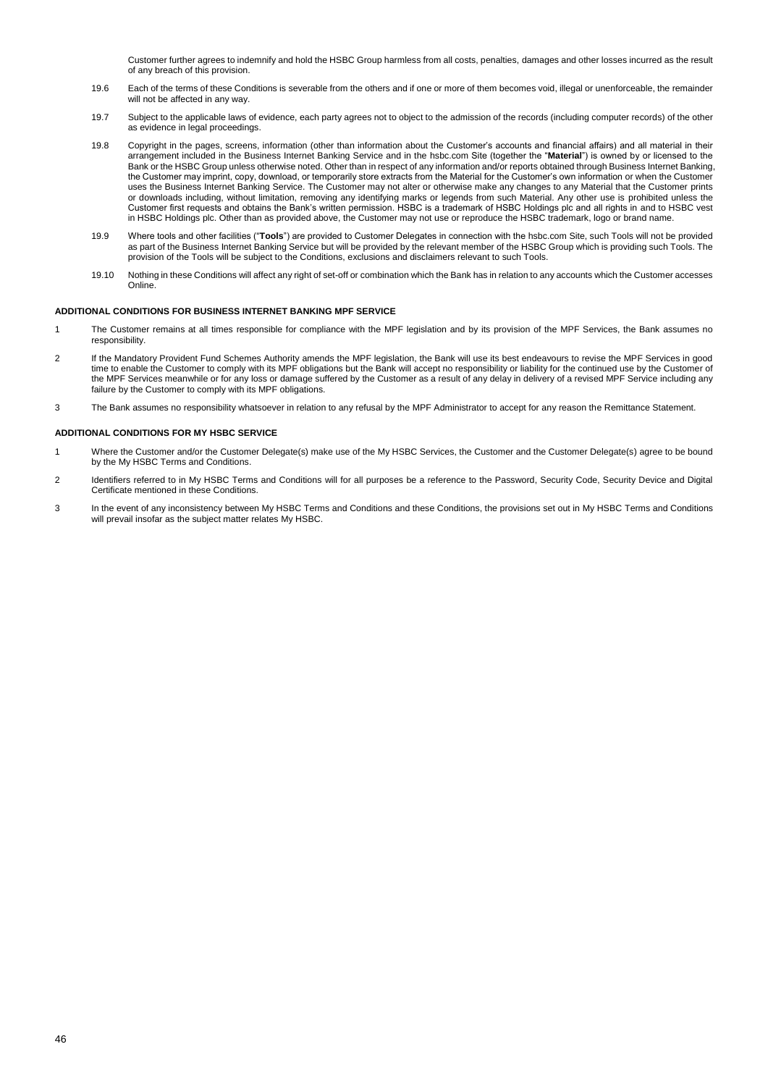Customer further agrees to indemnify and hold the HSBC Group harmless from all costs, penalties, damages and other losses incurred as the result of any breach of this provision.

- 19.6 Each of the terms of these Conditions is severable from the others and if one or more of them becomes void, illegal or unenforceable, the remainder will not be affected in any way.
- 19.7 Subject to the applicable laws of evidence, each party agrees not to object to the admission of the records (including computer records) of the other as evidence in legal proceedings.
- 19.8 Copyright in the pages, screens, information (other than information about the Customer's accounts and financial affairs) and all material in their arrangement included in the Business Internet Banking Service and in the hsbc.com Site (together the "**Material**") is owned by or licensed to the Bank or the HSBC Group unless otherwise noted. Other than in respect of any information and/or reports obtained through Business Internet Banking, the Customer may imprint, copy, download, or temporarily store extracts from the Material for the Customer's own information or when the Customer uses the Business Internet Banking Service. The Customer may not alter or otherwise make any changes to any Material that the Customer prints or downloads including, without limitation, removing any identifying marks or legends from such Material. Any other use is prohibited unless the Customer first requests and obtains the Bank's written permission. HSBC is a trademark of HSBC Holdings plc and all rights in and to HSBC vest in HSBC Holdings plc. Other than as provided above, the Customer may not use or reproduce the HSBC trademark, logo or brand name.
- 19.9 Where tools and other facilities ("**Tools**") are provided to Customer Delegates in connection with the hsbc.com Site, such Tools will not be provided as part of the Business Internet Banking Service but will be provided by the relevant member of the HSBC Group which is providing such Tools. The provision of the Tools will be subject to the Conditions, exclusions and disclaimers relevant to such Tools.
- 19.10 Nothing in these Conditions will affect any right of set-off or combination which the Bank has in relation to any accounts which the Customer accesses Online.

# **ADDITIONAL CONDITIONS FOR BUSINESS INTERNET BANKING MPF SERVICE**

- 1 The Customer remains at all times responsible for compliance with the MPF legislation and by its provision of the MPF Services, the Bank assumes no responsibility.
- 2 If the Mandatory Provident Fund Schemes Authority amends the MPF legislation, the Bank will use its best endeavours to revise the MPF Services in good time to enable the Customer to comply with its MPF obligations but the Bank will accept no responsibility or liability for the continued use by the Customer of the MPF Services meanwhile or for any loss or damage suffered by the Customer as a result of any delay in delivery of a revised MPF Service including any failure by the Customer to comply with its MPF obligations.
- 3 The Bank assumes no responsibility whatsoever in relation to any refusal by the MPF Administrator to accept for any reason the Remittance Statement.

## **ADDITIONAL CONDITIONS FOR MY HSBC SERVICE**

- 1 Where the Customer and/or the Customer Delegate(s) make use of the My HSBC Services, the Customer and the Customer Delegate(s) agree to be bound by the My HSBC Terms and Conditions.
- 2 Identifiers referred to in My HSBC Terms and Conditions will for all purposes be a reference to the Password, Security Code, Security Device and Digital Certificate mentioned in these Conditions.
- 3 In the event of any inconsistency between My HSBC Terms and Conditions and these Conditions, the provisions set out in My HSBC Terms and Conditions will prevail insofar as the subject matter relates My HSBC.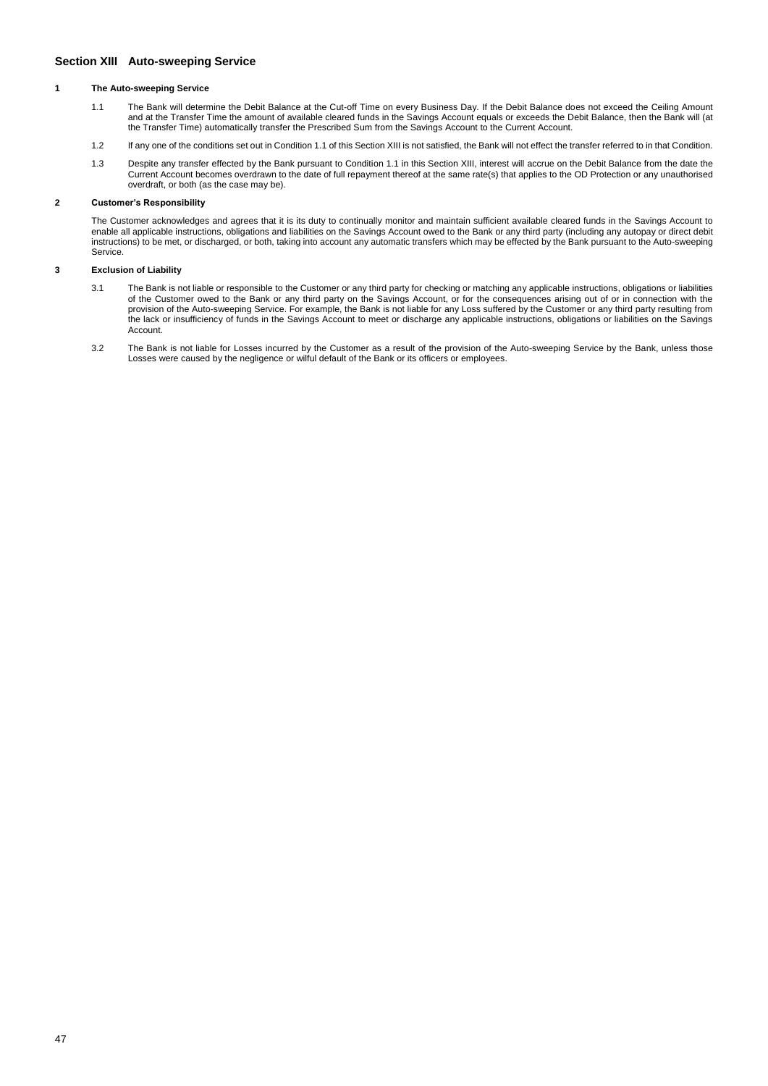# <span id="page-46-0"></span>**Section XIII Auto-sweeping Service**

## **1 The Auto-sweeping Service**

- 1.1 The Bank will determine the Debit Balance at the Cut-off Time on every Business Day. If the Debit Balance does not exceed the Ceiling Amount and at the Transfer Time the amount of available cleared funds in the Savings Account equals or exceeds the Debit Balance, then the Bank will (at the Transfer Time) automatically transfer the Prescribed Sum from the Savings Account to the Current Account.
- 1.2 If any one of the conditions set out in Condition 1.1 of this Section XIII is not satisfied, the Bank will not effect the transfer referred to in that Condition.
- 1.3 Despite any transfer effected by the Bank pursuant to Condition 1.1 in this Section XIII, interest will accrue on the Debit Balance from the date the Current Account becomes overdrawn to the date of full repayment thereof at the same rate(s) that applies to the OD Protection or any unauthorised overdraft, or both (as the case may be).

# **2 Customer's Responsibility**

The Customer acknowledges and agrees that it is its duty to continually monitor and maintain sufficient available cleared funds in the Savings Account to enable all applicable instructions, obligations and liabilities on the Savings Account owed to the Bank or any third party (including any autopay or direct debit instructions) to be met, or discharged, or both, taking into account any automatic transfers which may be effected by the Bank pursuant to the Auto-sweeping Service.

## **3 Exclusion of Liability**

- 3.1 The Bank is not liable or responsible to the Customer or any third party for checking or matching any applicable instructions, obligations or liabilities of the Customer owed to the Bank or any third party on the Savings Account, or for the consequences arising out of or in connection with the provision of the Auto-sweeping Service. For example, the Bank is not liable for any Loss suffered by the Customer or any third party resulting from the lack or insufficiency of funds in the Savings Account to meet or discharge any applicable instructions, obligations or liabilities on the Savings Account.
- 3.2 The Bank is not liable for Losses incurred by the Customer as a result of the provision of the Auto-sweeping Service by the Bank, unless those Losses were caused by the negligence or wilful default of the Bank or its officers or employees.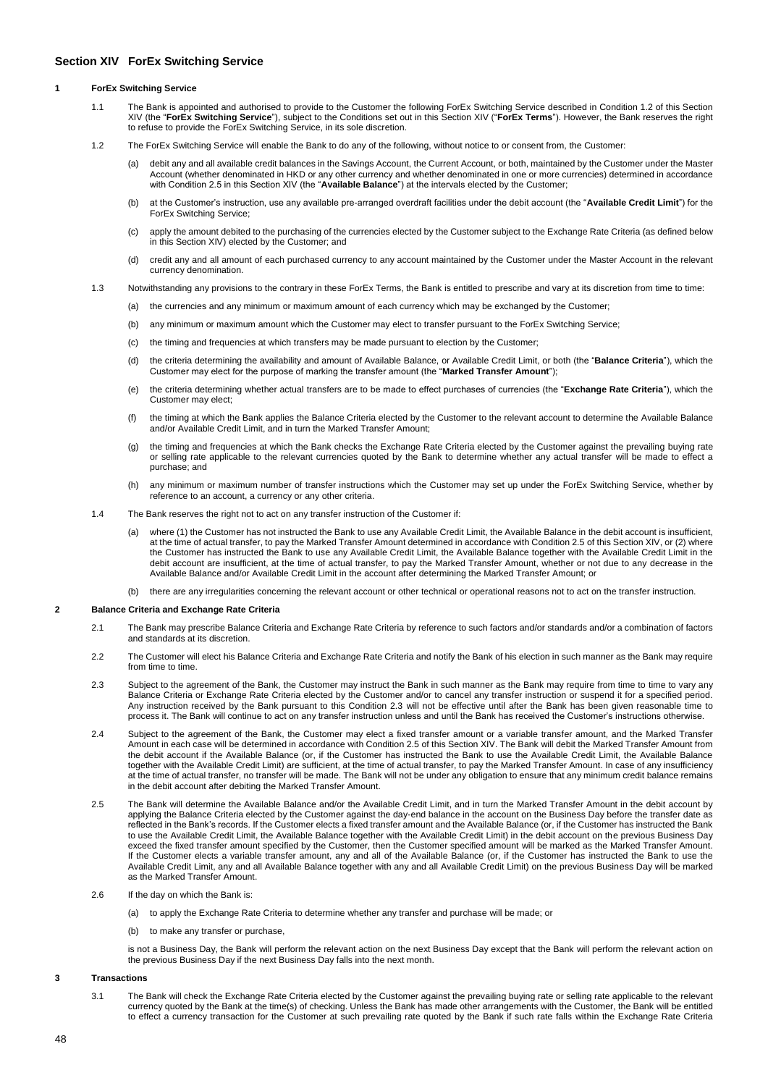# <span id="page-47-0"></span>**Section XIV ForEx Switching Service**

### **1 ForEx Switching Service**

- 1.1 The Bank is appointed and authorised to provide to the Customer the following ForEx Switching Service described in Condition 1.2 of this Section XIV (the "**ForEx Switching Service**"), subject to the Conditions set out in this Section XIV ("**ForEx Terms**"). However, the Bank reserves the right to refuse to provide the ForEx Switching Service, in its sole discretion.
- 1.2 The ForEx Switching Service will enable the Bank to do any of the following, without notice to or consent from, the Customer:
	- (a) debit any and all available credit balances in the Savings Account, the Current Account, or both, maintained by the Customer under the Master Account (whether denominated in HKD or any other currency and whether denominated in one or more currencies) determined in accordance with Condition 2.5 in this Section XIV (the "**Available Balance**") at the intervals elected by the Customer;
	- (b) at the Customer's instruction, use any available pre-arranged overdraft facilities under the debit account (the "**Available Credit Limit**") for the ForEx Switching Service;
	- (c) apply the amount debited to the purchasing of the currencies elected by the Customer subject to the Exchange Rate Criteria (as defined below in this Section XIV) elected by the Customer; and
	- (d) credit any and all amount of each purchased currency to any account maintained by the Customer under the Master Account in the relevant currency denomination.
- 1.3 Notwithstanding any provisions to the contrary in these ForEx Terms, the Bank is entitled to prescribe and vary at its discretion from time to time:
	- (a) the currencies and any minimum or maximum amount of each currency which may be exchanged by the Customer;
	- (b) any minimum or maximum amount which the Customer may elect to transfer pursuant to the ForEx Switching Service;
	- (c) the timing and frequencies at which transfers may be made pursuant to election by the Customer;
	- (d) the criteria determining the availability and amount of Available Balance, or Available Credit Limit, or both (the "**Balance Criteria**"), which the Customer may elect for the purpose of marking the transfer amount (the "**Marked Transfer Amount**");
	- (e) the criteria determining whether actual transfers are to be made to effect purchases of currencies (the "**Exchange Rate Criteria**"), which the Customer may elect;
	- (f) the timing at which the Bank applies the Balance Criteria elected by the Customer to the relevant account to determine the Available Balance and/or Available Credit Limit, and in turn the Marked Transfer Amount;
	- (g) the timing and frequencies at which the Bank checks the Exchange Rate Criteria elected by the Customer against the prevailing buying rate or selling rate applicable to the relevant currencies quoted by the Bank to determine whether any actual transfer will be made to effect a purchase; and
	- (h) any minimum or maximum number of transfer instructions which the Customer may set up under the ForEx Switching Service, whether by reference to an account, a currency or any other criteria.
- 1.4 The Bank reserves the right not to act on any transfer instruction of the Customer if:
	- (a) where (1) the Customer has not instructed the Bank to use any Available Credit Limit, the Available Balance in the debit account is insufficient. at the time of actual transfer, to pay the Marked Transfer Amount determined in accordance with Condition 2.5 of this Section XIV, or (2) where the Customer has instructed the Bank to use any Available Credit Limit, the Available Balance together with the Available Credit Limit in the debit account are insufficient, at the time of actual transfer, to pay the Marked Transfer Amount, whether or not due to any decrease in the Available Balance and/or Available Credit Limit in the account after determining the Marked Transfer Amount; or
	- (b) there are any irregularities concerning the relevant account or other technical or operational reasons not to act on the transfer instruction.

#### **2 Balance Criteria and Exchange Rate Criteria**

- 2.1 The Bank may prescribe Balance Criteria and Exchange Rate Criteria by reference to such factors and/or standards and/or a combination of factors and standards at its discretion.
- 2.2 The Customer will elect his Balance Criteria and Exchange Rate Criteria and notify the Bank of his election in such manner as the Bank may require from time to time.
- 2.3 Subject to the agreement of the Bank, the Customer may instruct the Bank in such manner as the Bank may require from time to time to vary any Balance Criteria or Exchange Rate Criteria elected by the Customer and/or to cancel any transfer instruction or suspend it for a specified period. Any instruction received by the Bank pursuant to this Condition 2.3 will not be effective until after the Bank has been given reasonable time to process it. The Bank will continue to act on any transfer instruction unless and until the Bank has received the Customer's instructions otherwise.
- 2.4 Subject to the agreement of the Bank, the Customer may elect a fixed transfer amount or a variable transfer amount, and the Marked Transfer Amount in each case will be determined in accordance with Condition 2.5 of this Section XIV. The Bank will debit the Marked Transfer Amount from the debit account if the Available Balance (or, if the Customer has instructed the Bank to use the Available Credit Limit, the Available Balance together with the Available Credit Limit) are sufficient, at the time of actual transfer, to pay the Marked Transfer Amount. In case of any insufficiency at the time of actual transfer, no transfer will be made. The Bank will not be under any obligation to ensure that any minimum credit balance remains in the debit account after debiting the Marked Transfer Amount.
- 2.5 The Bank will determine the Available Balance and/or the Available Credit Limit, and in turn the Marked Transfer Amount in the debit account by applying the Balance Criteria elected by the Customer against the day-end balance in the account on the Business Day before the transfer date as reflected in the Bank's records. If the Customer elects a fixed transfer amount and the Available Balance (or, if the Customer has instructed the Bank to use the Available Credit Limit, the Available Balance together with the Available Credit Limit) in the debit account on the previous Business Day exceed the fixed transfer amount specified by the Customer, then the Customer specified amount will be marked as the Marked Transfer Amount. If the Customer elects a variable transfer amount, any and all of the Available Balance (or, if the Customer has instructed the Bank to use the Available Credit Limit, any and all Available Balance together with any and all Available Credit Limit) on the previous Business Day will be marked as the Marked Transfer Amount.
- 2.6 If the day on which the Bank is:
	- (a) to apply the Exchange Rate Criteria to determine whether any transfer and purchase will be made; or
	- (b) to make any transfer or purchase,

is not a Business Day, the Bank will perform the relevant action on the next Business Day except that the Bank will perform the relevant action on the previous Business Day if the next Business Day falls into the next month.

### **3 Transactions**

3.1 The Bank will check the Exchange Rate Criteria elected by the Customer against the prevailing buying rate or selling rate applicable to the relevant currency quoted by the Bank at the time(s) of checking. Unless the Bank has made other arrangements with the Customer, the Bank will be entitled to effect a currency transaction for the Customer at such prevailing rate quoted by the Bank if such rate falls within the Exchange Rate Criteria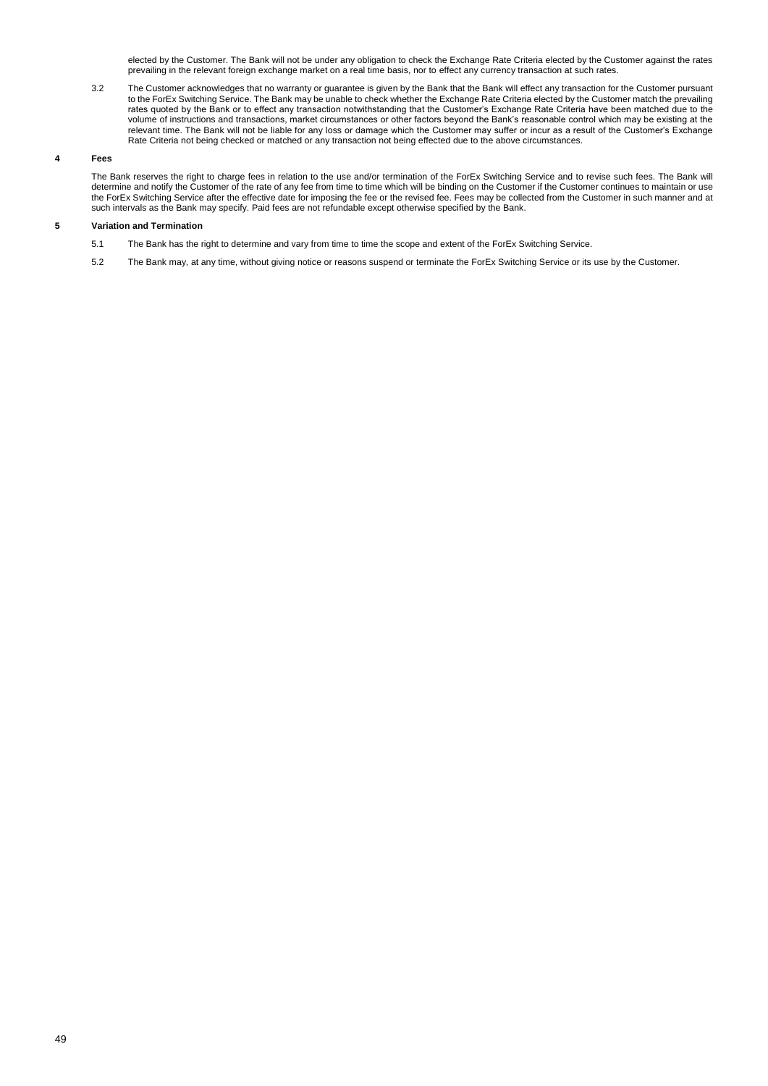elected by the Customer. The Bank will not be under any obligation to check the Exchange Rate Criteria elected by the Customer against the rates prevailing in the relevant foreign exchange market on a real time basis, nor to effect any currency transaction at such rates.

3.2 The Customer acknowledges that no warranty or guarantee is given by the Bank that the Bank will effect any transaction for the Customer pursuant to the ForEx Switching Service. The Bank may be unable to check whether the Exchange Rate Criteria elected by the Customer match the prevailing rates quoted by the Bank or to effect any transaction notwithstanding that the Customer's Exchange Rate Criteria have been matched due to the volume of instructions and transactions, market circumstances or other factors beyond the Bank's reasonable control which may be existing at the relevant time. The Bank will not be liable for any loss or damage which the Customer may suffer or incur as a result of the Customer's Exchange Rate Criteria not being checked or matched or any transaction not being effected due to the above circumstances.

# **4 Fees**

The Bank reserves the right to charge fees in relation to the use and/or termination of the ForEx Switching Service and to revise such fees. The Bank will determine and notify the Customer of the rate of any fee from time to time which will be binding on the Customer if the Customer continues to maintain or use the ForEx Switching Service after the effective date for imposing the fee or the revised fee. Fees may be collected from the Customer in such manner and at such intervals as the Bank may specify. Paid fees are not refundable except otherwise specified by the Bank.

## **5 Variation and Termination**

- 5.1 The Bank has the right to determine and vary from time to time the scope and extent of the ForEx Switching Service.
- 5.2 The Bank may, at any time, without giving notice or reasons suspend or terminate the ForEx Switching Service or its use by the Customer.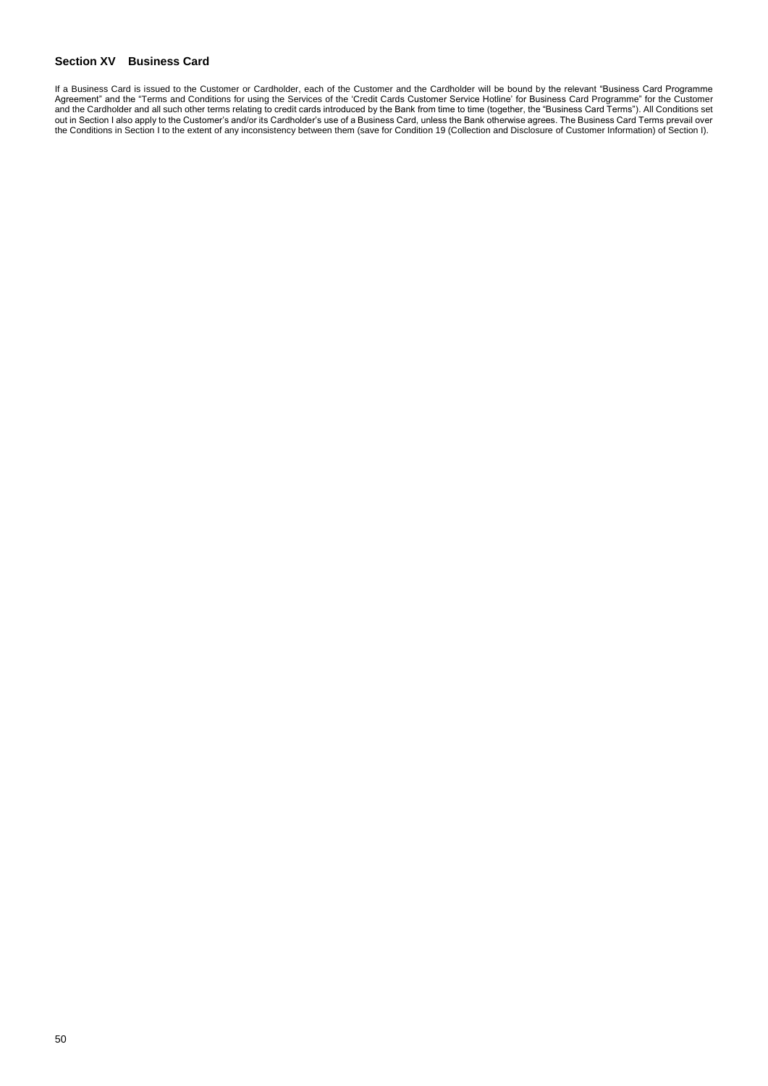# <span id="page-49-0"></span>**Section XV Business Card**

If a Business Card is issued to the Customer or Cardholder, each of the Customer and the Cardholder will be bound by the relevant "Business Card Programme Agreement" and the "Terms and Conditions for using the Services of the 'Credit Cards Customer Service Hotline' for Business Card Programme" for the Customer and the Cardholder and all such other terms relating to credit cards introduced by the Bank from time to time (together, the "Business Card Terms"). All Conditions set out in Section I also apply to the Customer's and/or its Cardholder's use of a Business Card, unless the Bank otherwise agrees. The Business Card Terms prevail over the Conditions in Section I to the extent of any inconsistency between them (save for Condition 19 (Collection and Disclosure of Customer Information) of Section I).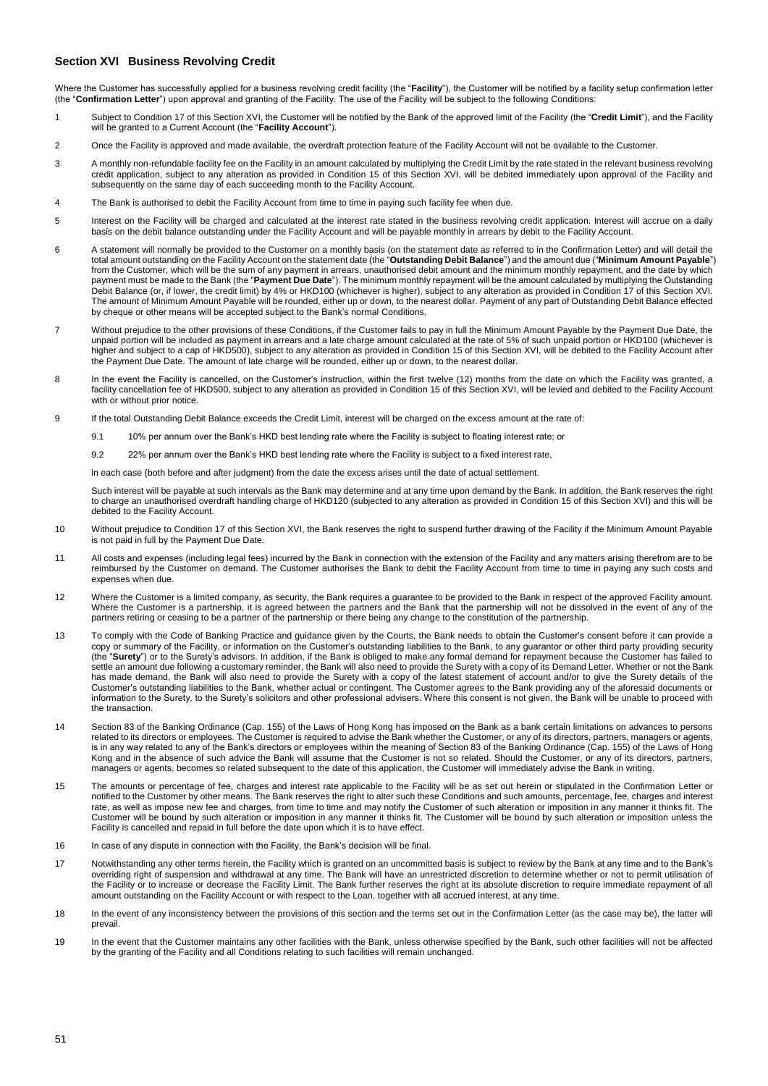# <span id="page-50-0"></span>**Section XVI Business Revolving Credit**

Where the Customer has successfully applied for a business revolving credit facility (the "**Facility**"), the Customer will be notified by a facility setup confirmation letter (the "**Confirmation Letter**") upon approval and granting of the Facility. The use of the Facility will be subject to the following Conditions:

- 1 Subject to Condition 17 of this Section XVI, the Customer will be notified by the Bank of the approved limit of the Facility (the "**Credit Limit**"), and the Facility will be granted to a Current Account (the "**Facility Account**").
- 2 Once the Facility is approved and made available, the overdraft protection feature of the Facility Account will not be available to the Customer.
- 3 A monthly non-refundable facility fee on the Facility in an amount calculated by multiplying the Credit Limit by the rate stated in the relevant business revolving credit application, subject to any alteration as provided in Condition 15 of this Section XVI, will be debited immediately upon approval of the Facility and subsequently on the same day of each succeeding month to the Facility Account.
- 4 The Bank is authorised to debit the Facility Account from time to time in paying such facility fee when due.
- 5 Interest on the Facility will be charged and calculated at the interest rate stated in the business revolving credit application. Interest will accrue on a daily basis on the debit balance outstanding under the Facility Account and will be payable monthly in arrears by debit to the Facility Account.
- 6 A statement will normally be provided to the Customer on a monthly basis (on the statement date as referred to in the Confirmation Letter) and will detail the total amount outstanding on the Facility Account on the statement date (the "**Outstanding Debit Balance**") and the amount due ("**Minimum Amount Payable**") from the Customer, which will be the sum of any payment in arrears, unauthorised debit amount and the minimum monthly repayment, and the date by which<br>payment must be made to the Bank (the "**Payment Due Date**"). The minimu Debit Balance (or, if lower, the credit limit) by 4% or HKD100 (whichever is higher), subject to any alteration as provided in Condition 17 of this Section XVI. The amount of Minimum Amount Payable will be rounded, either up or down, to the nearest dollar. Payment of any part of Outstanding Debit Balance effected by cheque or other means will be accepted subject to the Bank's normal Conditions.
- 7 Without prejudice to the other provisions of these Conditions, if the Customer fails to pay in full the Minimum Amount Payable by the Payment Due Date, the unpaid portion will be included as payment in arrears and a late charge amount calculated at the rate of 5% of such unpaid portion or HKD100 (whichever is higher and subject to a cap of HKD500), subject to any alteration as provided in Condition 15 of this Section XVI, will be debited to the Facility Account after the Payment Due Date. The amount of late charge will be rounded, either up or down, to the nearest dollar.
- 8 In the event the Facility is cancelled, on the Customer's instruction, within the first twelve (12) months from the date on which the Facility was granted, a facility cancellation fee of HKD500, subject to any alteration as provided in Condition 15 of this Section XVI, will be levied and debited to the Facility Account with or without prior notice.
- 9 If the total Outstanding Debit Balance exceeds the Credit Limit, interest will be charged on the excess amount at the rate of:
	- 9.1 10% per annum over the Bank's HKD best lending rate where the Facility is subject to floating interest rate; or
	- 9.2 22% per annum over the Bank's HKD best lending rate where the Facility is subject to a fixed interest rate,

in each case (both before and after judgment) from the date the excess arises until the date of actual settlement.

Such interest will be payable at such intervals as the Bank may determine and at any time upon demand by the Bank. In addition, the Bank reserves the right to charge an unauthorised overdraft handling charge of HKD120 (subjected to any alteration as provided in Condition 15 of this Section XVI) and this will be debited to the Facility Account.

- 10 Without prejudice to Condition 17 of this Section XVI, the Bank reserves the right to suspend further drawing of the Facility if the Minimum Amount Payable is not paid in full by the Payment Due Date.
- 11 All costs and expenses (including legal fees) incurred by the Bank in connection with the extension of the Facility and any matters arising therefrom are to be reimbursed by the Customer on demand. The Customer authorises the Bank to debit the Facility Account from time to time in paying any such costs and expenses when due.
- 12 Where the Customer is a limited company, as security, the Bank requires a guarantee to be provided to the Bank in respect of the approved Facility amount. Where the Customer is a partnership, it is agreed between the partners and the Bank that the partnership will not be dissolved in the event of any of the partners retiring or ceasing to be a partner of the partnership or there being any change to the constitution of the partnership.
- 13 To comply with the Code of Banking Practice and guidance given by the Courts, the Bank needs to obtain the Customer's consent before it can provide a copy or summary of the Facility, or information on the Customer's outstanding liabilities to the Bank, to any guarantor or other third party providing security<br>(the "**Surety**") or to the Surety's advisors. In addition, if settle an amount due following a customary reminder, the Bank will also need to provide the Surety with a copy of its Demand Letter. Whether or not the Bank has made demand, the Bank will also need to provide the Surety with a copy of the latest statement of account and/or to give the Surety details of the Customer's outstanding liabilities to the Bank, whether actual or contingent. The Customer agrees to the Bank providing any of the aforesaid documents or information to the Surety, to the Surety's solicitors and other professional advisers. Where this consent is not given, the Bank will be unable to proceed with the transaction.
- 14 Section 83 of the Banking Ordinance (Cap. 155) of the Laws of Hong Kong has imposed on the Bank as a bank certain limitations on advances to persons related to its directors or employees. The Customer is required to advise the Bank whether the Customer, or any of its directors, partners, managers or agents, is in any way related to any of the Bank's directors or employees within the meaning of Section 83 of the Banking Ordinance (Cap. 155) of the Laws of Hong Kong and in the absence of such advice the Bank will assume that the Customer is not so related. Should the Customer, or any of its directors, partners, managers or agents, becomes so related subsequent to the date of this application, the Customer will immediately advise the Bank in writing.
- 15 The amounts or percentage of fee, charges and interest rate applicable to the Facility will be as set out herein or stipulated in the Confirmation Letter or notified to the Customer by other means. The Bank reserves the right to alter such these Conditions and such amounts, percentage, fee, charges and interest rate, as well as impose new fee and charges, from time to time and may notify the Customer of such alteration or imposition in any manner it thinks fit. The Customer will be bound by such alteration or imposition in any manner it thinks fit. The Customer will be bound by such alteration or imposition unless the Facility is cancelled and repaid in full before the date upon which it is to have effect.
- 16 In case of any dispute in connection with the Facility, the Bank's decision will be final.
- 17 Notwithstanding any other terms herein, the Facility which is granted on an uncommitted basis is subject to review by the Bank at any time and to the Bank's overriding right of suspension and withdrawal at any time. The Bank will have an unrestricted discretion to determine whether or not to permit utilisation of the Facility or to increase or decrease the Facility Limit. The Bank further reserves the right at its absolute discretion to require immediate repayment of all amount outstanding on the Facility Account or with respect to the Loan, together with all accrued interest, at any time.
- 18 In the event of any inconsistency between the provisions of this section and the terms set out in the Confirmation Letter (as the case may be), the latter will prevail.
- 19 In the event that the Customer maintains any other facilities with the Bank, unless otherwise specified by the Bank, such other facilities will not be affected by the granting of the Facility and all Conditions relating to such facilities will remain unchanged.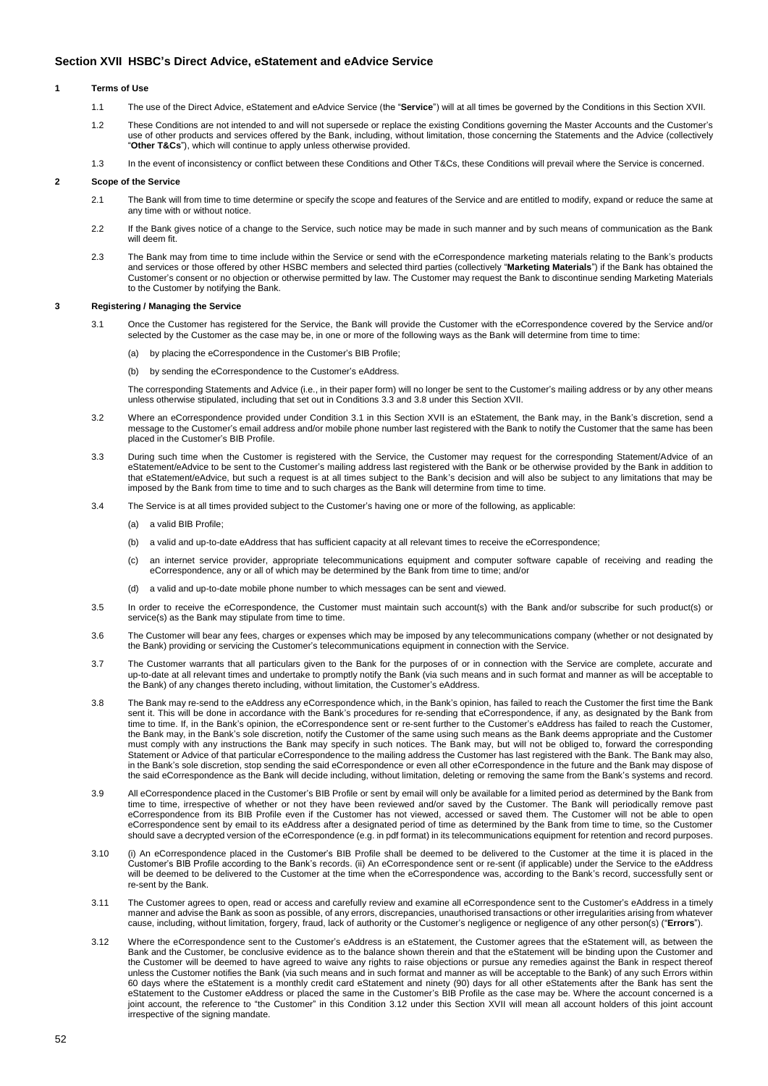# <span id="page-51-0"></span>**Section XVII HSBC's Direct Advice, eStatement and eAdvice Service**

### **1 Terms of Use**

- 1.1 The use of the Direct Advice, eStatement and eAdvice Service (the "**Service**") will at all times be governed by the Conditions in this Section XVII.
- 1.2 These Conditions are not intended to and will not supersede or replace the existing Conditions governing the Master Accounts and the Customer's use of other products and services offered by the Bank, including, without limitation, those concerning the Statements and the Advice (collectively "**Other T&Cs**"), which will continue to apply unless otherwise provided.
- 1.3 In the event of inconsistency or conflict between these Conditions and Other T&Cs, these Conditions will prevail where the Service is concerned.

## **2 Scope of the Service**

- 2.1 The Bank will from time to time determine or specify the scope and features of the Service and are entitled to modify, expand or reduce the same at any time with or without notice.
- 2.2 If the Bank gives notice of a change to the Service, such notice may be made in such manner and by such means of communication as the Bank will deem fit.
- 2.3 The Bank may from time to time include within the Service or send with the eCorrespondence marketing materials relating to the Bank's products and services or those offered by other HSBC members and selected third parties (collectively "**Marketing Materials**") if the Bank has obtained the Customer's consent or no objection or otherwise permitted by law. The Customer may request the Bank to discontinue sending Marketing Materials to the Customer by notifying the Bank.

### **3 Registering / Managing the Service**

- 3.1 Once the Customer has registered for the Service, the Bank will provide the Customer with the eCorrespondence covered by the Service and/or selected by the Customer as the case may be, in one or more of the following ways as the Bank will determine from time to time:
	- (a) by placing the eCorrespondence in the Customer's BIB Profile;
	- (b) by sending the eCorrespondence to the Customer's eAddress.

The corresponding Statements and Advice (i.e., in their paper form) will no longer be sent to the Customer's mailing address or by any other means unless otherwise stipulated, including that set out in Conditions 3.3 and 3.8 under this Section XVII.

- 3.2 Where an eCorrespondence provided under Condition 3.1 in this Section XVII is an eStatement, the Bank may, in the Bank's discretion, send a message to the Customer's email address and/or mobile phone number last registered with the Bank to notify the Customer that the same has been placed in the Customer's BIB Profile.
- 3.3 During such time when the Customer is registered with the Service, the Customer may request for the corresponding Statement/Advice of an eStatement/eAdvice to be sent to the Customer's mailing address last registered with the Bank or be otherwise provided by the Bank in addition to that eStatement/eAdvice, but such a request is at all times subject to the Bank's decision and will also be subject to any limitations that may be imposed by the Bank from time to time and to such charges as the Bank will determine from time to time.
- 3.4 The Service is at all times provided subject to the Customer's having one or more of the following, as applicable:
	- (a) a valid BIB Profile;
	- (b) a valid and up-to-date eAddress that has sufficient capacity at all relevant times to receive the eCorrespondence;
	- (c) an internet service provider, appropriate telecommunications equipment and computer software capable of receiving and reading the eCorrespondence, any or all of which may be determined by the Bank from time to time; and/or
	- (d) a valid and up-to-date mobile phone number to which messages can be sent and viewed.
- 3.5 In order to receive the eCorrespondence, the Customer must maintain such account(s) with the Bank and/or subscribe for such product(s) or service(s) as the Bank may stipulate from time to time.
- 3.6 The Customer will bear any fees, charges or expenses which may be imposed by any telecommunications company (whether or not designated by the Bank) providing or servicing the Customer's telecommunications equipment in connection with the Service.
- 3.7 The Customer warrants that all particulars given to the Bank for the purposes of or in connection with the Service are complete, accurate and up-to-date at all relevant times and undertake to promptly notify the Bank (via such means and in such format and manner as will be acceptable to the Bank) of any changes thereto including, without limitation, the Customer's eAddress.
- 3.8 The Bank may re-send to the eAddress any eCorrespondence which, in the Bank's opinion, has failed to reach the Customer the first time the Bank sent it. This will be done in accordance with the Bank's procedures for re-sending that eCorrespondence, if any, as designated by the Bank from time to time. If, in the Bank's opinion, the eCorrespondence sent or re-sent further to the Customer's eAddress has failed to reach the Customer, the Bank may, in the Bank's sole discretion, notify the Customer of the same using such means as the Bank deems appropriate and the Customer must comply with any instructions the Bank may specify in such notices. The Bank may, but will not be obliged to, forward the corresponding Statement or Advice of that particular eCorrespondence to the mailing address the Customer has last registered with the Bank. The Bank may also, in the Bank's sole discretion, stop sending the said eCorrespondence or even all other eCorrespondence in the future and the Bank may dispose of the said eCorrespondence as the Bank will decide including, without limitation, deleting or removing the same from the Bank's systems and record.
- 3.9 All eCorrespondence placed in the Customer's BIB Profile or sent by email will only be available for a limited period as determined by the Bank from time to time, irrespective of whether or not they have been reviewed and/or saved by the Customer. The Bank will periodically remove past eCorrespondence from its BIB Profile even if the Customer has not viewed, accessed or saved them. The Customer will not be able to open eCorrespondence sent by email to its eAddress after a designated period of time as determined by the Bank from time to time, so the Customer should save a decrypted version of the eCorrespondence (e.g. in pdf format) in its telecommunications equipment for retention and record purposes.
- 3.10 (i) An eCorrespondence placed in the Customer's BIB Profile shall be deemed to be delivered to the Customer at the time it is placed in the Customer's BIB Profile according to the Bank's records. (ii) An eCorrespondence sent or re-sent (if applicable) under the Service to the eAddress will be deemed to be delivered to the Customer at the time when the eCorrespondence was, according to the Bank's record, successfully sent or re-sent by the Bank.
- 3.11 The Customer agrees to open, read or access and carefully review and examine all eCorrespondence sent to the Customer's eAddress in a timely manner and advise the Bank as soon as possible, of any errors, discrepancies, unauthorised transactions or other irregularities arising from whatever cause, including, without limitation, forgery, fraud, lack of authority or the Customer's negligence or negligence of any other person(s) ("**Errors**").
- 3.12 Where the eCorrespondence sent to the Customer's eAddress is an eStatement, the Customer agrees that the eStatement will, as between the Bank and the Customer, be conclusive evidence as to the balance shown therein and that the eStatement will be binding upon the Customer and the Customer will be deemed to have agreed to waive any rights to raise objections or pursue any remedies against the Bank in respect thereof unless the Customer notifies the Bank (via such means and in such format and manner as will be acceptable to the Bank) of any such Errors within 60 days where the eStatement is a monthly credit card eStatement and ninety (90) days for all other eStatements after the Bank has sent the eStatement to the Customer eAddress or placed the same in the Customer's BIB Profile as the case may be. Where the account concerned is a joint account, the reference to "the Customer" in this Condition 3.12 under this Section XVII will mean all account holders of this joint account irrespective of the signing mandate.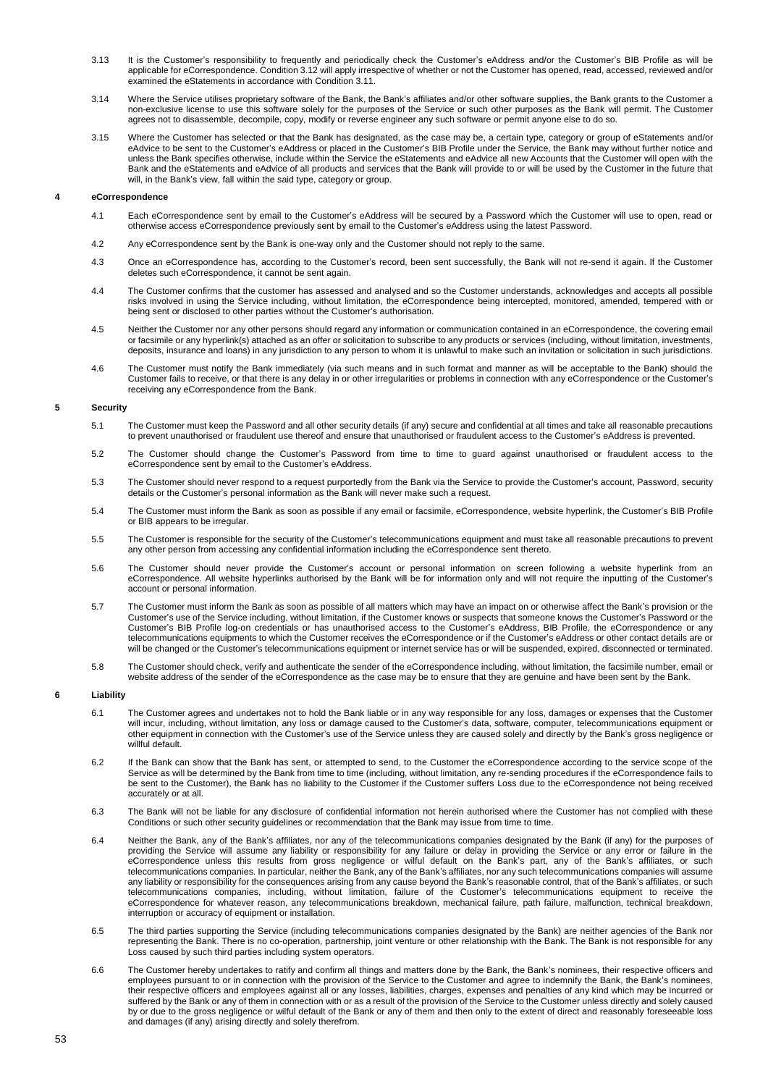- 3.13 It is the Customer's responsibility to frequently and periodically check the Customer's eAddress and/or the Customer's BIB Profile as will be applicable for eCorrespondence. Condition 3.12 will apply irrespective of whether or not the Customer has opened, read, accessed, reviewed and/or examined the eStatements in accordance with Condition 3.11.
- 3.14 Where the Service utilises proprietary software of the Bank, the Bank's affiliates and/or other software supplies, the Bank grants to the Customer a non-exclusive license to use this software solely for the purposes of the Service or such other purposes as the Bank will permit. The Customer agrees not to disassemble, decompile, copy, modify or reverse engineer any such software or permit anyone else to do so.
- 3.15 Where the Customer has selected or that the Bank has designated, as the case may be, a certain type, category or group of eStatements and/or eAdvice to be sent to the Customer's eAddress or placed in the Customer's BIB Profile under the Service, the Bank may without further notice and unless the Bank specifies otherwise, include within the Service the eStatements and eAdvice all new Accounts that the Customer will open with the Bank and the eStatements and eAdvice of all products and services that the Bank will provide to or will be used by the Customer in the future that will, in the Bank's view, fall within the said type, category or group.

### **4 eCorrespondence**

- 4.1 Each eCorrespondence sent by email to the Customer's eAddress will be secured by a Password which the Customer will use to open, read or otherwise access eCorrespondence previously sent by email to the Customer's eAddress using the latest Password.
- 4.2 Any eCorrespondence sent by the Bank is one-way only and the Customer should not reply to the same.
- 4.3 Once an eCorrespondence has, according to the Customer's record, been sent successfully, the Bank will not re-send it again. If the Customer deletes such eCorrespondence, it cannot be sent again.
- 4.4 The Customer confirms that the customer has assessed and analysed and so the Customer understands, acknowledges and accepts all possible risks involved in using the Service including, without limitation, the eCorrespondence being intercepted, monitored, amended, tempered with or being sent or disclosed to other parties without the Customer's authorisation.
- 4.5 Neither the Customer nor any other persons should regard any information or communication contained in an eCorrespondence, the covering email or facsimile or any hyperlink(s) attached as an offer or solicitation to subscribe to any products or services (including, without limitation, investments, deposits, insurance and loans) in any jurisdiction to any person to whom it is unlawful to make such an invitation or solicitation in such jurisdictions.
- 4.6 The Customer must notify the Bank immediately (via such means and in such format and manner as will be acceptable to the Bank) should the Customer fails to receive, or that there is any delay in or other irregularities or problems in connection with any eCorrespondence or the Customer's receiving any eCorrespondence from the Bank.

### **5 Security**

- 5.1 The Customer must keep the Password and all other security details (if any) secure and confidential at all times and take all reasonable precautions to prevent unauthorised or fraudulent use thereof and ensure that unauthorised or fraudulent access to the Customer's eAddress is prevented.
- 5.2 The Customer should change the Customer's Password from time to time to guard against unauthorised or fraudulent access to the eCorrespondence sent by email to the Customer's eAddress.
- 5.3 The Customer should never respond to a request purportedly from the Bank via the Service to provide the Customer's account, Password, security details or the Customer's personal information as the Bank will never make such a request.
- 5.4 The Customer must inform the Bank as soon as possible if any email or facsimile, eCorrespondence, website hyperlink, the Customer's BIB Profile or BIB appears to be irregular.
- 5.5 The Customer is responsible for the security of the Customer's telecommunications equipment and must take all reasonable precautions to prevent any other person from accessing any confidential information including the eCorrespondence sent thereto.
- 5.6 The Customer should never provide the Customer's account or personal information on screen following a website hyperlink from an eCorrespondence. All website hyperlinks authorised by the Bank will be for information only and will not require the inputting of the Customer's account or personal information.
- 5.7 The Customer must inform the Bank as soon as possible of all matters which may have an impact on or otherwise affect the Bank's provision or the Customer's use of the Service including, without limitation, if the Customer knows or suspects that someone knows the Customer's Password or the Customer's BIB Profile log-on credentials or has unauthorised access to the Customer's eAddress, BIB Profile, the eCorrespondence or any telecommunications equipments to which the Customer receives the eCorrespondence or if the Customer's eAddress or other contact details are or will be changed or the Customer's telecommunications equipment or internet service has or will be suspended, expired, disconnected or terminated.
- 5.8 The Customer should check, verify and authenticate the sender of the eCorrespondence including, without limitation, the facsimile number, email or website address of the sender of the eCorrespondence as the case may be to ensure that they are genuine and have been sent by the Bank.

### **6 Liability**

- 6.1 The Customer agrees and undertakes not to hold the Bank liable or in any way responsible for any loss, damages or expenses that the Customer will incur, including, without limitation, any loss or damage caused to the Customer's data, software, computer, telecommunications equipment or other equipment in connection with the Customer's use of the Service unless they are caused solely and directly by the Bank's gross negligence or willful default.
- 6.2 If the Bank can show that the Bank has sent, or attempted to send, to the Customer the eCorrespondence according to the service scope of the Service as will be determined by the Bank from time to time (including, without limitation, any re-sending procedures if the eCorrespondence fails to be sent to the Customer), the Bank has no liability to the Customer if the Customer suffers Loss due to the eCorrespondence not being received accurately or at all.
- 6.3 The Bank will not be liable for any disclosure of confidential information not herein authorised where the Customer has not complied with these Conditions or such other security guidelines or recommendation that the Bank may issue from time to time.
- 6.4 Neither the Bank, any of the Bank's affiliates, nor any of the telecommunications companies designated by the Bank (if any) for the purposes of providing the Service will assume any liability or responsibility for any failure or delay in providing the Service or any error or failure in the eCorrespondence unless this results from gross negligence or wilful default on the Bank's part, any of the Bank's affiliates, or such telecommunications companies. In particular, neither the Bank, any of the Bank's affiliates, nor any such telecommunications companies will assume any liability or responsibility for the consequences arising from any cause beyond the Bank's reasonable control, that of the Bank's affiliates, or such telecommunications companies, including, without limitation, failure of the Customer's telecommunications equipment to receive the eCorrespondence for whatever reason, any telecommunications breakdown, mechanical failure, path failure, malfunction, technical breakdown, interruption or accuracy of equipment or installation.
- 6.5 The third parties supporting the Service (including telecommunications companies designated by the Bank) are neither agencies of the Bank nor representing the Bank. There is no co-operation, partnership, joint venture or other relationship with the Bank. The Bank is not responsible for any Loss caused by such third parties including system operators.
- 6.6 The Customer hereby undertakes to ratify and confirm all things and matters done by the Bank, the Bank's nominees, their respective officers and employees pursuant to or in connection with the provision of the Service to the Customer and agree to indemnify the Bank, the Bank's nominees, their respective officers and employees against all or any losses, liabilities, charges, expenses and penalties of any kind which may be incurred or suffered by the Bank or any of them in connection with or as a result of the provision of the Service to the Customer unless directly and solely caused by or due to the gross negligence or wilful default of the Bank or any of them and then only to the extent of direct and reasonably foreseeable loss and damages (if any) arising directly and solely therefrom.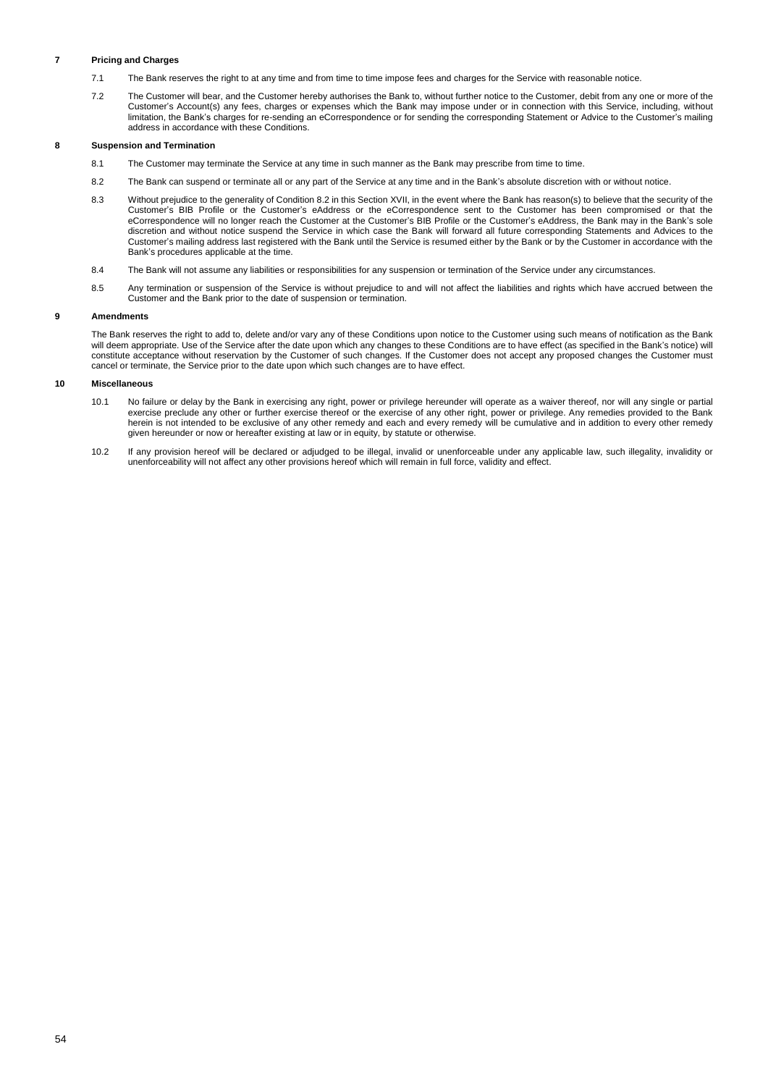# **7 Pricing and Charges**

- 7.1 The Bank reserves the right to at any time and from time to time impose fees and charges for the Service with reasonable notice.
- 7.2 The Customer will bear, and the Customer hereby authorises the Bank to, without further notice to the Customer, debit from any one or more of the Customer's Account(s) any fees, charges or expenses which the Bank may impose under or in connection with this Service, including, without limitation, the Bank's charges for re-sending an eCorrespondence or for sending the corresponding Statement or Advice to the Customer's mailing address in accordance with these Conditions.

## **8 Suspension and Termination**

- 8.1 The Customer may terminate the Service at any time in such manner as the Bank may prescribe from time to time.
- 8.2 The Bank can suspend or terminate all or any part of the Service at any time and in the Bank's absolute discretion with or without notice.
- 8.3 Without prejudice to the generality of Condition 8.2 in this Section XVII, in the event where the Bank has reason(s) to believe that the security of the Customer's BIB Profile or the Customer's eAddress or the eCorrespondence sent to the Customer has been compromised or that the eCorrespondence will no longer reach the Customer at the Customer's BIB Profile or the Customer's eAddress, the Bank may in the Bank's sole discretion and without notice suspend the Service in which case the Bank will forward all future corresponding Statements and Advices to the Customer's mailing address last registered with the Bank until the Service is resumed either by the Bank or by the Customer in accordance with the Bank's procedures applicable at the time.
- 8.4 The Bank will not assume any liabilities or responsibilities for any suspension or termination of the Service under any circumstances.
- 8.5 Any termination or suspension of the Service is without prejudice to and will not affect the liabilities and rights which have accrued between the Customer and the Bank prior to the date of suspension or termination.

## **9 Amendments**

The Bank reserves the right to add to, delete and/or vary any of these Conditions upon notice to the Customer using such means of notification as the Bank will deem appropriate. Use of the Service after the date upon which any changes to these Conditions are to have effect (as specified in the Bank's notice) will deem appropriate. Use of the Service after the date upon which constitute acceptance without reservation by the Customer of such changes. If the Customer does not accept any proposed changes the Customer must cancel or terminate, the Service prior to the date upon which such changes are to have effect.

## **10 Miscellaneous**

- 10.1 No failure or delay by the Bank in exercising any right, power or privilege hereunder will operate as a waiver thereof, nor will any single or partial exercise preclude any other or further exercise thereof or the exercise of any other right, power or privilege. Any remedies provided to the Bank herein is not intended to be exclusive of any other remedy and each and every remedy will be cumulative and in addition to every other remedy given hereunder or now or hereafter existing at law or in equity, by statute or otherwise.
- 10.2 If any provision hereof will be declared or adjudged to be illegal, invalid or unenforceable under any applicable law, such illegality, invalidity or unenforceability will not affect any other provisions hereof which will remain in full force, validity and effect.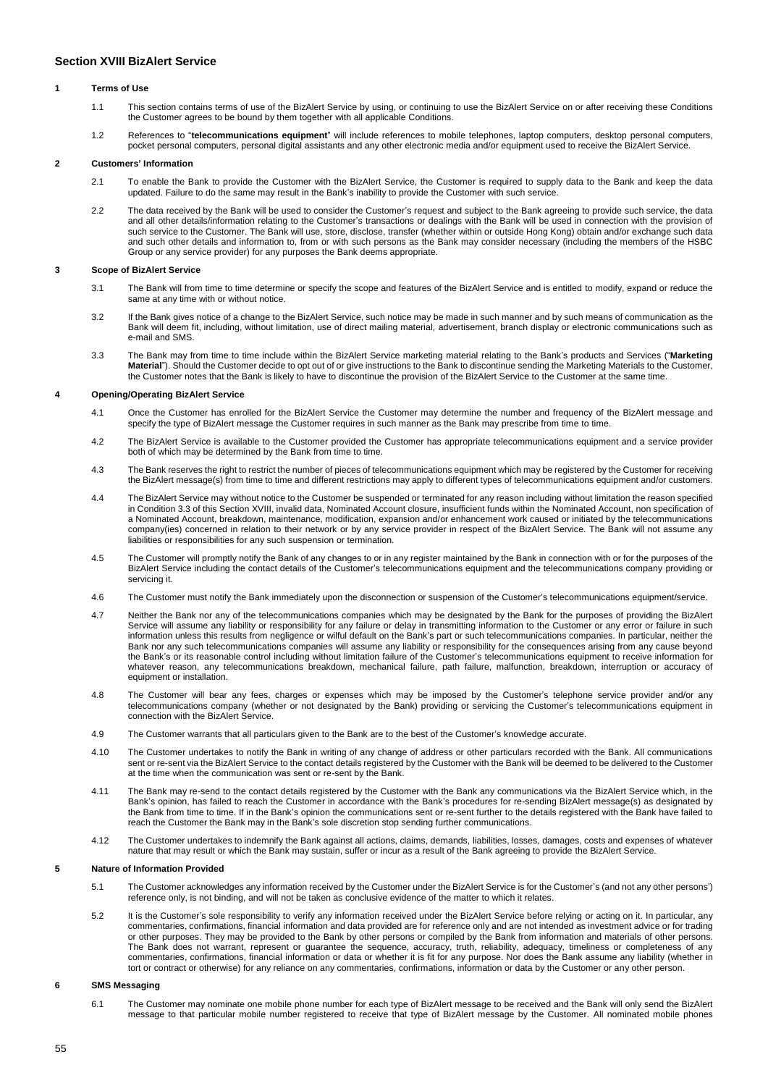# <span id="page-54-0"></span>**Section XVIII BizAlert Service**

## **1 Terms of Use**

- 1.1 This section contains terms of use of the BizAlert Service by using, or continuing to use the BizAlert Service on or after receiving these Conditions the Customer agrees to be bound by them together with all applicable Conditions.
- 1.2 References to "**telecommunications equipment**" will include references to mobile telephones, laptop computers, desktop personal computers, pocket personal computers, personal digital assistants and any other electronic media and/or equipment used to receive the BizAlert Service.

## **2 Customers' Information**

- 2.1 To enable the Bank to provide the Customer with the BizAlert Service, the Customer is required to supply data to the Bank and keep the data updated. Failure to do the same may result in the Bank's inability to provide the Customer with such service.
- 2.2 The data received by the Bank will be used to consider the Customer's request and subject to the Bank agreeing to provide such service, the data and all other details/information relating to the Customer's transactions or dealings with the Bank will be used in connection with the provision of such service to the Customer. The Bank will use, store, disclose, transfer (whether within or outside Hong Kong) obtain and/or exchange such data and such other details and information to, from or with such persons as the Bank may consider necessary (including the members of the HSBC Group or any service provider) for any purposes the Bank deems appropriate.

## **3 Scope of BizAlert Service**

- 3.1 The Bank will from time to time determine or specify the scope and features of the BizAlert Service and is entitled to modify, expand or reduce the same at any time with or without notice.
- 3.2 If the Bank gives notice of a change to the BizAlert Service, such notice may be made in such manner and by such means of communication as the Bank will deem fit, including, without limitation, use of direct mailing material, advertisement, branch display or electronic communications such as e-mail and SMS.
- 3.3 The Bank may from time to time include within the BizAlert Service marketing material relating to the Bank's products and Services ("**Marketing Material**"). Should the Customer decide to opt out of or give instructions to the Bank to discontinue sending the Marketing Materials to the Customer, the Customer notes that the Bank is likely to have to discontinue the provision of the BizAlert Service to the Customer at the same time.

## **4 Opening/Operating BizAlert Service**

- 4.1 Once the Customer has enrolled for the BizAlert Service the Customer may determine the number and frequency of the BizAlert message and specify the type of BizAlert message the Customer requires in such manner as the Bank may prescribe from time to time.
- 4.2 The BizAlert Service is available to the Customer provided the Customer has appropriate telecommunications equipment and a service provider both of which may be determined by the Bank from time to time.
- 4.3 The Bank reserves the right to restrict the number of pieces of telecommunications equipment which may be registered by the Customer for receiving the BizAlert message(s) from time to time and different restrictions may apply to different types of telecommunications equipment and/or customers.
- 4.4 The BizAlert Service may without notice to the Customer be suspended or terminated for any reason including without limitation the reason specified in Condition 3.3 of this Section XVIII, invalid data, Nominated Account closure, insufficient funds within the Nominated Account, non specification of a Nominated Account, breakdown, maintenance, modification, expansion and/or enhancement work caused or initiated by the telecommunications company(ies) concerned in relation to their network or by any service provider in respect of the BizAlert Service. The Bank will not assume any liabilities or responsibilities for any such suspension or termination.
- 4.5 The Customer will promptly notify the Bank of any changes to or in any register maintained by the Bank in connection with or for the purposes of the BizAlert Service including the contact details of the Customer's telecommunications equipment and the telecommunications company providing or servicing it.
- 4.6 The Customer must notify the Bank immediately upon the disconnection or suspension of the Customer's telecommunications equipment/service.
- 4.7 Neither the Bank nor any of the telecommunications companies which may be designated by the Bank for the purposes of providing the BizAlert Service will assume any liability or responsibility for any failure or delay in transmitting information to the Customer or any error or failure in such information unless this results from negligence or wilful default on the Bank's part or such telecommunications companies. In particular, neither the Bank nor any such telecommunications companies will assume any liability or responsibility for the consequences arising from any cause beyond the Bank's or its reasonable control including without limitation failure of the Customer's telecommunications equipment to receive information for whatever reason, any telecommunications breakdown, mechanical failure, path failure, malfunction, breakdown, interruption or accuracy of equipment or installation.
- 4.8 The Customer will bear any fees, charges or expenses which may be imposed by the Customer's telephone service provider and/or any telecommunications company (whether or not designated by the Bank) providing or servicing the Customer's telecommunications equipment in connection with the BizAlert Service.
- 4.9 The Customer warrants that all particulars given to the Bank are to the best of the Customer's knowledge accurate.
- 4.10 The Customer undertakes to notify the Bank in writing of any change of address or other particulars recorded with the Bank. All communications sent or re-sent via the BizAlert Service to the contact details registered by the Customer with the Bank will be deemed to be delivered to the Customer at the time when the communication was sent or re-sent by the Bank.
- 4.11 The Bank may re-send to the contact details registered by the Customer with the Bank any communications via the BizAlert Service which, in the Bank's opinion, has failed to reach the Customer in accordance with the Bank's procedures for re-sending BizAlert message(s) as designated by the Bank from time to time. If in the Bank's opinion the communications sent or re-sent further to the details registered with the Bank have failed to reach the Customer the Bank may in the Bank's sole discretion stop sending further communications.
- 4.12 The Customer undertakes to indemnify the Bank against all actions, claims, demands, liabilities, losses, damages, costs and expenses of whatever nature that may result or which the Bank may sustain, suffer or incur as a result of the Bank agreeing to provide the BizAlert Service.

# **5 Nature of Information Provided**

- 5.1 The Customer acknowledges any information received by the Customer under the BizAlert Service is for the Customer's (and not any other persons') reference only, is not binding, and will not be taken as conclusive evidence of the matter to which it relates.
- 5.2 It is the Customer's sole responsibility to verify any information received under the BizAlert Service before relying or acting on it. In particular, any commentaries, confirmations, financial information and data provided are for reference only and are not intended as investment advice or for trading or other purposes. They may be provided to the Bank by other persons or compiled by the Bank from information and materials of other persons. The Bank does not warrant, represent or guarantee the sequence, accuracy, truth, reliability, adequacy, timeliness or completeness of any commentaries, confirmations, financial information or data or whether it is fit for any purpose. Nor does the Bank assume any liability (whether in tort or contract or otherwise) for any reliance on any commentaries, confirmations, information or data by the Customer or any other person.

# **6 SMS Messaging**

6.1 The Customer may nominate one mobile phone number for each type of BizAlert message to be received and the Bank will only send the BizAlert message to that particular mobile number registered to receive that type of BizAlert message by the Customer. All nominated mobile phones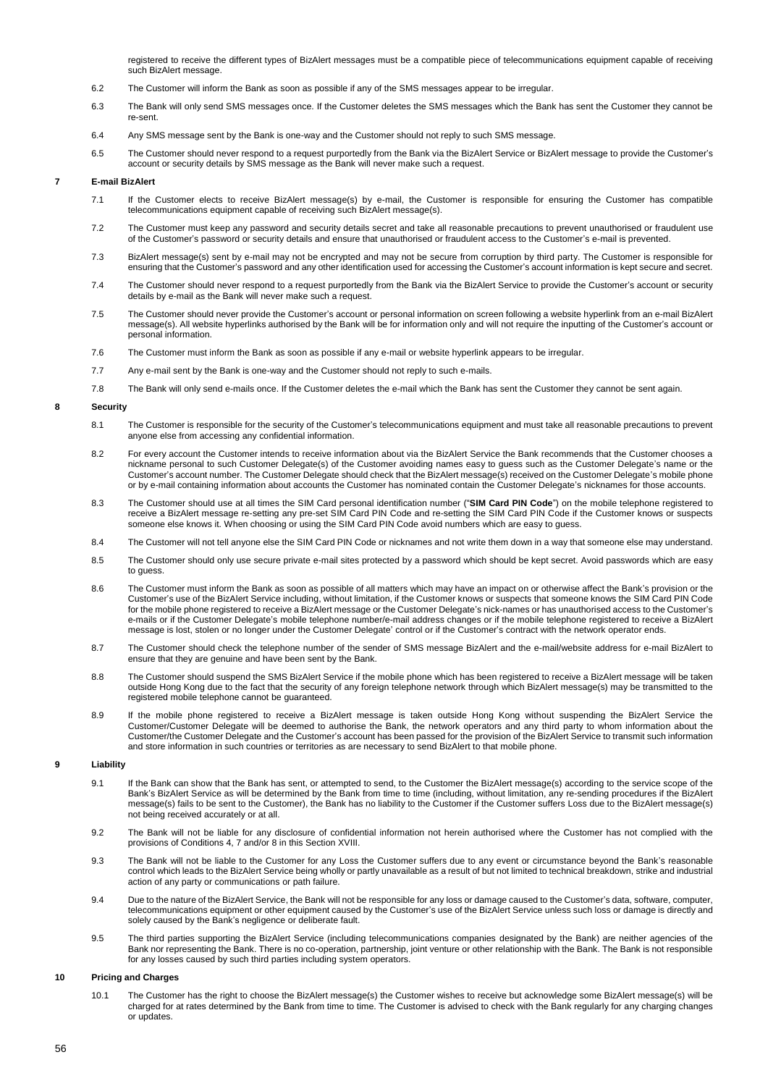registered to receive the different types of BizAlert messages must be a compatible piece of telecommunications equipment capable of receiving such BizAlert message.

- 6.2 The Customer will inform the Bank as soon as possible if any of the SMS messages appear to be irregular.
- 6.3 The Bank will only send SMS messages once. If the Customer deletes the SMS messages which the Bank has sent the Customer they cannot be re-sent.
- 6.4 Any SMS message sent by the Bank is one-way and the Customer should not reply to such SMS message.
- 6.5 The Customer should never respond to a request purportedly from the Bank via the BizAlert Service or BizAlert message to provide the Customer's account or security details by SMS message as the Bank will never make such a request.

## **7 E-mail BizAlert**

- 7.1 If the Customer elects to receive BizAlert message(s) by e-mail, the Customer is responsible for ensuring the Customer has compatible telecommunications equipment capable of receiving such BizAlert message(s).
- 7.2 The Customer must keep any password and security details secret and take all reasonable precautions to prevent unauthorised or fraudulent use of the Customer's password or security details and ensure that unauthorised or fraudulent access to the Customer's e-mail is prevented.
- 7.3 BizAlert message(s) sent by e-mail may not be encrypted and may not be secure from corruption by third party. The Customer is responsible for ensuring that the Customer's password and any other identification used for accessing the Customer's account information is kept secure and secret.
- 7.4 The Customer should never respond to a request purportedly from the Bank via the BizAlert Service to provide the Customer's account or security details by e-mail as the Bank will never make such a request.
- 7.5 The Customer should never provide the Customer's account or personal information on screen following a website hyperlink from an e-mail BizAlert message(s). All website hyperlinks authorised by the Bank will be for information only and will not require the inputting of the Customer's account or personal information.
- 7.6 The Customer must inform the Bank as soon as possible if any e-mail or website hyperlink appears to be irregular.
- 7.7 Any e-mail sent by the Bank is one-way and the Customer should not reply to such e-mails.
- 7.8 The Bank will only send e-mails once. If the Customer deletes the e-mail which the Bank has sent the Customer they cannot be sent again.

### **8 Security**

- 8.1 The Customer is responsible for the security of the Customer's telecommunications equipment and must take all reasonable precautions to prevent anyone else from accessing any confidential information.
- 8.2 For every account the Customer intends to receive information about via the BizAlert Service the Bank recommends that the Customer chooses a nickname personal to such Customer Delegate(s) of the Customer avoiding names easy to guess such as the Customer Delegate's name or the Customer's account number. The Customer Delegate should check that the BizAlert message(s) received on the Customer Delegate's mobile phone or by e-mail containing information about accounts the Customer has nominated contain the Customer Delegate's nicknames for those accounts.
- 8.3 The Customer should use at all times the SIM Card personal identification number ("**SIM Card PIN Code**") on the mobile telephone registered to receive a BizAlert message re-setting any pre-set SIM Card PIN Code and re-setting the SIM Card PIN Code if the Customer knows or suspects someone else knows it. When choosing or using the SIM Card PIN Code avoid numbers which are easy to guess.
- 8.4 The Customer will not tell anyone else the SIM Card PIN Code or nicknames and not write them down in a way that someone else may understand.
- 8.5 The Customer should only use secure private e-mail sites protected by a password which should be kept secret. Avoid passwords which are easy to guess.
- 8.6 The Customer must inform the Bank as soon as possible of all matters which may have an impact on or otherwise affect the Bank's provision or the Customer's use of the BizAlert Service including, without limitation, if the Customer knows or suspects that someone knows the SIM Card PIN Code for the mobile phone registered to receive a BizAlert message or the Customer Delegate's nick-names or has unauthorised access to the Customer's e-mails or if the Customer Delegate's mobile telephone number/e-mail address changes or if the mobile telephone registered to receive a BizAlert message is lost, stolen or no longer under the Customer Delegate' control or if the Customer's contract with the network operator ends.
- 8.7 The Customer should check the telephone number of the sender of SMS message BizAlert and the e-mail/website address for e-mail BizAlert to ensure that they are genuine and have been sent by the Bank.
- 8.8 The Customer should suspend the SMS BizAlert Service if the mobile phone which has been registered to receive a BizAlert message will be taken outside Hong Kong due to the fact that the security of any foreign telephone network through which BizAlert message(s) may be transmitted to the registered mobile telephone cannot be guaranteed.
- 8.9 If the mobile phone registered to receive a BizAlert message is taken outside Hong Kong without suspending the BizAlert Service the Customer/Customer Delegate will be deemed to authorise the Bank, the network operators and any third party to whom information about the Customer/the Customer Delegate and the Customer's account has been passed for the provision of the BizAlert Service to transmit such information and store information in such countries or territories as are necessary to send BizAlert to that mobile phone.

### **9 Liability**

- 9.1 If the Bank can show that the Bank has sent, or attempted to send, to the Customer the BizAlert message(s) according to the service scope of the Bank's BizAlert Service as will be determined by the Bank from time to time (including, without limitation, any re-sending procedures if the BizAlert message(s) fails to be sent to the Customer), the Bank has no liability to the Customer if the Customer suffers Loss due to the BizAlert message(s) not being received accurately or at all.
- 9.2 The Bank will not be liable for any disclosure of confidential information not herein authorised where the Customer has not complied with the provisions of Conditions 4, 7 and/or 8 in this Section XVIII.
- 9.3 The Bank will not be liable to the Customer for any Loss the Customer suffers due to any event or circumstance beyond the Bank's reasonable control which leads to the BizAlert Service being wholly or partly unavailable as a result of but not limited to technical breakdown, strike and industrial action of any party or communications or path failure.
- 9.4 Due to the nature of the BizAlert Service, the Bank will not be responsible for any loss or damage caused to the Customer's data, software, computer, telecommunications equipment or other equipment caused by the Customer's use of the BizAlert Service unless such loss or damage is directly and solely caused by the Bank's negligence or deliberate fault.
- 9.5 The third parties supporting the BizAlert Service (including telecommunications companies designated by the Bank) are neither agencies of the Bank nor representing the Bank. There is no co-operation, partnership, joint venture or other relationship with the Bank. The Bank is not responsible for any losses caused by such third parties including system operators.

### **10 Pricing and Charges**

10.1 The Customer has the right to choose the BizAlert message(s) the Customer wishes to receive but acknowledge some BizAlert message(s) will be charged for at rates determined by the Bank from time to time. The Customer is advised to check with the Bank regularly for any charging changes or updates.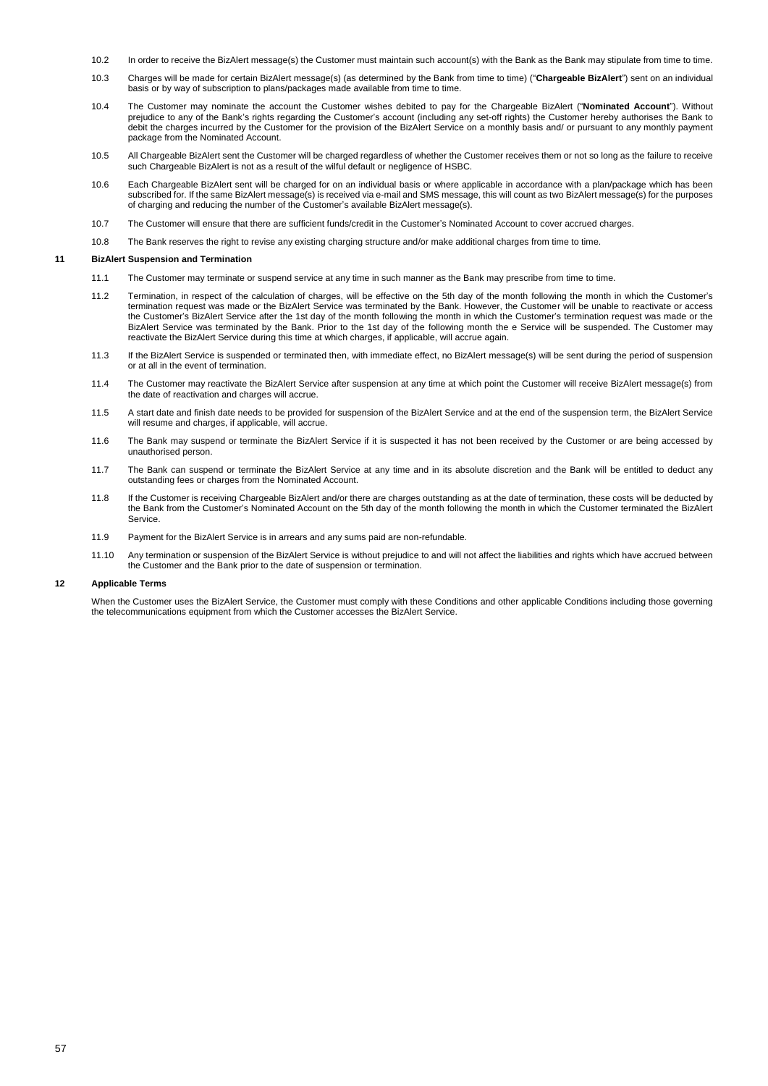- 10.2 In order to receive the BizAlert message(s) the Customer must maintain such account(s) with the Bank as the Bank may stipulate from time to time.
- 10.3 Charges will be made for certain BizAlert message(s) (as determined by the Bank from time to time) ("**Chargeable BizAlert**") sent on an individual basis or by way of subscription to plans/packages made available from time to time.
- 10.4 The Customer may nominate the account the Customer wishes debited to pay for the Chargeable BizAlert ("**Nominated Account**"). Without prejudice to any of the Bank's rights regarding the Customer's account (including any set-off rights) the Customer hereby authorises the Bank to debit the charges incurred by the Customer for the provision of the BizAlert Service on a monthly basis and/ or pursuant to any monthly payment package from the Nominated Account.
- 10.5 All Chargeable BizAlert sent the Customer will be charged regardless of whether the Customer receives them or not so long as the failure to receive such Chargeable BizAlert is not as a result of the wilful default or negligence of HSBC.
- 10.6 Each Chargeable BizAlert sent will be charged for on an individual basis or where applicable in accordance with a plan/package which has been subscribed for. If the same BizAlert message(s) is received via e-mail and SMS message, this will count as two BizAlert message(s) for the purposes of charging and reducing the number of the Customer's available BizAlert message(s).
- 10.7 The Customer will ensure that there are sufficient funds/credit in the Customer's Nominated Account to cover accrued charges.
- 10.8 The Bank reserves the right to revise any existing charging structure and/or make additional charges from time to time.

## **11 BizAlert Suspension and Termination**

- 11.1 The Customer may terminate or suspend service at any time in such manner as the Bank may prescribe from time to time.
- 11.2 Termination, in respect of the calculation of charges, will be effective on the 5th day of the month following the month in which the Customer's termination request was made or the BizAlert Service was terminated by the Bank. However, the Customer will be unable to reactivate or access the Customer's BizAlert Service after the 1st day of the month following the month in which the Customer's termination request was made or the BizAlert Service was terminated by the Bank. Prior to the 1st day of the following month the e Service will be suspended. The Customer may reactivate the BizAlert Service during this time at which charges, if applicable, will accrue again.
- 11.3 If the BizAlert Service is suspended or terminated then, with immediate effect, no BizAlert message(s) will be sent during the period of suspension or at all in the event of termination.
- 11.4 The Customer may reactivate the BizAlert Service after suspension at any time at which point the Customer will receive BizAlert message(s) from the date of reactivation and charges will accrue.
- 11.5 A start date and finish date needs to be provided for suspension of the BizAlert Service and at the end of the suspension term, the BizAlert Service will resume and charges, if applicable, will accrue.
- 11.6 The Bank may suspend or terminate the BizAlert Service if it is suspected it has not been received by the Customer or are being accessed by unauthorised person.
- 11.7 The Bank can suspend or terminate the BizAlert Service at any time and in its absolute discretion and the Bank will be entitled to deduct any outstanding fees or charges from the Nominated Account.
- 11.8 If the Customer is receiving Chargeable BizAlert and/or there are charges outstanding as at the date of termination, these costs will be deducted by the Bank from the Customer's Nominated Account on the 5th day of the month following the month in which the Customer terminated the BizAlert Service.
- 11.9 Payment for the BizAlert Service is in arrears and any sums paid are non-refundable.
- 11.10 Any termination or suspension of the BizAlert Service is without prejudice to and will not affect the liabilities and rights which have accrued between the Customer and the Bank prior to the date of suspension or termination.

# **12 Applicable Terms**

When the Customer uses the BizAlert Service, the Customer must comply with these Conditions and other applicable Conditions including those governing the telecommunications equipment from which the Customer accesses the BizAlert Service.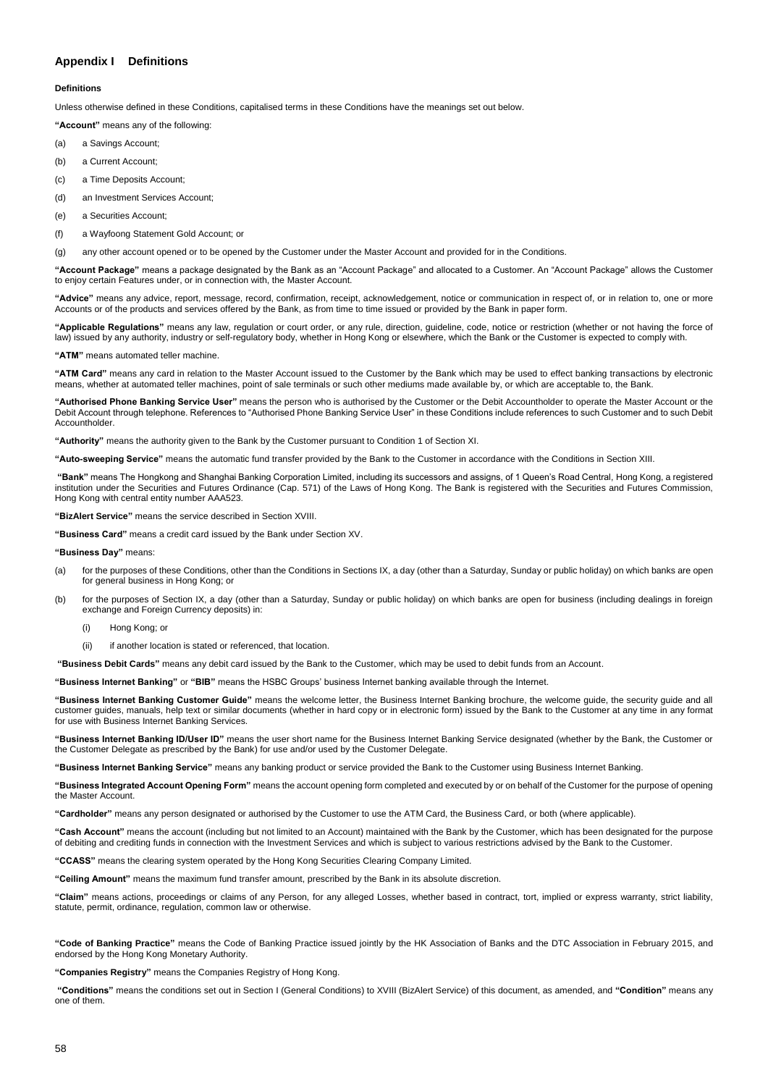# <span id="page-57-0"></span>**Appendix I Definitions**

## **Definitions**

Unless otherwise defined in these Conditions, capitalised terms in these Conditions have the meanings set out below.

**"Account"** means any of the following:

- (a) a Savings Account;
- (b) a Current Account;
- (c) a Time Deposits Account;
- (d) an Investment Services Account;
- (e) a Securities Account;
- (f) a Wayfoong Statement Gold Account; or

(g) any other account opened or to be opened by the Customer under the Master Account and provided for in the Conditions.

**"Account Package"** means a package designated by the Bank as an "Account Package" and allocated to a Customer. An "Account Package" allows the Customer to enjoy certain Features under, or in connection with, the Master Account.

**"Advice"** means any advice, report, message, record, confirmation, receipt, acknowledgement, notice or communication in respect of, or in relation to, one or more Accounts or of the products and services offered by the Bank, as from time to time issued or provided by the Bank in paper form.

**"Applicable Regulations"** means any law, regulation or court order, or any rule, direction, guideline, code, notice or restriction (whether or not having the force of law) issued by any authority, industry or self-regulatory body, whether in Hong Kong or elsewhere, which the Bank or the Customer is expected to comply with.

**"ATM"** means automated teller machine.

**"ATM Card"** means any card in relation to the Master Account issued to the Customer by the Bank which may be used to effect banking transactions by electronic means, whether at automated teller machines, point of sale terminals or such other mediums made available by, or which are acceptable to, the Bank.

**"Authorised Phone Banking Service User"** means the person who is authorised by the Customer or the Debit Accountholder to operate the Master Account or the Debit Account through telephone. References to "Authorised Phone Banking Service User" in these Conditions include references to such Customer and to such Debit Accountholder.

**"Authority"** means the authority given to the Bank by the Customer pursuant to Condition 1 of Section XI.

**"Auto-sweeping Service"** means the automatic fund transfer provided by the Bank to the Customer in accordance with the Conditions in Section XIII.

**"Bank"** means The Hongkong and Shanghai Banking Corporation Limited, including its successors and assigns, of 1 Queen's Road Central, Hong Kong, a registered institution under the Securities and Futures Ordinance (Cap. 571) of the Laws of Hong Kong. The Bank is registered with the Securities and Futures Commission, Hong Kong with central entity number AAA523.

**"BizAlert Service"** means the service described in Section XVIII.

**"Business Card"** means a credit card issued by the Bank under Section XV.

### **"Business Day"** means:

- (a) for the purposes of these Conditions, other than the Conditions in Sections IX, a day (other than a Saturday, Sunday or public holiday) on which banks are open for general business in Hong Kong; or
- (b) for the purposes of Section IX, a day (other than a Saturday, Sunday or public holiday) on which banks are open for business (including dealings in foreign exchange and Foreign Currency deposits) in:
	- (i) Hong Kong; or
	- (ii) if another location is stated or referenced, that location.

**"Business Debit Cards"** means any debit card issued by the Bank to the Customer, which may be used to debit funds from an Account.

**"Business Internet Banking"** or **"BIB"** means the HSBC Groups' business Internet banking available through the Internet.

**"Business Internet Banking Customer Guide"** means the welcome letter, the Business Internet Banking brochure, the welcome guide, the security guide and all customer guides, manuals, help text or similar documents (whether in hard copy or in electronic form) issued by the Bank to the Customer at any time in any format for use with Business Internet Banking Services.

**"Business Internet Banking ID/User ID"** means the user short name for the Business Internet Banking Service designated (whether by the Bank, the Customer or the Customer Delegate as prescribed by the Bank) for use and/or used by the Customer Delegate.

**"Business Internet Banking Service"** means any banking product or service provided the Bank to the Customer using Business Internet Banking.

**"Business Integrated Account Opening Form"** means the account opening form completed and executed by or on behalf of the Customer for the purpose of opening the Master Account.

**"Cardholder"** means any person designated or authorised by the Customer to use the ATM Card, the Business Card, or both (where applicable).

**"Cash Account"** means the account (including but not limited to an Account) maintained with the Bank by the Customer, which has been designated for the purpose of debiting and crediting funds in connection with the Investment Services and which is subject to various restrictions advised by the Bank to the Customer.

**"CCASS"** means the clearing system operated by the Hong Kong Securities Clearing Company Limited.

**"Ceiling Amount"** means the maximum fund transfer amount, prescribed by the Bank in its absolute discretion.

**"Claim"** means actions, proceedings or claims of any Person, for any alleged Losses, whether based in contract, tort, implied or express warranty, strict liability, statute, permit, ordinance, regulation, common law or otherwise.

**"Code of Banking Practice"** means the Code of Banking Practice issued jointly by the HK Association of Banks and the DTC Association in February 2015, and endorsed by the Hong Kong Monetary Authority.

**"Companies Registry"** means the Companies Registry of Hong Kong.

**"Conditions"** means the conditions set out in Section I (General Conditions) to XVIII (BizAlert Service) of this document, as amended, and **"Condition"** means any one of them.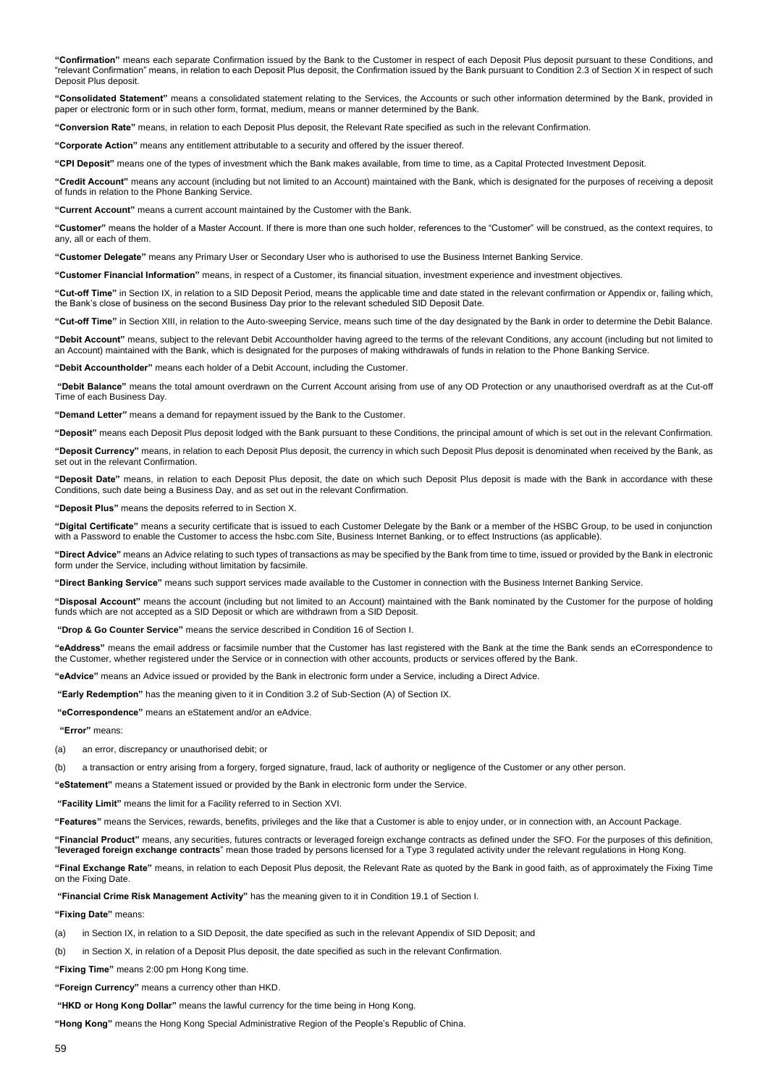**"Confirmation"** means each separate Confirmation issued by the Bank to the Customer in respect of each Deposit Plus deposit pursuant to these Conditions, and "relevant Confirmation" means, in relation to each Deposit Plus deposit, the Confirmation issued by the Bank pursuant to Condition 2.3 of Section X in respect of such Deposit Plus deposit.

**"Consolidated Statement"** means a consolidated statement relating to the Services, the Accounts or such other information determined by the Bank, provided in paper or electronic form or in such other form, format, medium, means or manner determined by the Bank.

**"Conversion Rate"** means, in relation to each Deposit Plus deposit, the Relevant Rate specified as such in the relevant Confirmation.

**"Corporate Action"** means any entitlement attributable to a security and offered by the issuer thereof.

**"CPI Deposit"** means one of the types of investment which the Bank makes available, from time to time, as a Capital Protected Investment Deposit.

**"Credit Account"** means any account (including but not limited to an Account) maintained with the Bank, which is designated for the purposes of receiving a deposit of funds in relation to the Phone Banking Service.

**"Current Account"** means a current account maintained by the Customer with the Bank.

**"Customer"** means the holder of a Master Account. If there is more than one such holder, references to the "Customer" will be construed, as the context requires, to any, all or each of them.

**"Customer Delegate"** means any Primary User or Secondary User who is authorised to use the Business Internet Banking Service.

**"Customer Financial Information"** means, in respect of a Customer, its financial situation, investment experience and investment objectives.

**"Cut-off Time"** in Section IX, in relation to a SID Deposit Period, means the applicable time and date stated in the relevant confirmation or Appendix or, failing which, the Bank's close of business on the second Business Day prior to the relevant scheduled SID Deposit Date.

**"Cut-off Time"** in Section XIII, in relation to the Auto-sweeping Service, means such time of the day designated by the Bank in order to determine the Debit Balance.

**"Debit Account"** means, subject to the relevant Debit Accountholder having agreed to the terms of the relevant Conditions, any account (including but not limited to an Account) maintained with the Bank, which is designated for the purposes of making withdrawals of funds in relation to the Phone Banking Service.

**"Debit Accountholder"** means each holder of a Debit Account, including the Customer.

**"Debit Balance"** means the total amount overdrawn on the Current Account arising from use of any OD Protection or any unauthorised overdraft as at the Cut-off Time of each Business Day.

**"Demand Letter"** means a demand for repayment issued by the Bank to the Customer.

**"Deposit"** means each Deposit Plus deposit lodged with the Bank pursuant to these Conditions, the principal amount of which is set out in the relevant Confirmation.

**"Deposit Currency"** means, in relation to each Deposit Plus deposit, the currency in which such Deposit Plus deposit is denominated when received by the Bank, as set out in the relevant Confirmation.

**"Deposit Date"** means, in relation to each Deposit Plus deposit, the date on which such Deposit Plus deposit is made with the Bank in accordance with these Conditions, such date being a Business Day, and as set out in the relevant Confirmation.

**"Deposit Plus"** means the deposits referred to in Section X.

**"Digital Certificate"** means a security certificate that is issued to each Customer Delegate by the Bank or a member of the HSBC Group, to be used in conjunction with a Password to enable the Customer to access the hsbc.com Site, Business Internet Banking, or to effect Instructions (as applicable).

**"Direct Advice"** means an Advice relating to such types of transactions as may be specified by the Bank from time to time, issued or provided by the Bank in electronic form under the Service, including without limitation by facsimile.

**"Direct Banking Service"** means such support services made available to the Customer in connection with the Business Internet Banking Service.

**"Disposal Account"** means the account (including but not limited to an Account) maintained with the Bank nominated by the Customer for the purpose of holding funds which are not accepted as a SID Deposit or which are withdrawn from a SID Deposit.

**"Drop & Go Counter Service"** means the service described in Condition 16 of Section I.

**"eAddress"** means the email address or facsimile number that the Customer has last registered with the Bank at the time the Bank sends an eCorrespondence to the Customer, whether registered under the Service or in connection with other accounts, products or services offered by the Bank.

**"eAdvice"** means an Advice issued or provided by the Bank in electronic form under a Service, including a Direct Advice.

**"Early Redemption"** has the meaning given to it in Condition 3.2 of Sub-Section (A) of Section IX.

**"eCorrespondence"** means an eStatement and/or an eAdvice.

**"Error"** means:

(a) an error, discrepancy or unauthorised debit; or

(b) a transaction or entry arising from a forgery, forged signature, fraud, lack of authority or negligence of the Customer or any other person.

**"eStatement"** means a Statement issued or provided by the Bank in electronic form under the Service.

**"Facility Limit"** means the limit for a Facility referred to in Section XVI.

**"Features"** means the Services, rewards, benefits, privileges and the like that a Customer is able to enjoy under, or in connection with, an Account Package.

**"Financial Product"** means, any securities, futures contracts or leveraged foreign exchange contracts as defined under the SFO. For the purposes of this definition, "**leveraged foreign exchange contracts**" mean those traded by persons licensed for a Type 3 regulated activity under the relevant regulations in Hong Kong.

**"Final Exchange Rate"** means, in relation to each Deposit Plus deposit, the Relevant Rate as quoted by the Bank in good faith, as of approximately the Fixing Time on the Fixing Date.

**"Financial Crime Risk Management Activity"** has the meaning given to it in Condition 19.1 of Section I.

**"Fixing Date"** means:

- (a) in Section IX, in relation to a SID Deposit, the date specified as such in the relevant Appendix of SID Deposit; and
- (b) in Section X, in relation of a Deposit Plus deposit, the date specified as such in the relevant Confirmation.

**"Fixing Time"** means 2:00 pm Hong Kong time.

**"Foreign Currency"** means a currency other than HKD.

**"HKD or Hong Kong Dollar"** means the lawful currency for the time being in Hong Kong.

**"Hong Kong"** means the Hong Kong Special Administrative Region of the People's Republic of China.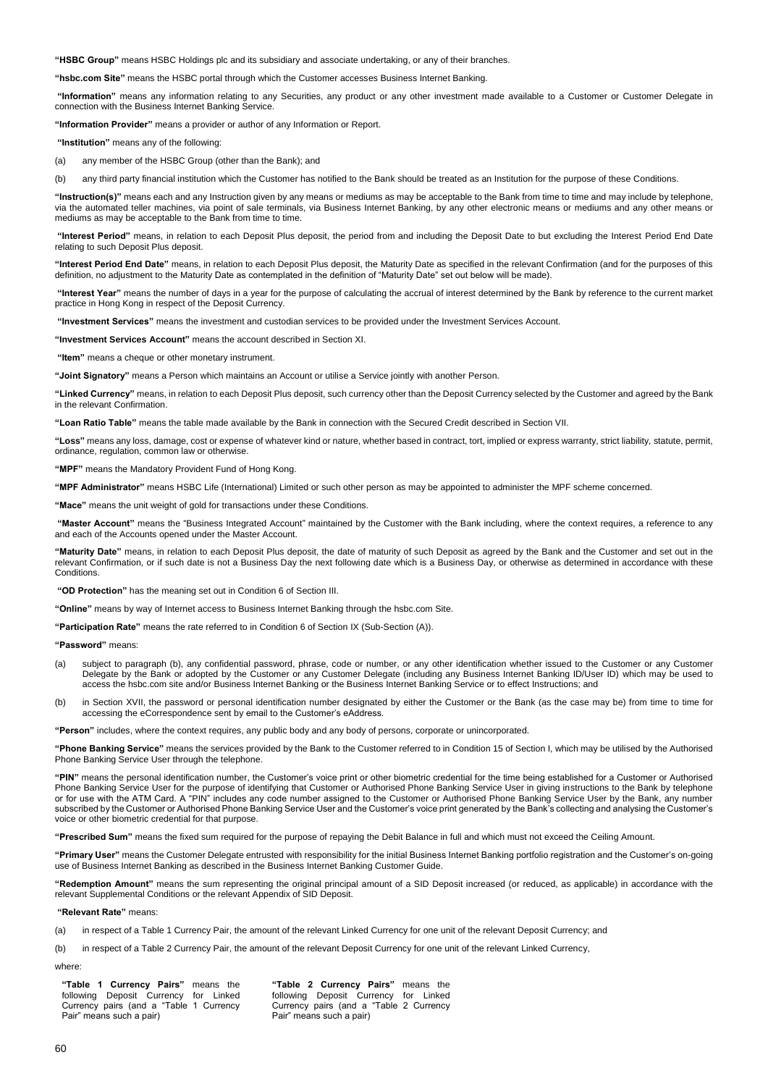**"HSBC Group"** means HSBC Holdings plc and its subsidiary and associate undertaking, or any of their branches.

**"hsbc.com Site"** means the HSBC portal through which the Customer accesses Business Internet Banking.

**"Information"** means any information relating to any Securities, any product or any other investment made available to a Customer or Customer Delegate in connection with the Business Internet Banking Service.

**"Information Provider"** means a provider or author of any Information or Report.

**"Institution"** means any of the following:

(a) any member of the HSBC Group (other than the Bank); and

(b) any third party financial institution which the Customer has notified to the Bank should be treated as an Institution for the purpose of these Conditions.

**"Instruction(s)"** means each and any Instruction given by any means or mediums as may be acceptable to the Bank from time to time and may include by telephone, via the automated teller machines, via point of sale terminals, via Business Internet Banking, by any other electronic means or mediums and any other means or mediums as may be acceptable to the Bank from time to time.

**"Interest Period"** means, in relation to each Deposit Plus deposit, the period from and including the Deposit Date to but excluding the Interest Period End Date relating to such Deposit Plus deposit.

**"Interest Period End Date"** means, in relation to each Deposit Plus deposit, the Maturity Date as specified in the relevant Confirmation (and for the purposes of this definition, no adjustment to the Maturity Date as contemplated in the definition of "Maturity Date" set out below will be made).

**"Interest Year"** means the number of days in a year for the purpose of calculating the accrual of interest determined by the Bank by reference to the current market practice in Hong Kong in respect of the Deposit Currency.

**"Investment Services"** means the investment and custodian services to be provided under the Investment Services Account.

**"Investment Services Account"** means the account described in Section XI.

**"Item"** means a cheque or other monetary instrument.

**"Joint Signatory"** means a Person which maintains an Account or utilise a Service jointly with another Person.

**"Linked Currency"** means, in relation to each Deposit Plus deposit, such currency other than the Deposit Currency selected by the Customer and agreed by the Bank in the relevant Confirmation.

**"Loan Ratio Table"** means the table made available by the Bank in connection with the Secured Credit described in Section VII.

**"Loss"** means any loss, damage, cost or expense of whatever kind or nature, whether based in contract, tort, implied or express warranty, strict liability, statute, permit, ordinance, regulation, common law or otherwise.

**"MPF"** means the Mandatory Provident Fund of Hong Kong.

**"MPF Administrator"** means HSBC Life (International) Limited or such other person as may be appointed to administer the MPF scheme concerned.

**"Mace"** means the unit weight of gold for transactions under these Conditions.

**"Master Account"** means the "Business Integrated Account" maintained by the Customer with the Bank including, where the context requires, a reference to any and each of the Accounts opened under the Master Account.

**"Maturity Date"** means, in relation to each Deposit Plus deposit, the date of maturity of such Deposit as agreed by the Bank and the Customer and set out in the relevant Confirmation, or if such date is not a Business Day the next following date which is a Business Day, or otherwise as determined in accordance with these **Conditions** 

**"OD Protection"** has the meaning set out in Condition 6 of Section III.

**"Online"** means by way of Internet access to Business Internet Banking through the hsbc.com Site.

**"Participation Rate"** means the rate referred to in Condition 6 of Section IX (Sub-Section (A)).

**"Password"** means:

- (a) subject to paragraph (b), any confidential password, phrase, code or number, or any other identification whether issued to the Customer or any Customer Delegate by the Bank or adopted by the Customer or any Customer Delegate (including any Business Internet Banking ID/User ID) which may be used to access the hsbc.com site and/or Business Internet Banking or the Business Internet Banking Service or to effect Instructions; and
- (b) in Section XVII, the password or personal identification number designated by either the Customer or the Bank (as the case may be) from time to time for accessing the eCorrespondence sent by email to the Customer's eAddress.

**"Person"** includes, where the context requires, any public body and any body of persons, corporate or unincorporated.

**"Phone Banking Service"** means the services provided by the Bank to the Customer referred to in Condition 15 of Section I, which may be utilised by the Authorised Phone Banking Service User through the telephone.

**"PIN"** means the personal identification number, the Customer's voice print or other biometric credential for the time being established for a Customer or Authorised Phone Banking Service User for the purpose of identifying that Customer or Authorised Phone Banking Service User in giving instructions to the Bank by telephone or for use with the ATM Card. A "PIN" includes any code number assigned to the Customer or Authorised Phone Banking Service User by the Bank, any number subscribed by the Customer or Authorised Phone Banking Service User and the Customer's voice print generated by the Bank's collecting and analysing the Customer's voice or other biometric credential for that purpose.

**"Prescribed Sum"** means the fixed sum required for the purpose of repaying the Debit Balance in full and which must not exceed the Ceiling Amount.

**"Primary User"** means the Customer Delegate entrusted with responsibility for the initial Business Internet Banking portfolio registration and the Customer's on-going use of Business Internet Banking as described in the Business Internet Banking Customer Guide.

**"Redemption Amount"** means the sum representing the original principal amount of a SID Deposit increased (or reduced, as applicable) in accordance with the relevant Supplemental Conditions or the relevant Appendix of SID Deposit.

### **"Relevant Rate"** means:

(a) in respect of a Table 1 Currency Pair, the amount of the relevant Linked Currency for one unit of the relevant Deposit Currency; and

(b) in respect of a Table 2 Currency Pair, the amount of the relevant Deposit Currency for one unit of the relevant Linked Currency,

### where:

| "Table 1 Currency Pairs" means the      | "Table 2 Currency Pairs" means the      |
|-----------------------------------------|-----------------------------------------|
| following Deposit Currency for Linked   | following Deposit Currency for Linked   |
| Currency pairs (and a "Table 1 Currency | Currency pairs (and a "Table 2 Currency |
| Pair" means such a pair)                | Pair" means such a pair)                |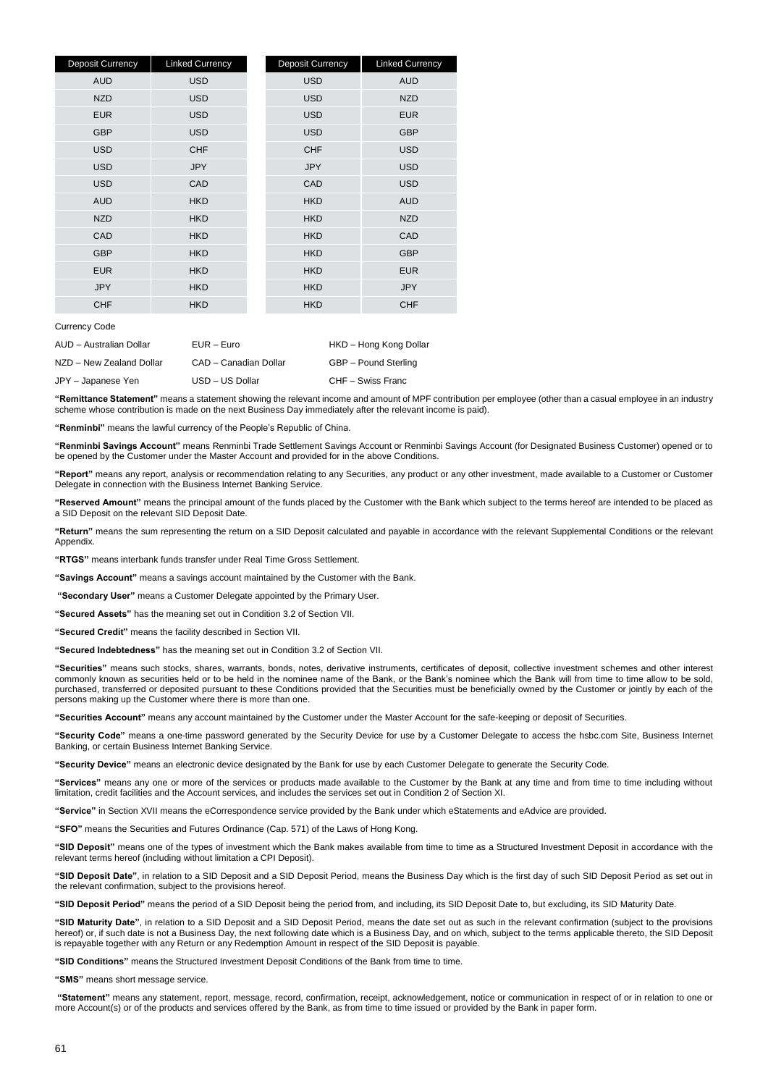| Deposit Currency | <b>Linked Currency</b> | <b>Deposit Currency</b> | <b>Linked Currency</b> |
|------------------|------------------------|-------------------------|------------------------|
| <b>AUD</b>       | <b>USD</b>             | <b>USD</b>              | <b>AUD</b>             |
| <b>NZD</b>       | <b>USD</b>             | <b>USD</b>              | <b>NZD</b>             |
| <b>EUR</b>       | <b>USD</b>             | <b>USD</b>              | <b>EUR</b>             |
| <b>GBP</b>       | <b>USD</b>             | <b>USD</b>              | <b>GBP</b>             |
| <b>USD</b>       | <b>CHF</b>             | <b>CHF</b>              | <b>USD</b>             |
| <b>USD</b>       | <b>JPY</b>             | <b>JPY</b>              | <b>USD</b>             |
| <b>USD</b>       | CAD                    | CAD                     | <b>USD</b>             |
| <b>AUD</b>       | <b>HKD</b>             | <b>HKD</b>              | <b>AUD</b>             |
| <b>NZD</b>       | <b>HKD</b>             | <b>HKD</b>              | <b>NZD</b>             |
| CAD              | <b>HKD</b>             | <b>HKD</b>              | CAD                    |
| <b>GBP</b>       | <b>HKD</b>             | <b>HKD</b>              | <b>GBP</b>             |
| <b>EUR</b>       | <b>HKD</b>             | <b>HKD</b>              | <b>EUR</b>             |
| <b>JPY</b>       | <b>HKD</b>             | <b>HKD</b>              | <b>JPY</b>             |
| <b>CHF</b>       | <b>HKD</b>             | <b>HKD</b>              | <b>CHF</b>             |

Currency Code

| AUD - Australian Dollar  | $EUR - Euro$          | HKD - Hong Kong Dollar |
|--------------------------|-----------------------|------------------------|
| NZD - New Zealand Dollar | CAD - Canadian Dollar | GBP - Pound Sterling   |
| JPY - Japanese Yen       | USD - US Dollar       | CHF – Swiss Franc      |

**"Remittance Statement"** means a statement showing the relevant income and amount of MPF contribution per employee (other than a casual employee in an industry scheme whose contribution is made on the next Business Day immediately after the relevant income is paid).

**"Renminbi"** means the lawful currency of the People's Republic of China.

**"Renminbi Savings Account"** means Renminbi Trade Settlement Savings Account or Renminbi Savings Account (for Designated Business Customer) opened or to be opened by the Customer under the Master Account and provided for in the above Conditions.

**"Report"** means any report, analysis or recommendation relating to any Securities, any product or any other investment, made available to a Customer or Customer Delegate in connection with the Business Internet Banking Service.

**"Reserved Amount"** means the principal amount of the funds placed by the Customer with the Bank which subject to the terms hereof are intended to be placed as a SID Deposit on the relevant SID Deposit Date.

**"Return"** means the sum representing the return on a SID Deposit calculated and payable in accordance with the relevant Supplemental Conditions or the relevant **Appendix** 

**"RTGS"** means interbank funds transfer under Real Time Gross Settlement.

**"Savings Account"** means a savings account maintained by the Customer with the Bank.

**"Secondary User"** means a Customer Delegate appointed by the Primary User.

**"Secured Assets"** has the meaning set out in Condition 3.2 of Section VII.

**"Secured Credit"** means the facility described in Section VII.

**"Secured Indebtedness"** has the meaning set out in Condition 3.2 of Section VII.

**"Securities"** means such stocks, shares, warrants, bonds, notes, derivative instruments, certificates of deposit, collective investment schemes and other interest commonly known as securities held or to be held in the nominee name of the Bank, or the Bank's nominee which the Bank will from time to time allow to be sold, purchased, transferred or deposited pursuant to these Conditions provided that the Securities must be beneficially owned by the Customer or jointly by each of the persons making up the Customer where there is more than one.

**"Securities Account"** means any account maintained by the Customer under the Master Account for the safe-keeping or deposit of Securities.

**"Security Code"** means a one-time password generated by the Security Device for use by a Customer Delegate to access the hsbc.com Site, Business Internet Banking, or certain Business Internet Banking Service.

**"Security Device"** means an electronic device designated by the Bank for use by each Customer Delegate to generate the Security Code.

**"Services"** means any one or more of the services or products made available to the Customer by the Bank at any time and from time to time including without limitation, credit facilities and the Account services, and includes the services set out in Condition 2 of Section XI.

**"Service"** in Section XVII means the eCorrespondence service provided by the Bank under which eStatements and eAdvice are provided.

**"SFO"** means the Securities and Futures Ordinance (Cap. 571) of the Laws of Hong Kong.

**"SID Deposit"** means one of the types of investment which the Bank makes available from time to time as a Structured Investment Deposit in accordance with the relevant terms hereof (including without limitation a CPI Deposit).

**"SID Deposit Date"**, in relation to a SID Deposit and a SID Deposit Period, means the Business Day which is the first day of such SID Deposit Period as set out in the relevant confirmation, subject to the provisions hereof.

**"SID Deposit Period"** means the period of a SID Deposit being the period from, and including, its SID Deposit Date to, but excluding, its SID Maturity Date.

**"SID Maturity Date"**, in relation to a SID Deposit and a SID Deposit Period, means the date set out as such in the relevant confirmation (subject to the provisions hereof) or, if such date is not a Business Day, the next following date which is a Business Day, and on which, subject to the terms applicable thereto, the SID Deposit is repayable together with any Return or any Redemption Amount in respect of the SID Deposit is payable.

**"SID Conditions"** means the Structured Investment Deposit Conditions of the Bank from time to time.

**"SMS"** means short message service.

**"Statement"** means any statement, report, message, record, confirmation, receipt, acknowledgement, notice or communication in respect of or in relation to one or more Account(s) or of the products and services offered by the Bank, as from time to time issued or provided by the Bank in paper form.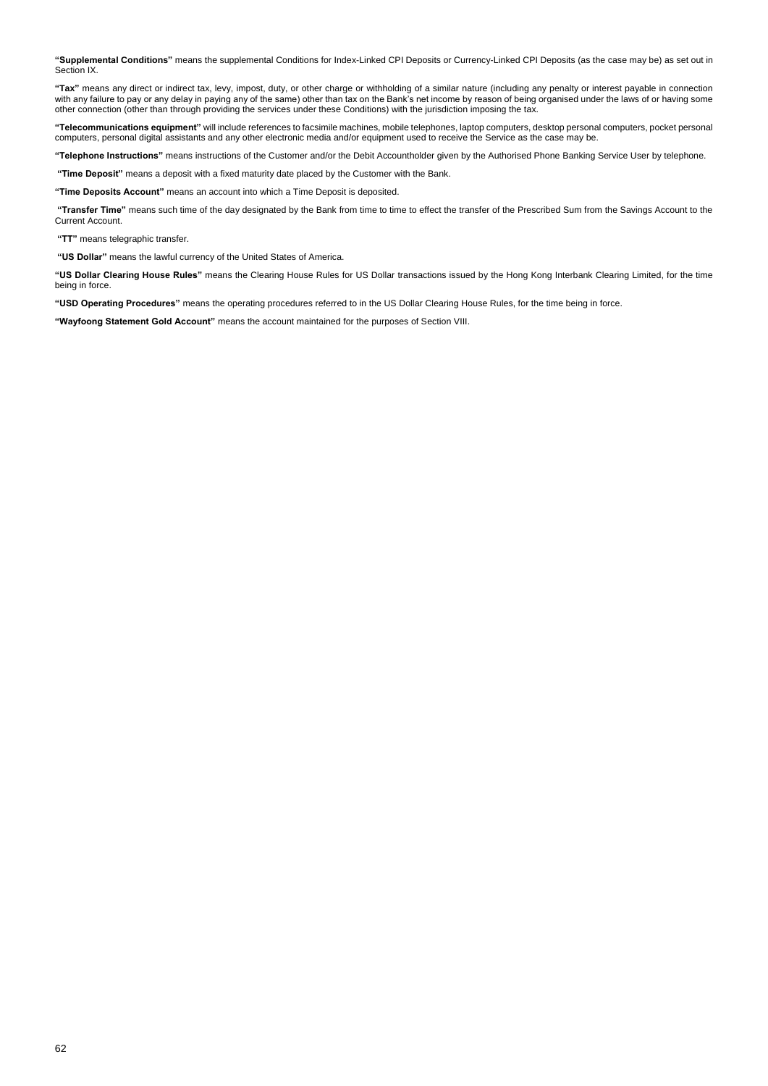**"Supplemental Conditions"** means the supplemental Conditions for Index-Linked CPI Deposits or Currency-Linked CPI Deposits (as the case may be) as set out in Section IX.

**"Tax"** means any direct or indirect tax, levy, impost, duty, or other charge or withholding of a similar nature (including any penalty or interest payable in connection with any failure to pay or any delay in paying any of the same) other than tax on the Bank's net income by reason of being organised under the laws of or having some other connection (other than through providing the services under these Conditions) with the jurisdiction imposing the tax.

**"Telecommunications equipment"** will include references to facsimile machines, mobile telephones, laptop computers, desktop personal computers, pocket personal computers, personal digital assistants and any other electronic media and/or equipment used to receive the Service as the case may be.

**"Telephone Instructions"** means instructions of the Customer and/or the Debit Accountholder given by the Authorised Phone Banking Service User by telephone.

**"Time Deposit"** means a deposit with a fixed maturity date placed by the Customer with the Bank.

**"Time Deposits Account"** means an account into which a Time Deposit is deposited.

**"Transfer Time"** means such time of the day designated by the Bank from time to time to effect the transfer of the Prescribed Sum from the Savings Account to the Current Account.

**"TT"** means telegraphic transfer.

**"US Dollar"** means the lawful currency of the United States of America.

**"US Dollar Clearing House Rules"** means the Clearing House Rules for US Dollar transactions issued by the Hong Kong Interbank Clearing Limited, for the time being in force.

**"USD Operating Procedures"** means the operating procedures referred to in the US Dollar Clearing House Rules, for the time being in force.

**"Wayfoong Statement Gold Account"** means the account maintained for the purposes of Section VIII.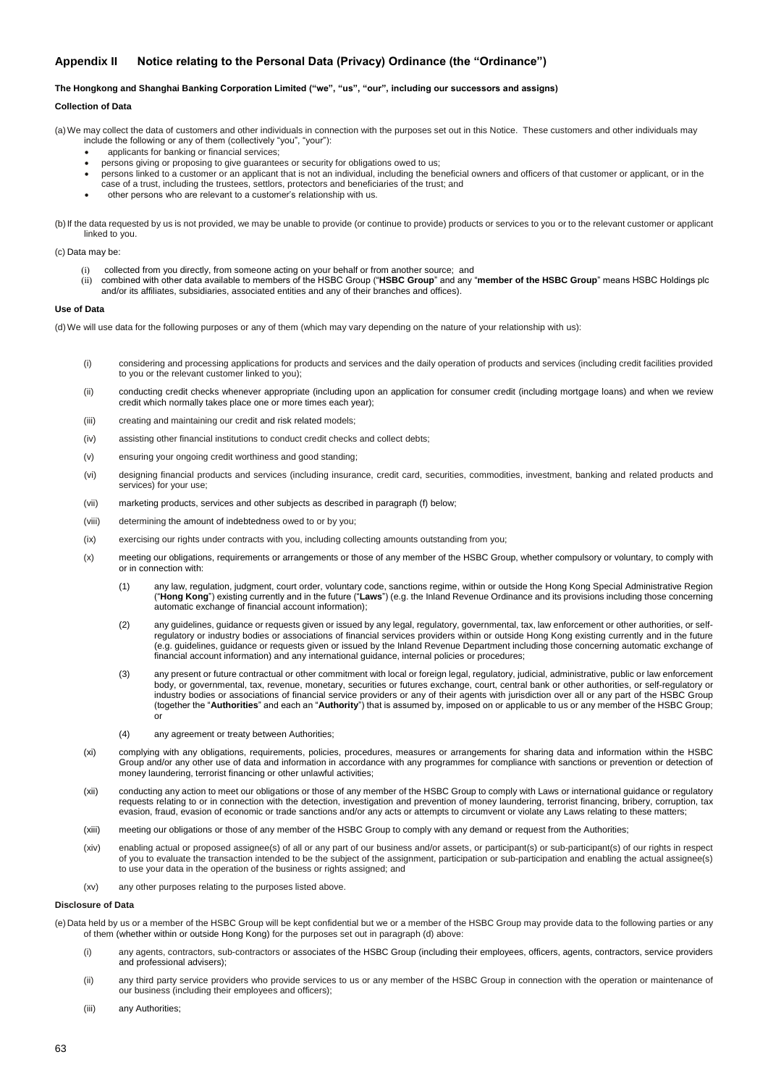# <span id="page-62-0"></span>**Appendix II Notice relating to the Personal Data (Privacy) Ordinance (the "Ordinance")**

### **The Hongkong and Shanghai Banking Corporation Limited ("we", "us", "our", including our successors and assigns)**

### **Collection of Data**

(a)We may collect the data of customers and other individuals in connection with the purposes set out in this Notice. These customers and other individuals may include the following or any of them (collectively "you", "your"):

- applicants for banking or financial services;
- persons giving or proposing to give guarantees or security for obligations owed to us;
- persons linked to a customer or an applicant that is not an individual, including the beneficial owners and officers of that customer or applicant, or in the
- case of a trust, including the trustees, settlors, protectors and beneficiaries of the trust; and
- other persons who are relevant to a customer's relationship with us.

(b)If the data requested by us is not provided, we may be unable to provide (or continue to provide) products or services to you or to the relevant customer or applicant linked to you.

### (c) Data may be:

- 
- (i) collected from you directly, from someone acting on your behalf or from another source; and<br>(ii) combined with other data available to members of the HSBC Group ("HSBC Group" and any "member of the HSBC Group" means HS and/or its affiliates, subsidiaries, associated entities and any of their branches and offices).

## **Use of Data**

(d)We will use data for the following purposes or any of them (which may vary depending on the nature of your relationship with us):

- (i) considering and processing applications for products and services and the daily operation of products and services (including credit facilities provided to you or the relevant customer linked to you);
- (ii) conducting credit checks whenever appropriate (including upon an application for consumer credit (including mortgage loans) and when we review credit which normally takes place one or more times each year);
- (iii) creating and maintaining our credit and risk related models;
- (iv) assisting other financial institutions to conduct credit checks and collect debts;
- (v) ensuring your ongoing credit worthiness and good standing;
- (vi) designing financial products and services (including insurance, credit card, securities, commodities, investment, banking and related products and services) for your use;
- (vii) marketing products, services and other subjects as described in paragraph (f) below;
- (viii) determining the amount of indebtedness owed to or by you;
- (ix) exercising our rights under contracts with you, including collecting amounts outstanding from you;
- (x) meeting our obligations, requirements or arrangements or those of any member of the HSBC Group, whether compulsory or voluntary, to comply with or in connection with:
	- (1) any law, regulation, judgment, court order, voluntary code, sanctions regime, within or outside the Hong Kong Special Administrative Region ("**Hong Kong**") existing currently and in the future ("**Laws**") (e.g. the Inland Revenue Ordinance and its provisions including those concerning automatic exchange of financial account information);
	- (2) any guidelines, guidance or requests given or issued by any legal, regulatory, governmental, tax, law enforcement or other authorities, or selfregulatory or industry bodies or associations of financial services providers within or outside Hong Kong existing currently and in the future (e.g. guidelines, guidance or requests given or issued by the Inland Revenue Department including those concerning automatic exchange of financial account information) and any international guidance, internal policies or procedures;
	- (3) any present or future contractual or other commitment with local or foreign legal, regulatory, judicial, administrative, public or law enforcement body, or governmental, tax, revenue, monetary, securities or futures exchange, court, central bank or other authorities, or self-regulatory or industry bodies or associations of financial service providers or any of their agents with jurisdiction over all or any part of the HSBC Group (together the "**Authorities**" and each an "**Authority**") that is assumed by, imposed on or applicable to us or any member of the HSBC Group; or
	- (4) any agreement or treaty between Authorities;
- (xi) complying with any obligations, requirements, policies, procedures, measures or arrangements for sharing data and information within the HSBC Group and/or any other use of data and information in accordance with any programmes for compliance with sanctions or prevention or detection of money laundering, terrorist financing or other unlawful activities;
- (xii) conducting any action to meet our obligations or those of any member of the HSBC Group to comply with Laws or international guidance or regulatory requests relating to or in connection with the detection, investigation and prevention of money laundering, terrorist financing, bribery, corruption, tax evasion, fraud, evasion of economic or trade sanctions and/or any acts or attempts to circumvent or violate any Laws relating to these matters;
- (xiii) meeting our obligations or those of any member of the HSBC Group to comply with any demand or request from the Authorities;
- (xiv) enabling actual or proposed assignee(s) of all or any part of our business and/or assets, or participant(s) or sub-participant(s) of our rights in respect of you to evaluate the transaction intended to be the subject of the assignment, participation or sub-participation and enabling the actual assignee(s) to use your data in the operation of the business or rights assigned; and
- (xv) any other purposes relating to the purposes listed above.

### **Disclosure of Data**

(e) Data held by us or a member of the HSBC Group will be kept confidential but we or a member of the HSBC Group may provide data to the following parties or any of them (whether within or outside Hong Kong) for the purposes set out in paragraph (d) above:

- (i) any agents, contractors, sub-contractors or associates of the HSBC Group (including their employees, officers, agents, contractors, service providers and professional advisers);
- (ii) any third party service providers who provide services to us or any member of the HSBC Group in connection with the operation or maintenance of our business (including their employees and officers);
- (iii) any Authorities;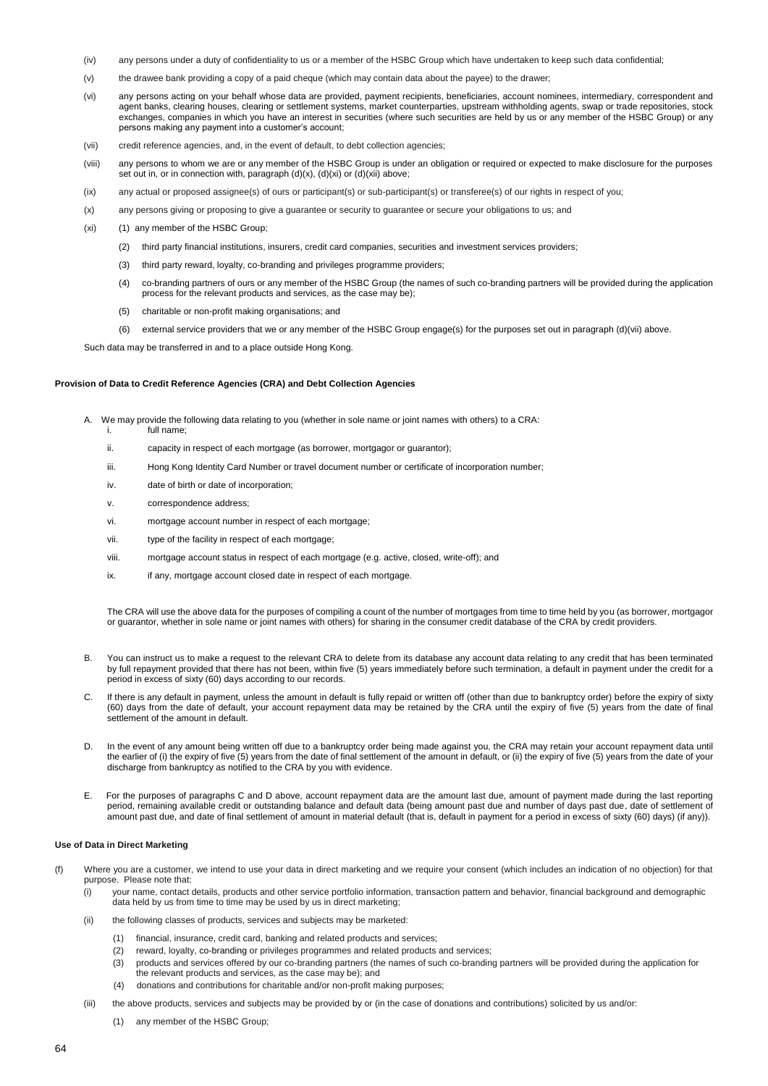- (iv) any persons under a duty of confidentiality to us or a member of the HSBC Group which have undertaken to keep such data confidential;
- (v) the drawee bank providing a copy of a paid cheque (which may contain data about the payee) to the drawer;
- (vi) any persons acting on your behalf whose data are provided, payment recipients, beneficiaries, account nominees, intermediary, correspondent and agent banks, clearing houses, clearing or settlement systems, market counterparties, upstream withholding agents, swap or trade repositories, stock exchanges, companies in which you have an interest in securities (where such securities are held by us or any member of the HSBC Group) or any persons making any payment into a customer's account;
- (vii) credit reference agencies, and, in the event of default, to debt collection agencies;
- (viii) any persons to whom we are or any member of the HSBC Group is under an obligation or required or expected to make disclosure for the purposes set out in, or in connection with, paragraph  $(d)(x)$ ,  $(d)(xi)$  or  $(d)(xii)$  above;
- (ix) any actual or proposed assignee(s) of ours or participant(s) or sub-participant(s) or transferee(s) of our rights in respect of you;
- (x) any persons giving or proposing to give a guarantee or security to guarantee or secure your obligations to us; and
- (xi) (1) any member of the HSBC Group;
	- (2) third party financial institutions, insurers, credit card companies, securities and investment services providers;
	- (3) third party reward, loyalty, co-branding and privileges programme providers;
	- (4) co-branding partners of ours or any member of the HSBC Group (the names of such co-branding partners will be provided during the application process for the relevant products and services, as the case may be);
	- (5) charitable or non-profit making organisations; and
	- (6) external service providers that we or any member of the HSBC Group engage(s) for the purposes set out in paragraph (d)(vii) above.

Such data may be transferred in and to a place outside Hong Kong.

## **Provision of Data to Credit Reference Agencies (CRA) and Debt Collection Agencies**

- A. We may provide the following data relating to you (whether in sole name or joint names with others) to a CRA:
	- full name:
	- ii. capacity in respect of each mortgage (as borrower, mortgagor or guarantor);
	- iii. Hong Kong Identity Card Number or travel document number or certificate of incorporation number;
	- iv. date of birth or date of incorporation;
	- v. correspondence address;
	- vi. mortgage account number in respect of each mortgage;
	- vii. type of the facility in respect of each mortgage;
	- viii. mortgage account status in respect of each mortgage (e.g. active, closed, write-off); and
	- ix. if any, mortgage account closed date in respect of each mortgage.

The CRA will use the above data for the purposes of compiling a count of the number of mortgages from time to time held by you (as borrower, mortgagor or guarantor, whether in sole name or joint names with others) for sharing in the consumer credit database of the CRA by credit providers.

- B. You can instruct us to make a request to the relevant CRA to delete from its database any account data relating to any credit that has been terminated by full repayment provided that there has not been, within five (5) years immediately before such termination, a default in payment under the credit for a period in excess of sixty (60) days according to our records.
- C. If there is any default in payment, unless the amount in default is fully repaid or written off (other than due to bankruptcy order) before the expiry of sixty (60) days from the date of default, your account repayment data may be retained by the CRA until the expiry of five (5) years from the date of final settlement of the amount in default.
- D. In the event of any amount being written off due to a bankruptcy order being made against you, the CRA may retain your account repayment data until the earlier of (i) the expiry of five (5) years from the date of final settlement of the amount in default, or (ii) the expiry of five (5) years from the date of your discharge from bankruptcy as notified to the CRA by you with evidence.
- E. For the purposes of paragraphs C and D above, account repayment data are the amount last due, amount of payment made during the last reporting period, remaining available credit or outstanding balance and default data (being amount past due and number of days past due, date of settlement of amount past due, and date of final settlement of amount in material default (that is, default in payment for a period in excess of sixty (60) days) (if any)).

## **Use of Data in Direct Marketing**

- (f) Where you are a customer, we intend to use your data in direct marketing and we require your consent (which includes an indication of no objection) for that purpose. Please note that:
	- (i) your name, contact details, products and other service portfolio information, transaction pattern and behavior, financial background and demographic data held by us from time to time may be used by us in direct marketing;
	- (ii) the following classes of products, services and subjects may be marketed:
		- (1) financial, insurance, credit card, banking and related products and services;
		- (2) reward, loyalty, co-branding or privileges programmes and related products and services;
		- (3) products and services offered by our co-branding partners (the names of such co-branding partners will be provided during the application for the relevant products and services, as the case may be); and
		- (4) donations and contributions for charitable and/or non-profit making purposes;
	- (iii) the above products, services and subjects may be provided by or (in the case of donations and contributions) solicited by us and/or:
		- (1) any member of the HSBC Group;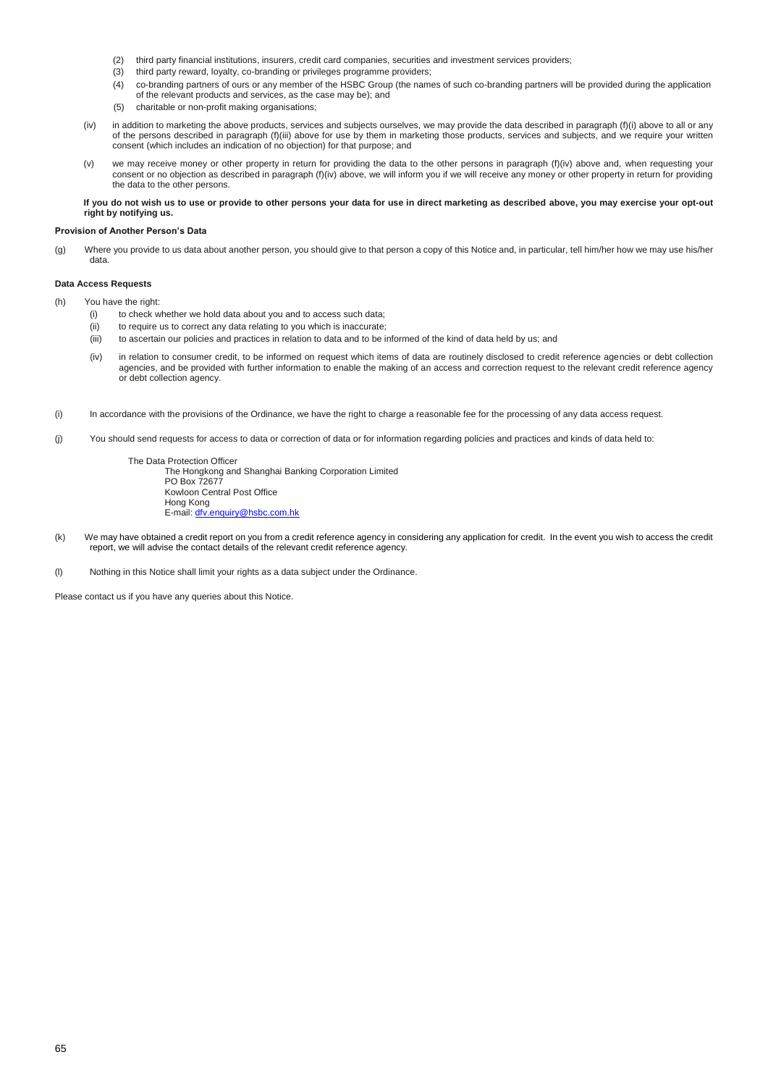- (2) third party financial institutions, insurers, credit card companies, securities and investment services providers;
- (3) third party reward, loyalty, co-branding or privileges programme providers;
- (4) co-branding partners of ours or any member of the HSBC Group (the names of such co-branding partners will be provided during the application of the relevant products and services, as the case may be); and
- (5) charitable or non-profit making organisations;
- (iv) in addition to marketing the above products, services and subjects ourselves, we may provide the data described in paragraph (f)(i) above to all or any of the persons described in paragraph (f)(iii) above for use by them in marketing those products, services and subjects, and we require your written consent (which includes an indication of no objection) for that purpose; and
- (v) we may receive money or other property in return for providing the data to the other persons in paragraph (f)(iv) above and, when requesting your consent or no objection as described in paragraph (f)(iv) above, we will inform you if we will receive any money or other property in return for providing the data to the other persons.

**If you do not wish us to use or provide to other persons your data for use in direct marketing as described above, you may exercise your opt-out right by notifying us.**

## **Provision of Another Person's Data**

(g) Where you provide to us data about another person, you should give to that person a copy of this Notice and, in particular, tell him/her how we may use his/her data.

### **Data Access Requests**

- (h) You have the right:
	- (i) to check whether we hold data about you and to access such data;
	- (ii) to require us to correct any data relating to you which is inaccurate;
	- (iii) to ascertain our policies and practices in relation to data and to be informed of the kind of data held by us; and
	- (iv) in relation to consumer credit, to be informed on request which items of data are routinely disclosed to credit reference agencies or debt collection agencies, and be provided with further information to enable the making of an access and correction request to the relevant credit reference agency or debt collection agency.
- (i) In accordance with the provisions of the Ordinance, we have the right to charge a reasonable fee for the processing of any data access request.
- (j) You should send requests for access to data or correction of data or for information regarding policies and practices and kinds of data held to:

The Data Protection Officer The Hongkong and Shanghai Banking Corporation Limited PO Box 72677 Kowloon Central Post Office Hong Kong E-mail[: dfv.enquiry@hsbc.com.hk](mailto:dfv.enquiry@hsbc.com.hk)

(k) We may have obtained a credit report on you from a credit reference agency in considering any application for credit. In the event you wish to access the credit report, we will advise the contact details of the relevant credit reference agency.

(l) Nothing in this Notice shall limit your rights as a data subject under the Ordinance.

Please contact us if you have any queries about this Notice.